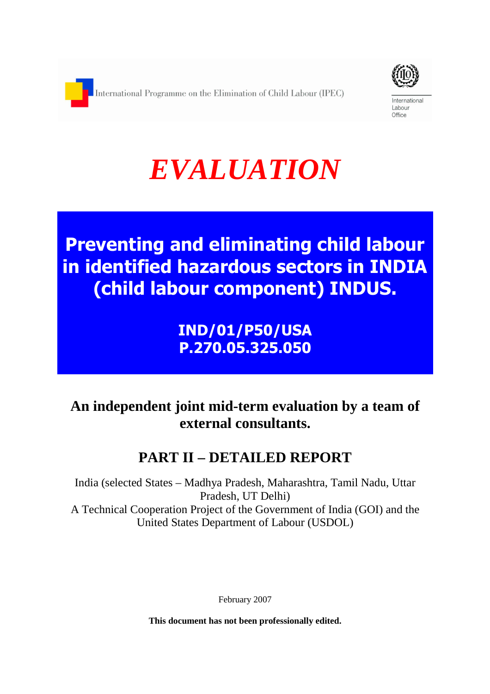

International Labour Office

# *EVALUATION*

**Preventing and eliminating child labour in identified hazardous sectors in INDIA (child labour component) INDUS.** 

> **IND/01/P50/USA P.270.05.325.050**

# **An independent joint mid-term evaluation by a team of external consultants.**

# **PART II – DETAILED REPORT**

India (selected States – Madhya Pradesh, Maharashtra, Tamil Nadu, Uttar Pradesh, UT Delhi) A Technical Cooperation Project of the Government of India (GOI) and the United States Department of Labour (USDOL)

February 2007

**This document has not been professionally edited.**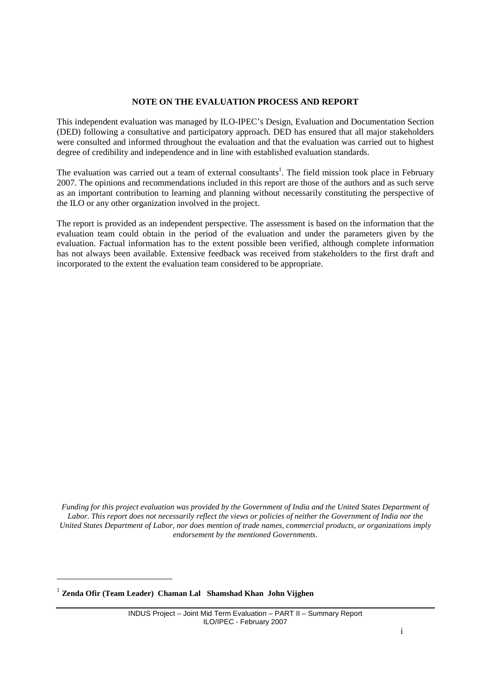#### **NOTE ON THE EVALUATION PROCESS AND REPORT**

This independent evaluation was managed by ILO-IPEC's Design, Evaluation and Documentation Section (DED) following a consultative and participatory approach. DED has ensured that all major stakeholders were consulted and informed throughout the evaluation and that the evaluation was carried out to highest degree of credibility and independence and in line with established evaluation standards.

The evaluation was carried out a team of external consultants<sup>1</sup>. The field mission took place in February 2007. The opinions and recommendations included in this report are those of the authors and as such serve as an important contribution to learning and planning without necessarily constituting the perspective of the ILO or any other organization involved in the project.

The report is provided as an independent perspective. The assessment is based on the information that the evaluation team could obtain in the period of the evaluation and under the parameters given by the evaluation. Factual information has to the extent possible been verified, although complete information has not always been available. Extensive feedback was received from stakeholders to the first draft and incorporated to the extent the evaluation team considered to be appropriate.

*Funding for this project evaluation was provided by the Government of India and the United States Department of Labor. This report does not necessarily reflect the views or policies of neither the Government of India nor the United States Department of Labor, nor does mention of trade names, commercial products, or organizations imply endorsement by the mentioned Governments.*

1 **Zenda Ofir (Team Leader) Chaman Lal Shamshad Khan John Vijghen**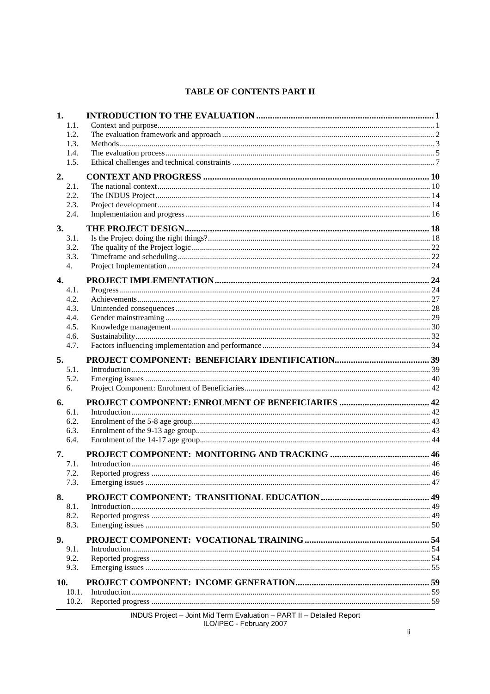### **TABLE OF CONTENTS PART II**

| 1.               |  |
|------------------|--|
| 1.1.             |  |
| 1.2.             |  |
| 1.3.             |  |
| 1.4.             |  |
| 1.5.             |  |
| 2.               |  |
| 2.1.             |  |
| 2.2.             |  |
| 2.3.             |  |
| 2.4.             |  |
| 3.               |  |
| 3.1.             |  |
| 3.2.             |  |
| 3.3.<br>4.       |  |
|                  |  |
| $\overline{4}$ . |  |
| 4.1.             |  |
| 4.2.             |  |
| 4.3.             |  |
| 4.4.<br>4.5.     |  |
| 4.6.             |  |
| 4.7.             |  |
| 5.               |  |
| 5.1.             |  |
| 5.2.             |  |
| 6.               |  |
| 6.               |  |
| 6.1.             |  |
| 6.2.             |  |
| 6.3.             |  |
| 6.4.             |  |
| 7.               |  |
| 7.1.             |  |
| 7.2.             |  |
| 7.3.             |  |
| 8.               |  |
| 8.1.             |  |
| 8.2.             |  |
| 8.3.             |  |
| 9.               |  |
| 9.1.             |  |
| 9.2.             |  |
| 9.3.             |  |
| 10.              |  |
| 10.1.            |  |
| 10.2.            |  |
|                  |  |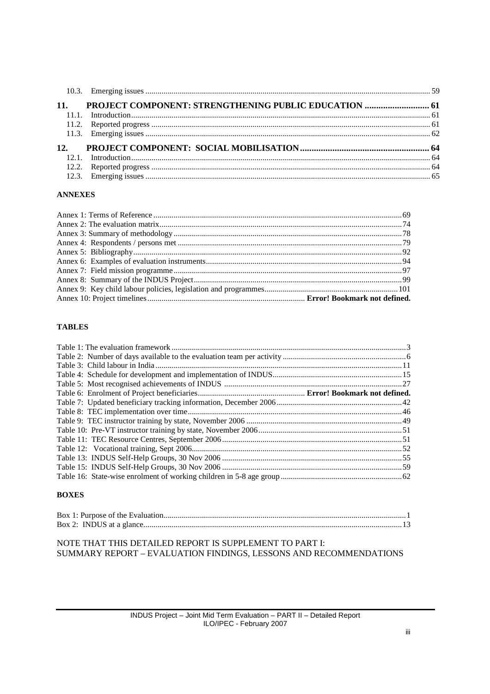| 11.             | PROJECT COMPONENT: STRENGTHENING PUBLIC EDUCATION  61 |  |
|-----------------|-------------------------------------------------------|--|
|                 |                                                       |  |
|                 |                                                       |  |
|                 |                                                       |  |
| 12 <sub>1</sub> |                                                       |  |
|                 |                                                       |  |
|                 |                                                       |  |
|                 |                                                       |  |
|                 |                                                       |  |

#### **ANNEXES**

#### **TABLES**

### **BOXES**

#### NOTE THAT THIS DETAILED REPORT IS SUPPLEMENT TO PART I: SUMMARY REPORT - EVALUATION FINDINGS, LESSONS AND RECOMMENDATIONS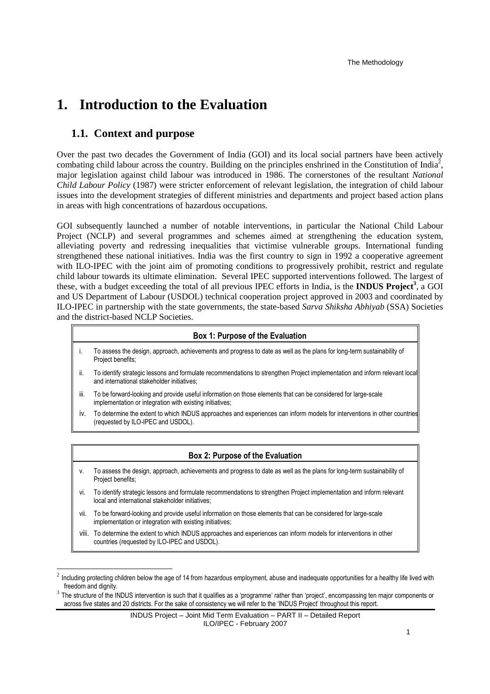## **1. Introduction to the Evaluation**

## **1.1. Context and purpose**

 $\overline{a}$ 

Over the past two decades the Government of India (GOI) and its local social partners have been actively combating child labour across the country. Building on the principles enshrined in the Constitution of India<sup>2</sup>, major legislation against child labour was introduced in 1986. The cornerstones of the resultant *National Child Labour Policy* (1987) were stricter enforcement of relevant legislation, the integration of child labour issues into the development strategies of different ministries and departments and project based action plans in areas with high concentrations of hazardous occupations.

GOI subsequently launched a number of notable interventions, in particular the National Child Labour Project (NCLP) and several programmes and schemes aimed at strengthening the education system, alleviating poverty and redressing inequalities that victimise vulnerable groups. International funding strengthened these national initiatives. India was the first country to sign in 1992 a cooperative agreement with ILO-IPEC with the joint aim of promoting conditions to progressively prohibit, restrict and regulate child labour towards its ultimate elimination. Several IPEC supported interventions followed. The largest of these, with a budget exceeding the total of all previous IPEC efforts in India, is the **INDUS Project<sup>3</sup>** , a GOI and US Department of Labour (USDOL) technical cooperation project approved in 2003 and coordinated by ILO-IPEC in partnership with the state governments, the state-based *Sarva Shiksha Abhiyab* (SSA) Societies and the district-based NCLP Societies.

#### **Box 1: Purpose of the Evaluation**

- i. To assess the design, approach, achievements and progress to date as well as the plans for long-term sustainability of Project benefits;
- ii. To identify strategic lessons and formulate recommendations to strengthen Project implementation and inform relevant local and international stakeholder initiatives;
- iii. To be forward-looking and provide useful information on those elements that can be considered for large-scale implementation or integration with existing initiatives;
- iv. To determine the extent to which INDUS approaches and experiences can inform models for interventions in other countries (requested by ILO-IPEC and USDOL).

#### **Box 2: Purpose of the Evaluation**

- v. To assess the design, approach, achievements and progress to date as well as the plans for long-term sustainability of Project benefits;
- vi. To identify strategic lessons and formulate recommendations to strengthen Project implementation and inform relevant local and international stakeholder initiatives;
- vii. To be forward-looking and provide useful information on those elements that can be considered for large-scale implementation or integration with existing initiatives;
- viii. To determine the extent to which INDUS approaches and experiences can inform models for interventions in other countries (requested by ILO-IPEC and USDOL).

<sup>2</sup> Including protecting children below the age of 14 from hazardous employment, abuse and inadequate opportunities for a healthy life lived with freedom and dignity.

<sup>3</sup> The structure of the INDUS intervention is such that it qualifies as a 'programme' rather than 'project', encompassing ten major components or across five states and 20 districts. For the sake of consistency we will refer to the 'INDUS Project' throughout this report.

INDUS Project – Joint Mid Term Evaluation – PART II – Detailed Report ILO/IPEC - February 2007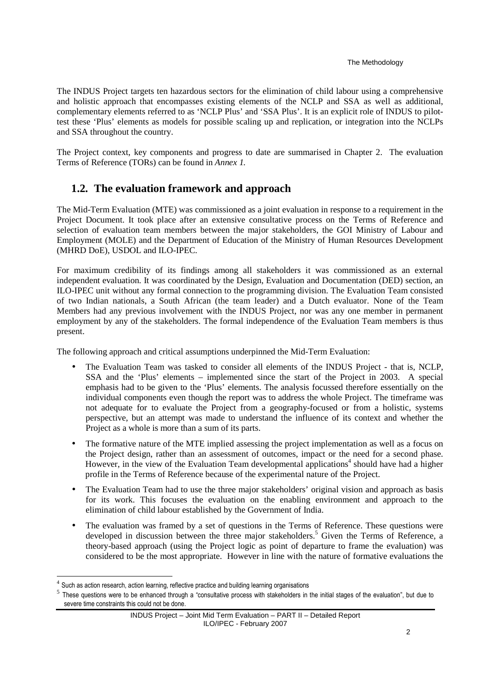#### The Methodology

The INDUS Project targets ten hazardous sectors for the elimination of child labour using a comprehensive and holistic approach that encompasses existing elements of the NCLP and SSA as well as additional, complementary elements referred to as 'NCLP Plus' and 'SSA Plus'. It is an explicit role of INDUS to pilottest these 'Plus' elements as models for possible scaling up and replication, or integration into the NCLPs and SSA throughout the country.

The Project context, key components and progress to date are summarised in Chapter 2. The evaluation Terms of Reference (TORs) can be found in *Annex 1.* 

## **1.2. The evaluation framework and approach**

The Mid-Term Evaluation (MTE) was commissioned as a joint evaluation in response to a requirement in the Project Document. It took place after an extensive consultative process on the Terms of Reference and selection of evaluation team members between the major stakeholders, the GOI Ministry of Labour and Employment (MOLE) and the Department of Education of the Ministry of Human Resources Development (MHRD DoE), USDOL and ILO-IPEC.

For maximum credibility of its findings among all stakeholders it was commissioned as an external independent evaluation. It was coordinated by the Design, Evaluation and Documentation (DED) section, an ILO-IPEC unit without any formal connection to the programming division. The Evaluation Team consisted of two Indian nationals, a South African (the team leader) and a Dutch evaluator. None of the Team Members had any previous involvement with the INDUS Project, nor was any one member in permanent employment by any of the stakeholders. The formal independence of the Evaluation Team members is thus present.

The following approach and critical assumptions underpinned the Mid-Term Evaluation:

- The Evaluation Team was tasked to consider all elements of the INDUS Project that is, NCLP, SSA and the 'Plus' elements – implemented since the start of the Project in 2003. A special emphasis had to be given to the 'Plus' elements. The analysis focussed therefore essentially on the individual components even though the report was to address the whole Project. The timeframe was not adequate for to evaluate the Project from a geography-focused or from a holistic, systems perspective, but an attempt was made to understand the influence of its context and whether the Project as a whole is more than a sum of its parts.
- The formative nature of the MTE implied assessing the project implementation as well as a focus on the Project design, rather than an assessment of outcomes, impact or the need for a second phase. However, in the view of the Evaluation Team developmental applications<sup>4</sup> should have had a higher profile in the Terms of Reference because of the experimental nature of the Project.
- The Evaluation Team had to use the three major stakeholders' original vision and approach as basis for its work. This focuses the evaluation on the enabling environment and approach to the elimination of child labour established by the Government of India.
- The evaluation was framed by a set of questions in the Terms of Reference. These questions were developed in discussion between the three major stakeholders.<sup>5</sup> Given the Terms of Reference, a theory-based approach (using the Project logic as point of departure to frame the evaluation) was considered to be the most appropriate. However in line with the nature of formative evaluations the

l

 $<sup>4</sup>$  Such as action research, action learning, reflective practice and building learning organisations</sup>

<sup>5</sup> These questions were to be enhanced through a "consultative process with stakeholders in the initial stages of the evaluation", but due to severe time constraints this could not be done.

INDUS Project – Joint Mid Term Evaluation – PART II – Detailed Report ILO/IPEC - February 2007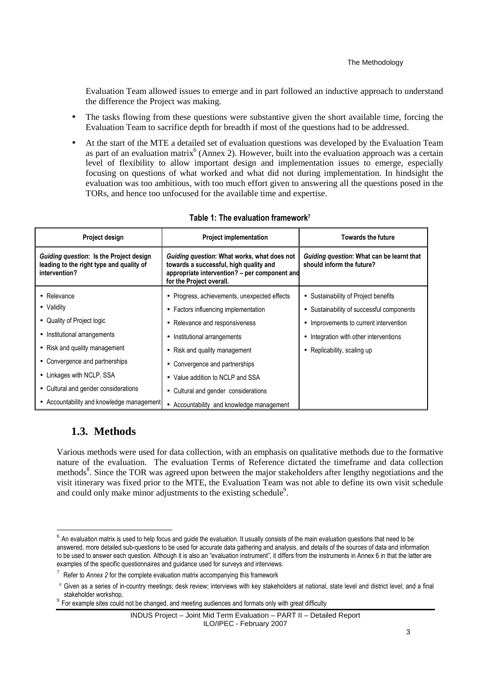Evaluation Team allowed issues to emerge and in part followed an inductive approach to understand the difference the Project was making.

- The tasks flowing from these questions were substantive given the short available time, forcing the Evaluation Team to sacrifice depth for breadth if most of the questions had to be addressed.
- At the start of the MTE a detailed set of evaluation questions was developed by the Evaluation Team as part of an evaluation matrix<sup>6</sup> (Annex 2). However, built into the evaluation approach was a certain level of flexibility to allow important design and implementation issues to emerge, especially focusing on questions of what worked and what did not during implementation. In hindsight the evaluation was too ambitious, with too much effort given to answering all the questions posed in the TORs, and hence too unfocused for the available time and expertise.

| Project design                                                                                       | <b>Project implementation</b>                                                                                                                                      | <b>Towards the future</b>                                              |  |
|------------------------------------------------------------------------------------------------------|--------------------------------------------------------------------------------------------------------------------------------------------------------------------|------------------------------------------------------------------------|--|
| Guiding question: Is the Project design<br>leading to the right type and quality of<br>intervention? | Guiding question: What works, what does not<br>towards a successful, high quality and<br>appropriate intervention? – per component and<br>for the Project overall. | Guiding question: What can be learnt that<br>should inform the future? |  |
| • Relevance                                                                                          | • Progress, achievements, unexpected effects                                                                                                                       | • Sustainability of Project benefits                                   |  |
| • Validity                                                                                           | • Factors influencing implementation                                                                                                                               | Sustainability of successful components<br>٠                           |  |
| • Quality of Project logic                                                                           | Relevance and responsiveness<br>$\bullet$                                                                                                                          | Improvements to current intervention<br>$\bullet$                      |  |
| • Institutional arrangements                                                                         | • Institutional arrangements                                                                                                                                       | Integration with other interventions<br>٠                              |  |
| • Risk and quality management                                                                        | Risk and quality management<br>$\bullet$                                                                                                                           | Replicability, scaling up<br>٠                                         |  |
| • Convergence and partnerships                                                                       | Convergence and partnerships<br>٠                                                                                                                                  |                                                                        |  |
| • Linkages with NCLP, SSA                                                                            | Value addition to NCLP and SSA<br>$\bullet$                                                                                                                        |                                                                        |  |
| • Cultural and gender considerations                                                                 | Cultural and gender considerations<br>$\bullet$                                                                                                                    |                                                                        |  |
| • Accountability and knowledge management                                                            | • Accountability and knowledge management                                                                                                                          |                                                                        |  |

#### **Table 1: The evaluation framework<sup>7</sup>**

## **1.3. Methods**

 $\overline{a}$ 

Various methods were used for data collection, with an emphasis on qualitative methods due to the formative nature of the evaluation. The evaluation Terms of Reference dictated the timeframe and data collection methods<sup>8</sup>. Since the TOR was agreed upon between the major stakeholders after lengthy negotiations and the visit itinerary was fixed prior to the MTE, the Evaluation Team was not able to define its own visit schedule and could only make minor adjustments to the existing schedule<sup>9</sup>.

INDUS Project – Joint Mid Term Evaluation – PART II – Detailed Report ILO/IPEC - February 2007

 $^6$  An evaluation matrix is used to help focus and guide the evaluation. It usually consists of the main evaluation questions that need to be answered, more detailed sub-questions to be used for accurate data gathering and analysis, and details of the sources of data and information to be used to answer each question. Although it is also an "evaluation instrument", it differs from the instruments in Annex 6 in that the latter are examples of the specific questionnaires and guidance used for surveys and interviews.

<sup>7</sup> Refer to *Annex 2* for the complete evaluation matrix accompanying this framework

<sup>&</sup>lt;sup>8</sup> Given as a series of in-country meetings; desk review; interviews with key stakeholders at national, state level and district level; and a final stakeholder workshop.

 $9$  For example sites could not be changed, and meeting audiences and formats only with great difficulty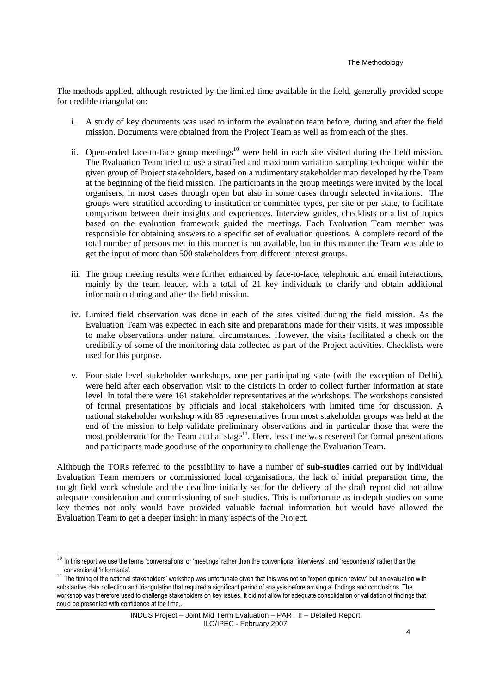The methods applied, although restricted by the limited time available in the field, generally provided scope for credible triangulation:

- i. A study of key documents was used to inform the evaluation team before, during and after the field mission. Documents were obtained from the Project Team as well as from each of the sites.
- ii. Open-ended face-to-face group meetings<sup>10</sup> were held in each site visited during the field mission. The Evaluation Team tried to use a stratified and maximum variation sampling technique within the given group of Project stakeholders, based on a rudimentary stakeholder map developed by the Team at the beginning of the field mission. The participants in the group meetings were invited by the local organisers, in most cases through open but also in some cases through selected invitations. The groups were stratified according to institution or committee types, per site or per state, to facilitate comparison between their insights and experiences. Interview guides, checklists or a list of topics based on the evaluation framework guided the meetings. Each Evaluation Team member was responsible for obtaining answers to a specific set of evaluation questions. A complete record of the total number of persons met in this manner is not available, but in this manner the Team was able to get the input of more than 500 stakeholders from different interest groups.
- iii. The group meeting results were further enhanced by face-to-face, telephonic and email interactions, mainly by the team leader, with a total of 21 key individuals to clarify and obtain additional information during and after the field mission.
- iv. Limited field observation was done in each of the sites visited during the field mission. As the Evaluation Team was expected in each site and preparations made for their visits, it was impossible to make observations under natural circumstances. However, the visits facilitated a check on the credibility of some of the monitoring data collected as part of the Project activities. Checklists were used for this purpose.
- v. Four state level stakeholder workshops, one per participating state (with the exception of Delhi), were held after each observation visit to the districts in order to collect further information at state level. In total there were 161 stakeholder representatives at the workshops. The workshops consisted of formal presentations by officials and local stakeholders with limited time for discussion. A national stakeholder workshop with 85 representatives from most stakeholder groups was held at the end of the mission to help validate preliminary observations and in particular those that were the most problematic for the Team at that stage $11$ . Here, less time was reserved for formal presentations and participants made good use of the opportunity to challenge the Evaluation Team.

Although the TORs referred to the possibility to have a number of **sub-studies** carried out by individual Evaluation Team members or commissioned local organisations, the lack of initial preparation time, the tough field work schedule and the deadline initially set for the delivery of the draft report did not allow adequate consideration and commissioning of such studies. This is unfortunate as in-depth studies on some key themes not only would have provided valuable factual information but would have allowed the Evaluation Team to get a deeper insight in many aspects of the Project.

<sup>&</sup>lt;sup>10</sup> In this report we use the terms 'conversations' or 'meetings' rather than the conventional 'interviews', and 'respondents' rather than the conventional 'informants'.

 $11$  The timing of the national stakeholders' workshop was unfortunate given that this was not an "expert opinion review" but an evaluation with substantive data collection and triangulation that required a significant period of analysis before arriving at findings and conclusions. The workshop was therefore used to challenge stakeholders on key issues. It did not allow for adequate consolidation or validation of findings that could be presented with confidence at the time,.

INDUS Project – Joint Mid Term Evaluation – PART II – Detailed Report ILO/IPEC - February 2007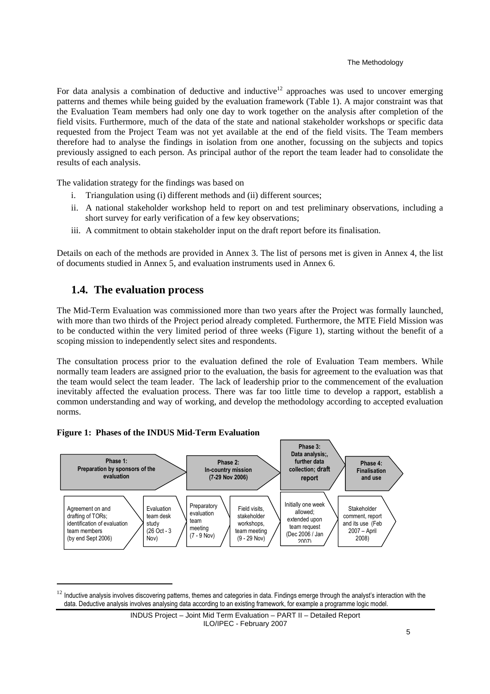For data analysis a combination of deductive and inductive<sup>12</sup> approaches was used to uncover emerging patterns and themes while being guided by the evaluation framework (Table 1). A major constraint was that the Evaluation Team members had only one day to work together on the analysis after completion of the field visits. Furthermore, much of the data of the state and national stakeholder workshops or specific data requested from the Project Team was not yet available at the end of the field visits. The Team members therefore had to analyse the findings in isolation from one another, focussing on the subjects and topics previously assigned to each person. As principal author of the report the team leader had to consolidate the results of each analysis.

The validation strategy for the findings was based on

- Triangulation using (i) different methods and (ii) different sources;
- ii. A national stakeholder workshop held to report on and test preliminary observations, including a short survey for early verification of a few key observations;
- iii. A commitment to obtain stakeholder input on the draft report before its finalisation.

Details on each of the methods are provided in Annex 3. The list of persons met is given in Annex 4, the list of documents studied in Annex 5, and evaluation instruments used in Annex 6.

## **1.4. The evaluation process**

The Mid-Term Evaluation was commissioned more than two years after the Project was formally launched, with more than two thirds of the Project period already completed. Furthermore, the MTE Field Mission was to be conducted within the very limited period of three weeks (Figure 1), starting without the benefit of a scoping mission to independently select sites and respondents.

The consultation process prior to the evaluation defined the role of Evaluation Team members. While normally team leaders are assigned prior to the evaluation, the basis for agreement to the evaluation was that the team would select the team leader. The lack of leadership prior to the commencement of the evaluation inevitably affected the evaluation process. There was far too little time to develop a rapport, establish a common understanding and way of working, and develop the methodology according to accepted evaluation norms.





Inductive analysis involves discovering patterns, themes and categories in data. Findings emerge through the analyst's interaction with the data. Deductive analysis involves analysing data according to an existing framework, for example a programme logic model.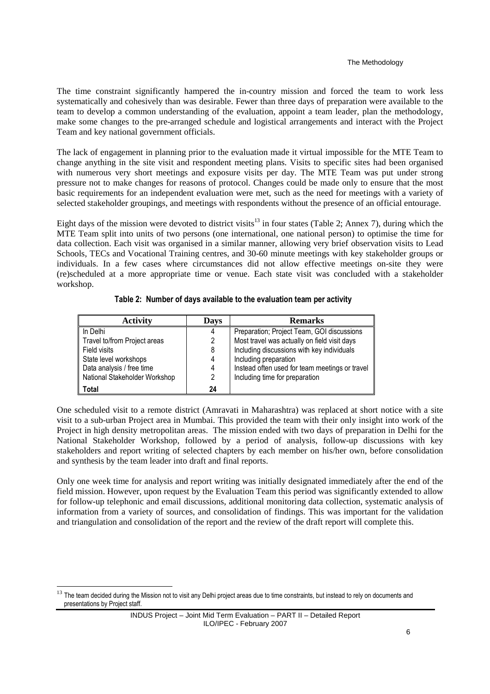The time constraint significantly hampered the in-country mission and forced the team to work less systematically and cohesively than was desirable. Fewer than three days of preparation were available to the team to develop a common understanding of the evaluation, appoint a team leader, plan the methodology, make some changes to the pre-arranged schedule and logistical arrangements and interact with the Project Team and key national government officials.

The lack of engagement in planning prior to the evaluation made it virtual impossible for the MTE Team to change anything in the site visit and respondent meeting plans. Visits to specific sites had been organised with numerous very short meetings and exposure visits per day. The MTE Team was put under strong pressure not to make changes for reasons of protocol. Changes could be made only to ensure that the most basic requirements for an independent evaluation were met, such as the need for meetings with a variety of selected stakeholder groupings, and meetings with respondents without the presence of an official entourage.

Eight days of the mission were devoted to district visits<sup>13</sup> in four states (Table 2; Annex 7), during which the MTE Team split into units of two persons (one international, one national person) to optimise the time for data collection. Each visit was organised in a similar manner, allowing very brief observation visits to Lead Schools, TECs and Vocational Training centres, and 30-60 minute meetings with key stakeholder groups or individuals. In a few cases where circumstances did not allow effective meetings on-site they were (re)scheduled at a more appropriate time or venue. Each state visit was concluded with a stakeholder workshop.

| <b>Activity</b>               | <b>Days</b> | <b>Remarks</b>                                 |
|-------------------------------|-------------|------------------------------------------------|
| In Delhi                      | 4           | Preparation; Project Team, GOI discussions     |
| Travel to/from Project areas  |             | Most travel was actually on field visit days   |
| Field visits                  | 8           | Including discussions with key individuals     |
| State level workshops         |             | Including preparation                          |
| Data analysis / free time     | 4           | Instead often used for team meetings or travel |
| National Stakeholder Workshop | 2           | Including time for preparation                 |
| <b>Total</b>                  | 24          |                                                |

#### **Table 2: Number of days available to the evaluation team per activity**

One scheduled visit to a remote district (Amravati in Maharashtra) was replaced at short notice with a site visit to a sub-urban Project area in Mumbai. This provided the team with their only insight into work of the Project in high density metropolitan areas. The mission ended with two days of preparation in Delhi for the National Stakeholder Workshop, followed by a period of analysis, follow-up discussions with key stakeholders and report writing of selected chapters by each member on his/her own, before consolidation and synthesis by the team leader into draft and final reports.

Only one week time for analysis and report writing was initially designated immediately after the end of the field mission. However, upon request by the Evaluation Team this period was significantly extended to allow for follow-up telephonic and email discussions, additional monitoring data collection, systematic analysis of information from a variety of sources, and consolidation of findings. This was important for the validation and triangulation and consolidation of the report and the review of the draft report will complete this.

l

The team decided during the Mission not to visit any Delhi project areas due to time constraints, but instead to rely on documents and presentations by Project staff.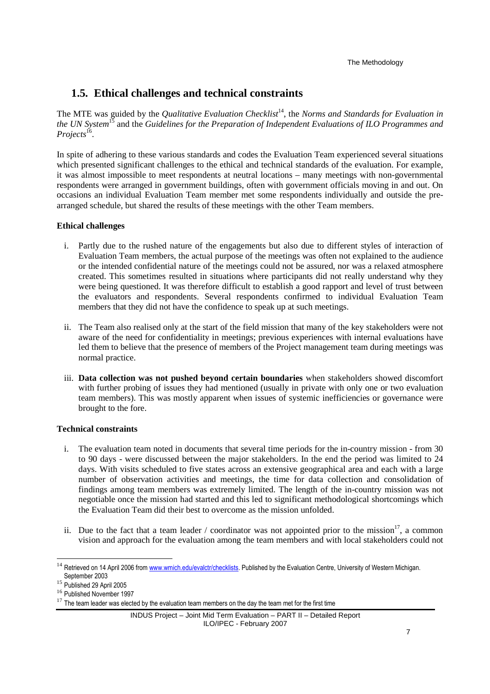The Methodology

## **1.5. Ethical challenges and technical constraints**

The MTE was guided by the *Qualitative Evaluation Checklist*<sup>14</sup>, the *Norms and Standards for Evaluation in the UN System*<sup>15</sup> and the *Guidelines for the Preparation of Independent Evaluations of ILO Programmes and*  Projects<sup>16</sup>.

In spite of adhering to these various standards and codes the Evaluation Team experienced several situations which presented significant challenges to the ethical and technical standards of the evaluation. For example, it was almost impossible to meet respondents at neutral locations – many meetings with non-governmental respondents were arranged in government buildings, often with government officials moving in and out. On occasions an individual Evaluation Team member met some respondents individually and outside the prearranged schedule, but shared the results of these meetings with the other Team members.

#### **Ethical challenges**

- i. Partly due to the rushed nature of the engagements but also due to different styles of interaction of Evaluation Team members, the actual purpose of the meetings was often not explained to the audience or the intended confidential nature of the meetings could not be assured, nor was a relaxed atmosphere created. This sometimes resulted in situations where participants did not really understand why they were being questioned. It was therefore difficult to establish a good rapport and level of trust between the evaluators and respondents. Several respondents confirmed to individual Evaluation Team members that they did not have the confidence to speak up at such meetings.
- ii. The Team also realised only at the start of the field mission that many of the key stakeholders were not aware of the need for confidentiality in meetings; previous experiences with internal evaluations have led them to believe that the presence of members of the Project management team during meetings was normal practice.
- iii. **Data collection was not pushed beyond certain boundaries** when stakeholders showed discomfort with further probing of issues they had mentioned (usually in private with only one or two evaluation team members). This was mostly apparent when issues of systemic inefficiencies or governance were brought to the fore.

#### **Technical constraints**

- i. The evaluation team noted in documents that several time periods for the in-country mission from 30 to 90 days - were discussed between the major stakeholders. In the end the period was limited to 24 days. With visits scheduled to five states across an extensive geographical area and each with a large number of observation activities and meetings, the time for data collection and consolidation of findings among team members was extremely limited. The length of the in-country mission was not negotiable once the mission had started and this led to significant methodological shortcomings which the Evaluation Team did their best to overcome as the mission unfolded.
- ii. Due to the fact that a team leader / coordinator was not appointed prior to the mission<sup>17</sup>, a common vision and approach for the evaluation among the team members and with local stakeholders could not

<sup>&</sup>lt;sup>14</sup> Retrieved on 14 April 2006 from www.wmich.edu/evalctr/checklists. Published by the Evaluation Centre, University of Western Michigan. September 2003

<sup>15</sup> Published 29 April 2005

<sup>&</sup>lt;sup>16</sup> Published November 1997

 $17$  The team leader was elected by the evaluation team members on the day the team met for the first time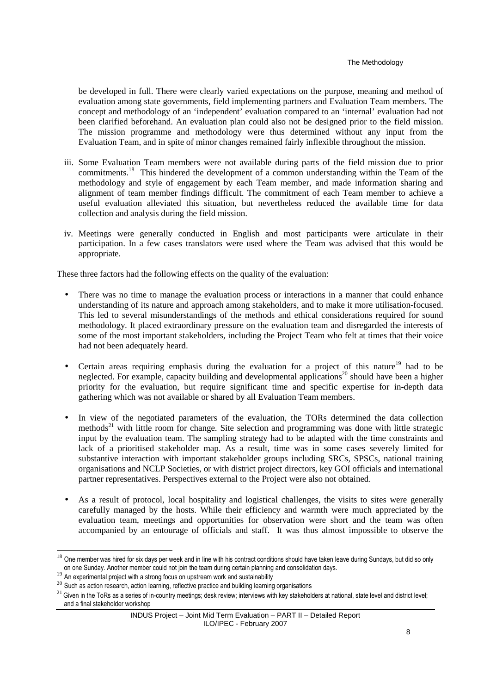be developed in full. There were clearly varied expectations on the purpose, meaning and method of evaluation among state governments, field implementing partners and Evaluation Team members. The concept and methodology of an 'independent' evaluation compared to an 'internal' evaluation had not been clarified beforehand. An evaluation plan could also not be designed prior to the field mission. The mission programme and methodology were thus determined without any input from the Evaluation Team, and in spite of minor changes remained fairly inflexible throughout the mission.

- iii. Some Evaluation Team members were not available during parts of the field mission due to prior commitments.<sup>18</sup> This hindered the development of a common understanding within the Team of the methodology and style of engagement by each Team member, and made information sharing and alignment of team member findings difficult. The commitment of each Team member to achieve a useful evaluation alleviated this situation, but nevertheless reduced the available time for data collection and analysis during the field mission.
- iv. Meetings were generally conducted in English and most participants were articulate in their participation. In a few cases translators were used where the Team was advised that this would be appropriate.

These three factors had the following effects on the quality of the evaluation:

- There was no time to manage the evaluation process or interactions in a manner that could enhance understanding of its nature and approach among stakeholders, and to make it more utilisation-focused. This led to several misunderstandings of the methods and ethical considerations required for sound methodology. It placed extraordinary pressure on the evaluation team and disregarded the interests of some of the most important stakeholders, including the Project Team who felt at times that their voice had not been adequately heard.
- Certain areas requiring emphasis during the evaluation for a project of this nature<sup>19</sup> had to be neglected. For example, capacity building and developmental applications<sup>20</sup> should have been a higher priority for the evaluation, but require significant time and specific expertise for in-depth data gathering which was not available or shared by all Evaluation Team members.
- In view of the negotiated parameters of the evaluation, the TORs determined the data collection methods<sup>21</sup> with little room for change. Site selection and programming was done with little strategic input by the evaluation team. The sampling strategy had to be adapted with the time constraints and lack of a prioritised stakeholder map. As a result, time was in some cases severely limited for substantive interaction with important stakeholder groups including SRCs, SPSCs, national training organisations and NCLP Societies, or with district project directors, key GOI officials and international partner representatives. Perspectives external to the Project were also not obtained.
- As a result of protocol, local hospitality and logistical challenges, the visits to sites were generally carefully managed by the hosts. While their efficiency and warmth were much appreciated by the evaluation team, meetings and opportunities for observation were short and the team was often accompanied by an entourage of officials and staff. It was thus almost impossible to observe the

<sup>&</sup>lt;sup>18</sup> One member was hired for six days per week and in line with his contract conditions should have taken leave during Sundays, but did so only on one Sunday. Another member could not join the team during certain planning and consolidation days.

On one sumary, Another member come nor part was come served as a strong for the strong focus on upstream work and sustainability

<sup>&</sup>lt;sup>20</sup> Such as action research, action learning, reflective practice and building learning organisations

 $21$  Given in the ToRs as a series of in-country meetings; desk review; interviews with key stakeholders at national, state level and district level; and a final stakeholder workshop

INDUS Project – Joint Mid Term Evaluation – PART II – Detailed Report ILO/IPEC - February 2007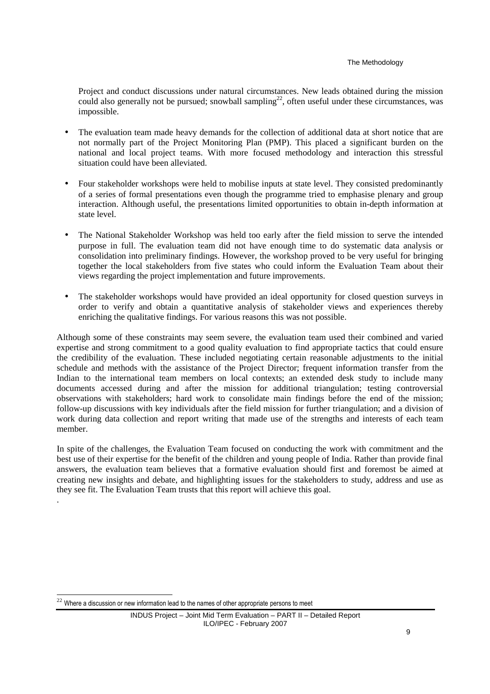#### The Methodology

Project and conduct discussions under natural circumstances. New leads obtained during the mission could also generally not be pursued; snowball sampling<sup>22</sup>, often useful under these circumstances, was impossible.

- The evaluation team made heavy demands for the collection of additional data at short notice that are not normally part of the Project Monitoring Plan (PMP). This placed a significant burden on the national and local project teams. With more focused methodology and interaction this stressful situation could have been alleviated.
- Four stakeholder workshops were held to mobilise inputs at state level. They consisted predominantly of a series of formal presentations even though the programme tried to emphasise plenary and group interaction. Although useful, the presentations limited opportunities to obtain in-depth information at state level.
- The National Stakeholder Workshop was held too early after the field mission to serve the intended purpose in full. The evaluation team did not have enough time to do systematic data analysis or consolidation into preliminary findings. However, the workshop proved to be very useful for bringing together the local stakeholders from five states who could inform the Evaluation Team about their views regarding the project implementation and future improvements.
- The stakeholder workshops would have provided an ideal opportunity for closed question surveys in order to verify and obtain a quantitative analysis of stakeholder views and experiences thereby enriching the qualitative findings. For various reasons this was not possible.

Although some of these constraints may seem severe, the evaluation team used their combined and varied expertise and strong commitment to a good quality evaluation to find appropriate tactics that could ensure the credibility of the evaluation. These included negotiating certain reasonable adjustments to the initial schedule and methods with the assistance of the Project Director; frequent information transfer from the Indian to the international team members on local contexts; an extended desk study to include many documents accessed during and after the mission for additional triangulation; testing controversial observations with stakeholders; hard work to consolidate main findings before the end of the mission; follow-up discussions with key individuals after the field mission for further triangulation; and a division of work during data collection and report writing that made use of the strengths and interests of each team member.

In spite of the challenges, the Evaluation Team focused on conducting the work with commitment and the best use of their expertise for the benefit of the children and young people of India. Rather than provide final answers, the evaluation team believes that a formative evaluation should first and foremost be aimed at creating new insights and debate, and highlighting issues for the stakeholders to study, address and use as they see fit. The Evaluation Team trusts that this report will achieve this goal.

.

Where a discussion or new information lead to the names of other appropriate persons to meet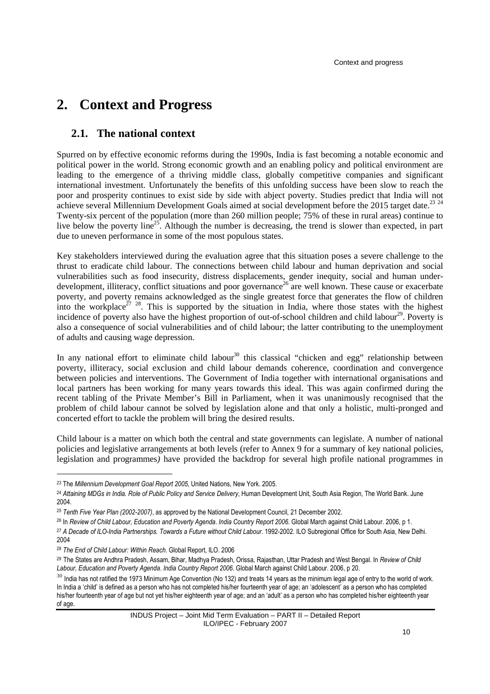# **2. Context and Progress**

## **2.1. The national context**

Spurred on by effective economic reforms during the 1990s, India is fast becoming a notable economic and political power in the world. Strong economic growth and an enabling policy and political environment are leading to the emergence of a thriving middle class, globally competitive companies and significant international investment. Unfortunately the benefits of this unfolding success have been slow to reach the poor and prosperity continues to exist side by side with abject poverty. Studies predict that India will not achieve several Millennium Development Goals aimed at social development before the 2015 target date.<sup>23 24</sup> Twenty-six percent of the population (more than 260 million people; 75% of these in rural areas) continue to live below the poverty line<sup>25</sup>. Although the number is decreasing, the trend is slower than expected, in part due to uneven performance in some of the most populous states.

Key stakeholders interviewed during the evaluation agree that this situation poses a severe challenge to the thrust to eradicate child labour. The connections between child labour and human deprivation and social vulnerabilities such as food insecurity, distress displacements, gender inequity, social and human underdevelopment, illiteracy, conflict situations and poor governance<sup>26</sup> are well known. These cause or exacerbate poverty, and poverty remains acknowledged as the single greatest force that generates the flow of children into the workplace<sup>27 28</sup>. This is supported by the situation in India, where those states with the highest incidence of poverty also have the highest proportion of out-of-school children and child labour<sup>29</sup>. Poverty is also a consequence of social vulnerabilities and of child labour; the latter contributing to the unemployment of adults and causing wage depression.

In any national effort to eliminate child labour<sup>30</sup> this classical "chicken and egg" relationship between poverty, illiteracy, social exclusion and child labour demands coherence, coordination and convergence between policies and interventions. The Government of India together with international organisations and local partners has been working for many years towards this ideal. This was again confirmed during the recent tabling of the Private Member's Bill in Parliament, when it was unanimously recognised that the problem of child labour cannot be solved by legislation alone and that only a holistic, multi-pronged and concerted effort to tackle the problem will bring the desired results.

Child labour is a matter on which both the central and state governments can legislate. A number of national policies and legislative arrangements at both levels (refer to Annex 9 for a summary of key national policies, legislation and programmes*)* have provided the backdrop for several high profile national programmes in

<sup>23</sup> The *Millennium Development Goal Report 2005*, United Nations, New York. 2005.

<sup>24</sup> *Attaining MDGs in India. Role of Public Policy and Service Delivery*, Human Development Unit, South Asia Region, The World Bank. June 2004.

<sup>25</sup> *Tenth Five Year Plan (2002-2007)*, as approved by the National Development Council, 21 December 2002.

<sup>26</sup> In *Review of Child Labour, Education and Poverty Agenda*. *India Country Report 2006.* Global March against Child Labour. 2006, p 1.

<sup>&</sup>lt;sup>27</sup> A Decade of ILO-India Partnerships. Towards a Future without Child Labour. 1992-2002. ILO Subregional Office for South Asia, New Delhi. 2004

<sup>28</sup> *The End of Child Labour: Within Reach*. Global Report, ILO. 2006

<sup>29</sup> The States are Andhra Pradesh, Assam, Bihar, Madhya Pradesh, Orissa, Rajasthan, Uttar Pradesh and West Bengal. In *Review of Child Labour, Education and Poverty Agenda*. *India Country Report 2006.* Global March against Child Labour. 2006, p 20.

 $30$  India has not ratified the 1973 Minimum Age Convention (No 132) and treats 14 years as the minimum legal age of entry to the world of work. In India a 'child' is defined as a person who has not completed his/her fourteenth year of age; an 'adolescent' as a person who has completed his/her fourteenth year of age but not yet his/her eighteenth year of age; and an 'adult' as a person who has completed his/her eighteenth year of age.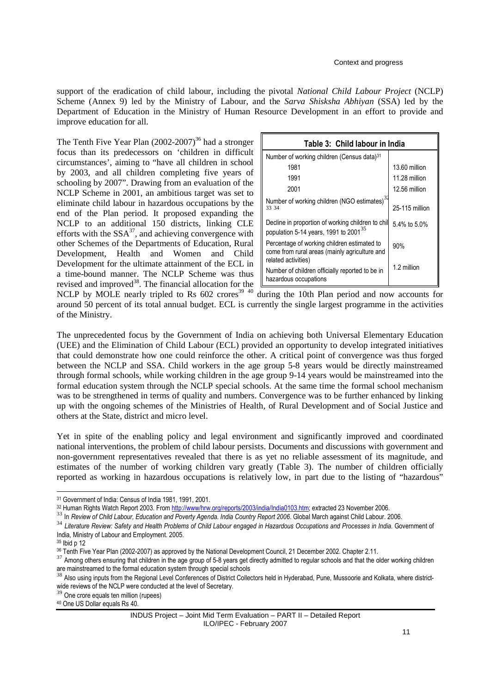support of the eradication of child labour, including the pivotal *National Child Labour Project* (NCLP) Scheme (Annex 9) led by the Ministry of Labour, and the *Sarva Shisksha Abhiyan* (SSA) led by the Department of Education in the Ministry of Human Resource Development in an effort to provide and improve education for all.

The Tenth Five Year Plan  $(2002-2007)^{36}$  had a stronger focus than its predecessors on 'children in difficult circumstances', aiming to "have all children in school by 2003, and all children completing five years of schooling by 2007". Drawing from an evaluation of the NCLP Scheme in 2001, an ambitious target was set to eliminate child labour in hazardous occupations by the end of the Plan period. It proposed expanding the NCLP to an additional 150 districts, linking CLE efforts with the  $SSA^{37}$ , and achieving convergence with other Schemes of the Departments of Education, Rural Development, Health and Women and Child Development for the ultimate attainment of the ECL in a time-bound manner. The NCLP Scheme was thus revised and improved<sup>38</sup>. The financial allocation for the

| Table 3: Child labour in India                                                                                      |                |
|---------------------------------------------------------------------------------------------------------------------|----------------|
| Number of working children (Census data) <sup>31</sup>                                                              |                |
| 1981                                                                                                                | 13.60 million  |
| 1991                                                                                                                | 11.28 million  |
| 2001                                                                                                                | 12.56 million  |
| Number of working children (NGO estimates) <sup>32</sup><br>33 34                                                   | 25-115 million |
| Decline in proportion of working children to chil<br>population 5-14 years, 1991 to 2001 <sup>35</sup>              | 5.4% to 5.0%   |
| Percentage of working children estimated to<br>come from rural areas (mainly agriculture and<br>related activities) | 90%            |
| Number of children officially reported to be in<br>hazardous occupations                                            | 1.2 million    |

NCLP by MOLE nearly tripled to Rs  $602$  crores<sup>39 40</sup> during the 10th Plan period and now accounts for around 50 percent of its total annual budget. ECL is currently the single largest programme in the activities of the Ministry.

The unprecedented focus by the Government of India on achieving both Universal Elementary Education (UEE) and the Elimination of Child Labour (ECL) provided an opportunity to develop integrated initiatives that could demonstrate how one could reinforce the other. A critical point of convergence was thus forged between the NCLP and SSA. Child workers in the age group 5-8 years would be directly mainstreamed through formal schools, while working children in the age group 9-14 years would be mainstreamed into the formal education system through the NCLP special schools. At the same time the formal school mechanism was to be strengthened in terms of quality and numbers. Convergence was to be further enhanced by linking up with the ongoing schemes of the Ministries of Health, of Rural Development and of Social Justice and others at the State, district and micro level.

Yet in spite of the enabling policy and legal environment and significantly improved and coordinated national interventions, the problem of child labour persists. Documents and discussions with government and non-government representatives revealed that there is as yet no reliable assessment of its magnitude, and estimates of the number of working children vary greatly (Table 3). The number of children officially reported as working in hazardous occupations is relatively low, in part due to the listing of "hazardous"

<sup>31</sup> Government of India: Census of India 1981, 1991, 2001.

<sup>32</sup> Human Rights Watch Report 2003. From http://www/hrw.org/reports/2003/india/India0103.htm; extracted 23 November 2006.

<sup>33</sup> In *Review of Child Labour, Education and Poverty Agenda*. *India Country Report 2006*. Global March against Child Labour. 2006.

<sup>34</sup> *Literature Review: Safety and Health Problems of Child Labour engaged in Hazardous Occupations and Processes in India*. Government of India, Ministry of Labour and Employment. 2005.

<sup>35</sup> Ibid p 12

<sup>36</sup> Tenth Five Year Plan (2002-2007) as approved by the National Development Council, 21 December 2002. Chapter 2.11.

<sup>&</sup>lt;sup>37</sup> Among others ensuring that children in the age group of 5-8 years get directly admitted to regular schools and that the older working children are mainstreamed to the formal education system through special schools

<sup>&</sup>lt;sup>38</sup> Also using inputs from the Regional Level Conferences of District Collectors held in Hyderabad, Pune, Mussoorie and Kolkata, where districtwide reviews of the NCLP were conducted at the level of Secretary.<br><sup>39</sup> One state a wide with the level of Secretary.

One crore equals ten million (rupees)

<sup>40</sup> One US Dollar equals Rs 40.

INDUS Project – Joint Mid Term Evaluation – PART II – Detailed Report ILO/IPEC - February 2007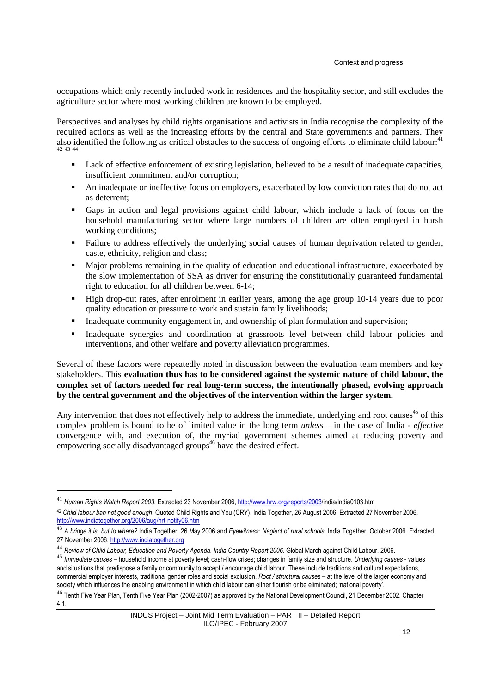occupations which only recently included work in residences and the hospitality sector, and still excludes the agriculture sector where most working children are known to be employed.

Perspectives and analyses by child rights organisations and activists in India recognise the complexity of the required actions as well as the increasing efforts by the central and State governments and partners. They also identified the following as critical obstacles to the success of ongoing efforts to eliminate child labour: $^{41}$ 42 43 44

- Lack of effective enforcement of existing legislation, believed to be a result of inadequate capacities, insufficient commitment and/or corruption;
- An inadequate or ineffective focus on employers, exacerbated by low conviction rates that do not act as deterrent;
- Gaps in action and legal provisions against child labour, which include a lack of focus on the household manufacturing sector where large numbers of children are often employed in harsh working conditions;
- Failure to address effectively the underlying social causes of human deprivation related to gender, caste, ethnicity, religion and class;
- Major problems remaining in the quality of education and educational infrastructure, exacerbated by the slow implementation of SSA as driver for ensuring the constitutionally guaranteed fundamental right to education for all children between 6-14;
- High drop-out rates, after enrolment in earlier years, among the age group 10-14 years due to poor quality education or pressure to work and sustain family livelihoods;
- Inadequate community engagement in, and ownership of plan formulation and supervision;
- Inadequate synergies and coordination at grassroots level between child labour policies and interventions, and other welfare and poverty alleviation programmes.

Several of these factors were repeatedly noted in discussion between the evaluation team members and key stakeholders. This **evaluation thus has to be considered against the systemic nature of child labour, the complex set of factors needed for real long-term success, the intentionally phased, evolving approach by the central government and the objectives of the intervention within the larger system.** 

Any intervention that does not effectively help to address the immediate, underlying and root causes<sup>45</sup> of this complex problem is bound to be of limited value in the long term *unless* – in the case of India - *effective* convergence with, and execution of, the myriad government schemes aimed at reducing poverty and empowering socially disadvantaged groups<sup>46</sup> have the desired effect.

 $\ddot{ }$ 

<sup>41</sup> *Human Rights Watch Report 2003*. Extracted 23 November 2006, http://www.hrw.org/reports/2003/india/India0103.htm

<sup>42</sup> *Child labour ban not good enough*. Quoted Child Rights and You (CRY). India Together, 26 August 2006. Extracted 27 November 2006, http://www.indiatogether.org/2006/aug/hrt-notify06.htm

<sup>43</sup> *A bridge it is, but to where?* India Together, 26 May 2006 and *Eyewitness: Neglect of rural schools*. India Together, October 2006. Extracted 27 November 2006, http://www.indiatogether.org

<sup>44</sup> *Review of Child Labour, Education and Poverty Agenda*. *India Country Report 2006*. Global March against Child Labour. 2006.

<sup>45</sup> *Immediate causes* – household income at poverty level; cash-flow crises; changes in family size and structure. *Underlying causes* - values and situations that predispose a family or community to accept / encourage child labour. These include traditions and cultural expectations, commercial employer interests, traditional gender roles and social exclusion. *Root / structural causes* – at the level of the larger economy and society which influences the enabling environment in which child labour can either flourish or be eliminated; 'national poverty'.

<sup>&</sup>lt;sup>46</sup> Tenth Five Year Plan. Tenth Five Year Plan (2002-2007) as approved by the National Development Council, 21 December 2002. Chapter 4.1.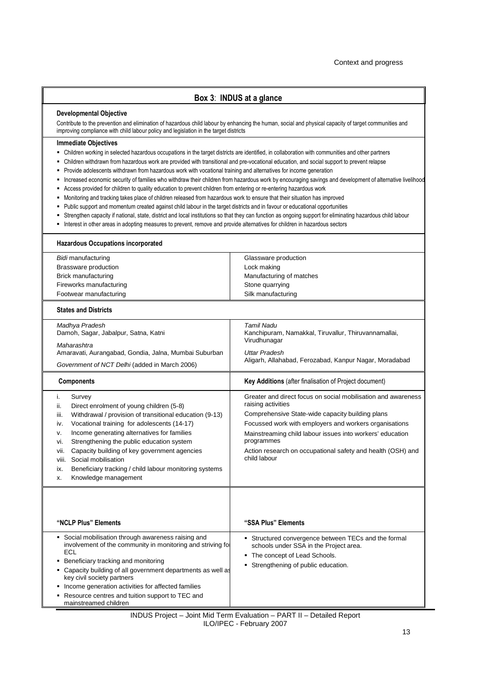#### **Box 3**: **INDUS at a glance**

#### **Developmental Objective**

Contribute to the prevention and elimination of hazardous child labour by enhancing the human, social and physical capacity of target communities and improving compliance with child labour policy and legislation in the target districts

#### **Immediate Objectives**

- Children working in selected hazardous occupations in the target districts are identified, in collaboration with communities and other partners
- Children withdrawn from hazardous work are provided with transitional and pre-vocational education, and social support to prevent relapse
- Provide adolescents withdrawn from hazardous work with vocational training and alternatives for income generation
- Increased economic security of families who withdraw their children from hazardous work by encouraging savings and development of alternative livelihoods
- Access provided for children to quality education to prevent children from entering or re-entering hazardous work
- Monitoring and tracking takes place of children released from hazardous work to ensure that their situation has improved
- Public support and momentum created against child labour in the target districts and in favour or educational opportunities
- Strengthen capacity if national, state, district and local institutions so that they can function as ongoing support for eliminating hazardous child labour
- Interest in other areas in adopting measures to prevent, remove and provide alternatives for children in hazardous sectors

| <b>Hazardous Occupations incorporated</b> |                          |  |
|-------------------------------------------|--------------------------|--|
| Bidi manufacturing                        | Glassware production     |  |
| Brassware production                      | Lock making              |  |
| Brick manufacturing                       | Manufacturing of matches |  |
| Fireworks manufacturing                   | Stone quarrying          |  |
| Footwear manufacturing                    | Silk manufacturing       |  |
|                                           |                          |  |

#### **States and Districts**

| <b>Components</b>                                      | <b>Key Additions</b> (after finalisation of Project document)      |
|--------------------------------------------------------|--------------------------------------------------------------------|
| Government of NCT Delhi (added in March 2006)          | Aligarh, Allahabad, Ferozabad, Kanpur Nagar, Moradabad             |
| Amaravati, Aurangabad, Gondia, Jalna, Mumbai Suburban  | Uttar Pradesh                                                      |
| Maharashtra                                            | Virudhunagar                                                       |
| Madhya Pradesh<br>Damoh, Sagar, Jabalpur, Satna, Katni | Tamil Nadu<br>Kanchipuram, Namakkal, Tiruvallur, Thiruvannamallai, |

| ii.  | Survey<br>Direct enrolment of young children (5-8)      | Greater and direct focus on social mobilisation and awareness<br>raising activities |
|------|---------------------------------------------------------|-------------------------------------------------------------------------------------|
| iii. | Withdrawal / provision of transitional education (9-13) | Comprehensive State-wide capacity building plans                                    |
| İV.  | Vocational training for adolescents (14-17)             | Focussed work with employers and workers organisations                              |
| V.   | Income generating alternatives for families             | Mainstreaming child labour issues into workers' education                           |
| vi.  | Strengthening the public education system               | programmes                                                                          |
| vii. | Capacity building of key government agencies            | Action research on occupational safety and health (OSH) and                         |
|      | viii. Social mobilisation                               | child labour                                                                        |

|  | viii. Social mobilisation                              |
|--|--------------------------------------------------------|
|  | Beneficiary tracking / child labour monitoring systems |
|  | Knowledge management                                   |

| "NCLP Plus" Elements                                                                                                                                                                                                                                                                                                                                                                                   | "SSA Plus" Elements                                                                                                                                                    |
|--------------------------------------------------------------------------------------------------------------------------------------------------------------------------------------------------------------------------------------------------------------------------------------------------------------------------------------------------------------------------------------------------------|------------------------------------------------------------------------------------------------------------------------------------------------------------------------|
| • Social mobilisation through awareness raising and<br>involvement of the community in monitoring and striving for<br>ECL<br>• Beneficiary tracking and monitoring<br>• Capacity building of all government departments as well as<br>key civil society partners<br>• Income generation activities for affected families<br>• Resource centres and tuition support to TEC and<br>mainstreamed children | • Structured convergence between TECs and the formal<br>schools under SSA in the Project area.<br>• The concept of Lead Schools.<br>Strengthening of public education. |

INDUS Project – Joint Mid Term Evaluation – PART II – Detailed Report ILO/IPEC - February 2007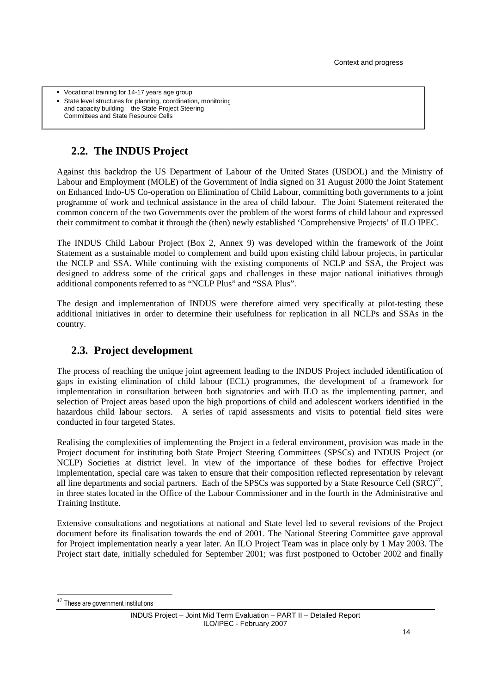| • State level structures for planning, coordination, monitoring<br>and capacity building – the State Project Steering |
|-----------------------------------------------------------------------------------------------------------------------|
|-----------------------------------------------------------------------------------------------------------------------|

## **2.2. The INDUS Project**

Against this backdrop the US Department of Labour of the United States (USDOL) and the Ministry of Labour and Employment (MOLE) of the Government of India signed on 31 August 2000 the Joint Statement on Enhanced Indo-US Co-operation on Elimination of Child Labour, committing both governments to a joint programme of work and technical assistance in the area of child labour. The Joint Statement reiterated the common concern of the two Governments over the problem of the worst forms of child labour and expressed their commitment to combat it through the (then) newly established 'Comprehensive Projects' of ILO IPEC.

The INDUS Child Labour Project (Box 2, Annex 9) was developed within the framework of the Joint Statement as a sustainable model to complement and build upon existing child labour projects, in particular the NCLP and SSA. While continuing with the existing components of NCLP and SSA, the Project was designed to address some of the critical gaps and challenges in these major national initiatives through additional components referred to as "NCLP Plus" and "SSA Plus".

The design and implementation of INDUS were therefore aimed very specifically at pilot-testing these additional initiatives in order to determine their usefulness for replication in all NCLPs and SSAs in the country.

## **2.3. Project development**

The process of reaching the unique joint agreement leading to the INDUS Project included identification of gaps in existing elimination of child labour (ECL) programmes, the development of a framework for implementation in consultation between both signatories and with ILO as the implementing partner, and selection of Project areas based upon the high proportions of child and adolescent workers identified in the hazardous child labour sectors. A series of rapid assessments and visits to potential field sites were conducted in four targeted States.

Realising the complexities of implementing the Project in a federal environment, provision was made in the Project document for instituting both State Project Steering Committees (SPSCs) and INDUS Project (or NCLP) Societies at district level. In view of the importance of these bodies for effective Project implementation, special care was taken to ensure that their composition reflected representation by relevant all line departments and social partners. Each of the SPSCs was supported by a State Resource Cell  $(SRC)^{47}$ , in three states located in the Office of the Labour Commissioner and in the fourth in the Administrative and Training Institute.

Extensive consultations and negotiations at national and State level led to several revisions of the Project document before its finalisation towards the end of 2001. The National Steering Committee gave approval for Project implementation nearly a year later. An ILO Project Team was in place only by 1 May 2003. The Project start date, initially scheduled for September 2001; was first postponed to October 2002 and finally

These are government institutions

INDUS Project – Joint Mid Term Evaluation – PART II – Detailed Report ILO/IPEC - February 2007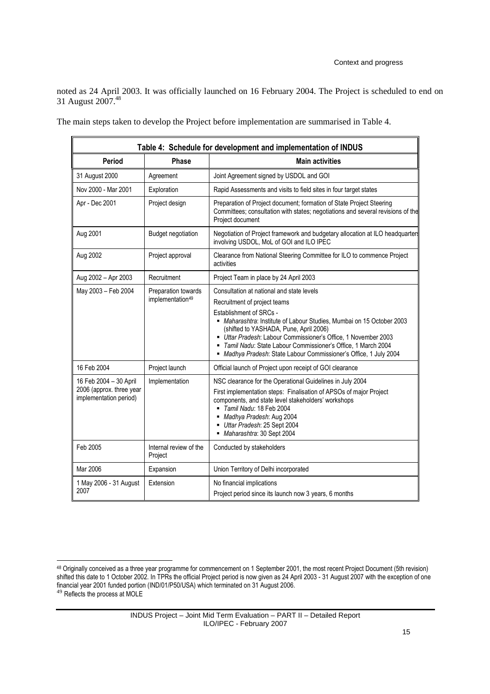noted as 24 April 2003. It was officially launched on 16 February 2004. The Project is scheduled to end on 31 August 2007.<sup>48</sup>

The main steps taken to develop the Project before implementation are summarised in Table 4.

| Table 4: Schedule for development and implementation of INDUS                |                                                     |                                                                                                                                                                                                                                                                                                                                                                                                                          |  |
|------------------------------------------------------------------------------|-----------------------------------------------------|--------------------------------------------------------------------------------------------------------------------------------------------------------------------------------------------------------------------------------------------------------------------------------------------------------------------------------------------------------------------------------------------------------------------------|--|
| Period                                                                       | Phase                                               | <b>Main activities</b>                                                                                                                                                                                                                                                                                                                                                                                                   |  |
| 31 August 2000                                                               | Agreement                                           | Joint Agreement signed by USDOL and GOI                                                                                                                                                                                                                                                                                                                                                                                  |  |
| Nov 2000 - Mar 2001                                                          | Exploration                                         | Rapid Assessments and visits to field sites in four target states                                                                                                                                                                                                                                                                                                                                                        |  |
| Apr - Dec 2001                                                               | Project design                                      | Preparation of Project document; formation of State Project Steering<br>Committees; consultation with states; negotiations and several revisions of the<br>Project document                                                                                                                                                                                                                                              |  |
| Aug 2001                                                                     | <b>Budget negotiation</b>                           | Negotiation of Project framework and budgetary allocation at ILO headquarter<br>involving USDOL, MoL of GOI and ILO IPEC                                                                                                                                                                                                                                                                                                 |  |
| Aug 2002                                                                     | Project approval                                    | Clearance from National Steering Committee for ILO to commence Project<br>activities                                                                                                                                                                                                                                                                                                                                     |  |
| Aug 2002 - Apr 2003                                                          | Recruitment                                         | Project Team in place by 24 April 2003                                                                                                                                                                                                                                                                                                                                                                                   |  |
| May 2003 - Feb 2004                                                          | Preparation towards<br>implementation <sup>49</sup> | Consultation at national and state levels<br>Recruitment of project teams<br>Establishment of SRCs -<br>Maharashtra: Institute of Labour Studies, Mumbai on 15 October 2003<br>(shifted to YASHADA, Pune, April 2006)<br>Uttar Pradesh: Labour Commissioner's Office, 1 November 2003<br>Tamil Nadu: State Labour Commissioner's Office, 1 March 2004<br>Madhya Pradesh: State Labour Commissioner's Office, 1 July 2004 |  |
| 16 Feb 2004                                                                  | Project launch                                      | Official launch of Project upon receipt of GOI clearance                                                                                                                                                                                                                                                                                                                                                                 |  |
| 16 Feb 2004 - 30 April<br>2006 (approx. three year<br>implementation period) | Implementation                                      | NSC clearance for the Operational Guidelines in July 2004<br>First implementation steps: Finalisation of APSOs of major Project<br>components, and state level stakeholders' workshops<br>Tamil Nadu: 18 Feb 2004<br>Madhya Pradesh: Aug 2004<br>Uttar Pradesh: 25 Sept 2004<br>Maharashtra: 30 Sept 2004                                                                                                                |  |
| Feb 2005                                                                     | Internal review of the<br>Project                   | Conducted by stakeholders                                                                                                                                                                                                                                                                                                                                                                                                |  |
| Mar 2006                                                                     | Expansion                                           | Union Territory of Delhi incorporated                                                                                                                                                                                                                                                                                                                                                                                    |  |
| 1 May 2006 - 31 August<br>2007                                               | Extension                                           | No financial implications<br>Project period since its launch now 3 years, 6 months                                                                                                                                                                                                                                                                                                                                       |  |

 $^{48}$  Originally conceived as a three year programme for commencement on 1 September 2001, the most recent Project Document (5th revision) shifted this date to 1 October 2002. In TPRs the official Project period is now given as 24 April 2003 - 31 August 2007 with the exception of one financial year 2001 funded portion (IND/01/P50/USA) which terminated on 31 August 2006. <sup>49</sup> Reflects the process at MOLE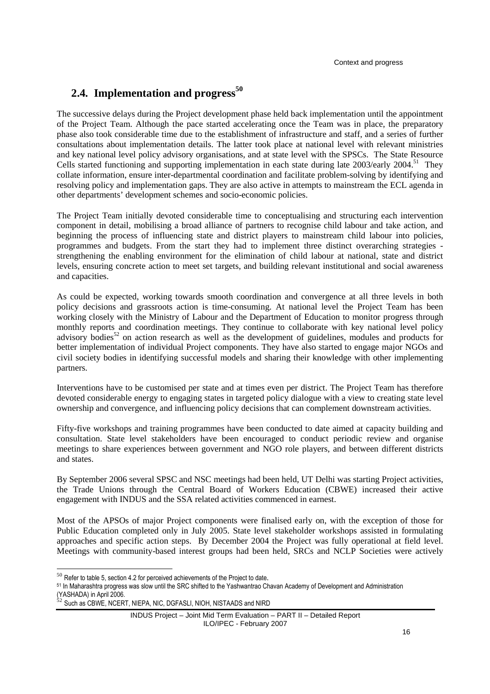## **2.4. Implementation and progress<sup>50</sup>**

The successive delays during the Project development phase held back implementation until the appointment of the Project Team. Although the pace started accelerating once the Team was in place, the preparatory phase also took considerable time due to the establishment of infrastructure and staff, and a series of further consultations about implementation details. The latter took place at national level with relevant ministries and key national level policy advisory organisations, and at state level with the SPSCs. The State Resource Cells started functioning and supporting implementation in each state during late  $2003$ /early  $2004$ .<sup>51</sup> They collate information, ensure inter-departmental coordination and facilitate problem-solving by identifying and resolving policy and implementation gaps. They are also active in attempts to mainstream the ECL agenda in other departments' development schemes and socio-economic policies.

The Project Team initially devoted considerable time to conceptualising and structuring each intervention component in detail, mobilising a broad alliance of partners to recognise child labour and take action, and beginning the process of influencing state and district players to mainstream child labour into policies, programmes and budgets. From the start they had to implement three distinct overarching strategies strengthening the enabling environment for the elimination of child labour at national, state and district levels, ensuring concrete action to meet set targets, and building relevant institutional and social awareness and capacities.

As could be expected, working towards smooth coordination and convergence at all three levels in both policy decisions and grassroots action is time-consuming. At national level the Project Team has been working closely with the Ministry of Labour and the Department of Education to monitor progress through monthly reports and coordination meetings. They continue to collaborate with key national level policy advisory bodies<sup>52</sup> on action research as well as the development of guidelines, modules and products for better implementation of individual Project components. They have also started to engage major NGOs and civil society bodies in identifying successful models and sharing their knowledge with other implementing partners.

Interventions have to be customised per state and at times even per district. The Project Team has therefore devoted considerable energy to engaging states in targeted policy dialogue with a view to creating state level ownership and convergence, and influencing policy decisions that can complement downstream activities.

Fifty-five workshops and training programmes have been conducted to date aimed at capacity building and consultation. State level stakeholders have been encouraged to conduct periodic review and organise meetings to share experiences between government and NGO role players, and between different districts and states.

By September 2006 several SPSC and NSC meetings had been held, UT Delhi was starting Project activities, the Trade Unions through the Central Board of Workers Education (CBWE) increased their active engagement with INDUS and the SSA related activities commenced in earnest.

Most of the APSOs of major Project components were finalised early on, with the exception of those for Public Education completed only in July 2005. State level stakeholder workshops assisted in formulating approaches and specific action steps. By December 2004 the Project was fully operational at field level. Meetings with community-based interest groups had been held, SRCs and NCLP Societies were actively

 $50$  Refer to table 5, section 4.2 for perceived achievements of the Project to date.

<sup>51</sup> In Maharashtra progress was slow until the SRC shifted to the Yashwantrao Chavan Academy of Development and Administration (YASHADA) in April 2006.

Such as CBWE, NCERT, NIEPA, NIC, DGFASLI, NIOH, NISTAADS and NIRD

INDUS Project – Joint Mid Term Evaluation – PART II – Detailed Report ILO/IPEC - February 2007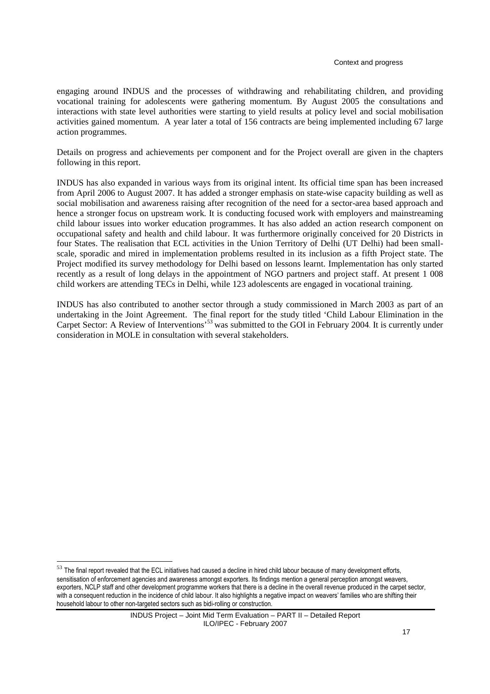#### Context and progress

engaging around INDUS and the processes of withdrawing and rehabilitating children, and providing vocational training for adolescents were gathering momentum. By August 2005 the consultations and interactions with state level authorities were starting to yield results at policy level and social mobilisation activities gained momentum. A year later a total of 156 contracts are being implemented including 67 large action programmes.

Details on progress and achievements per component and for the Project overall are given in the chapters following in this report.

INDUS has also expanded in various ways from its original intent. Its official time span has been increased from April 2006 to August 2007. It has added a stronger emphasis on state-wise capacity building as well as social mobilisation and awareness raising after recognition of the need for a sector-area based approach and hence a stronger focus on upstream work. It is conducting focused work with employers and mainstreaming child labour issues into worker education programmes. It has also added an action research component on occupational safety and health and child labour. It was furthermore originally conceived for 20 Districts in four States. The realisation that ECL activities in the Union Territory of Delhi (UT Delhi) had been smallscale, sporadic and mired in implementation problems resulted in its inclusion as a fifth Project state. The Project modified its survey methodology for Delhi based on lessons learnt. Implementation has only started recently as a result of long delays in the appointment of NGO partners and project staff. At present 1 008 child workers are attending TECs in Delhi, while 123 adolescents are engaged in vocational training.

INDUS has also contributed to another sector through a study commissioned in March 2003 as part of an undertaking in the Joint Agreement. The final report for the study titled 'Child Labour Elimination in the Carpet Sector: A Review of Interventions<sup>'53</sup> was submitted to the GOI in February 2004. It is currently under consideration in MOLE in consultation with several stakeholders.

 $53$  The final report revealed that the ECL initiatives had caused a decline in hired child labour because of many development efforts, sensitisation of enforcement agencies and awareness amongst exporters. Its findings mention a general perception amongst weavers, exporters, NCLP staff and other development programme workers that there is a decline in the overall revenue produced in the carpet sector, with a consequent reduction in the incidence of child labour. It also highlights a negative impact on weavers' families who are shifting their household labour to other non-targeted sectors such as bidi-rolling or construction.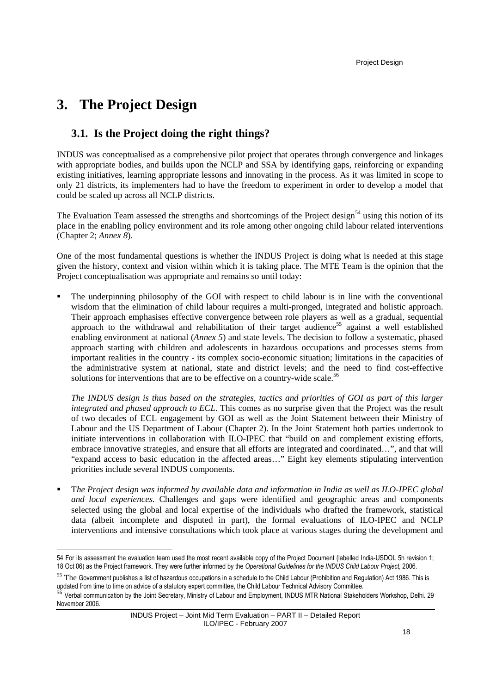# **3. The Project Design**

## **3.1. Is the Project doing the right things?**

INDUS was conceptualised as a comprehensive pilot project that operates through convergence and linkages with appropriate bodies, and builds upon the NCLP and SSA by identifying gaps, reinforcing or expanding existing initiatives, learning appropriate lessons and innovating in the process. As it was limited in scope to only 21 districts, its implementers had to have the freedom to experiment in order to develop a model that could be scaled up across all NCLP districts.

The Evaluation Team assessed the strengths and shortcomings of the Project design<sup>54</sup> using this notion of its place in the enabling policy environment and its role among other ongoing child labour related interventions (Chapter 2; *Annex 8*).

One of the most fundamental questions is whether the INDUS Project is doing what is needed at this stage given the history, context and vision within which it is taking place. The MTE Team is the opinion that the Project conceptualisation was appropriate and remains so until today:

 The underpinning philosophy of the GOI with respect to child labour is in line with the conventional wisdom that the elimination of child labour requires a multi-pronged, integrated and holistic approach. Their approach emphasises effective convergence between role players as well as a gradual, sequential approach to the withdrawal and rehabilitation of their target audience<sup>55</sup> against a well established enabling environment at national (*Annex 5*) and state levels. The decision to follow a systematic, phased approach starting with children and adolescents in hazardous occupations and processes stems from important realities in the country - its complex socio-economic situation; limitations in the capacities of the administrative system at national, state and district levels; and the need to find cost-effective solutions for interventions that are to be effective on a country-wide scale.<sup>56</sup>

*The INDUS design is thus based on the strategies, tactics and priorities of GOI as part of this larger integrated and phased approach to ECL*. This comes as no surprise given that the Project was the result of two decades of ECL engagement by GOI as well as the Joint Statement between their Ministry of Labour and the US Department of Labour (Chapter 2). In the Joint Statement both parties undertook to initiate interventions in collaboration with ILO-IPEC that "build on and complement existing efforts, embrace innovative strategies, and ensure that all efforts are integrated and coordinated…", and that will "expand access to basic education in the affected areas…" Eight key elements stipulating intervention priorities include several INDUS components.

 T*he Project design was informed by available data and information in India as well as ILO-IPEC global and local experiences.* Challenges and gaps were identified and geographic areas and components selected using the global and local expertise of the individuals who drafted the framework, statistical data (albeit incomplete and disputed in part), the formal evaluations of ILO-IPEC and NCLP interventions and intensive consultations which took place at various stages during the development and

l 54 For its assessment the evaluation team used the most recent available copy of the Project Document (labelled India-USDOL 5h revision 1; 18 Oct 06) as the Project framework. They were further informed by the *Operational Guidelines for the INDUS Child Labour Project*, 2006.

<sup>55</sup> The Government publishes a list of hazardous occupations in a schedule to the Child Labour (Prohibition and Regulation) Act 1986. This is updated from time to time on advice of a statutory expert committee, the Child Labour Technical Advisory Committee.

<sup>56</sup> Verbal communication by the Joint Secretary, Ministry of Labour and Employment, INDUS MTR National Stakeholders Workshop, Delhi. 29 November 2006.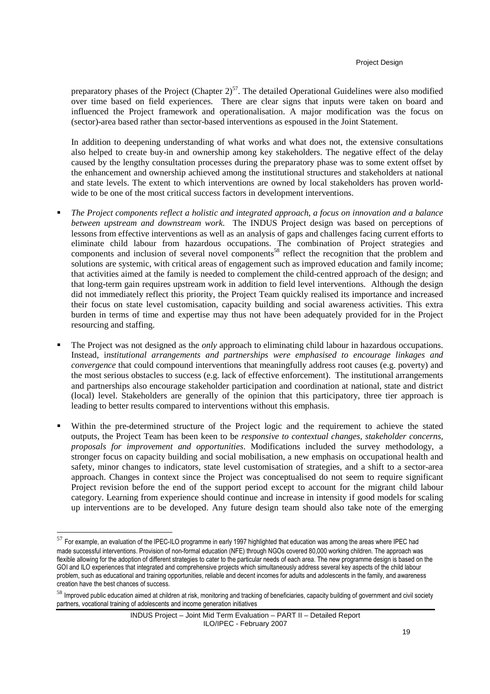preparatory phases of the Project (Chapter  $2^{57}$ . The detailed Operational Guidelines were also modified over time based on field experiences. There are clear signs that inputs were taken on board and influenced the Project framework and operationalisation. A major modification was the focus on (sector)-area based rather than sector-based interventions as espoused in the Joint Statement.

In addition to deepening understanding of what works and what does not, the extensive consultations also helped to create buy-in and ownership among key stakeholders. The negative effect of the delay caused by the lengthy consultation processes during the preparatory phase was to some extent offset by the enhancement and ownership achieved among the institutional structures and stakeholders at national and state levels. The extent to which interventions are owned by local stakeholders has proven worldwide to be one of the most critical success factors in development interventions.

- *The Project components reflect a holistic and integrated approach, a focus on innovation and a balance between upstream and downstream work*. The INDUS Project design was based on perceptions of lessons from effective interventions as well as an analysis of gaps and challenges facing current efforts to eliminate child labour from hazardous occupations. The combination of Project strategies and components and inclusion of several novel components <sup>58</sup> reflect the recognition that the problem and solutions are systemic, with critical areas of engagement such as improved education and family income; that activities aimed at the family is needed to complement the child-centred approach of the design; and that long-term gain requires upstream work in addition to field level interventions. Although the design did not immediately reflect this priority, the Project Team quickly realised its importance and increased their focus on state level customisation, capacity building and social awareness activities. This extra burden in terms of time and expertise may thus not have been adequately provided for in the Project resourcing and staffing.
- The Project was not designed as the *only* approach to eliminating child labour in hazardous occupations. Instead, i*nstitutional arrangements and partnerships were emphasised to encourage linkages and convergence* that could compound interventions that meaningfully address root causes (e.g. poverty) and the most serious obstacles to success (e.g. lack of effective enforcement). The institutional arrangements and partnerships also encourage stakeholder participation and coordination at national, state and district (local) level. Stakeholders are generally of the opinion that this participatory, three tier approach is leading to better results compared to interventions without this emphasis.
- Within the pre-determined structure of the Project logic and the requirement to achieve the stated outputs, the Project Team has been keen to be *responsive to contextual changes, stakeholder concerns, proposals for improvement and opportunities*. Modifications included the survey methodology, a stronger focus on capacity building and social mobilisation, a new emphasis on occupational health and safety, minor changes to indicators, state level customisation of strategies, and a shift to a sector-area approach. Changes in context since the Project was conceptualised do not seem to require significant Project revision before the end of the support period except to account for the migrant child labour category. Learning from experience should continue and increase in intensity if good models for scaling up interventions are to be developed. Any future design team should also take note of the emerging

 $^{57}$  For example, an evaluation of the IPEC-ILO programme in early 1997 highlighted that education was among the areas where IPEC had made successful interventions. Provision of non-formal education (NFE) through NGOs covered 80,000 working children. The approach was flexible allowing for the adoption of different strategies to cater to the particular needs of each area. The new programme design is based on the GOI and ILO experiences that integrated and comprehensive projects which simultaneously address several key aspects of the child labour problem, such as educational and training opportunities, reliable and decent incomes for adults and adolescents in the family, and awareness creation have the best chances of success.

<sup>58</sup> Improved public education aimed at children at risk, monitoring and tracking of beneficiaries, capacity building of government and civil society partners, vocational training of adolescents and income generation initiatives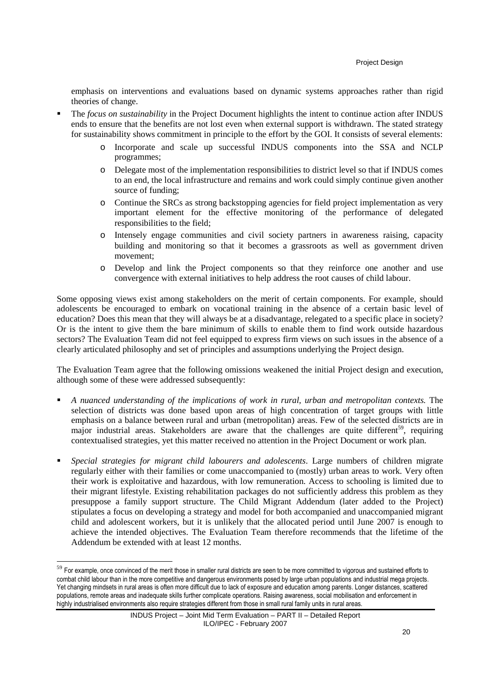emphasis on interventions and evaluations based on dynamic systems approaches rather than rigid theories of change.

- The *focus on sustainability* in the Project Document highlights the intent to continue action after INDUS ends to ensure that the benefits are not lost even when external support is withdrawn. The stated strategy for sustainability shows commitment in principle to the effort by the GOI. It consists of several elements:
	- o Incorporate and scale up successful INDUS components into the SSA and NCLP programmes;
	- o Delegate most of the implementation responsibilities to district level so that if INDUS comes to an end, the local infrastructure and remains and work could simply continue given another source of funding;
	- o Continue the SRCs as strong backstopping agencies for field project implementation as very important element for the effective monitoring of the performance of delegated responsibilities to the field;
	- o Intensely engage communities and civil society partners in awareness raising, capacity building and monitoring so that it becomes a grassroots as well as government driven movement;
	- o Develop and link the Project components so that they reinforce one another and use convergence with external initiatives to help address the root causes of child labour.

Some opposing views exist among stakeholders on the merit of certain components. For example, should adolescents be encouraged to embark on vocational training in the absence of a certain basic level of education? Does this mean that they will always be at a disadvantage, relegated to a specific place in society? Or is the intent to give them the bare minimum of skills to enable them to find work outside hazardous sectors? The Evaluation Team did not feel equipped to express firm views on such issues in the absence of a clearly articulated philosophy and set of principles and assumptions underlying the Project design.

The Evaluation Team agree that the following omissions weakened the initial Project design and execution, although some of these were addressed subsequently:

- *A nuanced understanding of the implications of work in rural, urban and metropolitan contexts.* The selection of districts was done based upon areas of high concentration of target groups with little emphasis on a balance between rural and urban (metropolitan) areas. Few of the selected districts are in major industrial areas. Stakeholders are aware that the challenges are quite different<sup>59</sup>, requiring contextualised strategies, yet this matter received no attention in the Project Document or work plan.
- *Special strategies for migrant child labourers and adolescents*. Large numbers of children migrate regularly either with their families or come unaccompanied to (mostly) urban areas to work. Very often their work is exploitative and hazardous, with low remuneration. Access to schooling is limited due to their migrant lifestyle. Existing rehabilitation packages do not sufficiently address this problem as they presuppose a family support structure. The Child Migrant Addendum (later added to the Project) stipulates a focus on developing a strategy and model for both accompanied and unaccompanied migrant child and adolescent workers, but it is unlikely that the allocated period until June 2007 is enough to achieve the intended objectives. The Evaluation Team therefore recommends that the lifetime of the Addendum be extended with at least 12 months.

<sup>&</sup>lt;sup>59</sup> For example, once convinced of the merit those in smaller rural districts are seen to be more committed to vigorous and sustained efforts to combat child labour than in the more competitive and dangerous environments posed by large urban populations and industrial mega projects. Yet changing mindsets in rural areas is often more difficult due to lack of exposure and education among parents. Longer distances, scattered populations, remote areas and inadequate skills further complicate operations. Raising awareness, social mobilisation and enforcement in highly industrialised environments also require strategies different from those in small rural family units in rural areas.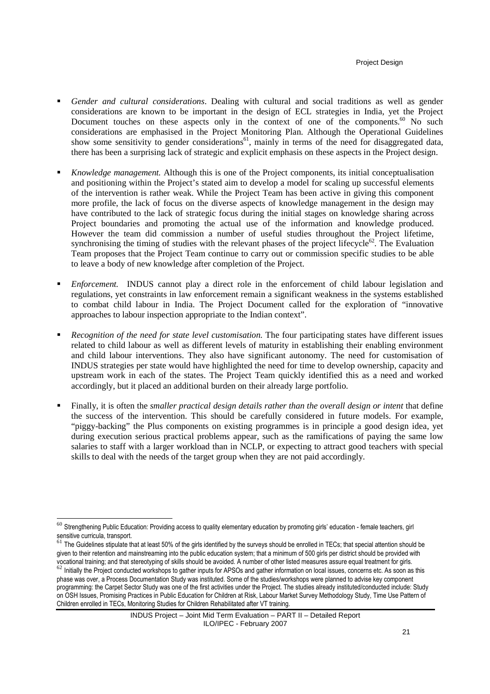- *Gender and cultural considerations*. Dealing with cultural and social traditions as well as gender considerations are known to be important in the design of ECL strategies in India, yet the Project Document touches on these aspects only in the context of one of the components.<sup>60</sup> No such considerations are emphasised in the Project Monitoring Plan. Although the Operational Guidelines show some sensitivity to gender considerations<sup>61</sup>, mainly in terms of the need for disaggregated data, there has been a surprising lack of strategic and explicit emphasis on these aspects in the Project design.
- *Knowledge management.* Although this is one of the Project components, its initial conceptualisation and positioning within the Project's stated aim to develop a model for scaling up successful elements of the intervention is rather weak. While the Project Team has been active in giving this component more profile, the lack of focus on the diverse aspects of knowledge management in the design may have contributed to the lack of strategic focus during the initial stages on knowledge sharing across Project boundaries and promoting the actual use of the information and knowledge produced. However the team did commission a number of useful studies throughout the Project lifetime, synchronising the timing of studies with the relevant phases of the project lifecycle<sup>62</sup>. The Evaluation Team proposes that the Project Team continue to carry out or commission specific studies to be able to leave a body of new knowledge after completion of the Project.
- *Enforcement.* INDUS cannot play a direct role in the enforcement of child labour legislation and regulations, yet constraints in law enforcement remain a significant weakness in the systems established to combat child labour in India. The Project Document called for the exploration of "innovative approaches to labour inspection appropriate to the Indian context".
- *Recognition of the need for state level customisation.* The four participating states have different issues related to child labour as well as different levels of maturity in establishing their enabling environment and child labour interventions. They also have significant autonomy. The need for customisation of INDUS strategies per state would have highlighted the need for time to develop ownership, capacity and upstream work in each of the states. The Project Team quickly identified this as a need and worked accordingly, but it placed an additional burden on their already large portfolio.
- Finally, it is often the *smaller practical design details rather than the overall design or intent* that define the success of the intervention. This should be carefully considered in future models. For example, "piggy-backing" the Plus components on existing programmes is in principle a good design idea, yet during execution serious practical problems appear, such as the ramifications of paying the same low salaries to staff with a larger workload than in NCLP, or expecting to attract good teachers with special skills to deal with the needs of the target group when they are not paid accordingly.

 $^{60}$  Strengthening Public Education: Providing access to quality elementary education by promoting girls' education - female teachers, girl sensitive curricula, transport.

 $61$  The Guidelines stipulate that at least 50% of the girls identified by the surveys should be enrolled in TECs; that special attention should be given to their retention and mainstreaming into the public education system; that a minimum of 500 girls per district should be provided with vocational training; and that stereotyping of skills should be avoided. A number of other listed measures assure equal treatment for girls.

<sup>62</sup> Initially the Project conducted workshops to gather inputs for APSOs and gather information on local issues, concerns etc. As soon as this phase was over, a Process Documentation Study was instituted. Some of the studies/workshops were planned to advise key component programming: the Carpet Sector Study was one of the first activities under the Project. The studies already instituted/conducted include: Study on OSH Issues, Promising Practices in Public Education for Children at Risk, Labour Market Survey Methodology Study, Time Use Pattern of Children enrolled in TECs, Monitoring Studies for Children Rehabilitated after VT training.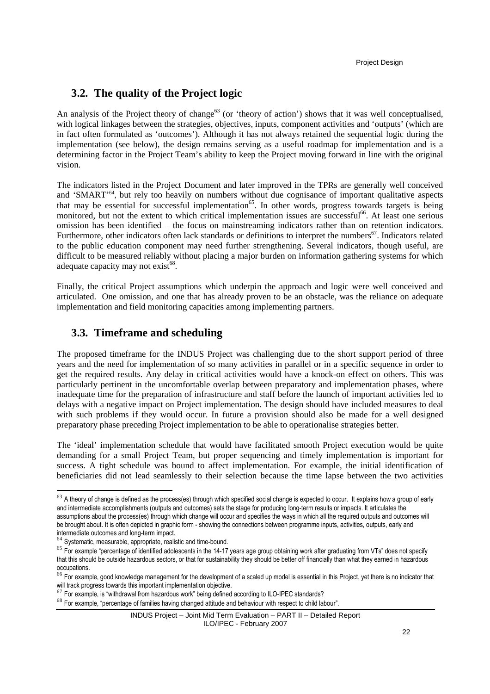## **3.2. The quality of the Project logic**

An analysis of the Project theory of change<sup>63</sup> (or 'theory of action') shows that it was well conceptualised, with logical linkages between the strategies, objectives, inputs, component activities and 'outputs' (which are in fact often formulated as 'outcomes'). Although it has not always retained the sequential logic during the implementation (see below), the design remains serving as a useful roadmap for implementation and is a determining factor in the Project Team's ability to keep the Project moving forward in line with the original vision.

The indicators listed in the Project Document and later improved in the TPRs are generally well conceived and 'SMART'<sup>64</sup>, but rely too heavily on numbers without due cognisance of important qualitative aspects that may be essential for successful implementation<sup>65</sup>. In other words, progress towards targets is being monitored, but not the extent to which critical implementation issues are successful<sup>66</sup>. At least one serious omission has been identified – the focus on mainstreaming indicators rather than on retention indicators. Furthermore, other indicators often lack standards or definitions to interpret the numbers<sup>67</sup>. Indicators related to the public education component may need further strengthening. Several indicators, though useful, are difficult to be measured reliably without placing a major burden on information gathering systems for which adequate capacity may not exist<sup>68</sup>.

Finally, the critical Project assumptions which underpin the approach and logic were well conceived and articulated. One omission, and one that has already proven to be an obstacle, was the reliance on adequate implementation and field monitoring capacities among implementing partners.

## **3.3. Timeframe and scheduling**

The proposed timeframe for the INDUS Project was challenging due to the short support period of three years and the need for implementation of so many activities in parallel or in a specific sequence in order to get the required results. Any delay in critical activities would have a knock-on effect on others. This was particularly pertinent in the uncomfortable overlap between preparatory and implementation phases, where inadequate time for the preparation of infrastructure and staff before the launch of important activities led to delays with a negative impact on Project implementation. The design should have included measures to deal with such problems if they would occur. In future a provision should also be made for a well designed preparatory phase preceding Project implementation to be able to operationalise strategies better.

The 'ideal' implementation schedule that would have facilitated smooth Project execution would be quite demanding for a small Project Team, but proper sequencing and timely implementation is important for success. A tight schedule was bound to affect implementation. For example, the initial identification of beneficiaries did not lead seamlessly to their selection because the time lapse between the two activities

 $63$  A theory of change is defined as the process(es) through which specified social change is expected to occur. It explains how a group of early and intermediate accomplishments (outputs and outcomes) sets the stage for producing long-term results or impacts. It articulates the assumptions about the process(es) through which change will occur and specifies the ways in which all the required outputs and outcomes will be brought about. It is often depicted in graphic form - showing the connections between programme inputs, activities, outputs, early and intermediate outcomes and long-term impact.

<sup>64</sup> Systematic, measurable, appropriate, realistic and time-bound.

<sup>&</sup>lt;sup>65</sup> For example "percentage of identified adolescents in the 14-17 years age group obtaining work after graduating from VTs" does not specify that this should be outside hazardous sectors, or that for sustainability they should be better off financially than what they earned in hazardous occupations.

 $^{66}$  For example, good knowledge management for the development of a scaled up model is essential in this Project, yet there is no indicator that will track progress towards this important implementation objective.

<sup>&</sup>lt;sup>67</sup> For example, is "withdrawal from hazardous work" being defined according to ILO-IPEC standards?

 $68$  For example, "percentage of families having changed attitude and behaviour with respect to child labour".

INDUS Project – Joint Mid Term Evaluation – PART II – Detailed Report ILO/IPEC - February 2007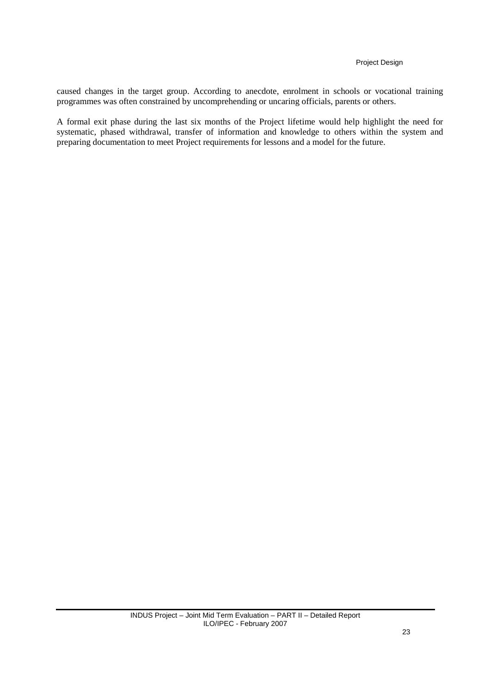caused changes in the target group. According to anecdote, enrolment in schools or vocational training programmes was often constrained by uncomprehending or uncaring officials, parents or others.

A formal exit phase during the last six months of the Project lifetime would help highlight the need for systematic, phased withdrawal, transfer of information and knowledge to others within the system and preparing documentation to meet Project requirements for lessons and a model for the future.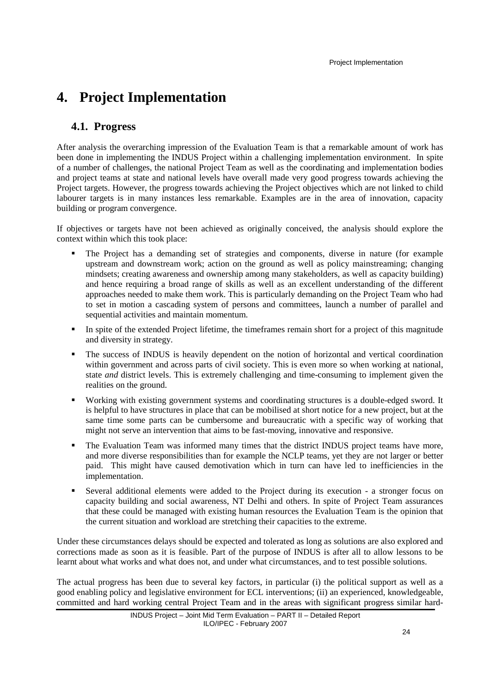# **4. Project Implementation**

## **4.1. Progress**

After analysis the overarching impression of the Evaluation Team is that a remarkable amount of work has been done in implementing the INDUS Project within a challenging implementation environment. In spite of a number of challenges, the national Project Team as well as the coordinating and implementation bodies and project teams at state and national levels have overall made very good progress towards achieving the Project targets. However, the progress towards achieving the Project objectives which are not linked to child labourer targets is in many instances less remarkable. Examples are in the area of innovation, capacity building or program convergence.

If objectives or targets have not been achieved as originally conceived, the analysis should explore the context within which this took place:

- The Project has a demanding set of strategies and components, diverse in nature (for example upstream and downstream work; action on the ground as well as policy mainstreaming; changing mindsets; creating awareness and ownership among many stakeholders, as well as capacity building) and hence requiring a broad range of skills as well as an excellent understanding of the different approaches needed to make them work. This is particularly demanding on the Project Team who had to set in motion a cascading system of persons and committees, launch a number of parallel and sequential activities and maintain momentum.
- In spite of the extended Project lifetime, the timeframes remain short for a project of this magnitude and diversity in strategy.
- The success of INDUS is heavily dependent on the notion of horizontal and vertical coordination within government and across parts of civil society. This is even more so when working at national, state *and* district levels. This is extremely challenging and time-consuming to implement given the realities on the ground.
- Working with existing government systems and coordinating structures is a double-edged sword. It is helpful to have structures in place that can be mobilised at short notice for a new project, but at the same time some parts can be cumbersome and bureaucratic with a specific way of working that might not serve an intervention that aims to be fast-moving, innovative and responsive.
- The Evaluation Team was informed many times that the district INDUS project teams have more, and more diverse responsibilities than for example the NCLP teams, yet they are not larger or better paid. This might have caused demotivation which in turn can have led to inefficiencies in the implementation.
- Several additional elements were added to the Project during its execution a stronger focus on capacity building and social awareness, NT Delhi and others. In spite of Project Team assurances that these could be managed with existing human resources the Evaluation Team is the opinion that the current situation and workload are stretching their capacities to the extreme.

Under these circumstances delays should be expected and tolerated as long as solutions are also explored and corrections made as soon as it is feasible. Part of the purpose of INDUS is after all to allow lessons to be learnt about what works and what does not, and under what circumstances, and to test possible solutions.

The actual progress has been due to several key factors, in particular (i) the political support as well as a good enabling policy and legislative environment for ECL interventions; (ii) an experienced, knowledgeable, committed and hard working central Project Team and in the areas with significant progress similar hard-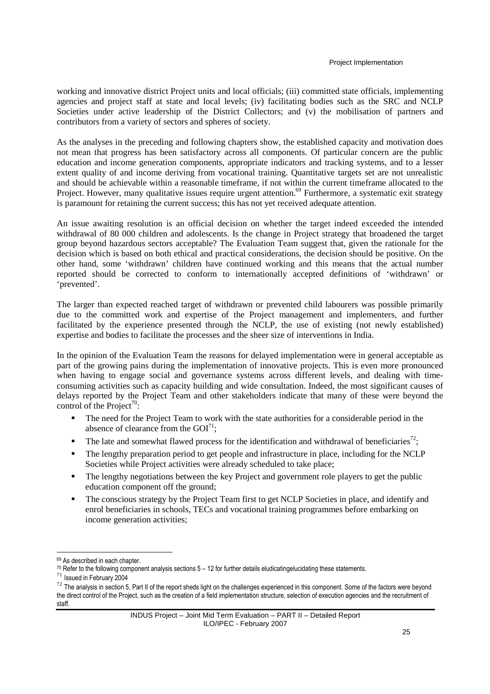working and innovative district Project units and local officials; (iii) committed state officials, implementing agencies and project staff at state and local levels; (iv) facilitating bodies such as the SRC and NCLP Societies under active leadership of the District Collectors; and (v) the mobilisation of partners and contributors from a variety of sectors and spheres of society.

As the analyses in the preceding and following chapters show, the established capacity and motivation does not mean that progress has been satisfactory across all components. Of particular concern are the public education and income generation components, appropriate indicators and tracking systems, and to a lesser extent quality of and income deriving from vocational training. Quantitative targets set are not unrealistic and should be achievable within a reasonable timeframe, if not within the current timeframe allocated to the Project. However, many qualitative issues require urgent attention.<sup>69</sup> Furthermore, a systematic exit strategy is paramount for retaining the current success; this has not yet received adequate attention.

An issue awaiting resolution is an official decision on whether the target indeed exceeded the intended withdrawal of 80 000 children and adolescents. Is the change in Project strategy that broadened the target group beyond hazardous sectors acceptable? The Evaluation Team suggest that, given the rationale for the decision which is based on both ethical and practical considerations, the decision should be positive. On the other hand, some 'withdrawn' children have continued working and this means that the actual number reported should be corrected to conform to internationally accepted definitions of 'withdrawn' or 'prevented'.

The larger than expected reached target of withdrawn or prevented child labourers was possible primarily due to the committed work and expertise of the Project management and implementers, and further facilitated by the experience presented through the NCLP, the use of existing (not newly established) expertise and bodies to facilitate the processes and the sheer size of interventions in India.

In the opinion of the Evaluation Team the reasons for delayed implementation were in general acceptable as part of the growing pains during the implementation of innovative projects. This is even more pronounced when having to engage social and governance systems across different levels, and dealing with timeconsuming activities such as capacity building and wide consultation. Indeed, the most significant causes of delays reported by the Project Team and other stakeholders indicate that many of these were beyond the control of the Project<sup>70</sup>:

- The need for the Project Team to work with the state authorities for a considerable period in the absence of clearance from the  $GOI<sup>71</sup>$ :
- The late and somewhat flawed process for the identification and withdrawal of beneficiaries<sup>72</sup>;
- The lengthy preparation period to get people and infrastructure in place, including for the NCLP Societies while Project activities were already scheduled to take place;
- The lengthy negotiations between the key Project and government role players to get the public education component off the ground;
- The conscious strategy by the Project Team first to get NCLP Societies in place, and identify and enrol beneficiaries in schools, TECs and vocational training programmes before embarking on income generation activities;

<sup>69</sup> As described in each chapter.

 $70$  Refer to the following component analysis sections  $5 - 12$  for further details eludicatingelucidating these statements.

 $71$  Issued in February 2004

<sup>&</sup>lt;sup>72</sup> The analysis in section 5, Part II of the report sheds light on the challenges experienced in this component. Some of the factors were beyond the direct control of the Project, such as the creation of a field implementation structure, selection of execution agencies and the recruitment of staff.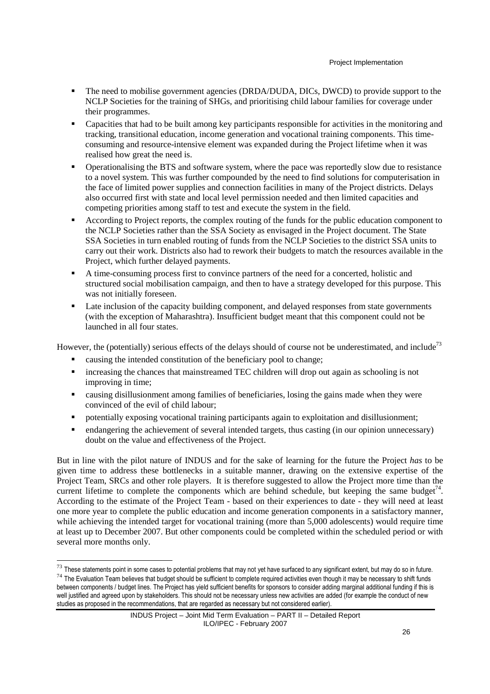- The need to mobilise government agencies (DRDA/DUDA, DICs, DWCD) to provide support to the NCLP Societies for the training of SHGs, and prioritising child labour families for coverage under their programmes.
- Capacities that had to be built among key participants responsible for activities in the monitoring and tracking, transitional education, income generation and vocational training components. This timeconsuming and resource-intensive element was expanded during the Project lifetime when it was realised how great the need is.
- Operationalising the BTS and software system, where the pace was reportedly slow due to resistance to a novel system. This was further compounded by the need to find solutions for computerisation in the face of limited power supplies and connection facilities in many of the Project districts. Delays also occurred first with state and local level permission needed and then limited capacities and competing priorities among staff to test and execute the system in the field.
- According to Project reports, the complex routing of the funds for the public education component to the NCLP Societies rather than the SSA Society as envisaged in the Project document. The State SSA Societies in turn enabled routing of funds from the NCLP Societies to the district SSA units to carry out their work. Districts also had to rework their budgets to match the resources available in the Project, which further delayed payments.
- A time-consuming process first to convince partners of the need for a concerted, holistic and structured social mobilisation campaign, and then to have a strategy developed for this purpose. This was not initially foreseen.
- Late inclusion of the capacity building component, and delayed responses from state governments (with the exception of Maharashtra). Insufficient budget meant that this component could not be launched in all four states.

However, the (potentially) serious effects of the delays should of course not be underestimated, and include<sup>73</sup>

causing the intended constitution of the beneficiary pool to change;

 $\overline{a}$ 

- increasing the chances that mainstreamed TEC children will drop out again as schooling is not improving in time;
- causing disillusionment among families of beneficiaries, losing the gains made when they were convinced of the evil of child labour;
- potentially exposing vocational training participants again to exploitation and disillusionment;
- endangering the achievement of several intended targets, thus casting (in our opinion unnecessary) doubt on the value and effectiveness of the Project.

But in line with the pilot nature of INDUS and for the sake of learning for the future the Project *has* to be given time to address these bottlenecks in a suitable manner, drawing on the extensive expertise of the Project Team, SRCs and other role players. It is therefore suggested to allow the Project more time than the current lifetime to complete the components which are behind schedule, but keeping the same budget<sup>74</sup>. According to the estimate of the Project Team - based on their experiences to date - they will need at least one more year to complete the public education and income generation components in a satisfactory manner, while achieving the intended target for vocational training (more than 5,000 adolescents) would require time at least up to December 2007. But other components could be completed within the scheduled period or with several more months only.

 $^{73}$  These statements point in some cases to potential problems that may not yet have surfaced to any significant extent, but may do so in future.  $74$  The Evaluation Team believes that budget should be sufficient to complete required activities even though it may be necessary to shift funds between components / budget lines. The Project has yield sufficient benefits for sponsors to consider adding marginal additional funding if this is well justified and agreed upon by stakeholders. This should not be necessary unless new activities are added (for example the conduct of new studies as proposed in the recommendations, that are regarded as necessary but not considered earlier).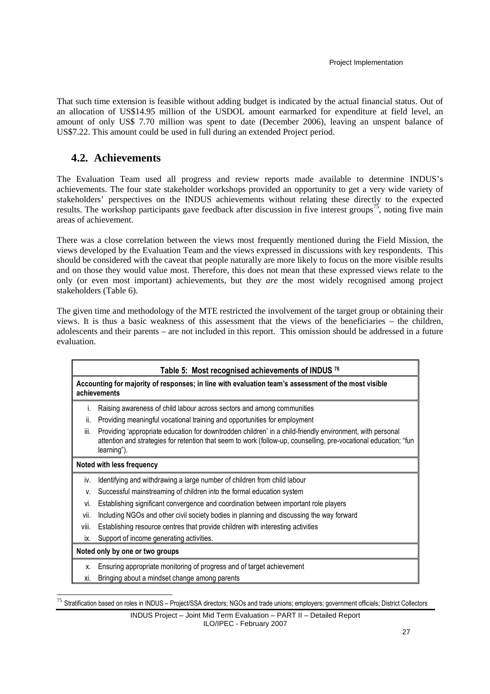That such time extension is feasible without adding budget is indicated by the actual financial status. Out of an allocation of US\$14.95 million of the USDOL amount earmarked for expenditure at field level, an amount of only US\$ 7.70 million was spent to date (December 2006), leaving an unspent balance of US\$7.22. This amount could be used in full during an extended Project period.

## **4.2. Achievements**

 $\overline{a}$ 

The Evaluation Team used all progress and review reports made available to determine INDUS's achievements. The four state stakeholder workshops provided an opportunity to get a very wide variety of stakeholders' perspectives on the INDUS achievements without relating these directly to the expected results. The workshop participants gave feedback after discussion in five interest groups<sup>75</sup>, noting five main areas of achievement.

There was a close correlation between the views most frequently mentioned during the Field Mission, the views developed by the Evaluation Team and the views expressed in discussions with key respondents. This should be considered with the caveat that people naturally are more likely to focus on the more visible results and on those they would value most. Therefore, this does not mean that these expressed views relate to the only (or even most important) achievements, but they *are* the most widely recognised among project stakeholders (Table 6).

The given time and methodology of the MTE restricted the involvement of the target group or obtaining their views. It is thus a basic weakness of this assessment that the views of the beneficiaries – the children, adolescents and their parents – are not included in this report. This omission should be addressed in a future evaluation.

| Table 5: Most recognised achievements of INDUS 76 |                                                                                                                                                                                                                                              |  |
|---------------------------------------------------|----------------------------------------------------------------------------------------------------------------------------------------------------------------------------------------------------------------------------------------------|--|
|                                                   | Accounting for majority of responses; in line with evaluation team's assessment of the most visible<br>achievements                                                                                                                          |  |
| Ι.                                                | Raising awareness of child labour across sectors and among communities                                                                                                                                                                       |  |
| ii.                                               | Providing meaningful vocational training and opportunities for employment                                                                                                                                                                    |  |
| iii.                                              | Providing 'appropriate education for downtrodden children' in a child-friendly environment, with personal<br>attention and strategies for retention that seem to work (follow-up, counselling, pre-vocational education; "fun<br>learning"). |  |
|                                                   | Noted with less frequency                                                                                                                                                                                                                    |  |
| iv.                                               | Identifying and withdrawing a large number of children from child labour                                                                                                                                                                     |  |
| V.                                                | Successful mainstreaming of children into the formal education system                                                                                                                                                                        |  |
| vi.                                               | Establishing significant convergence and coordination between important role players                                                                                                                                                         |  |
| vii.                                              | Including NGOs and other civil society bodies in planning and discussing the way forward                                                                                                                                                     |  |
| VIII.                                             | Establishing resource centres that provide children with interesting activities                                                                                                                                                              |  |
| ix.                                               | Support of income generating activities.                                                                                                                                                                                                     |  |
|                                                   | Noted only by one or two groups                                                                                                                                                                                                              |  |
| Х.                                                | Ensuring appropriate monitoring of progress and of target achievement                                                                                                                                                                        |  |
| Xİ.                                               | Bringing about a mindset change among parents                                                                                                                                                                                                |  |
|                                                   |                                                                                                                                                                                                                                              |  |

<sup>75</sup> Stratification based on roles in INDUS - Project/SSA directors; NGOs and trade unions; employers; government officials; District Collectors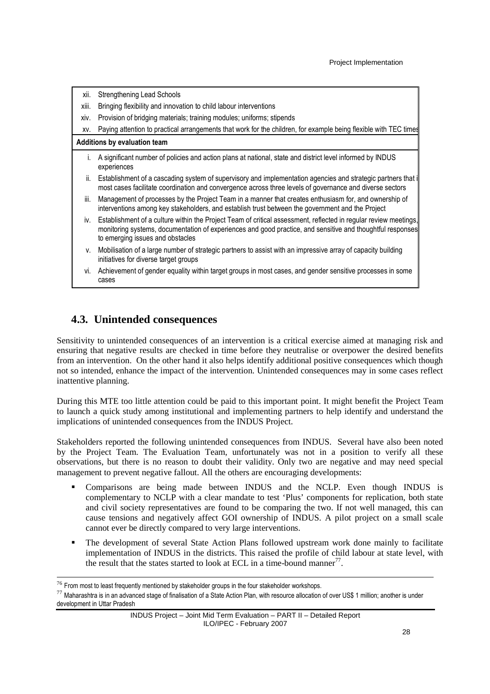| xii.         | Strengthening Lead Schools                                                                                                                                                                                                                                         |
|--------------|--------------------------------------------------------------------------------------------------------------------------------------------------------------------------------------------------------------------------------------------------------------------|
| xiii.        | Bringing flexibility and innovation to child labour interventions                                                                                                                                                                                                  |
| XIV.         | Provision of bridging materials; training modules; uniforms; stipends                                                                                                                                                                                              |
| XV.          | Paying attention to practical arrangements that work for the children, for example being flexible with TEC times                                                                                                                                                   |
|              | Additions by evaluation team                                                                                                                                                                                                                                       |
| $\mathbf{L}$ | A significant number of policies and action plans at national, state and district level informed by INDUS<br>experiences                                                                                                                                           |
| ii.          | Establishment of a cascading system of supervisory and implementation agencies and strategic partners that i<br>most cases facilitate coordination and convergence across three levels of governance and diverse sectors                                           |
| iii.         | Management of processes by the Project Team in a manner that creates enthusiasm for, and ownership of<br>interventions among key stakeholders, and establish trust between the government and the Project                                                          |
| İV.          | Establishment of a culture within the Project Team of critical assessment, reflected in regular review meetings,<br>monitoring systems, documentation of experiences and good practice, and sensitive and thoughtful responses<br>to emerging issues and obstacles |
| V.           | Mobilisation of a large number of strategic partners to assist with an impressive array of capacity building<br>initiatives for diverse target groups                                                                                                              |
|              | vi. Achievement of gender equality within target groups in most cases, and gender sensitive processes in some<br>cases                                                                                                                                             |

## **4.3. Unintended consequences**

Sensitivity to unintended consequences of an intervention is a critical exercise aimed at managing risk and ensuring that negative results are checked in time before they neutralise or overpower the desired benefits from an intervention. On the other hand it also helps identify additional positive consequences which though not so intended, enhance the impact of the intervention. Unintended consequences may in some cases reflect inattentive planning.

During this MTE too little attention could be paid to this important point. It might benefit the Project Team to launch a quick study among institutional and implementing partners to help identify and understand the implications of unintended consequences from the INDUS Project.

Stakeholders reported the following unintended consequences from INDUS. Several have also been noted by the Project Team. The Evaluation Team, unfortunately was not in a position to verify all these observations, but there is no reason to doubt their validity. Only two are negative and may need special management to prevent negative fallout. All the others are encouraging developments:

- Comparisons are being made between INDUS and the NCLP. Even though INDUS is complementary to NCLP with a clear mandate to test 'Plus' components for replication, both state and civil society representatives are found to be comparing the two. If not well managed, this can cause tensions and negatively affect GOI ownership of INDUS. A pilot project on a small scale cannot ever be directly compared to very large interventions.
- The development of several State Action Plans followed upstream work done mainly to facilitate implementation of INDUS in the districts. This raised the profile of child labour at state level, with the result that the states started to look at ECL in a time-bound manner<sup>77</sup>.

 $\overline{a}$ 

<sup>77</sup> Maharashtra is in an advanced stage of finalisation of a State Action Plan, with resource allocation of over US\$ 1 million; another is under development in Uttar Pradesh

 $^{76}$  From most to least frequently mentioned by stakeholder groups in the four stakeholder workshops.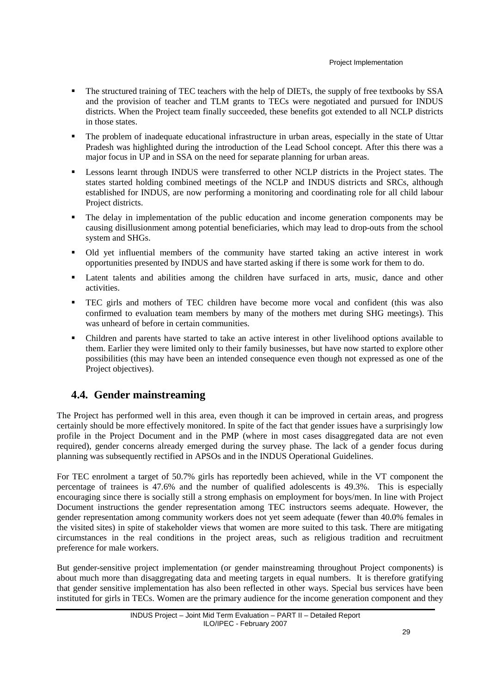- The structured training of TEC teachers with the help of DIETs, the supply of free textbooks by SSA and the provision of teacher and TLM grants to TECs were negotiated and pursued for INDUS districts. When the Project team finally succeeded, these benefits got extended to all NCLP districts in those states.
- The problem of inadequate educational infrastructure in urban areas, especially in the state of Uttar Pradesh was highlighted during the introduction of the Lead School concept. After this there was a major focus in UP and in SSA on the need for separate planning for urban areas.
- Lessons learnt through INDUS were transferred to other NCLP districts in the Project states. The states started holding combined meetings of the NCLP and INDUS districts and SRCs, although established for INDUS, are now performing a monitoring and coordinating role for all child labour Project districts.
- The delay in implementation of the public education and income generation components may be causing disillusionment among potential beneficiaries, which may lead to drop-outs from the school system and SHGs.
- Old yet influential members of the community have started taking an active interest in work opportunities presented by INDUS and have started asking if there is some work for them to do.
- Latent talents and abilities among the children have surfaced in arts, music, dance and other activities.
- TEC girls and mothers of TEC children have become more vocal and confident (this was also confirmed to evaluation team members by many of the mothers met during SHG meetings). This was unheard of before in certain communities.
- Children and parents have started to take an active interest in other livelihood options available to them. Earlier they were limited only to their family businesses, but have now started to explore other possibilities (this may have been an intended consequence even though not expressed as one of the Project objectives).

## **4.4. Gender mainstreaming**

The Project has performed well in this area, even though it can be improved in certain areas, and progress certainly should be more effectively monitored. In spite of the fact that gender issues have a surprisingly low profile in the Project Document and in the PMP (where in most cases disaggregated data are not even required), gender concerns already emerged during the survey phase. The lack of a gender focus during planning was subsequently rectified in APSOs and in the INDUS Operational Guidelines.

For TEC enrolment a target of 50.7% girls has reportedly been achieved, while in the VT component the percentage of trainees is 47.6% and the number of qualified adolescents is 49.3%. This is especially encouraging since there is socially still a strong emphasis on employment for boys/men. In line with Project Document instructions the gender representation among TEC instructors seems adequate. However, the gender representation among community workers does not yet seem adequate (fewer than 40.0% females in the visited sites) in spite of stakeholder views that women are more suited to this task. There are mitigating circumstances in the real conditions in the project areas, such as religious tradition and recruitment preference for male workers.

But gender-sensitive project implementation (or gender mainstreaming throughout Project components) is about much more than disaggregating data and meeting targets in equal numbers. It is therefore gratifying that gender sensitive implementation has also been reflected in other ways. Special bus services have been instituted for girls in TECs. Women are the primary audience for the income generation component and they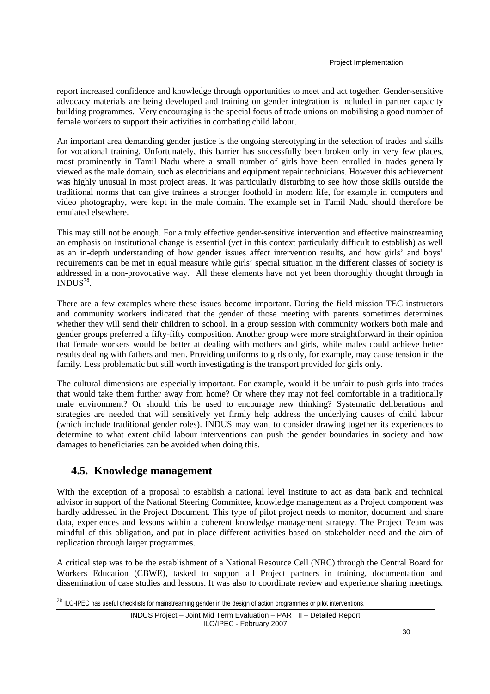report increased confidence and knowledge through opportunities to meet and act together. Gender-sensitive advocacy materials are being developed and training on gender integration is included in partner capacity building programmes. Very encouraging is the special focus of trade unions on mobilising a good number of female workers to support their activities in combating child labour.

An important area demanding gender justice is the ongoing stereotyping in the selection of trades and skills for vocational training. Unfortunately, this barrier has successfully been broken only in very few places, most prominently in Tamil Nadu where a small number of girls have been enrolled in trades generally viewed as the male domain, such as electricians and equipment repair technicians. However this achievement was highly unusual in most project areas. It was particularly disturbing to see how those skills outside the traditional norms that can give trainees a stronger foothold in modern life, for example in computers and video photography, were kept in the male domain. The example set in Tamil Nadu should therefore be emulated elsewhere.

This may still not be enough. For a truly effective gender-sensitive intervention and effective mainstreaming an emphasis on institutional change is essential (yet in this context particularly difficult to establish) as well as an in-depth understanding of how gender issues affect intervention results, and how girls' and boys' requirements can be met in equal measure while girls' special situation in the different classes of society is addressed in a non-provocative way. All these elements have not yet been thoroughly thought through in  $INDUS^{78}$ .

There are a few examples where these issues become important. During the field mission TEC instructors and community workers indicated that the gender of those meeting with parents sometimes determines whether they will send their children to school. In a group session with community workers both male and gender groups preferred a fifty-fifty composition. Another group were more straightforward in their opinion that female workers would be better at dealing with mothers and girls, while males could achieve better results dealing with fathers and men. Providing uniforms to girls only, for example, may cause tension in the family. Less problematic but still worth investigating is the transport provided for girls only.

The cultural dimensions are especially important. For example, would it be unfair to push girls into trades that would take them further away from home? Or where they may not feel comfortable in a traditionally male environment? Or should this be used to encourage new thinking? Systematic deliberations and strategies are needed that will sensitively yet firmly help address the underlying causes of child labour (which include traditional gender roles). INDUS may want to consider drawing together its experiences to determine to what extent child labour interventions can push the gender boundaries in society and how damages to beneficiaries can be avoided when doing this.

## **4.5. Knowledge management**

 $\overline{a}$ 

With the exception of a proposal to establish a national level institute to act as data bank and technical advisor in support of the National Steering Committee, knowledge management as a Project component was hardly addressed in the Project Document. This type of pilot project needs to monitor, document and share data, experiences and lessons within a coherent knowledge management strategy. The Project Team was mindful of this obligation, and put in place different activities based on stakeholder need and the aim of replication through larger programmes.

A critical step was to be the establishment of a National Resource Cell (NRC) through the Central Board for Workers Education (CBWE), tasked to support all Project partners in training, documentation and dissemination of case studies and lessons. It was also to coordinate review and experience sharing meetings.

 $78$  ILO-IPEC has useful checklists for mainstreaming gender in the design of action programmes or pilot interventions.

INDUS Project – Joint Mid Term Evaluation – PART II – Detailed Report ILO/IPEC - February 2007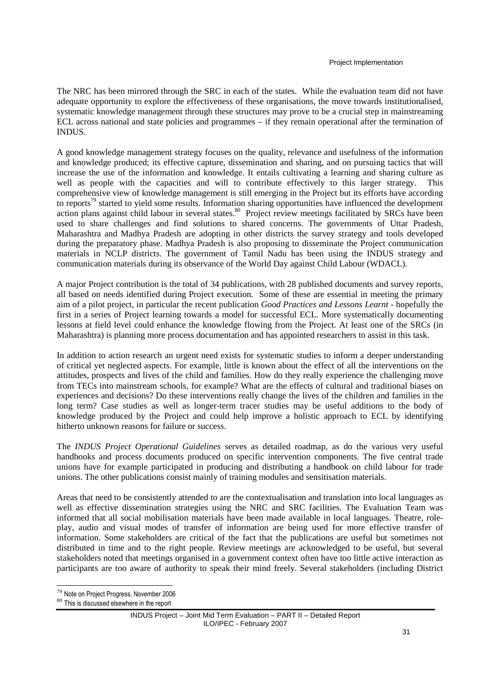The NRC has been mirrored through the SRC in each of the states. While the evaluation team did not have adequate opportunity to explore the effectiveness of these organisations, the move towards institutionalised, systematic knowledge management through these structures may prove to be a crucial step in mainstreaming ECL across national and state policies and programmes – if they remain operational after the termination of INDUS.

A good knowledge management strategy focuses on the quality, relevance and usefulness of the information and knowledge produced; its effective capture, dissemination and sharing, and on pursuing tactics that will increase the use of the information and knowledge. It entails cultivating a learning and sharing culture as well as people with the capacities and will to contribute effectively to this larger strategy. This comprehensive view of knowledge management is still emerging in the Project but its efforts have according to reports<sup>79</sup> started to yield some results. Information sharing opportunities have influenced the development action plans against child labour in several states.<sup>80</sup> Project review meetings facilitated by SRCs have been used to share challenges and find solutions to shared concerns. The governments of Uttar Pradesh, Maharashtra and Madhya Pradesh are adopting in other districts the survey strategy and tools developed during the preparatory phase. Madhya Pradesh is also proposing to disseminate the Project communication materials in NCLP districts. The government of Tamil Nadu has been using the INDUS strategy and communication materials during its observance of the World Day against Child Labour (WDACL).

A major Project contribution is the total of 34 publications, with 28 published documents and survey reports, all based on needs identified during Project execution. Some of these are essential in meeting the primary aim of a pilot project, in particular the recent publication *Good Practices and Lessons Learnt* - hopefully the first in a series of Project learning towards a model for successful ECL. More systematically documenting lessons at field level could enhance the knowledge flowing from the Project. At least one of the SRCs (in Maharashtra) is planning more process documentation and has appointed researchers to assist in this task.

In addition to action research an urgent need exists for systematic studies to inform a deeper understanding of critical yet neglected aspects. For example, little is known about the effect of all the interventions on the attitudes, prospects and lives of the child and families. How do they really experience the challenging move from TECs into mainstream schools, for example? What are the effects of cultural and traditional biases on experiences and decisions? Do these interventions really change the lives of the children and families in the long term? Case studies as well as longer-term tracer studies may be useful additions to the body of knowledge produced by the Project and could help improve a holistic approach to ECL by identifying hitherto unknown reasons for failure or success.

The *INDUS Project Operational Guidelines* serves as detailed roadmap, as do the various very useful handbooks and process documents produced on specific intervention components. The five central trade unions have for example participated in producing and distributing a handbook on child labour for trade unions. The other publications consist mainly of training modules and sensitisation materials.

Areas that need to be consistently attended to are the contextualisation and translation into local languages as well as effective dissemination strategies using the NRC and SRC facilities. The Evaluation Team was informed that all social mobilisation materials have been made available in local languages. Theatre, roleplay, audio and visual modes of transfer of information are being used for more effective transfer of information. Some stakeholders are critical of the fact that the publications are useful but sometimes not distributed in time and to the right people. Review meetings are acknowledged to be useful, but several stakeholders noted that meetings organised in a government context often have too little active interaction as participants are too aware of authority to speak their mind freely. Several stakeholders (including District

 $\overline{a}$ <sup>79</sup> Note on Project Progress, November 2006

<sup>80</sup> This is discussed elsewhere in the report

INDUS Project – Joint Mid Term Evaluation – PART II – Detailed Report ILO/IPEC - February 2007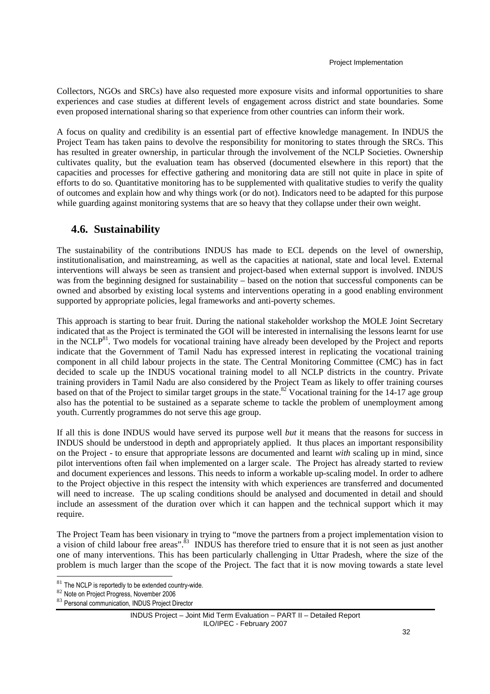Collectors, NGOs and SRCs) have also requested more exposure visits and informal opportunities to share experiences and case studies at different levels of engagement across district and state boundaries. Some even proposed international sharing so that experience from other countries can inform their work.

A focus on quality and credibility is an essential part of effective knowledge management. In INDUS the Project Team has taken pains to devolve the responsibility for monitoring to states through the SRCs. This has resulted in greater ownership, in particular through the involvement of the NCLP Societies. Ownership cultivates quality, but the evaluation team has observed (documented elsewhere in this report) that the capacities and processes for effective gathering and monitoring data are still not quite in place in spite of efforts to do so. Quantitative monitoring has to be supplemented with qualitative studies to verify the quality of outcomes and explain how and why things work (or do not). Indicators need to be adapted for this purpose while guarding against monitoring systems that are so heavy that they collapse under their own weight.

## **4.6. Sustainability**

The sustainability of the contributions INDUS has made to ECL depends on the level of ownership, institutionalisation, and mainstreaming, as well as the capacities at national, state and local level. External interventions will always be seen as transient and project-based when external support is involved. INDUS was from the beginning designed for sustainability – based on the notion that successful components can be owned and absorbed by existing local systems and interventions operating in a good enabling environment supported by appropriate policies, legal frameworks and anti-poverty schemes.

This approach is starting to bear fruit. During the national stakeholder workshop the MOLE Joint Secretary indicated that as the Project is terminated the GOI will be interested in internalising the lessons learnt for use in the NCLP<sup>81</sup>. Two models for vocational training have already been developed by the Project and reports indicate that the Government of Tamil Nadu has expressed interest in replicating the vocational training component in all child labour projects in the state. The Central Monitoring Committee (CMC) has in fact decided to scale up the INDUS vocational training model to all NCLP districts in the country. Private training providers in Tamil Nadu are also considered by the Project Team as likely to offer training courses based on that of the Project to similar target groups in the state.<sup>82</sup> Vocational training for the 14-17 age group also has the potential to be sustained as a separate scheme to tackle the problem of unemployment among youth. Currently programmes do not serve this age group.

If all this is done INDUS would have served its purpose well *but* it means that the reasons for success in INDUS should be understood in depth and appropriately applied. It thus places an important responsibility on the Project - to ensure that appropriate lessons are documented and learnt *with* scaling up in mind, since pilot interventions often fail when implemented on a larger scale. The Project has already started to review and document experiences and lessons. This needs to inform a workable up-scaling model. In order to adhere to the Project objective in this respect the intensity with which experiences are transferred and documented will need to increase. The up scaling conditions should be analysed and documented in detail and should include an assessment of the duration over which it can happen and the technical support which it may require.

The Project Team has been visionary in trying to "move the partners from a project implementation vision to a vision of child labour free areas".<sup>83</sup> INDUS has therefore tried to ensure that it is not seen as just another one of many interventions. This has been particularly challenging in Uttar Pradesh, where the size of the problem is much larger than the scope of the Project. The fact that it is now moving towards a state level

l

 $81$  The NCLP is reportedly to be extended country-wide.

<sup>82</sup> Note on Project Progress, November 2006

<sup>83</sup> Personal communication, INDUS Project Director

INDUS Project – Joint Mid Term Evaluation – PART II – Detailed Report ILO/IPEC - February 2007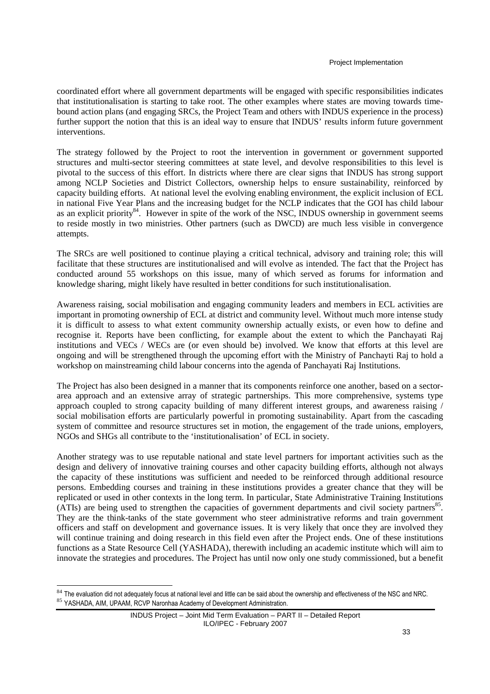coordinated effort where all government departments will be engaged with specific responsibilities indicates that institutionalisation is starting to take root. The other examples where states are moving towards timebound action plans (and engaging SRCs, the Project Team and others with INDUS experience in the process) further support the notion that this is an ideal way to ensure that INDUS' results inform future government interventions.

The strategy followed by the Project to root the intervention in government or government supported structures and multi-sector steering committees at state level, and devolve responsibilities to this level is pivotal to the success of this effort. In districts where there are clear signs that INDUS has strong support among NCLP Societies and District Collectors, ownership helps to ensure sustainability, reinforced by capacity building efforts. At national level the evolving enabling environment, the explicit inclusion of ECL in national Five Year Plans and the increasing budget for the NCLP indicates that the GOI has child labour as an explicit priority<sup>84</sup>. However in spite of the work of the NSC, INDUS ownership in government seems to reside mostly in two ministries. Other partners (such as DWCD) are much less visible in convergence attempts.

The SRCs are well positioned to continue playing a critical technical, advisory and training role; this will facilitate that these structures are institutionalised and will evolve as intended. The fact that the Project has conducted around 55 workshops on this issue, many of which served as forums for information and knowledge sharing, might likely have resulted in better conditions for such institutionalisation.

Awareness raising, social mobilisation and engaging community leaders and members in ECL activities are important in promoting ownership of ECL at district and community level. Without much more intense study it is difficult to assess to what extent community ownership actually exists, or even how to define and recognise it. Reports have been conflicting, for example about the extent to which the Panchayati Raj institutions and VECs / WECs are (or even should be) involved. We know that efforts at this level are ongoing and will be strengthened through the upcoming effort with the Ministry of Panchayti Raj to hold a workshop on mainstreaming child labour concerns into the agenda of Panchayati Raj Institutions.

The Project has also been designed in a manner that its components reinforce one another, based on a sectorarea approach and an extensive array of strategic partnerships. This more comprehensive, systems type approach coupled to strong capacity building of many different interest groups, and awareness raising / social mobilisation efforts are particularly powerful in promoting sustainability. Apart from the cascading system of committee and resource structures set in motion, the engagement of the trade unions, employers, NGOs and SHGs all contribute to the 'institutionalisation' of ECL in society.

Another strategy was to use reputable national and state level partners for important activities such as the design and delivery of innovative training courses and other capacity building efforts, although not always the capacity of these institutions was sufficient and needed to be reinforced through additional resource persons. Embedding courses and training in these institutions provides a greater chance that they will be replicated or used in other contexts in the long term. In particular, State Administrative Training Institutions (ATIs) are being used to strengthen the capacities of government departments and civil society partners 85 . They are the think-tanks of the state government who steer administrative reforms and train government officers and staff on development and governance issues. It is very likely that once they are involved they will continue training and doing research in this field even after the Project ends. One of these institutions functions as a State Resource Cell (YASHADA), therewith including an academic institute which will aim to innovate the strategies and procedures. The Project has until now only one study commissioned, but a benefit

 $84$  The evaluation did not adequately focus at national level and little can be said about the ownership and effectiveness of the NSC and NRC. 85 YASHADA, AIM, UPAAM, RCVP Naronhaa Academy of Development Administration.

INDUS Project – Joint Mid Term Evaluation – PART II – Detailed Report ILO/IPEC - February 2007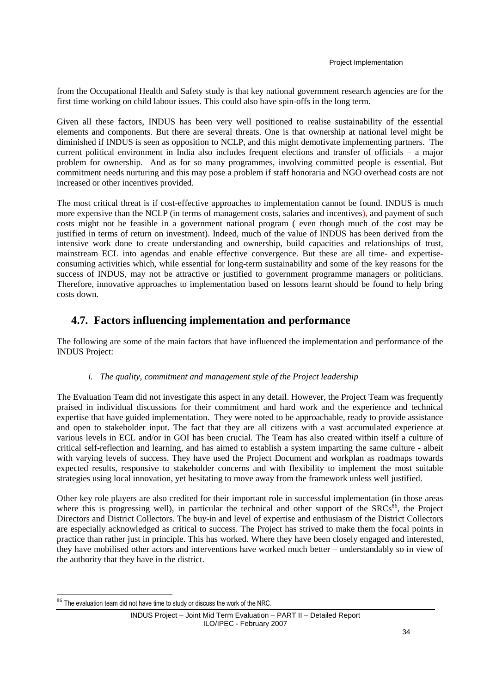from the Occupational Health and Safety study is that key national government research agencies are for the first time working on child labour issues. This could also have spin-offs in the long term.

Given all these factors, INDUS has been very well positioned to realise sustainability of the essential elements and components. But there are several threats. One is that ownership at national level might be diminished if INDUS is seen as opposition to NCLP, and this might demotivate implementing partners. The current political environment in India also includes frequent elections and transfer of officials – a major problem for ownership. And as for so many programmes, involving committed people is essential. But commitment needs nurturing and this may pose a problem if staff honoraria and NGO overhead costs are not increased or other incentives provided.

The most critical threat is if cost-effective approaches to implementation cannot be found. INDUS is much more expensive than the NCLP (in terms of management costs, salaries and incentives), and payment of such costs might not be feasible in a government national program ( even though much of the cost may be justified in terms of return on investment). Indeed, much of the value of INDUS has been derived from the intensive work done to create understanding and ownership, build capacities and relationships of trust, mainstream ECL into agendas and enable effective convergence. But these are all time- and expertiseconsuming activities which, while essential for long-term sustainability and some of the key reasons for the success of INDUS, may not be attractive or justified to government programme managers or politicians. Therefore, innovative approaches to implementation based on lessons learnt should be found to help bring costs down.

## **4.7. Factors influencing implementation and performance**

The following are some of the main factors that have influenced the implementation and performance of the INDUS Project:

### *i. The quality, commitment and management style of the Project leadership*

The Evaluation Team did not investigate this aspect in any detail. However, the Project Team was frequently praised in individual discussions for their commitment and hard work and the experience and technical expertise that have guided implementation. They were noted to be approachable, ready to provide assistance and open to stakeholder input. The fact that they are all citizens with a vast accumulated experience at various levels in ECL and/or in GOI has been crucial. The Team has also created within itself a culture of critical self-reflection and learning, and has aimed to establish a system imparting the same culture - albeit with varying levels of success. They have used the Project Document and workplan as roadmaps towards expected results, responsive to stakeholder concerns and with flexibility to implement the most suitable strategies using local innovation, yet hesitating to move away from the framework unless well justified.

Other key role players are also credited for their important role in successful implementation (in those areas where this is progressing well), in particular the technical and other support of the  $SRCs<sup>86</sup>$ , the Project Directors and District Collectors. The buy-in and level of expertise and enthusiasm of the District Collectors are especially acknowledged as critical to success. The Project has strived to make them the focal points in practice than rather just in principle. This has worked. Where they have been closely engaged and interested, they have mobilised other actors and interventions have worked much better – understandably so in view of the authority that they have in the district.

<sup>86</sup> The evaluation team did not have time to study or discuss the work of the NRC.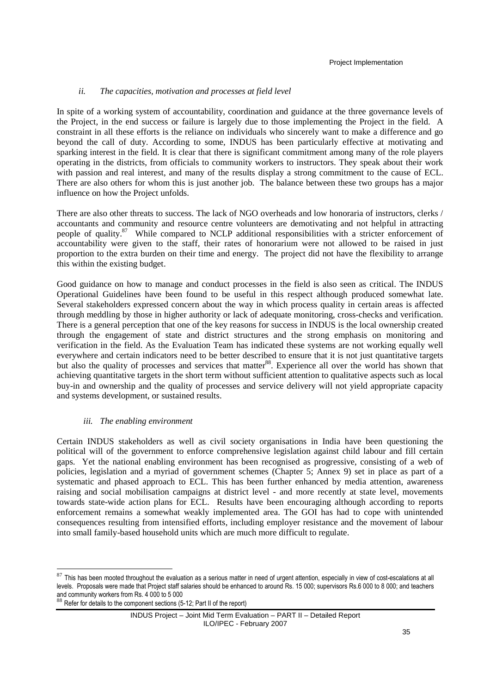#### *ii. The capacities, motivation and processes at field level*

In spite of a working system of accountability, coordination and guidance at the three governance levels of the Project, in the end success or failure is largely due to those implementing the Project in the field. A constraint in all these efforts is the reliance on individuals who sincerely want to make a difference and go beyond the call of duty. According to some, INDUS has been particularly effective at motivating and sparking interest in the field. It is clear that there is significant commitment among many of the role players operating in the districts, from officials to community workers to instructors. They speak about their work with passion and real interest, and many of the results display a strong commitment to the cause of ECL. There are also others for whom this is just another job. The balance between these two groups has a major influence on how the Project unfolds.

There are also other threats to success. The lack of NGO overheads and low honoraria of instructors, clerks / accountants and community and resource centre volunteers are demotivating and not helpful in attracting people of quality.<sup>87</sup> While compared to NCLP additional responsibilities with a stricter enforcement of accountability were given to the staff, their rates of honorarium were not allowed to be raised in just proportion to the extra burden on their time and energy. The project did not have the flexibility to arrange this within the existing budget.

Good guidance on how to manage and conduct processes in the field is also seen as critical. The INDUS Operational Guidelines have been found to be useful in this respect although produced somewhat late. Several stakeholders expressed concern about the way in which process quality in certain areas is affected through meddling by those in higher authority or lack of adequate monitoring, cross-checks and verification. There is a general perception that one of the key reasons for success in INDUS is the local ownership created through the engagement of state and district structures and the strong emphasis on monitoring and verification in the field. As the Evaluation Team has indicated these systems are not working equally well everywhere and certain indicators need to be better described to ensure that it is not just quantitative targets but also the quality of processes and services that matter<sup>88</sup>. Experience all over the world has shown that achieving quantitative targets in the short term without sufficient attention to qualitative aspects such as local buy-in and ownership and the quality of processes and service delivery will not yield appropriate capacity and systems development, or sustained results.

#### *iii. The enabling environment*

Certain INDUS stakeholders as well as civil society organisations in India have been questioning the political will of the government to enforce comprehensive legislation against child labour and fill certain gaps. Yet the national enabling environment has been recognised as progressive, consisting of a web of policies, legislation and a myriad of government schemes (Chapter 5; Annex 9) set in place as part of a systematic and phased approach to ECL. This has been further enhanced by media attention, awareness raising and social mobilisation campaigns at district level - and more recently at state level, movements towards state-wide action plans for ECL. Results have been encouraging although according to reports enforcement remains a somewhat weakly implemented area. The GOI has had to cope with unintended consequences resulting from intensified efforts, including employer resistance and the movement of labour into small family-based household units which are much more difficult to regulate.

 $87$  This has been mooted throughout the evaluation as a serious matter in need of urgent attention, especially in view of cost-escalations at all levels. Proposals were made that Project staff salaries should be enhanced to around Rs. 15 000; supervisors Rs.6 000 to 8 000; and teachers and community workers from Rs. 4 000 to 5 000

<sup>88</sup> Refer for details to the component sections (5-12; Part II of the report)

INDUS Project – Joint Mid Term Evaluation – PART II – Detailed Report ILO/IPEC - February 2007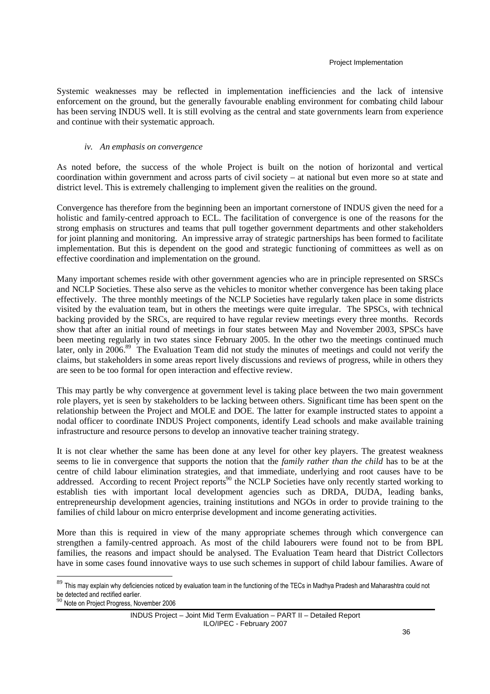#### Project Implementation

Systemic weaknesses may be reflected in implementation inefficiencies and the lack of intensive enforcement on the ground, but the generally favourable enabling environment for combating child labour has been serving INDUS well. It is still evolving as the central and state governments learn from experience and continue with their systematic approach.

#### *iv. An emphasis on convergence*

As noted before, the success of the whole Project is built on the notion of horizontal and vertical coordination within government and across parts of civil society – at national but even more so at state and district level. This is extremely challenging to implement given the realities on the ground.

Convergence has therefore from the beginning been an important cornerstone of INDUS given the need for a holistic and family-centred approach to ECL. The facilitation of convergence is one of the reasons for the strong emphasis on structures and teams that pull together government departments and other stakeholders for joint planning and monitoring. An impressive array of strategic partnerships has been formed to facilitate implementation. But this is dependent on the good and strategic functioning of committees as well as on effective coordination and implementation on the ground.

Many important schemes reside with other government agencies who are in principle represented on SRSCs and NCLP Societies. These also serve as the vehicles to monitor whether convergence has been taking place effectively. The three monthly meetings of the NCLP Societies have regularly taken place in some districts visited by the evaluation team, but in others the meetings were quite irregular. The SPSCs, with technical backing provided by the SRCs, are required to have regular review meetings every three months. Records show that after an initial round of meetings in four states between May and November 2003, SPSCs have been meeting regularly in two states since February 2005. In the other two the meetings continued much later, only in 2006.<sup>89</sup> The Evaluation Team did not study the minutes of meetings and could not verify the claims, but stakeholders in some areas report lively discussions and reviews of progress, while in others they are seen to be too formal for open interaction and effective review.

This may partly be why convergence at government level is taking place between the two main government role players, yet is seen by stakeholders to be lacking between others. Significant time has been spent on the relationship between the Project and MOLE and DOE. The latter for example instructed states to appoint a nodal officer to coordinate INDUS Project components, identify Lead schools and make available training infrastructure and resource persons to develop an innovative teacher training strategy.

It is not clear whether the same has been done at any level for other key players. The greatest weakness seems to lie in convergence that supports the notion that the *family rather than the child* has to be at the centre of child labour elimination strategies, and that immediate, underlying and root causes have to be addressed. According to recent Project reports<sup>90</sup> the NCLP Societies have only recently started working to establish ties with important local development agencies such as DRDA, DUDA, leading banks, entrepreneurship development agencies, training institutions and NGOs in order to provide training to the families of child labour on micro enterprise development and income generating activities.

More than this is required in view of the many appropriate schemes through which convergence can strengthen a family-centred approach. As most of the child labourers were found not to be from BPL families, the reasons and impact should be analysed. The Evaluation Team heard that District Collectors have in some cases found innovative ways to use such schemes in support of child labour families. Aware of

l

<sup>89</sup> This mav explain why deficiencies noticed by evaluation team in the functioning of the TECs in Madhya Pradesh and Maharashtra could not be detected and rectified earlier.

Note on Project Progress, November 2006

INDUS Project – Joint Mid Term Evaluation – PART II – Detailed Report ILO/IPEC - February 2007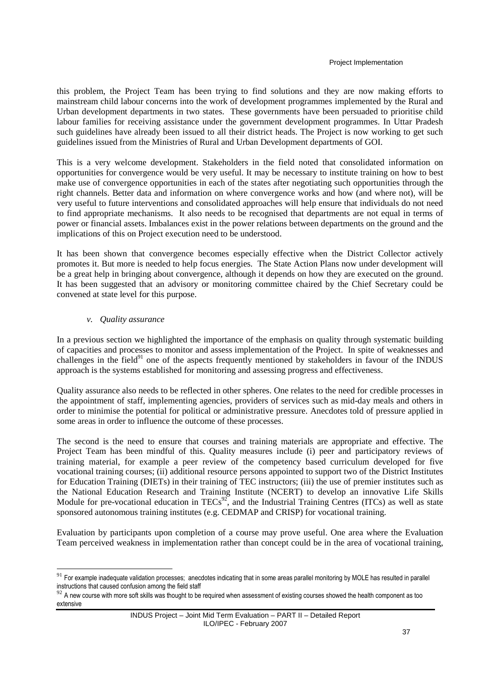this problem, the Project Team has been trying to find solutions and they are now making efforts to mainstream child labour concerns into the work of development programmes implemented by the Rural and Urban development departments in two states. These governments have been persuaded to prioritise child labour families for receiving assistance under the government development programmes. In Uttar Pradesh such guidelines have already been issued to all their district heads. The Project is now working to get such guidelines issued from the Ministries of Rural and Urban Development departments of GOI.

This is a very welcome development. Stakeholders in the field noted that consolidated information on opportunities for convergence would be very useful. It may be necessary to institute training on how to best make use of convergence opportunities in each of the states after negotiating such opportunities through the right channels. Better data and information on where convergence works and how (and where not), will be very useful to future interventions and consolidated approaches will help ensure that individuals do not need to find appropriate mechanisms. It also needs to be recognised that departments are not equal in terms of power or financial assets. Imbalances exist in the power relations between departments on the ground and the implications of this on Project execution need to be understood.

It has been shown that convergence becomes especially effective when the District Collector actively promotes it. But more is needed to help focus energies. The State Action Plans now under development will be a great help in bringing about convergence, although it depends on how they are executed on the ground. It has been suggested that an advisory or monitoring committee chaired by the Chief Secretary could be convened at state level for this purpose.

#### *v. Quality assurance*

 $\overline{a}$ 

In a previous section we highlighted the importance of the emphasis on quality through systematic building of capacities and processes to monitor and assess implementation of the Project. In spite of weaknesses and challenges in the field $91$  one of the aspects frequently mentioned by stakeholders in favour of the INDUS approach is the systems established for monitoring and assessing progress and effectiveness.

Quality assurance also needs to be reflected in other spheres. One relates to the need for credible processes in the appointment of staff, implementing agencies, providers of services such as mid-day meals and others in order to minimise the potential for political or administrative pressure. Anecdotes told of pressure applied in some areas in order to influence the outcome of these processes.

The second is the need to ensure that courses and training materials are appropriate and effective. The Project Team has been mindful of this. Quality measures include (i) peer and participatory reviews of training material, for example a peer review of the competency based curriculum developed for five vocational training courses; (ii) additional resource persons appointed to support two of the District Institutes for Education Training (DIETs) in their training of TEC instructors; (iii) the use of premier institutes such as the National Education Research and Training Institute (NCERT) to develop an innovative Life Skills Module for pre-vocational education in TECs<sup>92</sup>, and the Industrial Training Centres (ITCs) as well as state sponsored autonomous training institutes (e.g. CEDMAP and CRISP) for vocational training.

Evaluation by participants upon completion of a course may prove useful. One area where the Evaluation Team perceived weakness in implementation rather than concept could be in the area of vocational training,

 $91$  For example inadequate validation processes; anecdotes indicating that in some areas parallel monitoring by MOLE has resulted in parallel instructions that caused confusion among the field staff

 $92$  A new course with more soft skills was thought to be required when assessment of existing courses showed the health component as too extensive

INDUS Project – Joint Mid Term Evaluation – PART II – Detailed Report ILO/IPEC - February 2007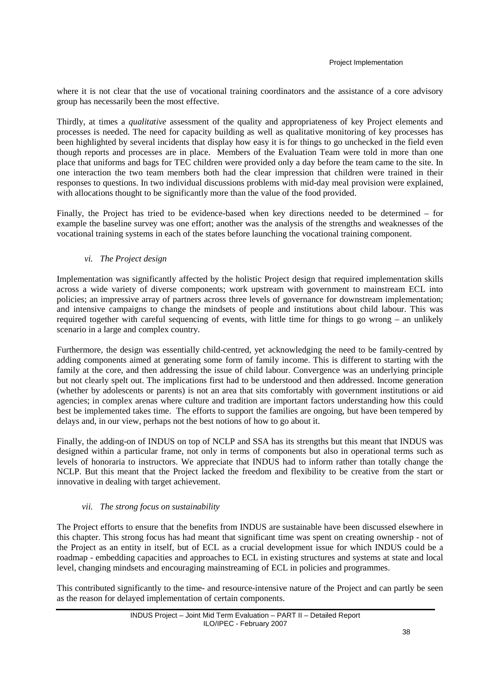where it is not clear that the use of vocational training coordinators and the assistance of a core advisory group has necessarily been the most effective.

Thirdly, at times a *qualitative* assessment of the quality and appropriateness of key Project elements and processes is needed. The need for capacity building as well as qualitative monitoring of key processes has been highlighted by several incidents that display how easy it is for things to go unchecked in the field even though reports and processes are in place. Members of the Evaluation Team were told in more than one place that uniforms and bags for TEC children were provided only a day before the team came to the site. In one interaction the two team members both had the clear impression that children were trained in their responses to questions. In two individual discussions problems with mid-day meal provision were explained, with allocations thought to be significantly more than the value of the food provided.

Finally, the Project has tried to be evidence-based when key directions needed to be determined – for example the baseline survey was one effort; another was the analysis of the strengths and weaknesses of the vocational training systems in each of the states before launching the vocational training component.

### *vi. The Project design*

Implementation was significantly affected by the holistic Project design that required implementation skills across a wide variety of diverse components; work upstream with government to mainstream ECL into policies; an impressive array of partners across three levels of governance for downstream implementation; and intensive campaigns to change the mindsets of people and institutions about child labour. This was required together with careful sequencing of events, with little time for things to go wrong – an unlikely scenario in a large and complex country.

Furthermore, the design was essentially child-centred, yet acknowledging the need to be family-centred by adding components aimed at generating some form of family income. This is different to starting with the family at the core, and then addressing the issue of child labour. Convergence was an underlying principle but not clearly spelt out. The implications first had to be understood and then addressed. Income generation (whether by adolescents or parents) is not an area that sits comfortably with government institutions or aid agencies; in complex arenas where culture and tradition are important factors understanding how this could best be implemented takes time. The efforts to support the families are ongoing, but have been tempered by delays and, in our view, perhaps not the best notions of how to go about it.

Finally, the adding-on of INDUS on top of NCLP and SSA has its strengths but this meant that INDUS was designed within a particular frame, not only in terms of components but also in operational terms such as levels of honoraria to instructors. We appreciate that INDUS had to inform rather than totally change the NCLP. But this meant that the Project lacked the freedom and flexibility to be creative from the start or innovative in dealing with target achievement.

### *vii. The strong focus on sustainability*

The Project efforts to ensure that the benefits from INDUS are sustainable have been discussed elsewhere in this chapter. This strong focus has had meant that significant time was spent on creating ownership - not of the Project as an entity in itself, but of ECL as a crucial development issue for which INDUS could be a roadmap - embedding capacities and approaches to ECL in existing structures and systems at state and local level, changing mindsets and encouraging mainstreaming of ECL in policies and programmes.

This contributed significantly to the time- and resource-intensive nature of the Project and can partly be seen as the reason for delayed implementation of certain components.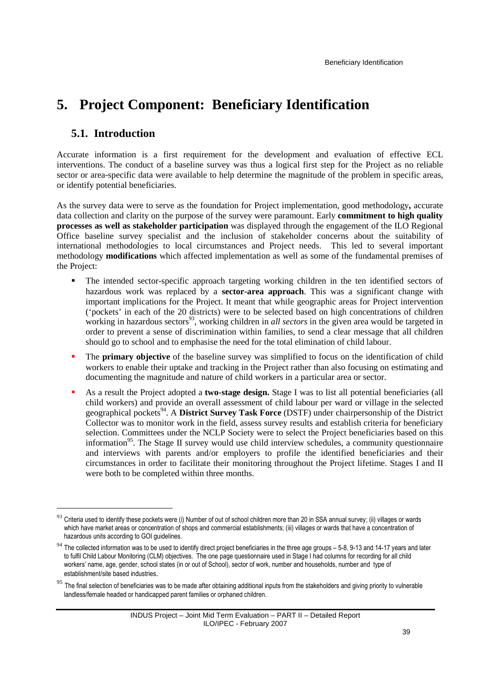# **5. Project Component: Beneficiary Identification**

## **5.1. Introduction**

 $\ddot{ }$ 

Accurate information is a first requirement for the development and evaluation of effective ECL interventions. The conduct of a baseline survey was thus a logical first step for the Project as no reliable sector or area-specific data were available to help determine the magnitude of the problem in specific areas, or identify potential beneficiaries.

As the survey data were to serve as the foundation for Project implementation, good methodology**,** accurate data collection and clarity on the purpose of the survey were paramount. Early **commitment to high quality processes as well as stakeholder participation** was displayed through the engagement of the ILO Regional Office baseline survey specialist and the inclusion of stakeholder concerns about the suitability of international methodologies to local circumstances and Project needs. This led to several important methodology **modifications** which affected implementation as well as some of the fundamental premises of the Project:

- The intended sector-specific approach targeting working children in the ten identified sectors of hazardous work was replaced by a **sector-area approach**. This was a significant change with important implications for the Project. It meant that while geographic areas for Project intervention ('pockets' in each of the 20 districts) were to be selected based on high concentrations of children working in hazardous sectors<sup>93</sup>, working children in *all sectors* in the given area would be targeted in order to prevent a sense of discrimination within families, to send a clear message that all children should go to school and to emphasise the need for the total elimination of child labour.
- The **primary objective** of the baseline survey was simplified to focus on the identification of child workers to enable their uptake and tracking in the Project rather than also focusing on estimating and documenting the magnitude and nature of child workers in a particular area or sector.
- As a result the Project adopted a **two-stage design.** Stage I was to list all potential beneficiaries (all child workers) and provide an overall assessment of child labour per ward or village in the selected geographical pockets<sup>94</sup>. A **District Survey Task Force** (DSTF) under chairpersonship of the District Collector was to monitor work in the field, assess survey results and establish criteria for beneficiary selection. Committees under the NCLP Society were to select the Project beneficiaries based on this information<sup>95</sup>. The Stage II survey would use child interview schedules, a community questionnaire and interviews with parents and/or employers to profile the identified beneficiaries and their circumstances in order to facilitate their monitoring throughout the Project lifetime. Stages I and II were both to be completed within three months.

<sup>93</sup> Criteria used to identify these pockets were (i) Number of out of school children more than 20 in SSA annual survey; (ii) villages or wards which have market areas or concentration of shops and commercial establishments; (iii) villages or wards that have a concentration of hazardous units according to GOI guidelines.

 $94$  The collected information was to be used to identify direct project beneficiaries in the three age groups  $-5-8$ , 9-13 and 14-17 years and later to fulfil Child Labour Monitoring (CLM) objectives. The one page questionnaire used in Stage I had columns for recording for all child workers' name, age, gender, school states (in or out of School), sector of work, number and households, number and type of establishment/site based industries.

<sup>&</sup>lt;sup>95</sup> The final selection of beneficiaries was to be made after obtaining additional inputs from the stakeholders and giving priority to vulnerable landless/female headed or handicapped parent families or orphaned children.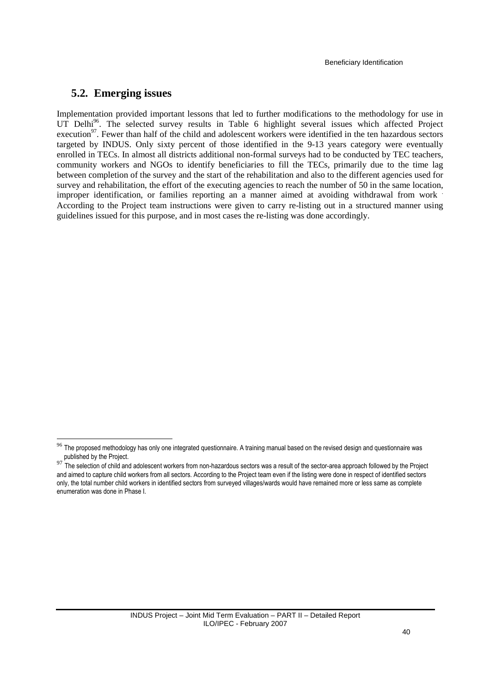### **5.2. Emerging issues**

l

Implementation provided important lessons that led to further modifications to the methodology for use in UT Delhi<sup>96</sup>. The selected survey results in Table 6 highlight several issues which affected Project execution<sup>97</sup>. Fewer than half of the child and adolescent workers were identified in the ten hazardous sectors targeted by INDUS. Only sixty percent of those identified in the 9-13 years category were eventually enrolled in TECs. In almost all districts additional non-formal surveys had to be conducted by TEC teachers, community workers and NGOs to identify beneficiaries to fill the TECs, primarily due to the time lag between completion of the survey and the start of the rehabilitation and also to the different agencies used for survey and rehabilitation, the effort of the executing agencies to reach the number of 50 in the same location, improper identification, or families reporting an a manner aimed at avoiding withdrawal from work . According to the Project team instructions were given to carry re-listing out in a structured manner using guidelines issued for this purpose, and in most cases the re-listing was done accordingly.

 $^{96}$  The proposed methodology has only one integrated questionnaire. A training manual based on the revised design and questionnaire was published by the Project.

<sup>97</sup> The selection of child and adolescent workers from non-hazardous sectors was a result of the sector-area approach followed by the Project and aimed to capture child workers from all sectors. According to the Project team even if the listing were done in respect of identified sectors only, the total number child workers in identified sectors from surveyed villages/wards would have remained more or less same as complete enumeration was done in Phase I.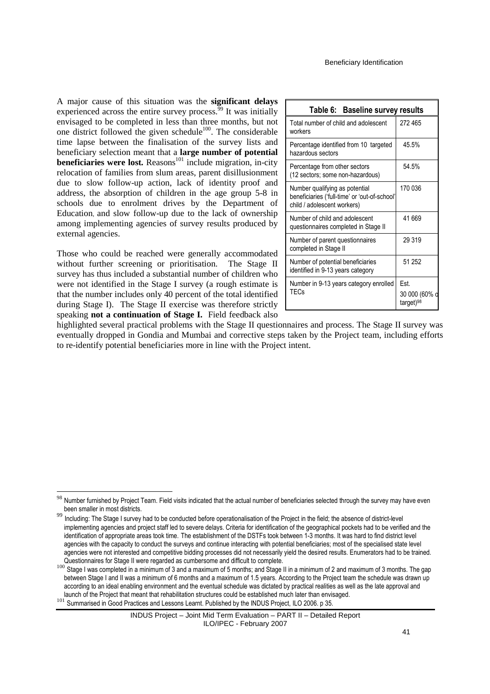A major cause of this situation was the **significant delays** experienced across the entire survey process.<sup>99</sup> It was initially envisaged to be completed in less than three months, but not one district followed the given schedule $100$ . The considerable time lapse between the finalisation of the survey lists and beneficiary selection meant that a **large number of potential beneficiaries were lost.** Reasons<sup>101</sup> include migration, in-city relocation of families from slum areas, parent disillusionment due to slow follow-up action, lack of identity proof and address, the absorption of children in the age group 5-8 in schools due to enrolment drives by the Department of Education, and slow follow-up due to the lack of ownership among implementing agencies of survey results produced by external agencies.

Those who could be reached were generally accommodated without further screening or prioritisation. The Stage II survey has thus included a substantial number of children who were not identified in the Stage I survey (a rough estimate is that the number includes only 40 percent of the total identified during Stage I). The Stage II exercise was therefore strictly speaking **not a continuation of Stage I.** Field feedback also

 $\overline{a}$ 

| Table 6: Baseline survey results                                                                               |                                                |
|----------------------------------------------------------------------------------------------------------------|------------------------------------------------|
| Total number of child and adolescent<br>workers                                                                | 272 465                                        |
| Percentage identified from 10 targeted<br>hazardous sectors                                                    | 45.5%                                          |
| Percentage from other sectors<br>(12 sectors; some non-hazardous)                                              | 54.5%                                          |
| Number qualifying as potential<br>beneficiaries ('full-time' or 'out-of-school'<br>child / adolescent workers) | 170 036                                        |
| Number of child and adolescent<br>questionnaires completed in Stage II                                         | 41 669                                         |
| Number of parent questionnaires<br>completed in Stage II                                                       | 29 319                                         |
| Number of potential beneficiaries<br>identified in 9-13 years category                                         | 51 252                                         |
| Number in 9-13 years category enrolled<br>TECs                                                                 | Est.<br>30 000 (60% c<br>target) <sup>98</sup> |

highlighted several practical problems with the Stage II questionnaires and process. The Stage II survey was eventually dropped in Gondia and Mumbai and corrective steps taken by the Project team, including efforts to re-identify potential beneficiaries more in line with the Project intent.

Number furnished by Project Team. Field visits indicated that the actual number of beneficiaries selected through the survey may have even been smaller in most districts.

<sup>99</sup> Including: The Stage I survey had to be conducted before operationalisation of the Project in the field; the absence of district-level implementing agencies and project staff led to severe delays. Criteria for identification of the geographical pockets had to be verified and the identification of appropriate areas took time. The establishment of the DSTFs took between 1-3 months. It was hard to find district level agencies with the capacity to conduct the surveys and continue interacting with potential beneficiaries; most of the specialised state level agencies were not interested and competitive bidding processes did not necessarily yield the desired results. Enumerators had to be trained. Questionnaires for Stage II were regarded as cumbersome and difficult to complete.

<sup>100</sup> Stage I was completed in a minimum of 3 and a maximum of 5 months; and Stage II in a minimum of 2 and maximum of 3 months. The gap between Stage I and II was a minimum of 6 months and a maximum of 1.5 years. According to the Project team the schedule was drawn up according to an ideal enabling environment and the eventual schedule was dictated by practical realities as well as the late approval and launch of the Project that meant that rehabilitation structures could be established much later than envisaged. 101 Summarised in Good Practices and Lessons Learnt. Published by the INDUS Project, ILO 2006. p 35.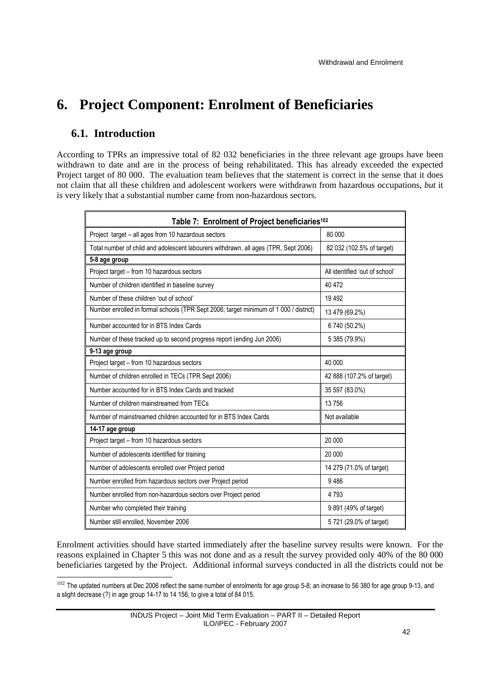# **6. Project Component: Enrolment of Beneficiaries**

## **6.1. Introduction**

 $\overline{a}$ 

According to TPRs an impressive total of 82 032 beneficiaries in the three relevant age groups have been withdrawn to date and are in the process of being rehabilitated. This has already exceeded the expected Project target of 80 000. The evaluation team believes that the statement is correct in the sense that it does not claim that all these children and adolescent workers were withdrawn from hazardous occupations, *but* it is very likely that a substantial number came from non-hazardous sectors.

| Table 7: Enrolment of Project beneficiaries <sup>102</sup>                            |                                |  |  |  |  |
|---------------------------------------------------------------------------------------|--------------------------------|--|--|--|--|
| Project target - all ages from 10 hazardous sectors                                   | 80 000                         |  |  |  |  |
| Total number of child and adolescent labourers withdrawn, all ages (TPR, Sept 2006)   | 82 032 (102.5% of target)      |  |  |  |  |
| 5-8 age group                                                                         |                                |  |  |  |  |
| Project target - from 10 hazardous sectors                                            | All identified 'out of school' |  |  |  |  |
| Number of children identified in baseline survey                                      | 40 472                         |  |  |  |  |
| Number of these children 'out of school'                                              | 19 4 9 2                       |  |  |  |  |
| Number enrolled in formal schools (TPR Sept 2006; target minimum of 1 000 / district) | 13 479 (69.2%)                 |  |  |  |  |
| Number accounted for in BTS Index Cards                                               | 6 740 (50.2%)                  |  |  |  |  |
| Number of these tracked up to second progress report (ending Jun 2006)                | 5 385 (79.9%)                  |  |  |  |  |
| 9-13 age group                                                                        |                                |  |  |  |  |
| Project target - from 10 hazardous sectors                                            | 40 000                         |  |  |  |  |
| Number of children enrolled in TECs (TPR Sept 2006)                                   | 42 888 (107.2% of target)      |  |  |  |  |
| Number accounted for in BTS Index Cards and tracked                                   | 35 597 (83.0%)                 |  |  |  |  |
| Number of children mainstreamed from TECs                                             | 13756                          |  |  |  |  |
| Number of mainstreamed children accounted for in BTS Index Cards                      | Not available                  |  |  |  |  |
| 14-17 age group                                                                       |                                |  |  |  |  |
| Project target - from 10 hazardous sectors                                            | 20 000                         |  |  |  |  |
| Number of adolescents identified for training                                         | 20 000                         |  |  |  |  |
| Number of adolescents enrolled over Project period                                    | 14 279 (71.0% of target)       |  |  |  |  |
| Number enrolled from hazardous sectors over Project period                            | 9486                           |  |  |  |  |
| Number enrolled from non-hazardous sectors over Project period                        | 4 7 9 3                        |  |  |  |  |
| Number who completed their training                                                   | 9 891 (49% of target)          |  |  |  |  |
| Number still enrolled, November 2006                                                  | 5721 (29.0% of target)         |  |  |  |  |

Enrolment activities should have started immediately after the baseline survey results were known. For the reasons explained in Chapter 5 this was not done and as a result the survey provided only 40% of the 80 000 beneficiaries targeted by the Project. Additional informal surveys conducted in all the districts could not be

 $^{102}$  The updated numbers at Dec 2006 reflect the same number of enrolments for age group 5-8; an increase to 56 380 for age group 9-13, and a slight decrease (?) in age group 14-17 to 14 156, to give a total of 84 015.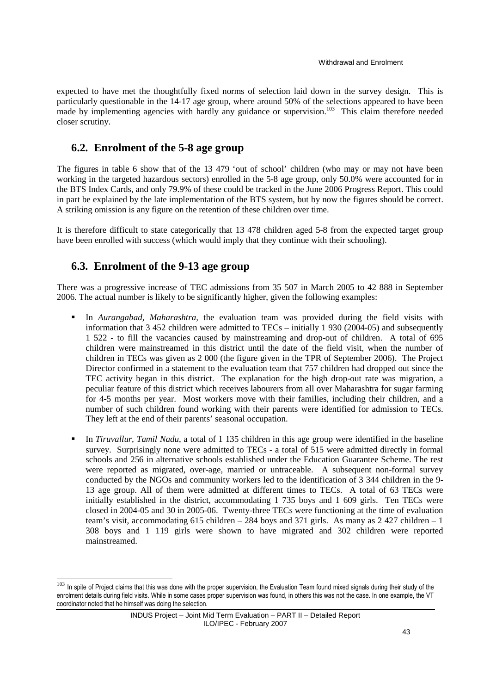expected to have met the thoughtfully fixed norms of selection laid down in the survey design. This is particularly questionable in the 14-17 age group, where around 50% of the selections appeared to have been made by implementing agencies with hardly any guidance or supervision.<sup>103</sup> This claim therefore needed made by implementing agencies with hardly any guidance or supervision.<sup>103</sup> closer scrutiny.

## **6.2. Enrolment of the 5-8 age group**

The figures in table 6 show that of the 13 479 'out of school' children (who may or may not have been working in the targeted hazardous sectors) enrolled in the 5-8 age group, only 50.0% were accounted for in the BTS Index Cards, and only 79.9% of these could be tracked in the June 2006 Progress Report. This could in part be explained by the late implementation of the BTS system, but by now the figures should be correct. A striking omission is any figure on the retention of these children over time.

It is therefore difficult to state categorically that 13 478 children aged 5-8 from the expected target group have been enrolled with success (which would imply that they continue with their schooling).

## **6.3. Enrolment of the 9-13 age group**

 $\overline{a}$ 

There was a progressive increase of TEC admissions from 35 507 in March 2005 to 42 888 in September 2006. The actual number is likely to be significantly higher, given the following examples:

- In *Aurangabad, Maharashtra,* the evaluation team was provided during the field visits with information that 3 452 children were admitted to TECs – initially 1 930 (2004-05) and subsequently 1 522 - to fill the vacancies caused by mainstreaming and drop-out of children. A total of 695 children were mainstreamed in this district until the date of the field visit, when the number of children in TECs was given as 2 000 (the figure given in the TPR of September 2006). The Project Director confirmed in a statement to the evaluation team that 757 children had dropped out since the TEC activity began in this district. The explanation for the high drop-out rate was migration, a peculiar feature of this district which receives labourers from all over Maharashtra for sugar farming for 4-5 months per year. Most workers move with their families, including their children, and a number of such children found working with their parents were identified for admission to TECs. They left at the end of their parents' seasonal occupation.
- In *Tiruvallur, Tamil Nadu*, a total of 1 135 children in this age group were identified in the baseline survey. Surprisingly none were admitted to TECs - a total of 515 were admitted directly in formal schools and 256 in alternative schools established under the Education Guarantee Scheme. The rest were reported as migrated, over-age, married or untraceable. A subsequent non-formal survey conducted by the NGOs and community workers led to the identification of 3 344 children in the 9- 13 age group. All of them were admitted at different times to TECs. A total of 63 TECs were initially established in the district, accommodating 1 735 boys and 1 609 girls. Ten TECs were closed in 2004-05 and 30 in 2005-06. Twenty-three TECs were functioning at the time of evaluation team's visit, accommodating 615 children – 284 boys and 371 girls. As many as 2 427 children – 1 308 boys and 1 119 girls were shown to have migrated and 302 children were reported mainstreamed.

<sup>&</sup>lt;sup>103</sup> In spite of Project claims that this was done with the proper supervision, the Evaluation Team found mixed signals during their study of the enrolment details during field visits. While in some cases proper supervision was found, in others this was not the case. In one example, the VT coordinator noted that he himself was doing the selection.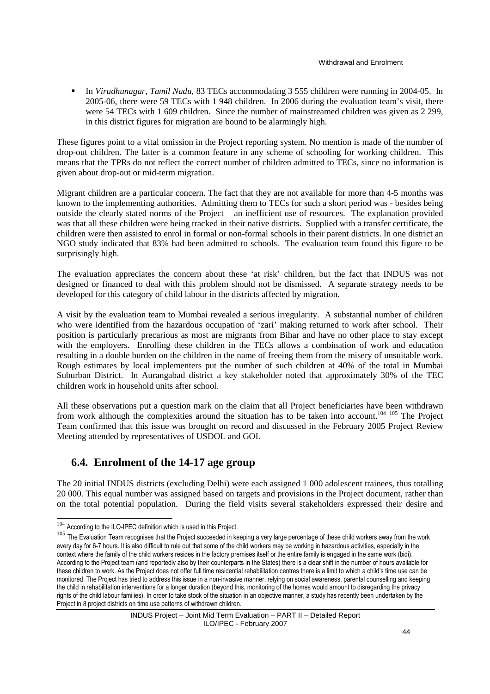In *Virudhunagar, Tamil Nadu*, 83 TECs accommodating 3 555 children were running in 2004-05. In 2005-06, there were 59 TECs with 1 948 children. In 2006 during the evaluation team's visit, there were 54 TECs with 1 609 children. Since the number of mainstreamed children was given as 2 299, in this district figures for migration are bound to be alarmingly high.

These figures point to a vital omission in the Project reporting system. No mention is made of the number of drop-out children. The latter is a common feature in any scheme of schooling for working children. This means that the TPRs do not reflect the correct number of children admitted to TECs, since no information is given about drop-out or mid-term migration.

Migrant children are a particular concern. The fact that they are not available for more than 4-5 months was known to the implementing authorities. Admitting them to TECs for such a short period was - besides being outside the clearly stated norms of the Project – an inefficient use of resources. The explanation provided was that all these children were being tracked in their native districts. Supplied with a transfer certificate, the children were then assisted to enrol in formal or non-formal schools in their parent districts. In one district an NGO study indicated that 83% had been admitted to schools. The evaluation team found this figure to be surprisingly high.

The evaluation appreciates the concern about these 'at risk' children, but the fact that INDUS was not designed or financed to deal with this problem should not be dismissed. A separate strategy needs to be developed for this category of child labour in the districts affected by migration.

A visit by the evaluation team to Mumbai revealed a serious irregularity. A substantial number of children who were identified from the hazardous occupation of 'zari' making returned to work after school. Their position is particularly precarious as most are migrants from Bihar and have no other place to stay except with the employers. Enrolling these children in the TECs allows a combination of work and education resulting in a double burden on the children in the name of freeing them from the misery of unsuitable work. Rough estimates by local implementers put the number of such children at 40% of the total in Mumbai Suburban District. In Aurangabad district a key stakeholder noted that approximately 30% of the TEC children work in household units after school.

All these observations put a question mark on the claim that all Project beneficiaries have been withdrawn from work although the complexities around the situation has to be taken into account.<sup>104 105</sup> The Project Team confirmed that this issue was brought on record and discussed in the February 2005 Project Review Meeting attended by representatives of USDOL and GOI.

## **6.4. Enrolment of the 14-17 age group**

The 20 initial INDUS districts (excluding Delhi) were each assigned 1 000 adolescent trainees, thus totalling 20 000. This equal number was assigned based on targets and provisions in the Project document, rather than on the total potential population. During the field visits several stakeholders expressed their desire and

 $104$  According to the ILO-IPEC definition which is used in this Project.

<sup>&</sup>lt;sup>105</sup> The Evaluation Team recognises that the Project succeeded in keeping a very large percentage of these child workers away from the work every day for 6-7 hours. It is also difficult to rule out that some of the child workers may be working in hazardous activities, especially in the context where the family of the child workers resides in the factory premises itself or the entire family is engaged in the same work (bidi). According to the Project team (and reportedly also by their counterparts in the States) there is a clear shift in the number of hours available for these children to work. As the Project does not offer full time residential rehabilitation centres there is a limit to which a child's time use can be monitored. The Project has tried to address this issue in a non-invasive manner, relying on social awareness, parental counselling and keeping the child in rehabilitation interventions for a longer duration (beyond this, monitoring of the homes would amount to disregarding the privacy rights of the child labour families). In order to take stock of the situation in an objective manner, a study has recently been undertaken by the Project in 8 project districts on time use patterns of withdrawn children.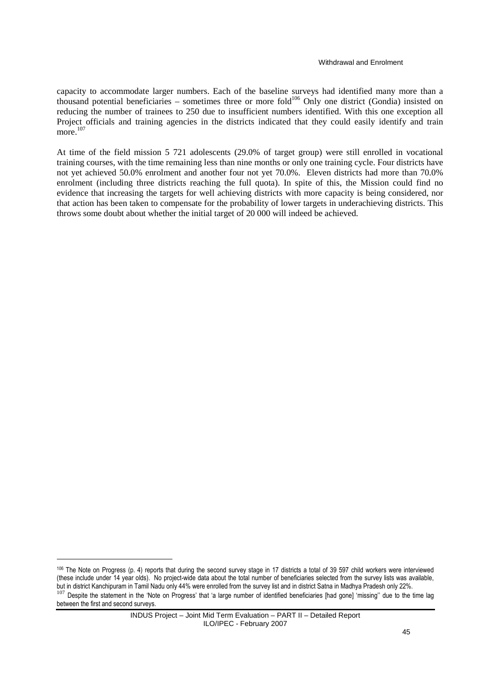capacity to accommodate larger numbers. Each of the baseline surveys had identified many more than a thousand potential beneficiaries – sometimes three or more fold<sup>106</sup> Only one district (Gondia) insisted on reducing the number of trainees to 250 due to insufficient numbers identified. With this one exception all Project officials and training agencies in the districts indicated that they could easily identify and train more.<sup>107</sup>

At time of the field mission 5 721 adolescents (29.0% of target group) were still enrolled in vocational training courses, with the time remaining less than nine months or only one training cycle. Four districts have not yet achieved 50.0% enrolment and another four not yet 70.0%. Eleven districts had more than 70.0% enrolment (including three districts reaching the full quota). In spite of this, the Mission could find no evidence that increasing the targets for well achieving districts with more capacity is being considered, nor that action has been taken to compensate for the probability of lower targets in underachieving districts. This throws some doubt about whether the initial target of 20 000 will indeed be achieved.

<sup>106</sup> The Note on Progress (p. 4) reports that during the second survey stage in 17 districts a total of 39 597 child workers were interviewed (these include under 14 year olds). No project-wide data about the total number of beneficiaries selected from the survey lists was available, but in district Kanchipuram in Tamil Nadu only 44% were enrolled from the survey list and in district Satna in Madhya Pradesh only 22%. <sup>107</sup> Despite the statement in the 'Note on Progress' that 'a large number of identified beneficiaries [had gone] 'missing'' due to the time lag

between the first and second surveys.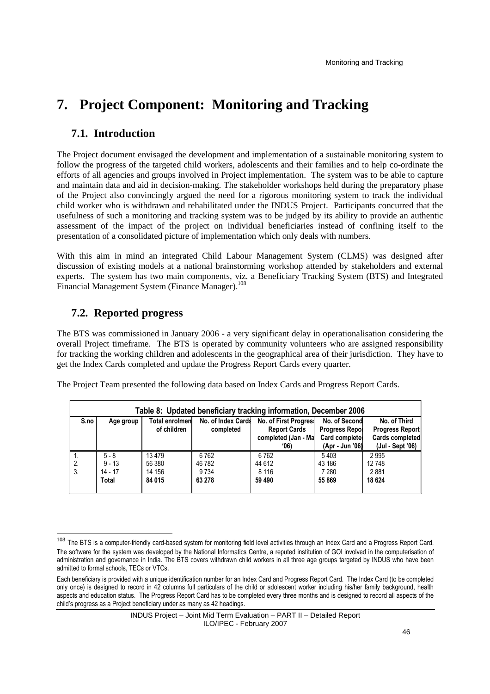# **7. Project Component: Monitoring and Tracking**

## **7.1. Introduction**

The Project document envisaged the development and implementation of a sustainable monitoring system to follow the progress of the targeted child workers, adolescents and their families and to help co-ordinate the efforts of all agencies and groups involved in Project implementation. The system was to be able to capture and maintain data and aid in decision-making. The stakeholder workshops held during the preparatory phase of the Project also convincingly argued the need for a rigorous monitoring system to track the individual child worker who is withdrawn and rehabilitated under the INDUS Project. Participants concurred that the usefulness of such a monitoring and tracking system was to be judged by its ability to provide an authentic assessment of the impact of the project on individual beneficiaries instead of confining itself to the presentation of a consolidated picture of implementation which only deals with numbers.

With this aim in mind an integrated Child Labour Management System (CLMS) was designed after discussion of existing models at a national brainstorming workshop attended by stakeholders and external experts. The system has two main components, viz. a Beneficiary Tracking System (BTS) and Integrated Financial Management System (Finance Manager).<sup>108</sup>

# **7.2. Reported progress**

The BTS was commissioned in January 2006 - a very significant delay in operationalisation considering the overall Project timeframe. The BTS is operated by community volunteers who are assigned responsibility for tracking the working children and adolescents in the geographical area of their jurisdiction. They have to get the Index Cards completed and update the Progress Report Cards every quarter.

|      | Table 8: Updated beneficiary tracking information, December 2006                                   |             |           |                     |                       |                        |  |  |  |
|------|----------------------------------------------------------------------------------------------------|-------------|-----------|---------------------|-----------------------|------------------------|--|--|--|
| S.no | No. of Second<br><b>Total enrolmen</b><br>No. of Index Cards<br>No. of First Progress<br>Age group |             |           |                     |                       |                        |  |  |  |
|      |                                                                                                    | of children | completed | <b>Report Cards</b> | <b>Progress Repol</b> | <b>Progress Report</b> |  |  |  |
|      |                                                                                                    |             |           | completed (Jan - Ma | Card complete         | <b>Cards completed</b> |  |  |  |
|      |                                                                                                    |             |           | (06)                | (Apr - Jun '06)       | (Jul - Sept '06)       |  |  |  |
| .,   | $5 - 8$                                                                                            | 13479       | 6762      | 6762                | 5403                  | 2995                   |  |  |  |
| 2.   | $9 - 13$                                                                                           | 56 380      | 46782     | 44 612              | 43 186                | 12748                  |  |  |  |
| 3.   | $14 - 17$                                                                                          | 14 156      | 9734      | 8 1 1 6             | 7 280                 | 2881                   |  |  |  |
|      | Total                                                                                              | 84 015      | 63 278    | 59 490              | 55 869                | 18 624                 |  |  |  |
|      |                                                                                                    |             |           |                     |                       |                        |  |  |  |

The Project Team presented the following data based on Index Cards and Progress Report Cards.

<sup>108</sup> The BTS is a computer-friendly card-based system for monitoring field level activities through an Index Card and a Progress Report Card. The software for the system was developed by the National Informatics Centre, a reputed institution of GOI involved in the computerisation of administration and governance in India. The BTS covers withdrawn child workers in all three age groups targeted by INDUS who have been admitted to formal schools, TECs or VTCs.

Each beneficiary is provided with a unique identification number for an Index Card and Progress Report Card. The Index Card (to be completed only once) is designed to record in 42 columns full particulars of the child or adolescent worker including his/her family background, health aspects and education status. The Progress Report Card has to be completed every three months and is designed to record all aspects of the child's progress as a Project beneficiary under as many as 42 headings.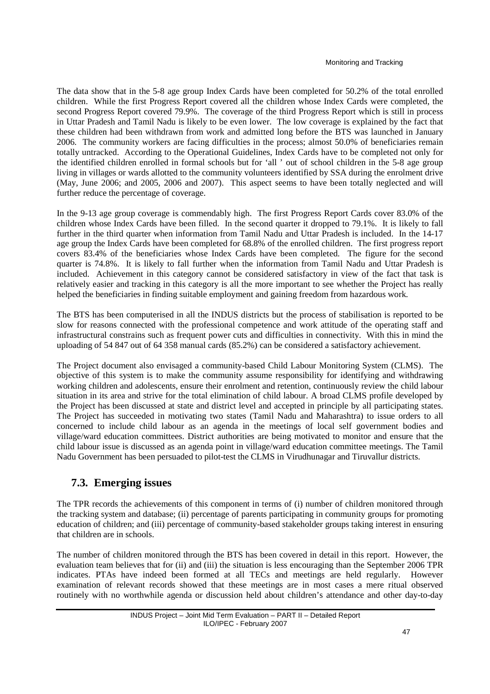The data show that in the 5-8 age group Index Cards have been completed for 50.2% of the total enrolled children. While the first Progress Report covered all the children whose Index Cards were completed, the second Progress Report covered 79.9%. The coverage of the third Progress Report which is still in process in Uttar Pradesh and Tamil Nadu is likely to be even lower. The low coverage is explained by the fact that these children had been withdrawn from work and admitted long before the BTS was launched in January 2006. The community workers are facing difficulties in the process; almost 50.0% of beneficiaries remain totally untracked. According to the Operational Guidelines, Index Cards have to be completed not only for the identified children enrolled in formal schools but for 'all ' out of school children in the 5-8 age group living in villages or wards allotted to the community volunteers identified by SSA during the enrolment drive (May, June 2006; and 2005, 2006 and 2007). This aspect seems to have been totally neglected and will further reduce the percentage of coverage.

In the 9-13 age group coverage is commendably high. The first Progress Report Cards cover 83.0% of the children whose Index Cards have been filled. In the second quarter it dropped to 79.1%. It is likely to fall further in the third quarter when information from Tamil Nadu and Uttar Pradesh is included. In the 14-17 age group the Index Cards have been completed for 68.8% of the enrolled children. The first progress report covers 83.4% of the beneficiaries whose Index Cards have been completed. The figure for the second quarter is 74.8%. It is likely to fall further when the information from Tamil Nadu and Uttar Pradesh is included. Achievement in this category cannot be considered satisfactory in view of the fact that task is relatively easier and tracking in this category is all the more important to see whether the Project has really helped the beneficiaries in finding suitable employment and gaining freedom from hazardous work.

The BTS has been computerised in all the INDUS districts but the process of stabilisation is reported to be slow for reasons connected with the professional competence and work attitude of the operating staff and infrastructural constrains such as frequent power cuts and difficulties in connectivity. With this in mind the uploading of 54 847 out of 64 358 manual cards (85.2%) can be considered a satisfactory achievement.

The Project document also envisaged a community-based Child Labour Monitoring System (CLMS). The objective of this system is to make the community assume responsibility for identifying and withdrawing working children and adolescents, ensure their enrolment and retention, continuously review the child labour situation in its area and strive for the total elimination of child labour. A broad CLMS profile developed by the Project has been discussed at state and district level and accepted in principle by all participating states. The Project has succeeded in motivating two states (Tamil Nadu and Maharashtra) to issue orders to all concerned to include child labour as an agenda in the meetings of local self government bodies and village/ward education committees. District authorities are being motivated to monitor and ensure that the child labour issue is discussed as an agenda point in village/ward education committee meetings. The Tamil Nadu Government has been persuaded to pilot-test the CLMS in Virudhunagar and Tiruvallur districts.

# **7.3. Emerging issues**

The TPR records the achievements of this component in terms of (i) number of children monitored through the tracking system and database; (ii) percentage of parents participating in community groups for promoting education of children; and (iii) percentage of community-based stakeholder groups taking interest in ensuring that children are in schools.

The number of children monitored through the BTS has been covered in detail in this report. However, the evaluation team believes that for (ii) and (iii) the situation is less encouraging than the September 2006 TPR indicates. PTAs have indeed been formed at all TECs and meetings are held regularly. However examination of relevant records showed that these meetings are in most cases a mere ritual observed routinely with no worthwhile agenda or discussion held about children's attendance and other day-to-day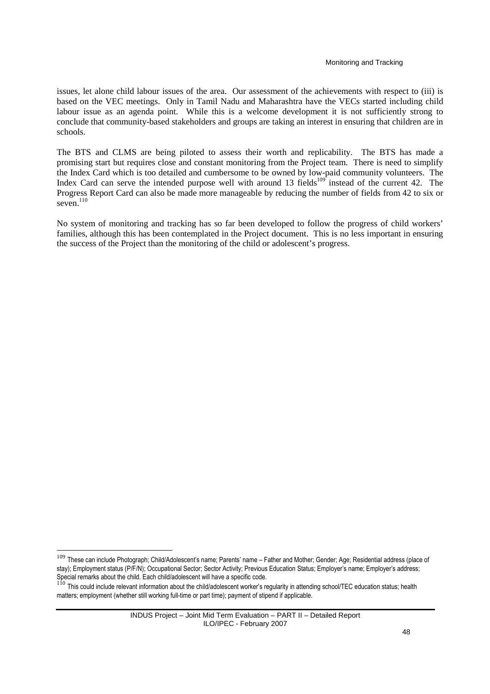issues, let alone child labour issues of the area. Our assessment of the achievements with respect to (iii) is based on the VEC meetings. Only in Tamil Nadu and Maharashtra have the VECs started including child labour issue as an agenda point. While this is a welcome development it is not sufficiently strong to conclude that community-based stakeholders and groups are taking an interest in ensuring that children are in schools.

The BTS and CLMS are being piloted to assess their worth and replicability. The BTS has made a promising start but requires close and constant monitoring from the Project team. There is need to simplify the Index Card which is too detailed and cumbersome to be owned by low-paid community volunteers. The Index Card can serve the intended purpose well with around 13 fields<sup>109</sup> instead of the current 42. The Progress Report Card can also be made more manageable by reducing the number of fields from 42 to six or seven. $^{110}$ 

No system of monitoring and tracking has so far been developed to follow the progress of child workers' families, although this has been contemplated in the Project document. This is no less important in ensuring the success of the Project than the monitoring of the child or adolescent's progress.

<sup>109</sup> These can include Photograph; Child/Adolescent's name; Parents' name – Father and Mother; Gender; Age; Residential address (place of stay); Employment status (P/F/N); Occupational Sector; Sector Activity; Previous Education Status; Employer's name; Employer's address; Special remarks about the child. Each child/adolescent will have a specific code.

 $1^{10}$  This could include relevant information about the child/adolescent worker's regularity in attending school/TEC education status; health matters; employment (whether still working full-time or part time); payment of stipend if applicable.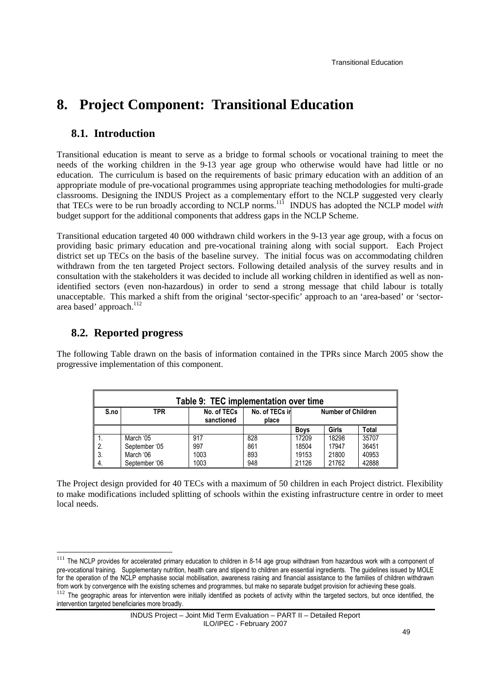# **8. Project Component: Transitional Education**

## **8.1. Introduction**

Transitional education is meant to serve as a bridge to formal schools or vocational training to meet the needs of the working children in the 9-13 year age group who otherwise would have had little or no education. The curriculum is based on the requirements of basic primary education with an addition of an appropriate module of pre-vocational programmes using appropriate teaching methodologies for multi-grade classrooms. Designing the INDUS Project as a complementary effort to the NCLP suggested very clearly that TECs were to be run broadly according to NCLP norms.<sup>111</sup> INDUS has adopted the NCLP model *with* budget support for the additional components that address gaps in the NCLP Scheme.

Transitional education targeted 40 000 withdrawn child workers in the 9-13 year age group, with a focus on providing basic primary education and pre-vocational training along with social support. Each Project district set up TECs on the basis of the baseline survey. The initial focus was on accommodating children withdrawn from the ten targeted Project sectors. Following detailed analysis of the survey results and in consultation with the stakeholders it was decided to include all working children in identified as well as nonidentified sectors (even non-hazardous) in order to send a strong message that child labour is totally unacceptable. This marked a shift from the original 'sector-specific' approach to an 'area-based' or 'sectorarea based' approach.<sup>112</sup>

## **8.2. Reported progress**

The following Table drawn on the basis of information contained in the TPRs since March 2005 show the progressive implementation of this component.

| Table 9: TEC implementation over time |               |                           |                         |                           |       |       |  |  |
|---------------------------------------|---------------|---------------------------|-------------------------|---------------------------|-------|-------|--|--|
| S.no                                  | TPR           | No. of TECs<br>sanctioned | No. of TECs in<br>place | <b>Number of Children</b> |       |       |  |  |
|                                       |               |                           |                         | <b>Boys</b>               | Girls | Total |  |  |
|                                       | March '05     | 917                       | 828                     | 17209                     | 18298 | 35707 |  |  |
| -2.                                   | September '05 | 997                       | 861                     | 18504                     | 17947 | 36451 |  |  |
| -3.                                   | March '06     | 1003                      | 893                     | 19153                     | 21800 | 40953 |  |  |
| 4.                                    | September '06 | 1003                      | 948                     | 21126                     | 21762 | 42888 |  |  |

The Project design provided for 40 TECs with a maximum of 50 children in each Project district. Flexibility to make modifications included splitting of schools within the existing infrastructure centre in order to meet local needs.

intervention targeted beneficiaries more broadly.

<sup>&</sup>lt;sup>111</sup> The NCLP provides for accelerated primary education to children in 8-14 age group withdrawn from hazardous work with a component of pre-vocational training. Supplementary nutrition, health care and stipend to children are essential ingredients. The guidelines issued by MOLE for the operation of the NCLP emphasise social mobilisation, awareness raising and financial assistance to the families of children withdrawn from work by convergence with the existing schemes and programmes, but make no separate budget provision for achieving these goals. <sup>112</sup> The geographic areas for intervention were initially identified as pockets of activity within the targeted sectors, but once identified, the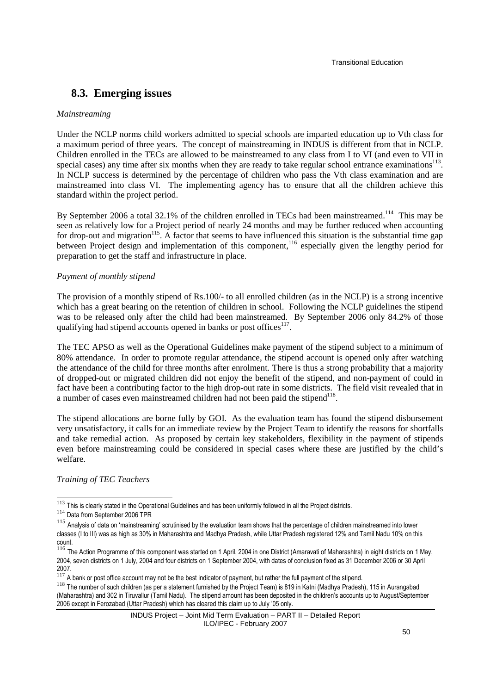## **8.3. Emerging issues**

#### *Mainstreaming*

Under the NCLP norms child workers admitted to special schools are imparted education up to Vth class for a maximum period of three years. The concept of mainstreaming in INDUS is different from that in NCLP. Children enrolled in the TECs are allowed to be mainstreamed to any class from I to VI (and even to VII in special cases) any time after six months when they are ready to take regular school entrance examinations $^{113}$ . In NCLP success is determined by the percentage of children who pass the Vth class examination and are mainstreamed into class VI. The implementing agency has to ensure that all the children achieve this standard within the project period.

By September 2006 a total 32.1% of the children enrolled in TECs had been mainstreamed.<sup>114</sup> This may be seen as relatively low for a Project period of nearly 24 months and may be further reduced when accounting for drop-out and migration<sup>115</sup>. A factor that seems to have influenced this situation is the substantial time gap between Project design and implementation of this component,<sup>116</sup> especially given the lengthy period for preparation to get the staff and infrastructure in place.

#### *Payment of monthly stipend*

The provision of a monthly stipend of Rs.100/- to all enrolled children (as in the NCLP) is a strong incentive which has a great bearing on the retention of children in school. Following the NCLP guidelines the stipend was to be released only after the child had been mainstreamed. By September 2006 only 84.2% of those qualifying had stipend accounts opened in banks or post offices<sup>117</sup>.

The TEC APSO as well as the Operational Guidelines make payment of the stipend subject to a minimum of 80% attendance. In order to promote regular attendance, the stipend account is opened only after watching the attendance of the child for three months after enrolment. There is thus a strong probability that a majority of dropped-out or migrated children did not enjoy the benefit of the stipend, and non-payment of could in fact have been a contributing factor to the high drop-out rate in some districts. The field visit revealed that in a number of cases even mainstreamed children had not been paid the stipend $^{118}$ .

The stipend allocations are borne fully by GOI. As the evaluation team has found the stipend disbursement very unsatisfactory, it calls for an immediate review by the Project Team to identify the reasons for shortfalls and take remedial action. As proposed by certain key stakeholders, flexibility in the payment of stipends even before mainstreaming could be considered in special cases where these are justified by the child's welfare.

*Training of TEC Teachers* 

 $113$  This is clearly stated in the Operational Guidelines and has been uniformly followed in all the Project districts.

<sup>114</sup> Data from September 2006 TPR

<sup>&</sup>lt;sup>115</sup> Analysis of data on 'mainstreaming' scrutinised by the evaluation team shows that the percentage of children mainstreamed into lower classes (I to III) was as high as 30% in Maharashtra and Madhya Pradesh, while Uttar Pradesh registered 12% and Tamil Nadu 10% on this count.

<sup>&</sup>lt;sup>116</sup> The Action Programme of this component was started on 1 April, 2004 in one District (Amaravati of Maharashtra) in eight districts on 1 May, 2004, seven districts on 1 July, 2004 and four districts on 1 September 2004, with dates of conclusion fixed as 31 December 2006 or 30 April 2007.

 $117$  A bank or post office account may not be the best indicator of payment, but rather the full payment of the stipend.

<sup>118</sup> The number of such children (as per a statement furnished by the Project Team) is 819 in Katni (Madhya Pradesh), 115 in Aurangabad (Maharashtra) and 302 in Tiruvallur (Tamil Nadu). The stipend amount has been deposited in the children's accounts up to August/September 2006 except in Ferozabad (Uttar Pradesh) which has cleared this claim up to July '05 only.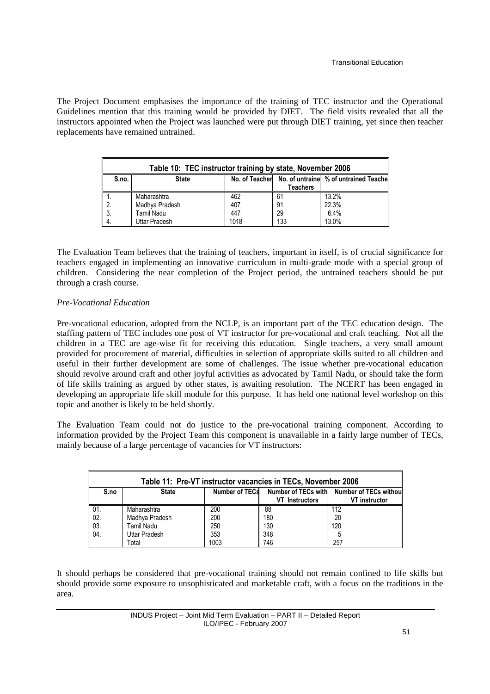The Project Document emphasises the importance of the training of TEC instructor and the Operational Guidelines mention that this training would be provided by DIET. The field visits revealed that all the instructors appointed when the Project was launched were put through DIET training, yet since then teacher replacements have remained untrained.

| Table 10: TEC instructor training by state, November 2006 |                                                                      |      |                 |       |  |  |  |  |  |
|-----------------------------------------------------------|----------------------------------------------------------------------|------|-----------------|-------|--|--|--|--|--|
| S.no.                                                     | No. of Teacher No. of untraine % of untrained Teache<br><b>State</b> |      |                 |       |  |  |  |  |  |
|                                                           |                                                                      |      | <b>Teachers</b> |       |  |  |  |  |  |
|                                                           | Maharashtra                                                          | 462  | 61              | 13.2% |  |  |  |  |  |
| 2.                                                        | Madhya Pradesh                                                       | 407  | 91              | 22.3% |  |  |  |  |  |
| -3.                                                       | Tamil Nadu                                                           | 447  | 29              | 6.4%  |  |  |  |  |  |
| 4.                                                        | Uttar Pradesh                                                        | 1018 | 133             | 13.0% |  |  |  |  |  |

The Evaluation Team believes that the training of teachers, important in itself, is of crucial significance for teachers engaged in implementing an innovative curriculum in multi-grade mode with a special group of children. Considering the near completion of the Project period, the untrained teachers should be put through a crash course.

### *Pre-Vocational Education*

Pre-vocational education, adopted from the NCLP, is an important part of the TEC education design. The staffing pattern of TEC includes one post of VT instructor for pre-vocational and craft teaching. Not all the children in a TEC are age-wise fit for receiving this education. Single teachers, a very small amount provided for procurement of material, difficulties in selection of appropriate skills suited to all children and useful in their further development are some of challenges. The issue whether pre-vocational education should revolve around craft and other joyful activities as advocated by Tamil Nadu, or should take the form of life skills training as argued by other states, is awaiting resolution. The NCERT has been engaged in developing an appropriate life skill module for this purpose. It has held one national level workshop on this topic and another is likely to be held shortly.

The Evaluation Team could not do justice to the pre-vocational training component. According to information provided by the Project Team this component is unavailable in a fairly large number of TECs, mainly because of a large percentage of vacancies for VT instructors:

| Table 11: Pre-VT instructor vacancies in TECs, November 2006 |                                                                                       |      |                       |                      |  |  |  |  |  |
|--------------------------------------------------------------|---------------------------------------------------------------------------------------|------|-----------------------|----------------------|--|--|--|--|--|
| S.no                                                         | Number of TECs withou<br>Number of TECs with<br><b>Number of TECs</b><br><b>State</b> |      |                       |                      |  |  |  |  |  |
|                                                              |                                                                                       |      | <b>VT</b> Instructors | <b>VT</b> instructor |  |  |  |  |  |
| 01.                                                          | Maharashtra                                                                           | 200  | 88                    | 112                  |  |  |  |  |  |
| 02.                                                          | Madhya Pradesh                                                                        | 200  | 180                   | 20                   |  |  |  |  |  |
| 03.                                                          | Tamil Nadu                                                                            | 250  | 130                   | 120                  |  |  |  |  |  |
| 04.                                                          | <b>Uttar Pradesh</b>                                                                  | 353  | 348                   |                      |  |  |  |  |  |
|                                                              | Total                                                                                 | 1003 | 746                   | 257                  |  |  |  |  |  |

It should perhaps be considered that pre-vocational training should not remain confined to life skills but should provide some exposure to unsophisticated and marketable craft, with a focus on the traditions in the area.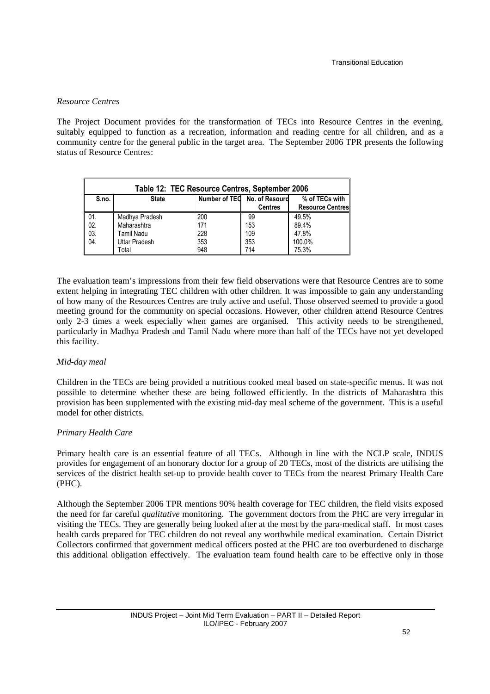### *Resource Centres*

The Project Document provides for the transformation of TECs into Resource Centres in the evening, suitably equipped to function as a recreation, information and reading centre for all children, and as a community centre for the general public in the target area. The September 2006 TPR presents the following status of Resource Centres:

| Table 12: TEC Resource Centres, September 2006 |                                                                |     |                |                         |  |  |  |  |
|------------------------------------------------|----------------------------------------------------------------|-----|----------------|-------------------------|--|--|--|--|
| S.no.                                          | Number of TEO No. of Resourd<br>% of TECs with<br><b>State</b> |     |                |                         |  |  |  |  |
|                                                |                                                                |     | <b>Centres</b> | <b>Resource Centres</b> |  |  |  |  |
| 01.                                            | Madhya Pradesh                                                 | 200 | 99             | 49.5%                   |  |  |  |  |
| 02.                                            | Maharashtra                                                    | 171 | 153            | 89.4%                   |  |  |  |  |
| 03.                                            | Tamil Nadu                                                     | 228 | 109            | 47.8%                   |  |  |  |  |
| 04.                                            | <b>Uttar Pradesh</b>                                           | 353 | 353            | 100.0%                  |  |  |  |  |
|                                                | Total                                                          | 948 | 714            | 75.3%                   |  |  |  |  |

The evaluation team's impressions from their few field observations were that Resource Centres are to some extent helping in integrating TEC children with other children. It was impossible to gain any understanding of how many of the Resources Centres are truly active and useful. Those observed seemed to provide a good meeting ground for the community on special occasions. However, other children attend Resource Centres only 2-3 times a week especially when games are organised. This activity needs to be strengthened, particularly in Madhya Pradesh and Tamil Nadu where more than half of the TECs have not yet developed this facility.

### *Mid-day meal*

Children in the TECs are being provided a nutritious cooked meal based on state-specific menus. It was not possible to determine whether these are being followed efficiently. In the districts of Maharashtra this provision has been supplemented with the existing mid-day meal scheme of the government. This is a useful model for other districts.

### *Primary Health Care*

Primary health care is an essential feature of all TECs. Although in line with the NCLP scale, INDUS provides for engagement of an honorary doctor for a group of 20 TECs, most of the districts are utilising the services of the district health set-up to provide health cover to TECs from the nearest Primary Health Care (PHC).

Although the September 2006 TPR mentions 90% health coverage for TEC children, the field visits exposed the need for far careful *qualitative* monitoring. The government doctors from the PHC are very irregular in visiting the TECs. They are generally being looked after at the most by the para-medical staff. In most cases health cards prepared for TEC children do not reveal any worthwhile medical examination. Certain District Collectors confirmed that government medical officers posted at the PHC are too overburdened to discharge this additional obligation effectively. The evaluation team found health care to be effective only in those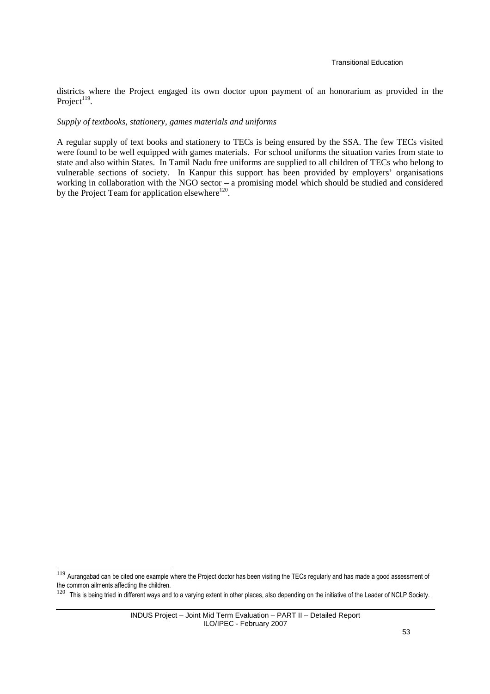districts where the Project engaged its own doctor upon payment of an honorarium as provided in the Project $119$ .

#### *Supply of textbooks, stationery, games materials and uniforms*

A regular supply of text books and stationery to TECs is being ensured by the SSA. The few TECs visited were found to be well equipped with games materials. For school uniforms the situation varies from state to state and also within States. In Tamil Nadu free uniforms are supplied to all children of TECs who belong to vulnerable sections of society. In Kanpur this support has been provided by employers' organisations working in collaboration with the NGO sector – a promising model which should be studied and considered by the Project Team for application elsewhere<sup>120</sup>.

<sup>&</sup>lt;sup>119</sup> Aurangabad can be cited one example where the Project doctor has been visiting the TECs regularly and has made a good assessment of the common ailments affecting the children.

<sup>&</sup>lt;sup>120</sup> This is being tried in different ways and to a varying extent in other places, also depending on the initiative of the Leader of NCLP Society.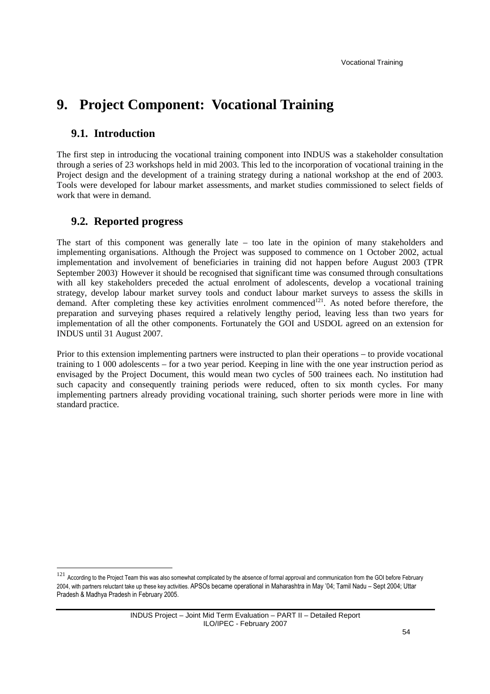# **9. Project Component: Vocational Training**

## **9.1. Introduction**

The first step in introducing the vocational training component into INDUS was a stakeholder consultation through a series of 23 workshops held in mid 2003. This led to the incorporation of vocational training in the Project design and the development of a training strategy during a national workshop at the end of 2003. Tools were developed for labour market assessments, and market studies commissioned to select fields of work that were in demand.

## **9.2. Reported progress**

 $\overline{a}$ 

The start of this component was generally late – too late in the opinion of many stakeholders and implementing organisations. Although the Project was supposed to commence on 1 October 2002, actual implementation and involvement of beneficiaries in training did not happen before August 2003 (TPR September 2003)<sup>.</sup> However it should be recognised that significant time was consumed through consultations with all key stakeholders preceded the actual enrolment of adolescents, develop a vocational training strategy, develop labour market survey tools and conduct labour market surveys to assess the skills in demand. After completing these key activities enrolment commenced<sup>121</sup>. As noted before therefore, the preparation and surveying phases required a relatively lengthy period, leaving less than two years for implementation of all the other components. Fortunately the GOI and USDOL agreed on an extension for INDUS until 31 August 2007.

Prior to this extension implementing partners were instructed to plan their operations – to provide vocational training to 1 000 adolescents – for a two year period. Keeping in line with the one year instruction period as envisaged by the Project Document, this would mean two cycles of 500 trainees each. No institution had such capacity and consequently training periods were reduced, often to six month cycles. For many implementing partners already providing vocational training, such shorter periods were more in line with standard practice.

<sup>&</sup>lt;sup>121</sup> According to the Project Team this was also somewhat complicated by the absence of formal approval and communication from the GOI before February 2004, with partners reluctant take up these key activities. APSOs became operational in Maharashtra in May '04; Tamil Nadu – Sept 2004; Uttar Pradesh & Madhya Pradesh in February 2005.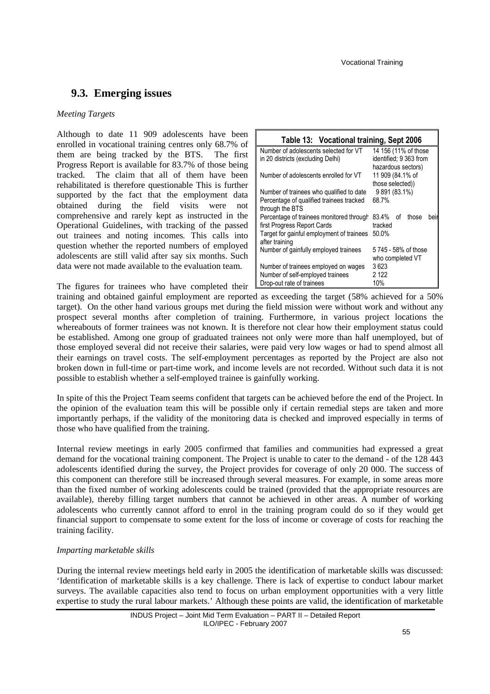## **9.3. Emerging issues**

#### *Meeting Targets*

Although to date 11 909 adolescents have been enrolled in vocational training centres only 68.7% of them are being tracked by the BTS. The first Progress Report is available for 83.7% of those being tracked. The claim that all of them have been rehabilitated is therefore questionable This is further supported by the fact that the employment data obtained during the field visits were not comprehensive and rarely kept as instructed in the Operational Guidelines, with tracking of the passed out trainees and noting incomes*.* This calls into question whether the reported numbers of employed adolescents are still valid after say six months. Such data were not made available to the evaluation team.

The figures for trainees who have completed their

| Table 13: Vocational training, Sept 2006  |                             |  |  |
|-------------------------------------------|-----------------------------|--|--|
| Number of adolescents selected for VT     | 14 156 (11% of those        |  |  |
| in 20 districts (excluding Delhi)         | identified; 9 363 from      |  |  |
|                                           | hazardous sectors)          |  |  |
| Number of adolescents enrolled for VT     | 11 909 (84.1% of            |  |  |
|                                           | those selected))            |  |  |
| Number of trainees who qualified to date  | 9 891 (83.1%)               |  |  |
| Percentage of qualified trainees tracked  | 68.7%                       |  |  |
| through the BTS                           |                             |  |  |
| Percentage of trainees monitored through  | 83.4%<br>those<br>οf<br>bei |  |  |
| first Progress Report Cards               | tracked                     |  |  |
| Target for gainful employment of trainees | 50.0%                       |  |  |
| after training                            |                             |  |  |
| Number of gainfully employed trainees     | 5745 - 58% of those         |  |  |
|                                           | who completed VT            |  |  |
| Number of trainees employed on wages      | 3623                        |  |  |
| Number of self-employed trainees          | 2 122                       |  |  |
| Drop-out rate of trainees                 | 10%                         |  |  |

training and obtained gainful employment are reported as exceeding the target (58% achieved for a 50% target). On the other hand various groups met during the field mission were without work and without any prospect several months after completion of training. Furthermore, in various project locations the whereabouts of former trainees was not known. It is therefore not clear how their employment status could be established. Among one group of graduated trainees not only were more than half unemployed, but of those employed several did not receive their salaries, were paid very low wages or had to spend almost all their earnings on travel costs. The self-employment percentages as reported by the Project are also not broken down in full-time or part-time work, and income levels are not recorded. Without such data it is not possible to establish whether a self-employed trainee is gainfully working.

In spite of this the Project Team seems confident that targets can be achieved before the end of the Project. In the opinion of the evaluation team this will be possible only if certain remedial steps are taken and more importantly perhaps, if the validity of the monitoring data is checked and improved especially in terms of those who have qualified from the training.

Internal review meetings in early 2005 confirmed that families and communities had expressed a great demand for the vocational training component. The Project is unable to cater to the demand - of the 128 443 adolescents identified during the survey, the Project provides for coverage of only 20 000. The success of this component can therefore still be increased through several measures. For example, in some areas more than the fixed number of working adolescents could be trained (provided that the appropriate resources are available), thereby filling target numbers that cannot be achieved in other areas. A number of working adolescents who currently cannot afford to enrol in the training program could do so if they would get financial support to compensate to some extent for the loss of income or coverage of costs for reaching the training facility.

### *Imparting marketable skills*

During the internal review meetings held early in 2005 the identification of marketable skills was discussed: 'Identification of marketable skills is a key challenge. There is lack of expertise to conduct labour market surveys. The available capacities also tend to focus on urban employment opportunities with a very little expertise to study the rural labour markets.' Although these points are valid, the identification of marketable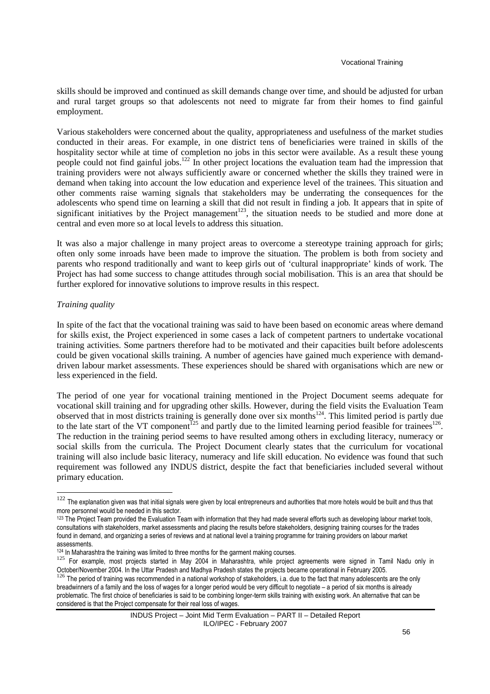skills should be improved and continued as skill demands change over time, and should be adjusted for urban and rural target groups so that adolescents not need to migrate far from their homes to find gainful employment.

Various stakeholders were concerned about the quality, appropriateness and usefulness of the market studies conducted in their areas. For example, in one district tens of beneficiaries were trained in skills of the hospitality sector while at time of completion no jobs in this sector were available. As a result these young people could not find gainful jobs.<sup>122</sup> In other project locations the evaluation team had the impression that training providers were not always sufficiently aware or concerned whether the skills they trained were in demand when taking into account the low education and experience level of the trainees. This situation and other comments raise warning signals that stakeholders may be underrating the consequences for the adolescents who spend time on learning a skill that did not result in finding a job*.* It appears that in spite of significant initiatives by the Project management<sup>123</sup>, the situation needs to be studied and more done at central and even more so at local levels to address this situation.

It was also a major challenge in many project areas to overcome a stereotype training approach for girls; often only some inroads have been made to improve the situation. The problem is both from society and parents who respond traditionally and want to keep girls out of 'cultural inappropriate' kinds of work. The Project has had some success to change attitudes through social mobilisation. This is an area that should be further explored for innovative solutions to improve results in this respect.

#### *Training quality*

l

In spite of the fact that the vocational training was said to have been based on economic areas where demand for skills exist, the Project experienced in some cases a lack of competent partners to undertake vocational training activities. Some partners therefore had to be motivated and their capacities built before adolescents could be given vocational skills training. A number of agencies have gained much experience with demanddriven labour market assessments. These experiences should be shared with organisations which are new or less experienced in the field.

The period of one year for vocational training mentioned in the Project Document seems adequate for vocational skill training and for upgrading other skills. However, during the field visits the Evaluation Team observed that in most districts training is generally done over six months<sup>124</sup>. This limited period is partly due to the late start of the VT component<sup>125</sup> and partly due to the limited learning period feasible for trainees<sup>126</sup>. The reduction in the training period seems to have resulted among others in excluding literacy, numeracy or social skills from the curricula. The Project Document clearly states that the curriculum for vocational training will also include basic literacy, numeracy and life skill education. No evidence was found that such requirement was followed any INDUS district, despite the fact that beneficiaries included several without primary education.

 $122$  The explanation given was that initial signals were given by local entrepreneurs and authorities that more hotels would be built and thus that more personnel would be needed in this sector.

<sup>&</sup>lt;sup>123</sup> The Project Team provided the Evaluation Team with information that they had made several efforts such as developing labour market tools, consultations with stakeholders, market assessments and placing the results before stakeholders, designing training courses for the trades found in demand, and organizing a series of reviews and at national level a training programme for training providers on labour market assessments.

<sup>&</sup>lt;sup>124</sup> In Maharashtra the training was limited to three months for the garment making courses.

<sup>125</sup> For example, most projects started in May 2004 in Maharashtra, while project agreements were signed in Tamil Nadu only in October/November 2004. In the Uttar Pradesh and Madhya Pradesh states the projects became operational in February 2005.

<sup>126</sup> The period of training was recommended in a national workshop of stakeholders, i.a. due to the fact that many adolescents are the only breadwinners of a family and the loss of wages for a longer period would be very difficult to negotiate – a period of six months is already problematic. The first choice of beneficiaries is said to be combining longer-term skills training with existing work. An alternative that can be considered is that the Project compensate for their real loss of wages.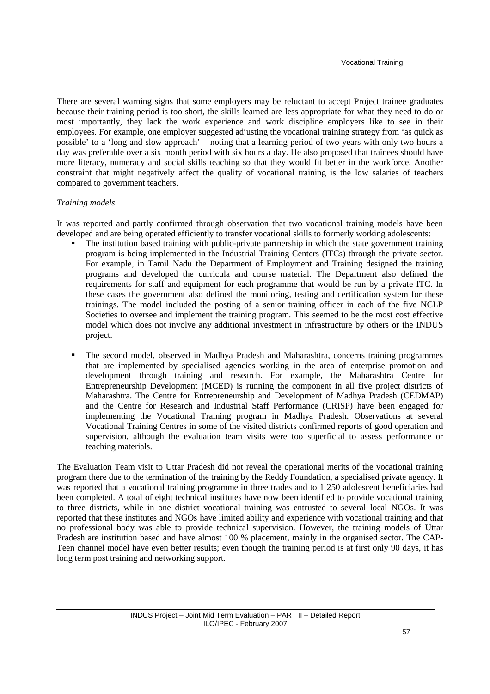There are several warning signs that some employers may be reluctant to accept Project trainee graduates because their training period is too short, the skills learned are less appropriate for what they need to do or most importantly, they lack the work experience and work discipline employers like to see in their employees. For example, one employer suggested adjusting the vocational training strategy from 'as quick as possible' to a 'long and slow approach' – noting that a learning period of two years with only two hours a day was preferable over a six month period with six hours a day. He also proposed that trainees should have more literacy, numeracy and social skills teaching so that they would fit better in the workforce. Another constraint that might negatively affect the quality of vocational training is the low salaries of teachers compared to government teachers.

### *Training models*

It was reported and partly confirmed through observation that two vocational training models have been developed and are being operated efficiently to transfer vocational skills to formerly working adolescents:

- The institution based training with public-private partnership in which the state government training program is being implemented in the Industrial Training Centers (ITCs) through the private sector. For example, in Tamil Nadu the Department of Employment and Training designed the training programs and developed the curricula and course material. The Department also defined the requirements for staff and equipment for each programme that would be run by a private ITC. In these cases the government also defined the monitoring, testing and certification system for these trainings. The model included the posting of a senior training officer in each of the five NCLP Societies to oversee and implement the training program. This seemed to be the most cost effective model which does not involve any additional investment in infrastructure by others or the INDUS project.
- The second model, observed in Madhya Pradesh and Maharashtra, concerns training programmes that are implemented by specialised agencies working in the area of enterprise promotion and development through training and research. For example, the Maharashtra Centre for Entrepreneurship Development (MCED) is running the component in all five project districts of Maharashtra. The Centre for Entrepreneurship and Development of Madhya Pradesh (CEDMAP) and the Centre for Research and Industrial Staff Performance (CRISP) have been engaged for implementing the Vocational Training program in Madhya Pradesh. Observations at several Vocational Training Centres in some of the visited districts confirmed reports of good operation and supervision, although the evaluation team visits were too superficial to assess performance or teaching materials.

The Evaluation Team visit to Uttar Pradesh did not reveal the operational merits of the vocational training program there due to the termination of the training by the Reddy Foundation, a specialised private agency. It was reported that a vocational training programme in three trades and to 1 250 adolescent beneficiaries had been completed. A total of eight technical institutes have now been identified to provide vocational training to three districts, while in one district vocational training was entrusted to several local NGOs. It was reported that these institutes and NGOs have limited ability and experience with vocational training and that no professional body was able to provide technical supervision. However, the training models of Uttar Pradesh are institution based and have almost 100 % placement, mainly in the organised sector. The CAP-Teen channel model have even better results; even though the training period is at first only 90 days, it has long term post training and networking support.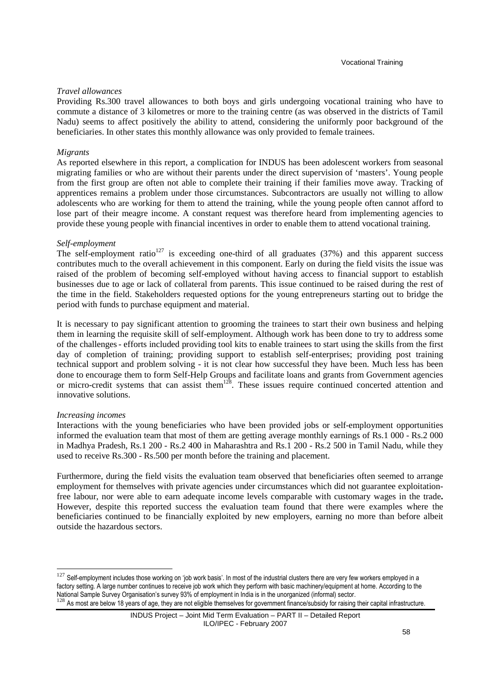#### *Travel allowances*

Providing Rs.300 travel allowances to both boys and girls undergoing vocational training who have to commute a distance of 3 kilometres or more to the training centre (as was observed in the districts of Tamil Nadu) seems to affect positively the ability to attend, considering the uniformly poor background of the beneficiaries. In other states this monthly allowance was only provided to female trainees.

#### *Migrants*

As reported elsewhere in this report, a complication for INDUS has been adolescent workers from seasonal migrating families or who are without their parents under the direct supervision of 'masters'. Young people from the first group are often not able to complete their training if their families move away. Tracking of apprentices remains a problem under those circumstances. Subcontractors are usually not willing to allow adolescents who are working for them to attend the training, while the young people often cannot afford to lose part of their meagre income. A constant request was therefore heard from implementing agencies to provide these young people with financial incentives in order to enable them to attend vocational training.

#### *Self-employment*

The self-employment ratio<sup>127</sup> is exceeding one-third of all graduates (37%) and this apparent success contributes much to the overall achievement in this component. Early on during the field visits the issue was raised of the problem of becoming self-employed without having access to financial support to establish businesses due to age or lack of collateral from parents. This issue continued to be raised during the rest of the time in the field. Stakeholders requested options for the young entrepreneurs starting out to bridge the period with funds to purchase equipment and material.

It is necessary to pay significant attention to grooming the trainees to start their own business and helping them in learning the requisite skill of self-employment. Although work has been done to try to address some of the challenges- efforts included providing tool kits to enable trainees to start using the skills from the first day of completion of training; providing support to establish self-enterprises; providing post training technical support and problem solving - it is not clear how successful they have been. Much less has been done to encourage them to form Self-Help Groups and facilitate loans and grants from Government agencies or micro-credit systems that can assist them<sup>128</sup>. These issues require continued concerted attention and innovative solutions.

#### *Increasing incomes*

 $\overline{a}$ 

Interactions with the young beneficiaries who have been provided jobs or self-employment opportunities informed the evaluation team that most of them are getting average monthly earnings of Rs.1 000 - Rs.2 000 in Madhya Pradesh, Rs.1 200 - Rs.2 400 in Maharashtra and Rs.1 200 - Rs.2 500 in Tamil Nadu, while they used to receive Rs.300 - Rs.500 per month before the training and placement.

Furthermore, during the field visits the evaluation team observed that beneficiaries often seemed to arrange employment for themselves with private agencies under circumstances which did not guarantee exploitationfree labour, nor were able to earn adequate income levels comparable with customary wages in the trade**.**  However, despite this reported success the evaluation team found that there were examples where the beneficiaries continued to be financially exploited by new employers, earning no more than before albeit outside the hazardous sectors.

 $127$  Self-employment includes those working on 'job work basis'. In most of the industrial clusters there are very few workers employed in a factory setting. A large number continues to receive job work which they perform with basic machinery/equipment at home. According to the National Sample Survey Organisation's survey 93% of employment in India is in the unorganized (informal) sector. <sup>128</sup> As most are below 18 years of age, they are not eligible themselves for government finance/subsidy for raising their capital infrastructure.

INDUS Project – Joint Mid Term Evaluation – PART II – Detailed Report ILO/IPEC - February 2007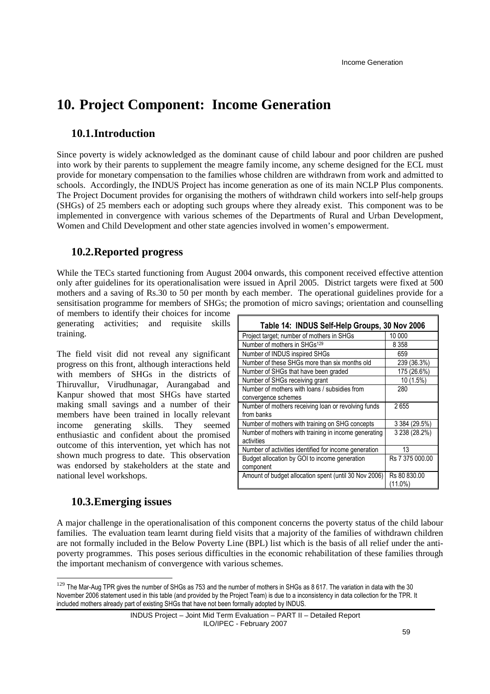# **10. Project Component: Income Generation**

## **10.1.Introduction**

Since poverty is widely acknowledged as the dominant cause of child labour and poor children are pushed into work by their parents to supplement the meagre family income, any scheme designed for the ECL must provide for monetary compensation to the families whose children are withdrawn from work and admitted to schools. Accordingly, the INDUS Project has income generation as one of its main NCLP Plus components. The Project Document provides for organising the mothers of withdrawn child workers into self-help groups (SHGs) of 25 members each or adopting such groups where they already exist. This component was to be implemented in convergence with various schemes of the Departments of Rural and Urban Development, Women and Child Development and other state agencies involved in women's empowerment.

## **10.2.Reported progress**

While the TECs started functioning from August 2004 onwards, this component received effective attention only after guidelines for its operationalisation were issued in April 2005. District targets were fixed at 500 mothers and a saving of Rs.30 to 50 per month by each member. The operational guidelines provide for a sensitisation programme for members of SHGs; the promotion of micro savings; orientation and counselling

of members to identify their choices for income generating activities; and requisite skills training.

The field visit did not reveal any significant progress on this front, although interactions held with members of SHGs in the districts of Thiruvallur, Virudhunagar, Aurangabad and Kanpur showed that most SHGs have started making small savings and a number of their members have been trained in locally relevant income generating skills. They seemed enthusiastic and confident about the promised outcome of this intervention, yet which has not shown much progress to date. This observation was endorsed by stakeholders at the state and national level workshops.

| Table 14: INDUS Self-Help Groups, 30 Nov 2006         |                 |
|-------------------------------------------------------|-----------------|
| Project target; number of mothers in SHGs             | 10 000          |
| Number of mothers in SHGs <sup>129</sup>              | 8 3 5 8         |
| Number of INDUS inspired SHGs                         | 659             |
| Number of these SHGs more than six months old         | 239 (36.3%)     |
| Number of SHGs that have been graded                  | 175 (26.6%)     |
| Number of SHGs receiving grant                        | 10 (1.5%)       |
| Number of mothers with loans / subsidies from         | 280             |
| convergence schemes                                   |                 |
| Number of mothers receiving loan or revolving funds   | 2655            |
| from banks                                            |                 |
| Number of mothers with training on SHG concepts       | 3 384 (29.5%)   |
| Number of mothers with training in income generating  | 3 238 (28.2%)   |
| activities                                            |                 |
| Number of activities identified for income generation | 13              |
| Budget allocation by GOI to income generation         | Rs 7 375 000.00 |
| component                                             |                 |
| Amount of budget allocation spent (until 30 Nov 2006) | Rs 80 830.00    |
|                                                       | $(11.0\%)$      |

## **10.3.Emerging issues**

 $\overline{a}$ 

A major challenge in the operationalisation of this component concerns the poverty status of the child labour families. The evaluation team learnt during field visits that a majority of the families of withdrawn children are not formally included in the Below Poverty Line (BPL) list which is the basis of all relief under the antipoverty programmes. This poses serious difficulties in the economic rehabilitation of these families through the important mechanism of convergence with various schemes.

<sup>&</sup>lt;sup>129</sup> The Mar-Aug TPR gives the number of SHGs as 753 and the number of mothers in SHGs as 8 617. The variation in data with the 30 November 2006 statement used in this table (and provided by the Project Team) is due to a inconsistency in data collection for the TPR. It included mothers already part of existing SHGs that have not been formally adopted by INDUS.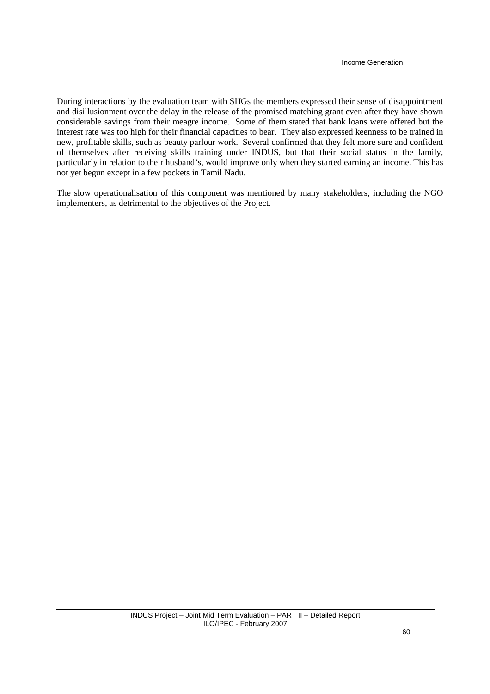During interactions by the evaluation team with SHGs the members expressed their sense of disappointment and disillusionment over the delay in the release of the promised matching grant even after they have shown considerable savings from their meagre income. Some of them stated that bank loans were offered but the interest rate was too high for their financial capacities to bear. They also expressed keenness to be trained in new, profitable skills, such as beauty parlour work. Several confirmed that they felt more sure and confident of themselves after receiving skills training under INDUS, but that their social status in the family, particularly in relation to their husband's, would improve only when they started earning an income. This has not yet begun except in a few pockets in Tamil Nadu.

The slow operationalisation of this component was mentioned by many stakeholders, including the NGO implementers, as detrimental to the objectives of the Project.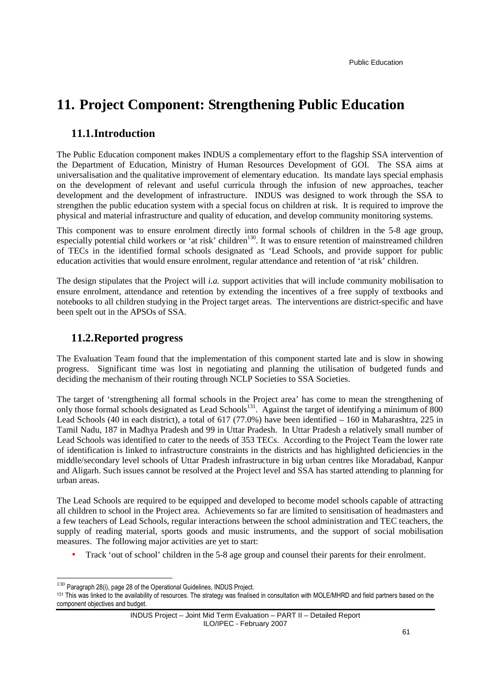# **11. Project Component: Strengthening Public Education**

## **11.1.Introduction**

The Public Education component makes INDUS a complementary effort to the flagship SSA intervention of the Department of Education, Ministry of Human Resources Development of GOI. The SSA aims at universalisation and the qualitative improvement of elementary education. Its mandate lays special emphasis on the development of relevant and useful curricula through the infusion of new approaches, teacher development and the development of infrastructure. INDUS was designed to work through the SSA to strengthen the public education system with a special focus on children at risk. It is required to improve the physical and material infrastructure and quality of education, and develop community monitoring systems.

This component was to ensure enrolment directly into formal schools of children in the 5-8 age group, especially potential child workers or 'at risk' children<sup>130</sup>. It was to ensure retention of mainstreamed children of TECs in the identified formal schools designated as 'Lead Schools, and provide support for public education activities that would ensure enrolment, regular attendance and retention of 'at risk' children.

The design stipulates that the Project will *i.a.* support activities that will include community mobilisation to ensure enrolment, attendance and retention by extending the incentives of a free supply of textbooks and notebooks to all children studying in the Project target areas. The interventions are district-specific and have been spelt out in the APSOs of SSA.

### **11.2.Reported progress**

The Evaluation Team found that the implementation of this component started late and is slow in showing progress. Significant time was lost in negotiating and planning the utilisation of budgeted funds and deciding the mechanism of their routing through NCLP Societies to SSA Societies.

The target of 'strengthening all formal schools in the Project area' has come to mean the strengthening of only those formal schools designated as Lead Schools<sup>131</sup>. Against the target of identifying a minimum of 800 Lead Schools (40 in each district), a total of 617 (77.0%) have been identified – 160 in Maharashtra, 225 in Tamil Nadu, 187 in Madhya Pradesh and 99 in Uttar Pradesh. In Uttar Pradesh a relatively small number of Lead Schools was identified to cater to the needs of 353 TECs. According to the Project Team the lower rate of identification is linked to infrastructure constraints in the districts and has highlighted deficiencies in the middle/secondary level schools of Uttar Pradesh infrastructure in big urban centres like Moradabad, Kanpur and Aligarh. Such issues cannot be resolved at the Project level and SSA has started attending to planning for urban areas.

The Lead Schools are required to be equipped and developed to become model schools capable of attracting all children to school in the Project area. Achievements so far are limited to sensitisation of headmasters and a few teachers of Lead Schools, regular interactions between the school administration and TEC teachers, the supply of reading material, sports goods and music instruments, and the support of social mobilisation measures. The following major activities are yet to start:

• Track 'out of school' children in the 5-8 age group and counsel their parents for their enrolment.

 $130$  Paragraph 28(i), page 28 of the Operational Guidelines, INDUS Project.

<sup>131</sup> This was linked to the availability of resources. The strategy was finalised in consultation with MOLE/MHRD and field partners based on the component objectives and budget.

INDUS Project – Joint Mid Term Evaluation – PART II – Detailed Report ILO/IPEC - February 2007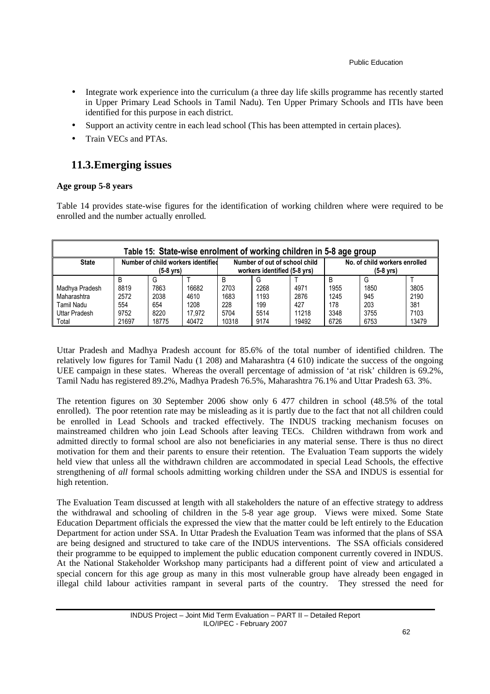- Integrate work experience into the curriculum (a three day life skills programme has recently started in Upper Primary Lead Schools in Tamil Nadu). Ten Upper Primary Schools and ITIs have been identified for this purpose in each district.
- Support an activity centre in each lead school (This has been attempted in certain places).
- Train VECs and PTAs.

# **11.3.Emerging issues**

### **Age group 5-8 years**

Table 14 provides state-wise figures for the identification of working children where were required to be enrolled and the number actually enrolled.

| Table 15: State-wise enrolment of working children in 5-8 age group |                                                      |       |        |                                                               |      |                                                 |      |      |       |
|---------------------------------------------------------------------|------------------------------------------------------|-------|--------|---------------------------------------------------------------|------|-------------------------------------------------|------|------|-------|
| <b>State</b>                                                        | Number of child workers identified<br>$(5-8$ vrs $)$ |       |        | Number of out of school child<br>workers identified (5-8 yrs) |      | No. of child workers enrolled<br>$(5-8$ vrs $)$ |      |      |       |
|                                                                     | B                                                    | G     |        | B                                                             |      |                                                 | B    |      |       |
| Madhya Pradesh                                                      | 8819                                                 | 7863  | 16682  | 2703                                                          | 2268 | 4971                                            | 1955 | 1850 | 3805  |
| Maharashtra                                                         | 2572                                                 | 2038  | 4610   | 1683                                                          | 1193 | 2876                                            | 1245 | 945  | 2190  |
| Tamil Nadu                                                          | 554                                                  | 654   | 1208   | 228                                                           | 199  | 427                                             | 178  | 203  | 381   |
| Uttar Pradesh                                                       | 9752                                                 | 8220  | 17.972 | 5704                                                          | 5514 | 11218                                           | 3348 | 3755 | 7103  |
| Total                                                               | 21697                                                | 18775 | 40472  | 10318                                                         | 9174 | 19492                                           | 6726 | 6753 | 13479 |

Uttar Pradesh and Madhya Pradesh account for 85.6% of the total number of identified children. The relatively low figures for Tamil Nadu (1 208) and Maharashtra (4 610) indicate the success of the ongoing UEE campaign in these states. Whereas the overall percentage of admission of 'at risk' children is 69.2%, Tamil Nadu has registered 89.2%, Madhya Pradesh 76.5%, Maharashtra 76.1% and Uttar Pradesh 63. 3%.

The retention figures on 30 September 2006 show only 6 477 children in school (48.5% of the total enrolled). The poor retention rate may be misleading as it is partly due to the fact that not all children could be enrolled in Lead Schools and tracked effectively. The INDUS tracking mechanism focuses on mainstreamed children who join Lead Schools after leaving TECs. Children withdrawn from work and admitted directly to formal school are also not beneficiaries in any material sense. There is thus no direct motivation for them and their parents to ensure their retention. The Evaluation Team supports the widely held view that unless all the withdrawn children are accommodated in special Lead Schools, the effective strengthening of *all* formal schools admitting working children under the SSA and INDUS is essential for high retention.

The Evaluation Team discussed at length with all stakeholders the nature of an effective strategy to address the withdrawal and schooling of children in the 5-8 year age group. Views were mixed. Some State Education Department officials the expressed the view that the matter could be left entirely to the Education Department for action under SSA. In Uttar Pradesh the Evaluation Team was informed that the plans of SSA are being designed and structured to take care of the INDUS interventions. The SSA officials considered their programme to be equipped to implement the public education component currently covered in INDUS. At the National Stakeholder Workshop many participants had a different point of view and articulated a special concern for this age group as many in this most vulnerable group have already been engaged in illegal child labour activities rampant in several parts of the country. They stressed the need for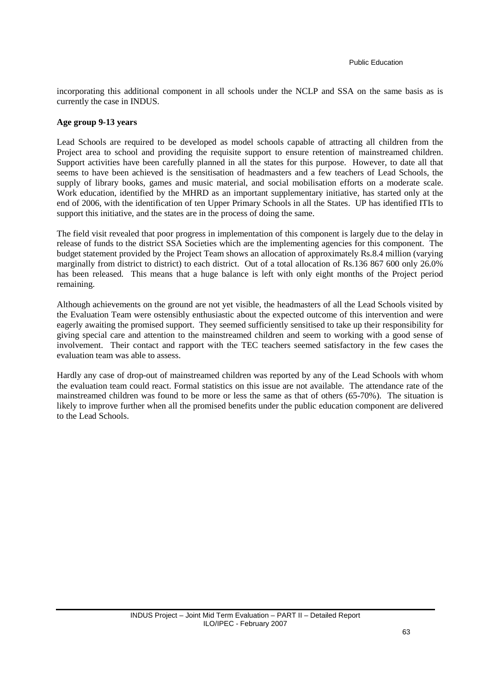incorporating this additional component in all schools under the NCLP and SSA on the same basis as is currently the case in INDUS.

#### **Age group 9-13 years**

Lead Schools are required to be developed as model schools capable of attracting all children from the Project area to school and providing the requisite support to ensure retention of mainstreamed children. Support activities have been carefully planned in all the states for this purpose. However, to date all that seems to have been achieved is the sensitisation of headmasters and a few teachers of Lead Schools, the supply of library books, games and music material, and social mobilisation efforts on a moderate scale. Work education, identified by the MHRD as an important supplementary initiative, has started only at the end of 2006, with the identification of ten Upper Primary Schools in all the States. UP has identified ITIs to support this initiative, and the states are in the process of doing the same.

The field visit revealed that poor progress in implementation of this component is largely due to the delay in release of funds to the district SSA Societies which are the implementing agencies for this component. The budget statement provided by the Project Team shows an allocation of approximately Rs.8.4 million (varying marginally from district to district) to each district. Out of a total allocation of Rs.136 867 600 only 26.0% has been released. This means that a huge balance is left with only eight months of the Project period remaining.

Although achievements on the ground are not yet visible, the headmasters of all the Lead Schools visited by the Evaluation Team were ostensibly enthusiastic about the expected outcome of this intervention and were eagerly awaiting the promised support. They seemed sufficiently sensitised to take up their responsibility for giving special care and attention to the mainstreamed children and seem to working with a good sense of involvement. Their contact and rapport with the TEC teachers seemed satisfactory in the few cases the evaluation team was able to assess.

Hardly any case of drop-out of mainstreamed children was reported by any of the Lead Schools with whom the evaluation team could react. Formal statistics on this issue are not available. The attendance rate of the mainstreamed children was found to be more or less the same as that of others (65-70%). The situation is likely to improve further when all the promised benefits under the public education component are delivered to the Lead Schools.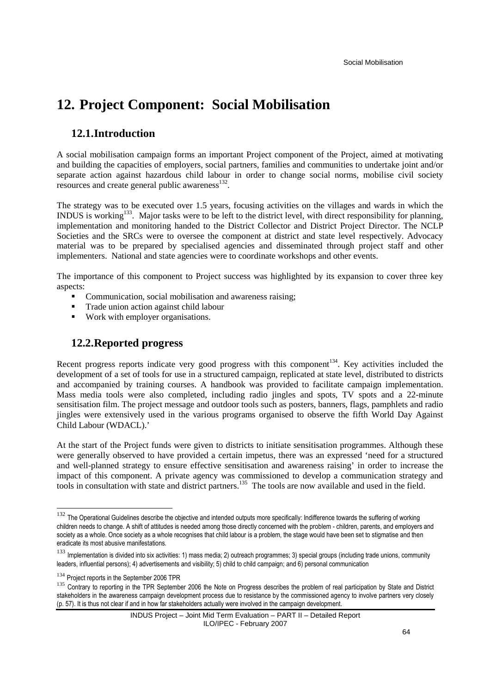# **12. Project Component: Social Mobilisation**

## **12.1.Introduction**

A social mobilisation campaign forms an important Project component of the Project, aimed at motivating and building the capacities of employers, social partners, families and communities to undertake joint and/or separate action against hazardous child labour in order to change social norms, mobilise civil society resources and create general public awareness $^{132}$ .

The strategy was to be executed over 1.5 years, focusing activities on the villages and wards in which the INDUS is working<sup>133</sup>. Major tasks were to be left to the district level, with direct responsibility for planning, implementation and monitoring handed to the District Collector and District Project Director. The NCLP Societies and the SRCs were to oversee the component at district and state level respectively. Advocacy material was to be prepared by specialised agencies and disseminated through project staff and other implementers. National and state agencies were to coordinate workshops and other events.

The importance of this component to Project success was highlighted by its expansion to cover three key aspects:

- Communication, social mobilisation and awareness raising;
- Trade union action against child labour
- Work with employer organisations.

## **12.2.Reported progress**

Recent progress reports indicate very good progress with this component<sup>134</sup>. Key activities included the development of a set of tools for use in a structured campaign, replicated at state level, distributed to districts and accompanied by training courses. A handbook was provided to facilitate campaign implementation. Mass media tools were also completed, including radio jingles and spots, TV spots and a 22-minute sensitisation film. The project message and outdoor tools such as posters, banners, flags, pamphlets and radio jingles were extensively used in the various programs organised to observe the fifth World Day Against Child Labour (WDACL).'

At the start of the Project funds were given to districts to initiate sensitisation programmes. Although these were generally observed to have provided a certain impetus, there was an expressed 'need for a structured and well-planned strategy to ensure effective sensitisation and awareness raising' in order to increase the impact of this component. A private agency was commissioned to develop a communication strategy and tools in consultation with state and district partners.<sup>135</sup> The tools are now available and used in the field.

 $\ddot{ }$ 

<sup>&</sup>lt;sup>132</sup> The Operational Guidelines describe the objective and intended outputs more specifically: Indifference towards the suffering of working children needs to change. A shift of attitudes is needed among those directly concerned with the problem - children, parents, and employers and society as a whole. Once society as a whole recognises that child labour is a problem, the stage would have been set to stigmatise and then eradicate its most abusive manifestations.

<sup>133</sup> Implementation is divided into six activities: 1) mass media; 2) outreach programmes; 3) special groups (including trade unions, community leaders, influential persons); 4) advertisements and visibility; 5) child to child campaign; and 6) personal communication

<sup>&</sup>lt;sup>134</sup> Project reports in the September 2006 TPR

<sup>135</sup> Contrary to reporting in the TPR September 2006 the Note on Progress describes the problem of real participation by State and District stakeholders in the awareness campaign development process due to resistance by the commissioned agency to involve partners very closely (p. 57). It is thus not clear if and in how far stakeholders actually were involved in the campaign development.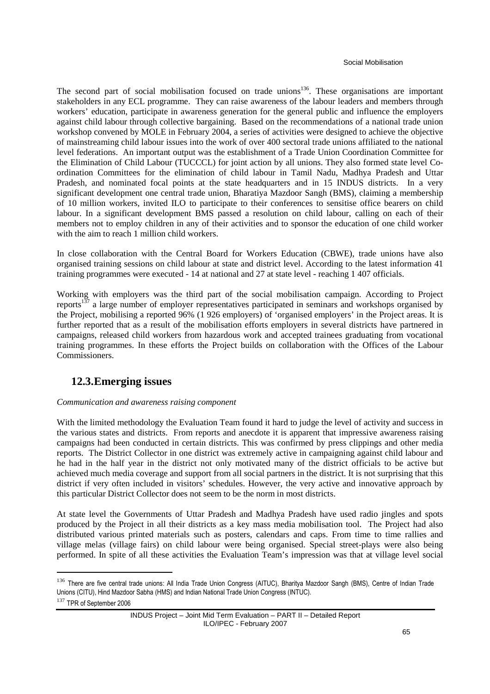The second part of social mobilisation focused on trade unions<sup>136</sup>. These organisations are important stakeholders in any ECL programme. They can raise awareness of the labour leaders and members through workers' education, participate in awareness generation for the general public and influence the employers against child labour through collective bargaining. Based on the recommendations of a national trade union workshop convened by MOLE in February 2004, a series of activities were designed to achieve the objective of mainstreaming child labour issues into the work of over 400 sectoral trade unions affiliated to the national level federations. An important output was the establishment of a Trade Union Coordination Committee for the Elimination of Child Labour (TUCCCL) for joint action by all unions. They also formed state level Coordination Committees for the elimination of child labour in Tamil Nadu, Madhya Pradesh and Uttar Pradesh, and nominated focal points at the state headquarters and in 15 INDUS districts. In a very significant development one central trade union, Bharatiya Mazdoor Sangh (BMS), claiming a membership of 10 million workers, invited ILO to participate to their conferences to sensitise office bearers on child labour. In a significant development BMS passed a resolution on child labour, calling on each of their members not to employ children in any of their activities and to sponsor the education of one child worker with the aim to reach 1 million child workers.

In close collaboration with the Central Board for Workers Education (CBWE), trade unions have also organised training sessions on child labour at state and district level. According to the latest information 41 training programmes were executed - 14 at national and 27 at state level - reaching 1 407 officials.

Working with employers was the third part of the social mobilisation campaign. According to Project reports<sup>137</sup> a large number of employer representatives participated in seminars and workshops organised by the Project, mobilising a reported 96% (1 926 employers) of 'organised employers' in the Project areas. It is further reported that as a result of the mobilisation efforts employers in several districts have partnered in campaigns, released child workers from hazardous work and accepted trainees graduating from vocational training programmes. In these efforts the Project builds on collaboration with the Offices of the Labour Commissioners.

## **12.3.Emerging issues**

### *Communication and awareness raising component*

With the limited methodology the Evaluation Team found it hard to judge the level of activity and success in the various states and districts. From reports and anecdote it is apparent that impressive awareness raising campaigns had been conducted in certain districts. This was confirmed by press clippings and other media reports. The District Collector in one district was extremely active in campaigning against child labour and he had in the half year in the district not only motivated many of the district officials to be active but achieved much media coverage and support from all social partners in the district. It is not surprising that this district if very often included in visitors' schedules. However, the very active and innovative approach by this particular District Collector does not seem to be the norm in most districts.

At state level the Governments of Uttar Pradesh and Madhya Pradesh have used radio jingles and spots produced by the Project in all their districts as a key mass media mobilisation tool. The Project had also distributed various printed materials such as posters, calendars and caps. From time to time rallies and village melas (village fairs) on child labour were being organised. Special street-plays were also being performed. In spite of all these activities the Evaluation Team's impression was that at village level social

<sup>136</sup> There are five central trade unions: All India Trade Union Congress (AITUC), Bharitya Mazdoor Sangh (BMS), Centre of Indian Trade Unions (CITU), Hind Mazdoor Sabha (HMS) and Indian National Trade Union Congress (INTUC).

<sup>137</sup> TPR of September 2006

INDUS Project – Joint Mid Term Evaluation – PART II – Detailed Report ILO/IPEC - February 2007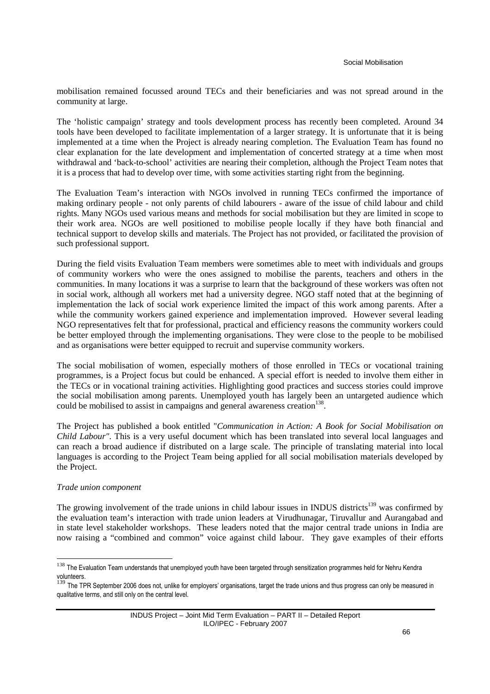mobilisation remained focussed around TECs and their beneficiaries and was not spread around in the community at large.

The 'holistic campaign' strategy and tools development process has recently been completed. Around 34 tools have been developed to facilitate implementation of a larger strategy. It is unfortunate that it is being implemented at a time when the Project is already nearing completion. The Evaluation Team has found no clear explanation for the late development and implementation of concerted strategy at a time when most withdrawal and 'back-to-school' activities are nearing their completion, although the Project Team notes that it is a process that had to develop over time, with some activities starting right from the beginning.

The Evaluation Team's interaction with NGOs involved in running TECs confirmed the importance of making ordinary people - not only parents of child labourers - aware of the issue of child labour and child rights. Many NGOs used various means and methods for social mobilisation but they are limited in scope to their work area. NGOs are well positioned to mobilise people locally if they have both financial and technical support to develop skills and materials. The Project has not provided, or facilitated the provision of such professional support.

During the field visits Evaluation Team members were sometimes able to meet with individuals and groups of community workers who were the ones assigned to mobilise the parents, teachers and others in the communities. In many locations it was a surprise to learn that the background of these workers was often not in social work, although all workers met had a university degree. NGO staff noted that at the beginning of implementation the lack of social work experience limited the impact of this work among parents. After a while the community workers gained experience and implementation improved. However several leading NGO representatives felt that for professional, practical and efficiency reasons the community workers could be better employed through the implementing organisations. They were close to the people to be mobilised and as organisations were better equipped to recruit and supervise community workers.

The social mobilisation of women, especially mothers of those enrolled in TECs or vocational training programmes, is a Project focus but could be enhanced. A special effort is needed to involve them either in the TECs or in vocational training activities. Highlighting good practices and success stories could improve the social mobilisation among parents. Unemployed youth has largely been an untargeted audience which could be mobilised to assist in campaigns and general awareness creation<sup>138</sup>.

The Project has published a book entitled "*Communication in Action: A Book for Social Mobilisation on Child Labour"*. This is a very useful document which has been translated into several local languages and can reach a broad audience if distributed on a large scale. The principle of translating material into local languages is according to the Project Team being applied for all social mobilisation materials developed by the Project.

#### *Trade union component*

 $\overline{a}$ 

The growing involvement of the trade unions in child labour issues in INDUS districts<sup>139</sup> was confirmed by the evaluation team's interaction with trade union leaders at Virudhunagar, Tiruvallur and Aurangabad and in state level stakeholder workshops. These leaders noted that the major central trade unions in India are now raising a "combined and common" voice against child labour. They gave examples of their efforts

<sup>&</sup>lt;sup>138</sup> The Evaluation Team understands that unemployed youth have been targeted through sensitization programmes held for Nehru Kendra volunteers.

<sup>&</sup>lt;sup>139</sup> The TPR September 2006 does not, unlike for employers' organisations, target the trade unions and thus progress can only be measured in qualitative terms, and still only on the central level.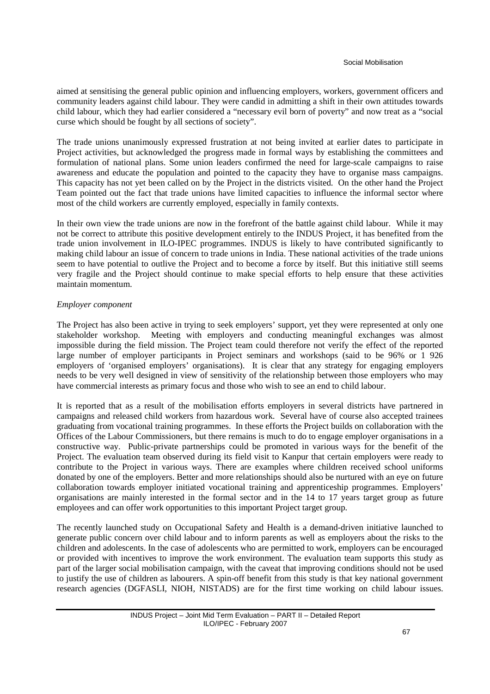aimed at sensitising the general public opinion and influencing employers, workers, government officers and community leaders against child labour. They were candid in admitting a shift in their own attitudes towards child labour, which they had earlier considered a "necessary evil born of poverty" and now treat as a "social curse which should be fought by all sections of society".

The trade unions unanimously expressed frustration at not being invited at earlier dates to participate in Project activities, but acknowledged the progress made in formal ways by establishing the committees and formulation of national plans. Some union leaders confirmed the need for large-scale campaigns to raise awareness and educate the population and pointed to the capacity they have to organise mass campaigns. This capacity has not yet been called on by the Project in the districts visited. On the other hand the Project Team pointed out the fact that trade unions have limited capacities to influence the informal sector where most of the child workers are currently employed, especially in family contexts.

In their own view the trade unions are now in the forefront of the battle against child labour. While it may not be correct to attribute this positive development entirely to the INDUS Project, it has benefited from the trade union involvement in ILO-IPEC programmes. INDUS is likely to have contributed significantly to making child labour an issue of concern to trade unions in India. These national activities of the trade unions seem to have potential to outlive the Project and to become a force by itself. But this initiative still seems very fragile and the Project should continue to make special efforts to help ensure that these activities maintain momentum.

#### *Employer component*

The Project has also been active in trying to seek employers' support, yet they were represented at only one stakeholder workshop. Meeting with employers and conducting meaningful exchanges was almost impossible during the field mission. The Project team could therefore not verify the effect of the reported large number of employer participants in Project seminars and workshops (said to be 96% or 1 926 employers of 'organised employers' organisations). It is clear that any strategy for engaging employers needs to be very well designed in view of sensitivity of the relationship between those employers who may have commercial interests as primary focus and those who wish to see an end to child labour.

It is reported that as a result of the mobilisation efforts employers in several districts have partnered in campaigns and released child workers from hazardous work. Several have of course also accepted trainees graduating from vocational training programmes. In these efforts the Project builds on collaboration with the Offices of the Labour Commissioners, but there remains is much to do to engage employer organisations in a constructive way. Public-private partnerships could be promoted in various ways for the benefit of the Project. The evaluation team observed during its field visit to Kanpur that certain employers were ready to contribute to the Project in various ways. There are examples where children received school uniforms donated by one of the employers. Better and more relationships should also be nurtured with an eye on future collaboration towards employer initiated vocational training and apprenticeship programmes. Employers' organisations are mainly interested in the formal sector and in the 14 to 17 years target group as future employees and can offer work opportunities to this important Project target group.

The recently launched study on Occupational Safety and Health is a demand-driven initiative launched to generate public concern over child labour and to inform parents as well as employers about the risks to the children and adolescents. In the case of adolescents who are permitted to work, employers can be encouraged or provided with incentives to improve the work environment. The evaluation team supports this study as part of the larger social mobilisation campaign, with the caveat that improving conditions should not be used to justify the use of children as labourers. A spin-off benefit from this study is that key national government research agencies (DGFASLI, NIOH, NISTADS) are for the first time working on child labour issues.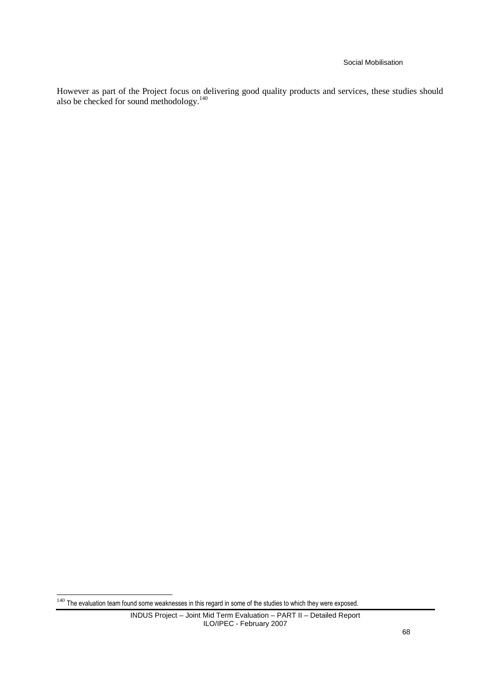#### Social Mobilisation

However as part of the Project focus on delivering good quality products and services, these studies should also be checked for sound methodology.<sup>140</sup>

 $140$  The evaluation team found some weaknesses in this regard in some of the studies to which they were exposed.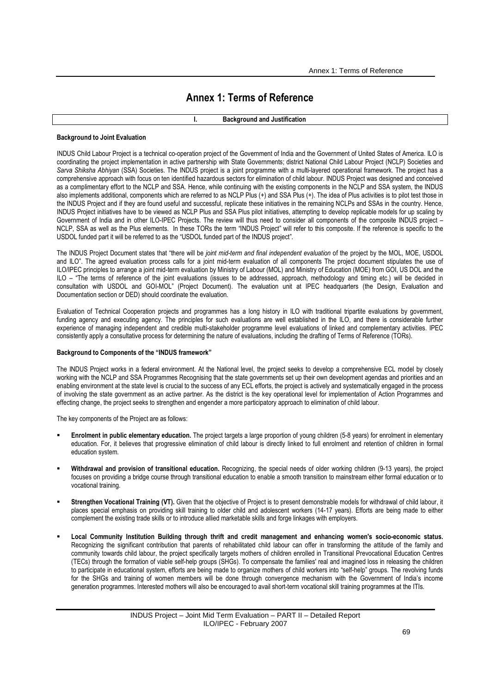# **Annex 1: Terms of Reference**

### **I. Background and Justification**

#### **Background to Joint Evaluation**

INDUS Child Labour Project is a technical co-operation project of the Government of India and the Government of United States of America. ILO is coordinating the project implementation in active partnership with State Governments; district National Child Labour Project (NCLP) Societies and Sarva Shiksha Abhiyan *(SSA)* Societies. The INDUS project is a joint programme with a multi-layered operational framework. The project has a comprehensive approach with focus on ten identified hazardous sectors for elimination of child labour. INDUS Project was designed and conceived as a complimentary effort to the NCLP and SSA. Hence, while continuing with the existing components in the NCLP and SSA system, the INDUS also implements additional, components which are referred to as NCLP Plus (+) and SSA Plus (+). The idea of Plus activities is to pilot test those in the INDUS Project and if they are found useful and successful, replicate these initiatives in the remaining NCLPs and SSAs in the country. Hence, INDUS Project initiatives have to be viewed as NCLP Plus and SSA Plus pilot initiatives, attempting to develop replicable models for up scaling by Government of India and in other ILO-IPEC Projects. The review will thus need to consider all components of the composite INDUS project – NCLP, SSA as well as the Plus elements. In these TORs the term "INDUS Project" will refer to this composite. If the reference is specific to the USDOL funded part it will be referred to as the "USDOL funded part of the INDUS project".

The INDUS Project Document states that "there will be *joint mid-term and final independent evaluation* of the project by the MOL, MOE, USDOL and ILO". The agreed evaluation process calls for a joint mid-term evaluation of all components The project document stipulates the use of ILO/IPEC principles to arrange a joint mid-term evaluation by Ministry of Labour (MOL) and Ministry of Education (MOE) from GOI, US DOL and the ILO – "The terms of reference of the joint evaluations (issues to be addressed, approach, methodology and timing etc.) will be decided in consultation with USDOL and GOI-MOL" (Project Document). The evaluation unit at IPEC headquarters (the Design, Evaluation and Documentation section or DED) should coordinate the evaluation.

Evaluation of Technical Cooperation projects and programmes has a long history in ILO with traditional tripartite evaluations by government, funding agency and executing agency. The principles for such evaluations are well established in the ILO, and there is considerable further experience of managing independent and credible multi-stakeholder programme level evaluations of linked and complementary activities. IPEC consistently apply a consultative process for determining the nature of evaluations, including the drafting of Terms of Reference (TORs).

#### **Background to Components of the "INDUS framework"**

The INDUS Project works in a federal environment. At the National level, the project seeks to develop a comprehensive ECL model by closely working with the NCLP and SSA Programmes Recognising that the state governments set up their own development agendas and priorities and an enabling environment at the state level is crucial to the success of any ECL efforts, the project is actively and systematically engaged in the process of involving the state government as an active partner. As the district is the key operational level for implementation of Action Programmes and effecting change, the project seeks to strengthen and engender a more participatory approach to elimination of child labour.

The key components of the Project are as follows:

- **Enrolment in public elementary education.** The project targets a large proportion of young children (5-8 years) for enrolment in elementary education. For, it believes that progressive elimination of child labour is directly linked to full enrolment and retention of children in formal education system.
- **Withdrawal and provision of transitional education.** Recognizing, the special needs of older working children (9-13 years), the project focuses on providing a bridge course through transitional education to enable a smooth transition to mainstream either formal education or to vocational training.
- **Strengthen Vocational Training (VT).** Given that the objective of Project is to present demonstrable models for withdrawal of child labour, it places special emphasis on providing skill training to older child and adolescent workers (14-17 years). Efforts are being made to either complement the existing trade skills or to introduce allied marketable skills and forge linkages with employers.
- **Local Community Institution Building through thrift and credit management and enhancing women's socio-economic status.**  Recognizing the significant contribution that parents of rehabilitated child labour can offer in transforming the attitude of the family and community towards child labour, the project specifically targets mothers of children enrolled in Transitional Prevocational Education Centres (TECs) through the formation of viable self-help groups (SHGs). To compensate the families' real and imagined loss in releasing the children to participate in educational system, efforts are being made to organize mothers of child workers into "self-help" groups. The revolving funds for the SHGs and training of women members will be done through convergence mechanism with the Government of India's income generation programmes. Interested mothers will also be encouraged to avail short-term vocational skill training programmes at the ITIs.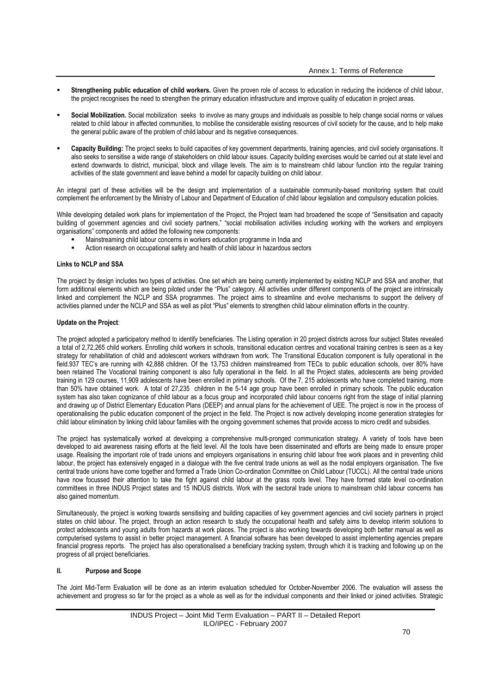- **Strengthening public education of child workers.** Given the proven role of access to education in reducing the incidence of child labour, the project recognises the need to strengthen the primary education infrastructure and improve quality of education in project areas.
- **Social Mobilization.** Social mobilization seeks to involve as many groups and individuals as possible to help change social norms or values related to child labour in affected communities, to mobilise the considerable existing resources of civil society for the cause, and to help make the general public aware of the problem of child labour and its negative consequences.
- **Capacity Building:** The project seeks to build capacities of key government departments, training agencies, and civil society organisations. It also seeks to sensitise a wide range of stakeholders on child labour issues. Capacity building exercises would be carried out at state level and extend downwards to district, municipal, block and village levels. The aim is to mainstream child labour function into the regular training activities of the state government and leave behind a model for capacity building on child labour.

An integral part of these activities will be the design and implementation of a sustainable community-based monitoring system that could complement the enforcement by the Ministry of Labour and Department of Education of child labour legislation and compulsory education policies.

While developing detailed work plans for implementation of the Project, the Project team had broadened the scope of "Sensitisation and capacity building of government agencies and civil society partners," "social mobilisation activities including working with the workers and employers organisations" components and added the following new components:

- Mainstreaming child labour concerns in workers education programme in India and
- Action research on occupational safety and health of child labour in hazardous sectors

#### **Links to NCLP and SSA**

The project by design includes two types of activities. One set which are being currently implemented by existing NCLP and SSA and another, that form additional elements which are being piloted under the "Plus" category. All activities under different components of the project are intrinsically linked and complement the NCLP and SSA programmes. The project aims to streamline and evolve mechanisms to support the delivery of activities planned under the NCLP and SSA as well as pilot "Plus" elements to strengthen child labour elimination efforts in the country.

#### **Update on the Project**:

The project adopted a participatory method to identify beneficiaries. The Listing operation in 20 project districts across four subject States revealed a total of 2,72,265 child workers. Enrolling child workers in schools, transitional education centres and vocational training centres is seen as a key strategy for rehabilitation of child and adolescent workers withdrawn from work. The Transitional Education component is fully operational in the field.937 TEC's are running with 42,888 children. Of the 13,753 children mainstreamed from TECs to public education schools, over 80% have been retained The Vocational training component is also fully operational in the field. In all the Project states, adolescents are being provided training in 129 courses, 11,909 adolescents have been enrolled in primary schools. Of the 7, 215 adolescents who have completed training, more than 50% have obtained work. A total of 27,235 children in the 5-14 age group have been enrolled in primary schools. The public education system has also taken cognizance of child labour as a focus group and incorporated child labour concerns right from the stage of initial planning and drawing up of District Elementary Education Plans (DEEP) and annual plans for the achievement of UEE. The project is now in the process of operationalising the public education component of the project in the field. The Project is now actively developing income generation strategies for child labour elimination by linking child labour families with the ongoing government schemes that provide access to micro credit and subsidies.

The project has systematically worked at developing a comprehensive multi-pronged communication strategy. A variety of tools have been developed to aid awareness raising efforts at the field level. All the tools have been disseminated and efforts are being made to ensure proper usage. Realising the important role of trade unions and employers organisations in ensuring child labour free work places and in preventing child labour, the project has extensively engaged in a dialogue with the five central trade unions as well as the nodal employers organisation. The five central trade unions have come together and formed a Trade Union Co-ordination Committee on Child Labour (TUCCL). All the central trade unions have now focussed their attention to take the fight against child labour at the grass roots level. They have formed state level co-ordination committees in three INDUS Project states and 15 INDUS districts. Work with the sectoral trade unions to mainstream child labour concerns has also gained momentum.

Simultaneously, the project is working towards sensitising and building capacities of key government agencies and civil society partners in project states on child labour. The project, through an action research to study the occupational health and safety aims to develop interim solutions to protect adolescents and young adults from hazards at work places. The project is also working towards developing both better manual as well as computerised systems to assist in better project management. A financial software has been developed to assist implementing agencies prepare financial progress reports. The project has also operationalised a beneficiary tracking system, through which it is tracking and following up on the progress of all project beneficiaries.

#### **II. Purpose and Scope**

The Joint Mid-Term Evaluation will be done as an interim evaluation scheduled for October-November 2006. The evaluation will assess the achievement and progress so far for the project as a whole as well as for the individual components and their linked or joined activities. Strategic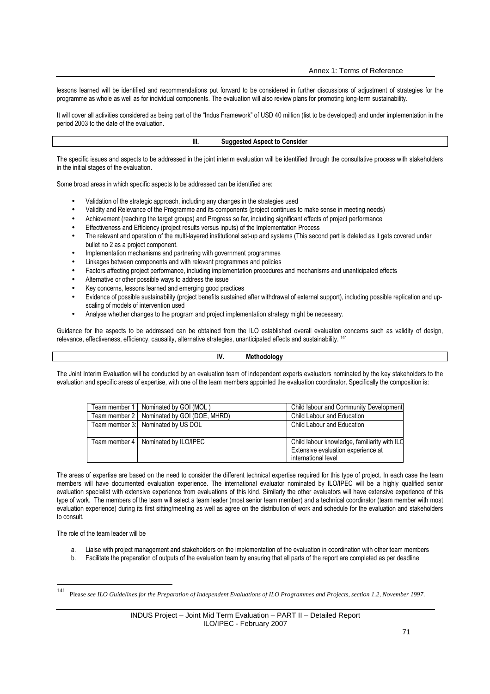lessons learned will be identified and recommendations put forward to be considered in further discussions of adjustment of strategies for the programme as whole as well as for individual components. The evaluation will also review plans for promoting long-term sustainability.

It will cover all activities considered as being part of the "Indus Framework" of USD 40 million (list to be developed) and under implementation in the period 2003 to the date of the evaluation.

#### **III. Suggested Aspect to Consider**

The specific issues and aspects to be addressed in the joint interim evaluation will be identified through the consultative process with stakeholders in the initial stages of the evaluation.

Some broad areas in which specific aspects to be addressed can be identified are:

- Validation of the strategic approach, including any changes in the strategies used
- Validity and Relevance of the Programme and its components (project continues to make sense in meeting needs)
- Achievement (reaching the target groups) and Progress so far, including significant effects of project performance
- Effectiveness and Efficiency (project results versus inputs) of the Implementation Process
- The relevant and operation of the multi-layered institutional set-up and systems (This second part is deleted as it gets covered under bullet no 2 as a project component.
- Implementation mechanisms and partnering with government programmes
- Linkages between components and with relevant programmes and policies
- Factors affecting project performance, including implementation procedures and mechanisms and unanticipated effects
- Alternative or other possible ways to address the issue
- Key concerns, lessons learned and emerging good practices
- Evidence of possible sustainability (project benefits sustained after withdrawal of external support), including possible replication and upscaling of models of intervention used
- Analyse whether changes to the program and project implementation strategy might be necessary.

Guidance for the aspects to be addressed can be obtained from the ILO established overall evaluation concerns such as validity of design, relevance, effectiveness, efficiency, causality, alternative strategies, unanticipated effects and sustainability. <sup>141</sup>

#### **IV. Methodology**

The Joint Interim Evaluation will be conducted by an evaluation team of independent experts evaluators nominated by the key stakeholders to the evaluation and specific areas of expertise, with one of the team members appointed the evaluation coordinator. Specifically the composition is:

| Team member 1   Nominated by GOI (MOL)       | Child labour and Community Development                                                                    |
|----------------------------------------------|-----------------------------------------------------------------------------------------------------------|
| Team member 2   Nominated by GOI (DOE, MHRD) | Child Labour and Education                                                                                |
| Team member 3: Nominated by US DOL           | Child Labour and Education                                                                                |
| Team member 4   Nominated by ILO/IPEC        | Child labour knowledge, familiarity with ILC<br>Extensive evaluation experience at<br>international level |

The areas of expertise are based on the need to consider the different technical expertise required for this type of project. In each case the team members will have documented evaluation experience. The international evaluator nominated by ILO/IPEC will be a highly qualified senior evaluation specialist with extensive experience from evaluations of this kind. Similarly the other evaluators will have extensive experience of this type of work. The members of the team will select a team leader (most senior team member) and a technical coordinator (team member with most evaluation experience) during its first sitting/meeting as well as agree on the distribution of work and schedule for the evaluation and stakeholders to consult.

The role of the team leader will be

- Liaise with project management and stakeholders on the implementation of the evaluation in coordination with other team members
- b. Facilitate the preparation of outputs of the evaluation team by ensuring that all parts of the report are completed as per deadline

 $\frac{1}{141}$ 

Please *see ILO Guidelines for the Preparation of Independent Evaluations of ILO Programmes and Projects, section 1.2, November 1997*.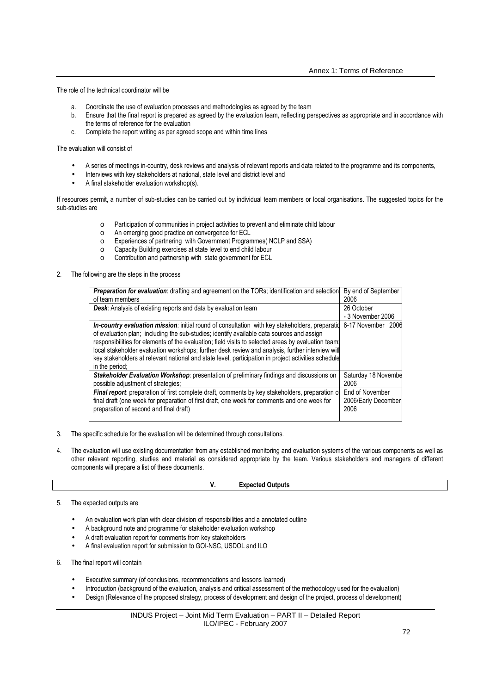The role of the technical coordinator will be

- a. Coordinate the use of evaluation processes and methodologies as agreed by the team
- b. Ensure that the final report is prepared as agreed by the evaluation team, reflecting perspectives as appropriate and in accordance with the terms of reference for the evaluation
- c. Complete the report writing as per agreed scope and within time lines

The evaluation will consist of

- A series of meetings in-country, desk reviews and analysis of relevant reports and data related to the programme and its components,
- Interviews with key stakeholders at national, state level and district level and
- A final stakeholder evaluation workshop(s).

If resources permit, a number of sub-studies can be carried out by individual team members or local organisations. The suggested topics for the sub-studies are

- o Participation of communities in project activities to prevent and eliminate child labour
- o An emerging good practice on convergence for ECL
- o Experiences of partnering with Government Programmes( NCLP and SSA)
- o Capacity Building exercises at state level to end child labour
- o Contribution and partnership with state government for ECL
- 2. The following are the steps in the process

| Preparation for evaluation: drafting and agreement on the TORs; identification and selection<br>of team members | By end of September<br>2006 |
|-----------------------------------------------------------------------------------------------------------------|-----------------------------|
| <b>Desk:</b> Analysis of existing reports and data by evaluation team                                           | 26 October                  |
|                                                                                                                 | - 3 November 2006           |
| In-country evaluation mission: initial round of consultation with key stakeholders, preparatid                  | 6-17 November 2006          |
| of evaluation plan; including the sub-studies; identify available data sources and assign                       |                             |
| responsibilities for elements of the evaluation; field visits to selected areas by evaluation team.             |                             |
| local stakeholder evaluation workshops; further desk review and analysis, further interview wit                 |                             |
| key stakeholders at relevant national and state level, participation in project activities schedule             |                             |
| in the period;                                                                                                  |                             |
| Stakeholder Evaluation Workshop: presentation of preliminary findings and discussions on                        | Saturday 18 Novembe         |
| possible adjustment of strategies;                                                                              | 2006                        |
| <b>Final report:</b> preparation of first complete draft, comments by key stakeholders, preparation of          | End of November             |
| final draft (one week for preparation of first draft, one week for comments and one week for                    | 2006/Early December         |
| preparation of second and final draft)                                                                          | 2006                        |
|                                                                                                                 |                             |

- 3. The specific schedule for the evaluation will be determined through consultations.
- 4. The evaluation will use existing documentation from any established monitoring and evaluation systems of the various components as well as other relevant reporting, studies and material as considered appropriate by the team. Various stakeholders and managers of different components will prepare a list of these documents.

|  | -<br>Expected<br><b>Outputs</b> |
|--|---------------------------------|
|  |                                 |

5. The expected outputs are

- An evaluation work plan with clear division of responsibilities and a annotated outline
- A background note and programme for stakeholder evaluation workshop
- A draft evaluation report for comments from key stakeholders
- A final evaluation report for submission to GOI-NSC, USDOL and ILO
- 6. The final report will contain
	- Executive summary (of conclusions, recommendations and lessons learned)
	- Introduction (background of the evaluation, analysis and critical assessment of the methodology used for the evaluation)
	- Design (Relevance of the proposed strategy, process of development and design of the project, process of development)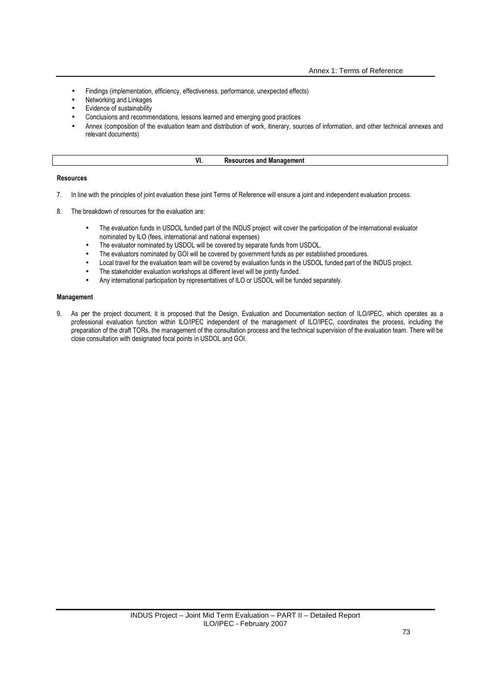- Findings (implementation, efficiency, effectiveness, performance, unexpected effects)
- Networking and Linkages
- Evidence of sustainability
- Conclusions and recommendations, lessons learned and emerging good practices
- Annex (composition of the evaluation team and distribution of work, itinerary, sources of information, and other technical annexes and relevant documents)

| vı<br> | шеп<br><br>шa<br> |
|--------|-------------------|
|        |                   |

#### **Resources**

- 7. In line with the principles of joint evaluation these joint Terms of Reference will ensure a joint and independent evaluation process.
- 8. The breakdown of resources for the evaluation are:
	- The evaluation funds in USDOL funded part of the INDUS project will cover the participation of the international evaluator nominated by ILO (fees, international and national expenses)
	- The evaluator nominated by USDOL will be covered by separate funds from USDOL.
	- The evaluators nominated by GOI will be covered by government funds as per established procedures.
	- Local travel for the evaluation team will be covered by evaluation funds in the USDOL funded part of the INDUS project.
	- The stakeholder evaluation workshops at different level will be jointly funded.
	- Any international participation by representatives of ILO or USDOL will be funded separately.

### **Management**

9. As per the project document, it is proposed that the Design, Evaluation and Documentation section of ILO/IPEC, which operates as a professional evaluation function within ILO/IPEC independent of the management of ILO/IPEC, coordinates the process, including the preparation of the draft TORs, the management of the consultation process and the technical supervision of the evaluation team. There will be close consultation with designated focal points in USDOL and GOI.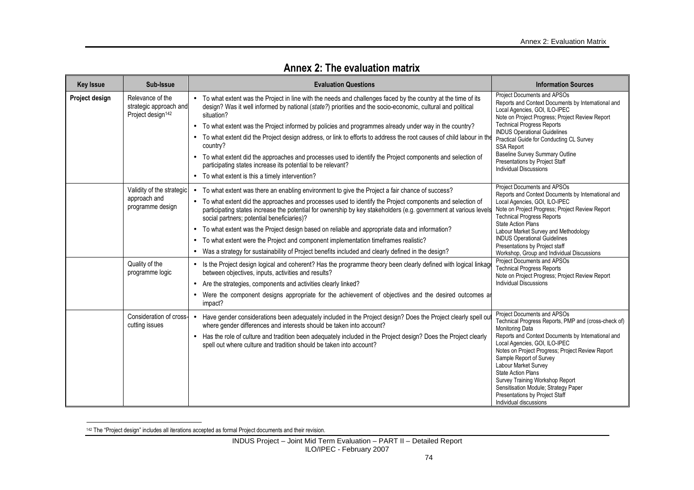| <b>Key Issue</b> | Sub-Issue                                                                                          | <b>Evaluation Questions</b>                                                                                                                                                                                                                                                                                                                                                                                                                                                                                                                                                                                                                                                                                                                                                                                                                                                                                                                                                                                                                                | <b>Information Sources</b>                                                                                                                                                                                                                                                                                                                                                                                                                                                                                                                                     |
|------------------|----------------------------------------------------------------------------------------------------|------------------------------------------------------------------------------------------------------------------------------------------------------------------------------------------------------------------------------------------------------------------------------------------------------------------------------------------------------------------------------------------------------------------------------------------------------------------------------------------------------------------------------------------------------------------------------------------------------------------------------------------------------------------------------------------------------------------------------------------------------------------------------------------------------------------------------------------------------------------------------------------------------------------------------------------------------------------------------------------------------------------------------------------------------------|----------------------------------------------------------------------------------------------------------------------------------------------------------------------------------------------------------------------------------------------------------------------------------------------------------------------------------------------------------------------------------------------------------------------------------------------------------------------------------------------------------------------------------------------------------------|
| Project design   | Relevance of the<br>strategic approach and<br>Project design <sup>142</sup>                        | • To what extent was the Project in line with the needs and challenges faced by the country at the time of its<br>design? Was it well informed by national (state?) priorities and the socio-economic, cultural and political<br>situation?<br>• To what extent was the Project informed by policies and programmes already under way in the country?<br>• To what extent did the Project design address, or link to efforts to address the root causes of child labour in the<br>country?<br>To what extent did the approaches and processes used to identify the Project components and selection of<br>$\bullet$<br>participating states increase its potential to be relevant?<br>• To what extent is this a timely intervention?                                                                                                                                                                                                                                                                                                                      | Project Documents and APSOs<br>Reports and Context Documents by International and<br>Local Agencies, GOI, ILO-IPEC<br>Note on Project Progress; Project Review Report<br><b>Technical Progress Reports</b><br><b>INDUS Operational Guidelines</b><br>Practical Guide for Conducting CL Survey<br><b>SSA Report</b><br><b>Baseline Survey Summary Outline</b><br>Presentations by Project Staff<br><b>Individual Discussions</b>                                                                                                                                |
|                  | Validity of the strategic<br>approach and<br>programme design<br>Quality of the<br>programme logic | To what extent was there an enabling environment to give the Project a fair chance of success?<br>$\bullet$<br>• To what extent did the approaches and processes used to identify the Project components and selection of<br>participating states increase the potential for ownership by key stakeholders (e.g. government at various levels<br>social partners; potential beneficiaries)?<br>To what extent was the Project design based on reliable and appropriate data and information?<br>To what extent were the Project and component implementation timeframes realistic?<br>• Was a strategy for sustainability of Project benefits included and clearly defined in the design?<br>• Is the Project design logical and coherent? Has the programme theory been clearly defined with logical linkag<br>between objectives, inputs, activities and results?<br>• Are the strategies, components and activities clearly linked?<br>Were the component designs appropriate for the achievement of objectives and the desired outcomes are<br>impact? | Project Documents and APSOs<br>Reports and Context Documents by International and<br>Local Agencies, GOI, ILO-IPEC<br>Note on Project Progress; Project Review Report<br><b>Technical Progress Reports</b><br><b>State Action Plans</b><br>Labour Market Survey and Methodology<br><b>INDUS Operational Guidelines</b><br>Presentations by Project staff<br>Workshop, Group and Individual Discussions<br>Project Documents and APSOs<br><b>Technical Progress Reports</b><br>Note on Project Progress; Project Review Report<br><b>Individual Discussions</b> |
|                  | Consideration of cross-<br>cutting issues                                                          | • Have gender considerations been adequately included in the Project design? Does the Project clearly spell ou<br>where gender differences and interests should be taken into account?<br>• Has the role of culture and tradition been adequately included in the Project design? Does the Project clearly<br>spell out where culture and tradition should be taken into account?                                                                                                                                                                                                                                                                                                                                                                                                                                                                                                                                                                                                                                                                          | Project Documents and APSOs<br>Technical Progress Reports, PMP and (cross-check of)<br><b>Monitoring Data</b><br>Reports and Context Documents by International and<br>Local Agencies, GOI, ILO-IPEC<br>Notes on Project Progress; Project Review Report<br>Sample Report of Survey<br>Labour Market Survey<br><b>State Action Plans</b><br>Survey Training Workshop Report<br>Sensitisation Module; Strategy Paper<br>Presentations by Project Staff<br>Individual discussions                                                                                |

# **Annex 2: The evaluation matrix**

<sup>142</sup> The "Project design" includes all iterations accepted as formal Project documents and their revision.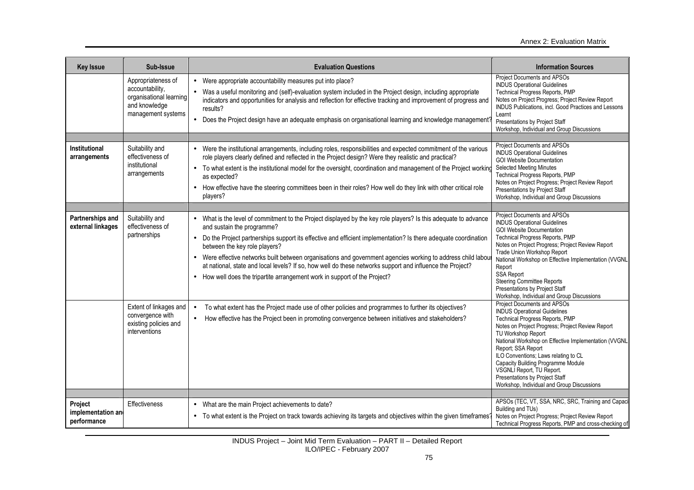| <b>Key Issue</b>                      | Sub-Issue                                                                                               | <b>Evaluation Questions</b>                                                                                                                                                                                                                                                                                                                                                                                           | <b>Information Sources</b>                                                                                                                                                                                                                                                                                  |
|---------------------------------------|---------------------------------------------------------------------------------------------------------|-----------------------------------------------------------------------------------------------------------------------------------------------------------------------------------------------------------------------------------------------------------------------------------------------------------------------------------------------------------------------------------------------------------------------|-------------------------------------------------------------------------------------------------------------------------------------------------------------------------------------------------------------------------------------------------------------------------------------------------------------|
|                                       | Appropriateness of<br>accountability,<br>organisational learning<br>and knowledge<br>management systems | • Were appropriate accountability measures put into place?<br>• Was a useful monitoring and (self)-evaluation system included in the Project design, including appropriate<br>indicators and opportunities for analysis and reflection for effective tracking and improvement of progress and<br>results?<br>• Does the Project design have an adequate emphasis on organisational learning and knowledge management? | Project Documents and APSOs<br><b>INDUS Operational Guidelines</b><br>Technical Progress Reports, PMP<br>Notes on Project Progress; Project Review Report<br>INDUS Publications, incl. Good Practices and Lessons<br>Learnt<br>Presentations by Project Staff<br>Workshop, Individual and Group Discussions |
| Institutional                         | Suitability and                                                                                         | • Were the institutional arrangements, including roles, responsibilities and expected commitment of the various                                                                                                                                                                                                                                                                                                       | Project Documents and APSOs                                                                                                                                                                                                                                                                                 |
| arrangements                          | effectiveness of                                                                                        | role players clearly defined and reflected in the Project design? Were they realistic and practical?                                                                                                                                                                                                                                                                                                                  | <b>INDUS Operational Guidelines</b><br><b>GOI Website Documentation</b>                                                                                                                                                                                                                                     |
|                                       | institutional<br>arrangements                                                                           | • To what extent is the institutional model for the oversight, coordination and management of the Project working<br>as expected?                                                                                                                                                                                                                                                                                     | <b>Selected Meeting Minutes</b><br>Technical Progress Reports, PMP                                                                                                                                                                                                                                          |
|                                       |                                                                                                         | • How effective have the steering committees been in their roles? How well do they link with other critical role<br>players?                                                                                                                                                                                                                                                                                          | Notes on Project Progress; Project Review Report<br>Presentations by Project Staff<br>Workshop, Individual and Group Discussions                                                                                                                                                                            |
|                                       |                                                                                                         |                                                                                                                                                                                                                                                                                                                                                                                                                       |                                                                                                                                                                                                                                                                                                             |
| Partnerships and<br>external linkages | Suitability and<br>effectiveness of                                                                     | • What is the level of commitment to the Project displayed by the key role players? Is this adequate to advance<br>and sustain the programme?                                                                                                                                                                                                                                                                         | Project Documents and APSOs<br><b>INDUS Operational Guidelines</b><br><b>GOI Website Documentation</b>                                                                                                                                                                                                      |
|                                       | partnerships                                                                                            | • Do the Project partnerships support its effective and efficient implementation? Is there adequate coordination<br>between the key role players?                                                                                                                                                                                                                                                                     | Technical Progress Reports, PMP<br>Notes on Project Progress; Project Review Report                                                                                                                                                                                                                         |
|                                       |                                                                                                         | • Were effective networks built between organisations and government agencies working to address child labou<br>at national, state and local levels? If so, how well do these networks support and influence the Project?                                                                                                                                                                                             | Trade Union Workshop Report<br>National Workshop on Effective Implementation (VVGNL<br>Report                                                                                                                                                                                                               |
|                                       |                                                                                                         | • How well does the tripartite arrangement work in support of the Project?                                                                                                                                                                                                                                                                                                                                            | <b>SSA Report</b><br><b>Steering Committee Reports</b><br>Presentations by Project Staff<br>Workshop, Individual and Group Discussions                                                                                                                                                                      |
|                                       | Extent of linkages and                                                                                  | To what extent has the Project made use of other policies and programmes to further its objectives?<br>$\bullet$                                                                                                                                                                                                                                                                                                      | Project Documents and APSOs<br><b>INDUS Operational Guidelines</b>                                                                                                                                                                                                                                          |
|                                       | convergence with<br>existing policies and<br>interventions                                              | How effective has the Project been in promoting convergence between initiatives and stakeholders?<br>$\bullet$                                                                                                                                                                                                                                                                                                        | Technical Progress Reports, PMP<br>Notes on Project Progress; Project Review Report<br>TU Workshop Report<br>National Workshop on Effective Implementation (VVGNL<br>Report; SSA Report                                                                                                                     |
|                                       |                                                                                                         |                                                                                                                                                                                                                                                                                                                                                                                                                       | ILO Conventions; Laws relating to CL<br>Capacity Building Programme Module                                                                                                                                                                                                                                  |
|                                       |                                                                                                         |                                                                                                                                                                                                                                                                                                                                                                                                                       | VSGNLI Report, TU Report.<br>Presentations by Project Staff<br>Workshop, Individual and Group Discussions                                                                                                                                                                                                   |
|                                       |                                                                                                         |                                                                                                                                                                                                                                                                                                                                                                                                                       |                                                                                                                                                                                                                                                                                                             |
| Project<br>implementation and         | Effectiveness                                                                                           | • What are the main Project achievements to date?                                                                                                                                                                                                                                                                                                                                                                     | APSOs (TEC, VT, SSA, NRC, SRC, Training and Capaci<br>Building and TUs)                                                                                                                                                                                                                                     |
| performance                           |                                                                                                         | • To what extent is the Project on track towards achieving its targets and objectives within the given timeframes'                                                                                                                                                                                                                                                                                                    | Notes on Project Progress; Project Review Report<br>Technical Progress Reports, PMP and cross-checking of                                                                                                                                                                                                   |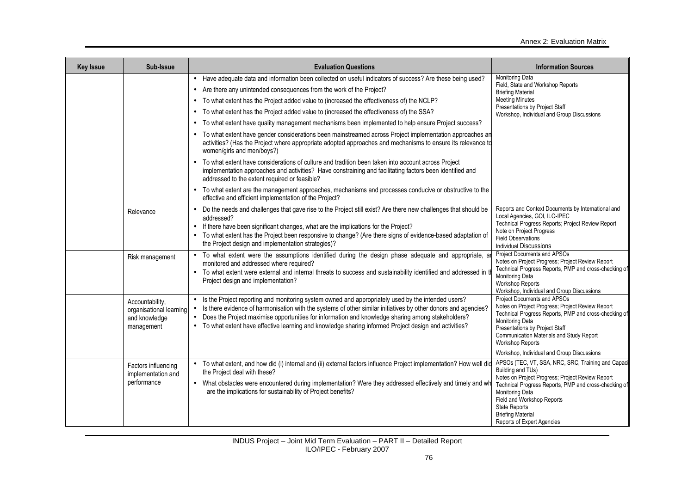| <b>Key Issue</b> | Sub-Issue                                                                 | <b>Evaluation Questions</b>                                                                                                                                                                                                                                                                                                                                                                                                                                                                                                                                                                                                                                                                                                                                                                                                                                                                                                                                    | <b>Information Sources</b>                                                                                                                                                                                                                                                                                                     |
|------------------|---------------------------------------------------------------------------|----------------------------------------------------------------------------------------------------------------------------------------------------------------------------------------------------------------------------------------------------------------------------------------------------------------------------------------------------------------------------------------------------------------------------------------------------------------------------------------------------------------------------------------------------------------------------------------------------------------------------------------------------------------------------------------------------------------------------------------------------------------------------------------------------------------------------------------------------------------------------------------------------------------------------------------------------------------|--------------------------------------------------------------------------------------------------------------------------------------------------------------------------------------------------------------------------------------------------------------------------------------------------------------------------------|
|                  |                                                                           | • Have adequate data and information been collected on useful indicators of success? Are these being used?<br>• Are there any unintended consequences from the work of the Project?<br>To what extent has the Project added value to (increased the effectiveness of) the NCLP?<br>To what extent has the Project added value to (increased the effectiveness of) the SSA?<br>To what extent have quality management mechanisms been implemented to help ensure Project success?<br>• To what extent have gender considerations been mainstreamed across Project implementation approaches an<br>activities? (Has the Project where appropriate adopted approaches and mechanisms to ensure its relevance to<br>women/girls and men/boys?)<br>• To what extent have considerations of culture and tradition been taken into account across Project<br>implementation approaches and activities? Have constraining and facilitating factors been identified and | Monitoring Data<br>Field, State and Workshop Reports<br><b>Briefing Material</b><br><b>Meeting Minutes</b><br>Presentations by Project Staff<br>Workshop, Individual and Group Discussions                                                                                                                                     |
|                  |                                                                           | addressed to the extent required or feasible?<br>To what extent are the management approaches, mechanisms and processes conducive or obstructive to the<br>effective and efficient implementation of the Project?                                                                                                                                                                                                                                                                                                                                                                                                                                                                                                                                                                                                                                                                                                                                              |                                                                                                                                                                                                                                                                                                                                |
|                  | Relevance                                                                 | • Do the needs and challenges that gave rise to the Project still exist? Are there new challenges that should be<br>addressed?<br>• If there have been significant changes, what are the implications for the Project?<br>• To what extent has the Project been responsive to change? (Are there signs of evidence-based adaptation of<br>the Project design and implementation strategies)?                                                                                                                                                                                                                                                                                                                                                                                                                                                                                                                                                                   | Reports and Context Documents by International and<br>Local Agencies, GOI, ILO-IPEC<br>Technical Progress Reports; Project Review Report<br>Note on Project Progress<br><b>Field Observations</b><br><b>Individual Discussions</b>                                                                                             |
|                  | Risk management                                                           | • To what extent were the assumptions identified during the design phase adequate and appropriate, are<br>monitored and addressed where required?<br>• To what extent were external and internal threats to success and sustainability identified and addressed in t<br>Project design and implementation?                                                                                                                                                                                                                                                                                                                                                                                                                                                                                                                                                                                                                                                     | Project Documents and APSOs<br>Notes on Project Progress; Project Review Report<br>Technical Progress Reports, PMP and cross-checking of<br>Monitoring Data<br><b>Workshop Reports</b><br>Workshop, Individual and Group Discussions                                                                                           |
|                  | Accountability,<br>organisational learning<br>and knowledge<br>management | • Is the Project reporting and monitoring system owned and appropriately used by the intended users?<br>• Is there evidence of harmonisation with the systems of other similar initiatives by other donors and agencies?<br>• Does the Project maximise opportunities for information and knowledge sharing among stakeholders?<br>• To what extent have effective learning and knowledge sharing informed Project design and activities?                                                                                                                                                                                                                                                                                                                                                                                                                                                                                                                      | Project Documents and APSOs<br>Notes on Project Progress; Project Review Report<br>Technical Progress Reports, PMP and cross-checking of<br>Monitoring Data<br>Presentations by Project Staff<br>Communication Materials and Study Report<br><b>Workshop Reports</b><br>Workshop, Individual and Group Discussions             |
|                  | Factors influencing<br>implementation and<br>performance                  | • To what extent, and how did (i) internal and (ii) external factors influence Project implementation? How well did<br>the Project deal with these?<br>• What obstacles were encountered during implementation? Were they addressed effectively and timely and wh<br>are the implications for sustainability of Project benefits?                                                                                                                                                                                                                                                                                                                                                                                                                                                                                                                                                                                                                              | APSOs (TEC, VT, SSA, NRC, SRC, Training and Capaci<br>Building and TUs)<br>Notes on Project Progress; Project Review Report<br>Technical Progress Reports, PMP and cross-checking of<br><b>Monitoring Data</b><br>Field and Workshop Reports<br><b>State Reports</b><br><b>Briefing Material</b><br>Reports of Expert Agencies |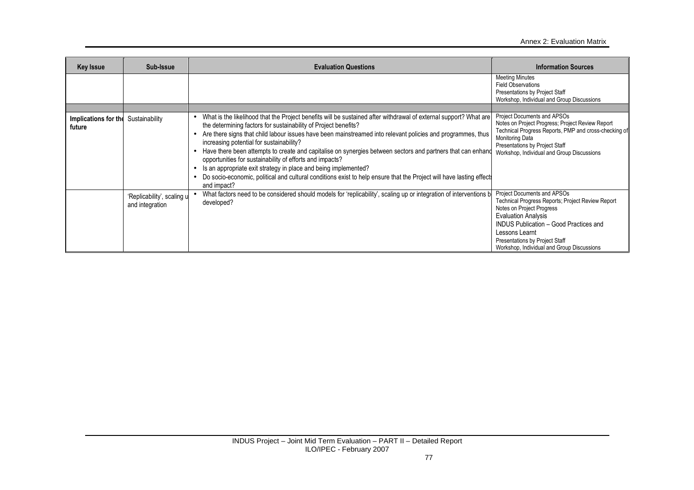| <b>Key Issue</b>               | Sub-Issue                                     | <b>Evaluation Questions</b>                                                                                                                                                                                                                                                                                                                                                                                                                                                                                                                                                                                                                                                                                                                                                              | <b>Information Sources</b>                                                                                                                                                                                                                                                                     |
|--------------------------------|-----------------------------------------------|------------------------------------------------------------------------------------------------------------------------------------------------------------------------------------------------------------------------------------------------------------------------------------------------------------------------------------------------------------------------------------------------------------------------------------------------------------------------------------------------------------------------------------------------------------------------------------------------------------------------------------------------------------------------------------------------------------------------------------------------------------------------------------------|------------------------------------------------------------------------------------------------------------------------------------------------------------------------------------------------------------------------------------------------------------------------------------------------|
|                                |                                               |                                                                                                                                                                                                                                                                                                                                                                                                                                                                                                                                                                                                                                                                                                                                                                                          | <b>Meeting Minutes</b><br><b>Field Observations</b><br>Presentations by Project Staff<br>Workshop, Individual and Group Discussions                                                                                                                                                            |
|                                |                                               |                                                                                                                                                                                                                                                                                                                                                                                                                                                                                                                                                                                                                                                                                                                                                                                          |                                                                                                                                                                                                                                                                                                |
| Implications for the<br>future | Sustainability                                | What is the likelihood that the Project benefits will be sustained after withdrawal of external support? What are<br>$\bullet$<br>the determining factors for sustainability of Project benefits?<br>Are there signs that child labour issues have been mainstreamed into relevant policies and programmes, thus<br>$\bullet$<br>increasing potential for sustainability?<br>Have there been attempts to create and capitalise on synergies between sectors and partners that can enhance<br>opportunities for sustainability of efforts and impacts?<br>Is an appropriate exit strategy in place and being implemented?<br>$\bullet$<br>Do socio-economic, political and cultural conditions exist to help ensure that the Project will have lasting effect<br>$\bullet$<br>and impact? | Project Documents and APSOs<br>Notes on Project Progress; Project Review Report<br>Technical Progress Reports, PMP and cross-checking of<br><b>Monitoring Data</b><br>Presentations by Project Staff<br>Workshop, Individual and Group Discussions                                             |
|                                | 'Replicability', scaling u<br>and integration | What factors need to be considered should models for 'replicability', scaling up or integration of interventions b<br>developed?                                                                                                                                                                                                                                                                                                                                                                                                                                                                                                                                                                                                                                                         | Project Documents and APSOs<br>Technical Progress Reports; Project Review Report<br>Notes on Project Progress<br><b>Evaluation Analysis</b><br><b>INDUS Publication - Good Practices and</b><br>Lessons Learnt<br>Presentations by Project Staff<br>Workshop, Individual and Group Discussions |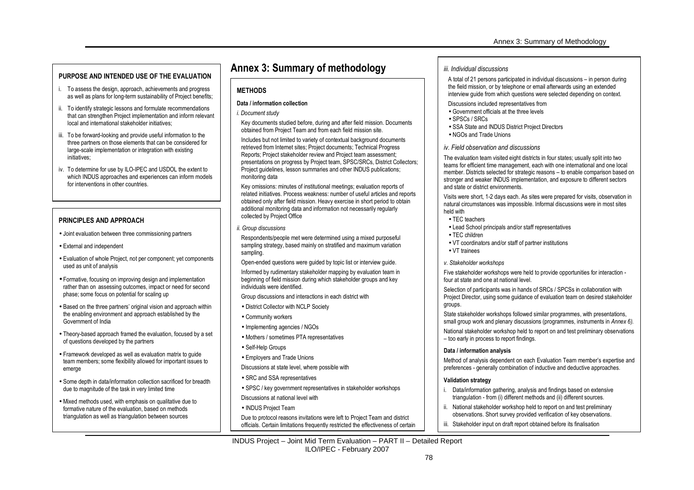- i. To assess the design, approach, achievements and progress as well as plans for long-term sustainability of Project benefits;
- ii. To identify strategic lessons and formulate recommendations that can strengthen Project implementation and inform relevant local and international stakeholder initiatives;
- iii. To be forward-looking and provide useful information to the three partners on those elements that can be considered for large-scale implementation or integration with existing initiatives;
- iv. To determine for use by ILO-IPEC and USDOL the extent to which INDUS approaches and experiences can inform models for interventions in other countries.

### **PRINCIPLES AND APPROACH**

- Joint evaluation between three commissioning partners
- External and independent
- Evaluation of whole Project, not per component; yet components used as unit of analysis
- Formative, focusing on improving design and implementation rather than on assessing outcomes, impact or need for second phase; some focus on potential for scaling up
- Based on the three partners' original vision and approach within the enabling environment and approach established by the Government of India
- Theory-based approach framed the evaluation, focused by a set of questions developed by the partners
- Framework developed as well as evaluation matrix to guide team members; some flexibility allowed for important issues to emerge
- Some depth in data/information collection sacrificed for breadth due to magnitude of the task in very limited time
- Mixed methods used, with emphasis on qualitative due to formative nature of the evaluation, based on methods triangulation as well as triangulation between sources

# **Annex 3: Summary of methodology PURPOSE AND INTENDED USE OF THE EVALUATION Annex 3: Summary of methodology**

### **METHODS**

#### **Data / information collection**

*i. Document study* 

Key documents studied before, during and after field mission. Documents obtained from Project Team and from each field mission site.

Includes but not limited to variety of contextual background documents retrieved from Internet sites; Project documents; Technical Progress Reports; Project stakeholder review and Project team assessment; presentations on progress by Project team, SPSC/SRCs, District Collectors; Project guidelines, lesson summaries and other INDUS publications; monitoring data

Key omissions: minutes of institutional meetings; evaluation reports of related initiatives. Process weakness: number of useful articles and reports obtained only after field mission. Heavy exercise in short period to obtain additional monitoring data and information not necessarily regularly collected by Project Office

*ii. Group discussions* 

Respondents/people met were determined using a mixed purposeful sampling strategy, based mainly on stratified and maximum variation sampling.

Open-ended questions were guided by topic list or interview guide.

Informed by rudimentary stakeholder mapping by evaluation team in beginning of field mission during which stakeholder groups and key individuals were identified.

Group discussions and interactions in each district with

- District Collector with NCLP Society
- Community workers
- Implementing agencies / NGOs
- Mothers / sometimes PTA representatives
- Self-Help Groups
- Employers and Trade Unions
- Discussions at state level, where possible with
- SRC and SSA representatives
- SPSC / key government representatives in stakeholder workshops Discussions at national level with
- 
- INDUS Project Team

Due to protocol reasons invitations were left to Project Team and district officials. Certain limitations frequently restricted the effectiveness of certain

#### *iii. Individual discussions*

A total of 21 persons participated in individual discussions – in person during the field mission, or by telephone or email afterwards using an extended interview guide from which questions were selected depending on context.

- Discussions included representatives from
- Government officials at the three levels
- SPSCs / SRCs
- SSA State and INDUS District Project Directors
- NGOs and Trade Unions

#### *iv. Field observation and discussions*

The evaluation team visited eight districts in four states; usually split into two teams for efficient time management, each with one international and one local member. Districts selected for strategic reasons – to enable comparison based on stronger and weaker INDUS implementation, and exposure to different sectors and state or district environments.

Visits were short, 1-2 days each. As sites were prepared for visits, observation in natural circumstances was impossible. Informal discussions were in most sites held with

- TEC teachers
- Lead School principals and/or staff representatives
- TEC children
- VT coordinators and/or staff of partner institutions
- VT trainees

#### *v. Stakeholder workshops*

Five stakeholder workshops were held to provide opportunities for interaction four at state and one at national level.

Selection of participants was in hands of SRCs / SPCSs in collaboration with Project Director, using some guidance of evaluation team on desired stakeholder groups.

State stakeholder workshops followed similar programmes, with presentations, small group work and plenary discussions (programmes, instruments in *Annex 6).* 

National stakeholder workshop held to report on and test preliminary observations – too early in process to report findings.

#### **Data / information analysis**

Method of analysis dependent on each Evaluation Team member's expertise and preferences - generally combination of inductive and deductive approaches.

#### **Validation strategy**

- i. Data/information gathering, analysis and findings based on extensive triangulation - from (i) different methods and (ii) different sources.
- ii. National stakeholder workshop held to report on and test preliminary observations. Short survey provided verification of key observations.
- iii. Stakeholder input on draft report obtained before its finalisation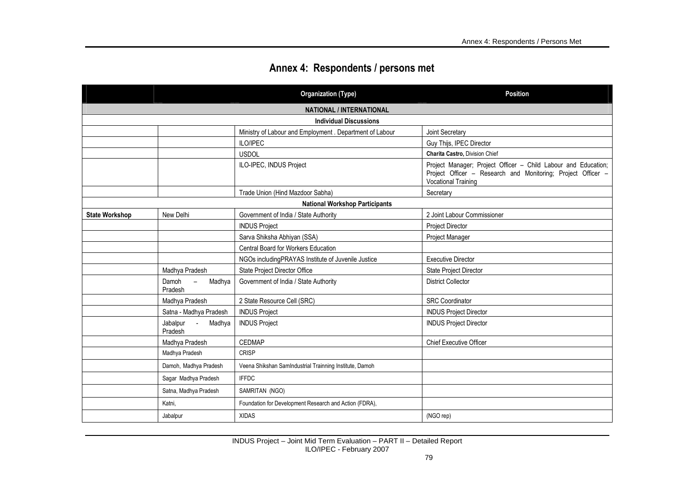|  | Annex 4: Respondents / persons met |  |
|--|------------------------------------|--|
|--|------------------------------------|--|

|                       |                                                | <b>Organization (Type)</b>                               | <b>Position</b>                                                                                                                                              |  |  |
|-----------------------|------------------------------------------------|----------------------------------------------------------|--------------------------------------------------------------------------------------------------------------------------------------------------------------|--|--|
|                       | <b>NATIONAL / INTERNATIONAL</b>                |                                                          |                                                                                                                                                              |  |  |
|                       |                                                | <b>Individual Discussions</b>                            |                                                                                                                                                              |  |  |
|                       |                                                | Ministry of Labour and Employment . Department of Labour | Joint Secretary                                                                                                                                              |  |  |
|                       |                                                | ILO/IPEC                                                 | Guy Thijs, IPEC Director                                                                                                                                     |  |  |
|                       |                                                | <b>USDOL</b>                                             | Charita Castro, Division Chief                                                                                                                               |  |  |
|                       |                                                | ILO-IPEC, INDUS Project                                  | Project Manager; Project Officer - Child Labour and Education;<br>Project Officer - Research and Monitoring; Project Officer -<br><b>Vocational Training</b> |  |  |
|                       |                                                | Trade Union (Hind Mazdoor Sabha)                         | Secretary                                                                                                                                                    |  |  |
|                       |                                                | <b>National Workshop Participants</b>                    |                                                                                                                                                              |  |  |
| <b>State Workshop</b> | New Delhi                                      | Government of India / State Authority                    | 2 Joint Labour Commissioner                                                                                                                                  |  |  |
|                       |                                                | <b>INDUS Project</b>                                     | <b>Project Director</b>                                                                                                                                      |  |  |
|                       |                                                | Sarva Shiksha Abhiyan (SSA)                              | Project Manager                                                                                                                                              |  |  |
|                       |                                                | <b>Central Board for Workers Education</b>               |                                                                                                                                                              |  |  |
|                       |                                                | NGOs including PRAYAS Institute of Juvenile Justice      | <b>Executive Director</b>                                                                                                                                    |  |  |
|                       | Madhya Pradesh                                 | State Project Director Office                            | State Project Director                                                                                                                                       |  |  |
|                       | Madhya<br>Damoh<br>$\equiv$<br>Pradesh         | Government of India / State Authority                    | <b>District Collector</b>                                                                                                                                    |  |  |
|                       | Madhya Pradesh                                 | 2 State Resource Cell (SRC)                              | <b>SRC</b> Coordinator                                                                                                                                       |  |  |
|                       | Satna - Madhya Pradesh                         | <b>INDUS Project</b>                                     | <b>INDUS Project Director</b>                                                                                                                                |  |  |
|                       | Jabalpur<br>$\sim$ $\sim$<br>Madhya<br>Pradesh | <b>INDUS Project</b>                                     | <b>INDUS Project Director</b>                                                                                                                                |  |  |
|                       | Madhya Pradesh                                 | <b>CEDMAP</b>                                            | <b>Chief Executive Officer</b>                                                                                                                               |  |  |
|                       | Madhya Pradesh                                 | <b>CRISP</b>                                             |                                                                                                                                                              |  |  |
|                       | Damoh, Madhya Pradesh                          | Veena Shikshan SamIndustrial Trainning Institute, Damoh  |                                                                                                                                                              |  |  |
|                       | Sagar Madhya Pradesh                           | <b>IFFDC</b>                                             |                                                                                                                                                              |  |  |
|                       | Satna, Madhya Pradesh                          | SAMRITAN (NGO)                                           |                                                                                                                                                              |  |  |
|                       | Katni,                                         | Foundation for Development Research and Action (FDRA),   |                                                                                                                                                              |  |  |
|                       | Jabalpur                                       | <b>XIDAS</b>                                             | (NGO rep)                                                                                                                                                    |  |  |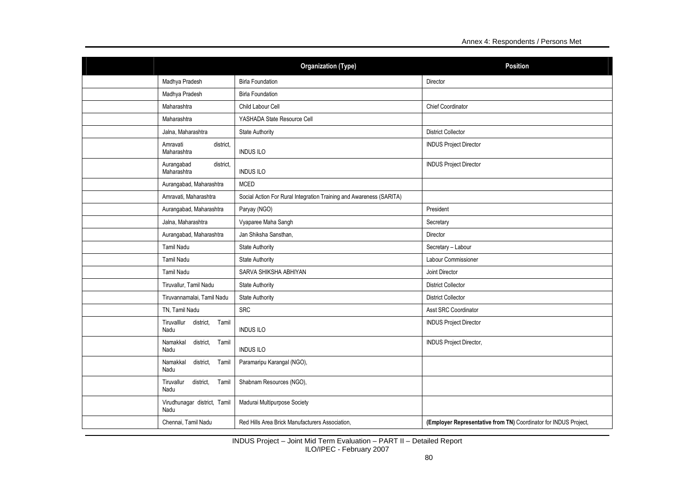|                                           | <b>Organization (Type)</b>                                          | <b>Position</b>                                                  |
|-------------------------------------------|---------------------------------------------------------------------|------------------------------------------------------------------|
| Madhya Pradesh                            | <b>Birla Foundation</b>                                             | Director                                                         |
| Madhya Pradesh                            | <b>Birla Foundation</b>                                             |                                                                  |
| Maharashtra                               | Child Labour Cell                                                   | Chief Coordinator                                                |
| Maharashtra                               | YASHADA State Resource Cell                                         |                                                                  |
| Jalna, Maharashtra                        | <b>State Authority</b>                                              | <b>District Collector</b>                                        |
| district.<br>Amravati<br>Maharashtra      | <b>INDUS ILO</b>                                                    | <b>INDUS Project Director</b>                                    |
| Aurangabad<br>district.<br>Maharashtra    | <b>INDUS ILO</b>                                                    | <b>INDUS Project Director</b>                                    |
| Aurangabad, Maharashtra                   | <b>MCED</b>                                                         |                                                                  |
| Amravati, Maharashtra                     | Social Action For Rural Integration Training and Awareness (SARITA) |                                                                  |
| Aurangabad, Maharashtra                   | Paryay (NGO)                                                        | President                                                        |
| Jalna, Maharashtra                        | Vyaparee Maha Sangh                                                 | Secretary                                                        |
| Aurangabad, Maharashtra                   | Jan Shiksha Sansthan,                                               | Director                                                         |
| <b>Tamil Nadu</b>                         | <b>State Authority</b>                                              | Secretary - Labour                                               |
| <b>Tamil Nadu</b>                         | <b>State Authority</b>                                              | Labour Commissioner                                              |
| <b>Tamil Nadu</b>                         | SARVA SHIKSHA ABHIYAN                                               | Joint Director                                                   |
| Tiruvallur, Tamil Nadu                    | <b>State Authority</b>                                              | <b>District Collector</b>                                        |
| Tiruvannamalai, Tamil Nadu                | <b>State Authority</b>                                              | <b>District Collector</b>                                        |
| TN, Tamil Nadu                            | <b>SRC</b>                                                          | Asst SRC Coordinator                                             |
| Tiruvalllur<br>district.<br>Tamil<br>Nadu | <b>INDUS ILO</b>                                                    | <b>INDUS Project Director</b>                                    |
| Tamil<br>Namakkal<br>district.<br>Nadu    | <b>INDUS ILO</b>                                                    | INDUS Project Director,                                          |
| Namakkal<br>district,<br>Tamil<br>Nadu    | Paramaripu Karangal (NGO),                                          |                                                                  |
| Tiruvallur<br>district,<br>Tamil<br>Nadu  | Shabnam Resources (NGO),                                            |                                                                  |
| Virudhunagar district, Tamil<br>Nadu      | Madurai Multipurpose Society                                        |                                                                  |
| Chennai, Tamil Nadu                       | Red Hills Area Brick Manufacturers Association,                     | (Employer Representative from TN) Coordinator for INDUS Project, |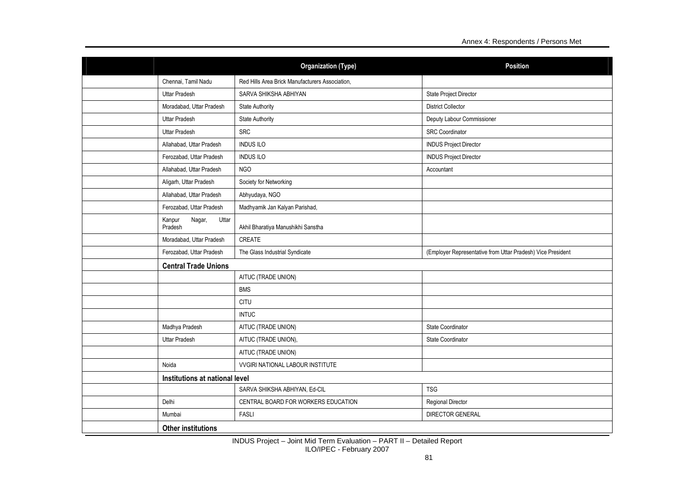|                                      | <b>Organization (Type)</b>                      | <b>Position</b>                                             |  |
|--------------------------------------|-------------------------------------------------|-------------------------------------------------------------|--|
| Chennai, Tamil Nadu                  | Red Hills Area Brick Manufacturers Association, |                                                             |  |
| <b>Uttar Pradesh</b>                 | SARVA SHIKSHA ABHIYAN                           | State Project Director                                      |  |
| Moradabad, Uttar Pradesh             | <b>State Authority</b>                          | <b>District Collector</b>                                   |  |
| <b>Uttar Pradesh</b>                 | <b>State Authority</b>                          | Deputy Labour Commissioner                                  |  |
| <b>Uttar Pradesh</b>                 | <b>SRC</b>                                      | <b>SRC</b> Coordinator                                      |  |
| Allahabad, Uttar Pradesh             | <b>INDUS ILO</b>                                | <b>INDUS Project Director</b>                               |  |
| Ferozabad, Uttar Pradesh             | <b>INDUS ILO</b>                                | <b>INDUS Project Director</b>                               |  |
| Allahabad, Uttar Pradesh             | <b>NGO</b>                                      | Accountant                                                  |  |
| Aligarh, Uttar Pradesh               | Society for Networking                          |                                                             |  |
| Allahabad, Uttar Pradesh             | Abhyudaya, NGO                                  |                                                             |  |
| Ferozabad, Uttar Pradesh             | Madhyamik Jan Kalyan Parishad,                  |                                                             |  |
| Nagar,<br>Uttar<br>Kanpur<br>Pradesh | Akhil Bharatiya Manushikhi Sanstha              |                                                             |  |
| Moradabad, Uttar Pradesh             | CREATE                                          |                                                             |  |
| Ferozabad, Uttar Pradesh             | The Glass Industrial Syndicate                  | (Employer Representative from Uttar Pradesh) Vice President |  |
| <b>Central Trade Unions</b>          |                                                 |                                                             |  |
|                                      | AITUC (TRADE UNION)                             |                                                             |  |
|                                      | <b>BMS</b>                                      |                                                             |  |
|                                      | <b>CITU</b>                                     |                                                             |  |
|                                      | <b>INTUC</b>                                    |                                                             |  |
| Madhya Pradesh                       | AITUC (TRADE UNION)                             | State Coordinator                                           |  |
| <b>Uttar Pradesh</b>                 | AITUC (TRADE UNION),                            | State Coordinator                                           |  |
|                                      | AITUC (TRADE UNION)                             |                                                             |  |
| Noida                                | VVGIRI NATIONAL LABOUR INSTITUTE                |                                                             |  |
| Institutions at national level       |                                                 |                                                             |  |
|                                      | SARVA SHIKSHA ABHIYAN, Ed-CIL                   | <b>TSG</b>                                                  |  |
| Delhi                                | CENTRAL BOARD FOR WORKERS EDUCATION             | Regional Director                                           |  |
| Mumbai                               | <b>FASLI</b>                                    | <b>DIRECTOR GENERAL</b>                                     |  |
| <b>Other institutions</b>            |                                                 |                                                             |  |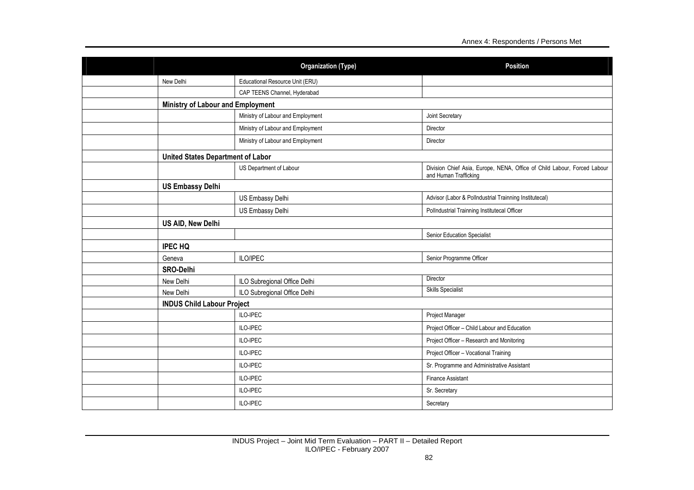|                                          | <b>Organization (Type)</b>        | <b>Position</b>                                                                                   |  |  |
|------------------------------------------|-----------------------------------|---------------------------------------------------------------------------------------------------|--|--|
| New Delhi                                | Educational Resource Unit (ERU)   |                                                                                                   |  |  |
|                                          | CAP TEENS Channel, Hyderabad      |                                                                                                   |  |  |
| <b>Ministry of Labour and Employment</b> |                                   |                                                                                                   |  |  |
|                                          | Ministry of Labour and Employment | Joint Secretary                                                                                   |  |  |
|                                          | Ministry of Labour and Employment | Director                                                                                          |  |  |
|                                          | Ministry of Labour and Employment | Director                                                                                          |  |  |
| <b>United States Department of Labor</b> |                                   |                                                                                                   |  |  |
|                                          | US Department of Labour           | Division Chief Asia, Europe, NENA, Office of Child Labour, Forced Labour<br>and Human Trafficking |  |  |
| <b>US Embassy Delhi</b>                  |                                   |                                                                                                   |  |  |
|                                          | US Embassy Delhi                  | Advisor (Labor & Pollndustrial Trainning Institutecal)                                            |  |  |
|                                          | US Embassy Delhi                  | Pollndustrial Trainning Institutecal Officer                                                      |  |  |
| <b>US AID, New Delhi</b>                 |                                   |                                                                                                   |  |  |
|                                          |                                   | Senior Education Specialist                                                                       |  |  |
| <b>IPEC HQ</b>                           |                                   |                                                                                                   |  |  |
| Geneva                                   | ILO/IPEC                          | Senior Programme Officer                                                                          |  |  |
| <b>SRO-Delhi</b>                         |                                   |                                                                                                   |  |  |
| New Delhi                                | ILO Subregional Office Delhi      | Director                                                                                          |  |  |
| New Delhi                                | ILO Subregional Office Delhi      | <b>Skills Specialist</b>                                                                          |  |  |
| <b>INDUS Child Labour Project</b>        |                                   |                                                                                                   |  |  |
|                                          | ILO-IPEC                          | Project Manager                                                                                   |  |  |
|                                          | ILO-IPEC                          | Project Officer - Child Labour and Education                                                      |  |  |
|                                          | ILO-IPEC                          | Project Officer - Research and Monitoring                                                         |  |  |
|                                          | ILO-IPEC                          | Project Officer - Vocational Training                                                             |  |  |
|                                          | ILO-IPEC                          | Sr. Programme and Administrative Assistant                                                        |  |  |
|                                          | ILO-IPEC                          | <b>Finance Assistant</b>                                                                          |  |  |
|                                          | ILO-IPEC                          | Sr. Secretary                                                                                     |  |  |
|                                          | ILO-IPEC                          | Secretary                                                                                         |  |  |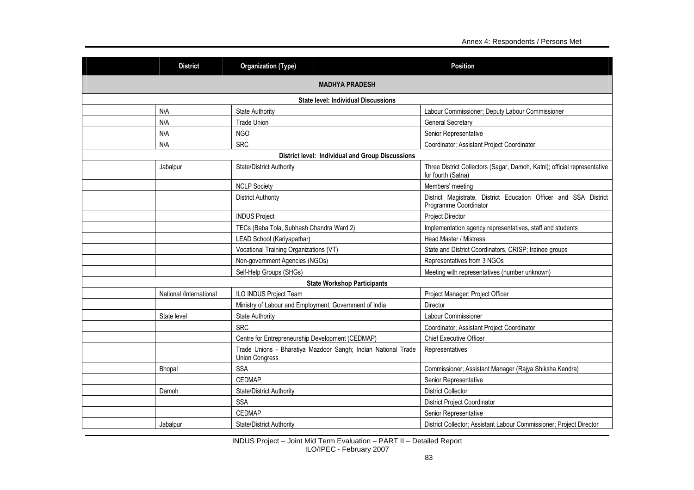|                                                    | <b>Organization (Type)</b><br><b>District</b> |                                                                                                           | <b>Position</b>                                                                                |  |  |  |
|----------------------------------------------------|-----------------------------------------------|-----------------------------------------------------------------------------------------------------------|------------------------------------------------------------------------------------------------|--|--|--|
|                                                    | <b>MADHYA PRADESH</b>                         |                                                                                                           |                                                                                                |  |  |  |
|                                                    |                                               | <b>State level: Individual Discussions</b>                                                                |                                                                                                |  |  |  |
|                                                    | N/A                                           | <b>State Authority</b>                                                                                    | Labour Commissioner; Deputy Labour Commissioner                                                |  |  |  |
|                                                    | N/A                                           | <b>Trade Union</b>                                                                                        | <b>General Secretary</b>                                                                       |  |  |  |
|                                                    | N/A                                           | <b>NGO</b>                                                                                                | Senior Representative                                                                          |  |  |  |
|                                                    | N/A                                           | <b>SRC</b>                                                                                                | Coordinator; Assistant Project Coordinator                                                     |  |  |  |
|                                                    |                                               | <b>District level: Individual and Group Discussions</b>                                                   |                                                                                                |  |  |  |
|                                                    | Jabalpur                                      | <b>State/District Authority</b>                                                                           | Three District Collectors (Sagar, Damoh, Katni); official representative<br>for fourth (Satna) |  |  |  |
|                                                    |                                               | <b>NCLP Society</b>                                                                                       | Members' meeting                                                                               |  |  |  |
| <b>District Authority</b><br>Programme Coordinator |                                               | District Magistrate, District Education Officer and SSA District                                          |                                                                                                |  |  |  |
|                                                    |                                               | <b>INDUS Project</b>                                                                                      | Project Director                                                                               |  |  |  |
|                                                    |                                               | TECs (Baba Tola, Subhash Chandra Ward 2)                                                                  | Implementation agency representatives, staff and students                                      |  |  |  |
|                                                    |                                               | LEAD School (Kariyapathar)                                                                                | <b>Head Master / Mistress</b>                                                                  |  |  |  |
|                                                    |                                               | Vocational Training Organizations (VT)                                                                    | State and District Coordinators, CRISP; trainee groups                                         |  |  |  |
|                                                    |                                               | Non-government Agencies (NGOs)                                                                            | Representatives from 3 NGOs                                                                    |  |  |  |
|                                                    |                                               | Self-Help Groups (SHGs)                                                                                   | Meeting with representatives (number unknown)                                                  |  |  |  |
|                                                    |                                               | <b>State Workshop Participants</b>                                                                        |                                                                                                |  |  |  |
|                                                    | National /International                       | ILO INDUS Project Team                                                                                    | Project Manager; Project Officer                                                               |  |  |  |
|                                                    |                                               | Ministry of Labour and Employment, Government of India                                                    | Director                                                                                       |  |  |  |
|                                                    | State level                                   | <b>State Authority</b>                                                                                    | Labour Commissioner                                                                            |  |  |  |
|                                                    |                                               | <b>SRC</b>                                                                                                | Coordinator; Assistant Project Coordinator                                                     |  |  |  |
|                                                    |                                               | Centre for Entrepreneurship Development (CEDMAP)                                                          | <b>Chief Executive Officer</b>                                                                 |  |  |  |
|                                                    |                                               | Trade Unions - Bharatiya Mazdoor Sangh; Indian National Trade<br>Representatives<br><b>Union Congress</b> |                                                                                                |  |  |  |
|                                                    | Bhopal                                        | <b>SSA</b>                                                                                                | Commissioner; Assistant Manager (Rajya Shiksha Kendra)                                         |  |  |  |
|                                                    |                                               | <b>CEDMAP</b>                                                                                             | Senior Representative                                                                          |  |  |  |
|                                                    | Damoh                                         | State/District Authority                                                                                  | <b>District Collector</b>                                                                      |  |  |  |
|                                                    |                                               | <b>SSA</b>                                                                                                | <b>District Project Coordinator</b>                                                            |  |  |  |
|                                                    |                                               | <b>CEDMAP</b>                                                                                             | Senior Representative                                                                          |  |  |  |
|                                                    | Jabalpur                                      | State/District Authority                                                                                  | District Collector; Assistant Labour Commissioner; Project Director                            |  |  |  |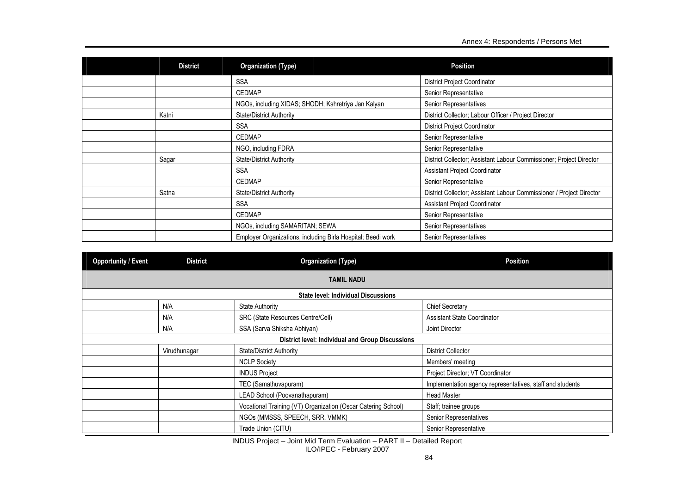| <b>District</b> | <b>Organization (Type)</b>                                                        | <b>Position</b>                                                      |  |
|-----------------|-----------------------------------------------------------------------------------|----------------------------------------------------------------------|--|
|                 | <b>SSA</b>                                                                        | <b>District Project Coordinator</b>                                  |  |
|                 | <b>CEDMAP</b>                                                                     | Senior Representative                                                |  |
|                 | NGOs, including XIDAS; SHODH; Kshretriya Jan Kalyan                               | Senior Representatives                                               |  |
| Katni           | District Collector; Labour Officer / Project Director<br>State/District Authority |                                                                      |  |
|                 | <b>District Project Coordinator</b><br><b>SSA</b>                                 |                                                                      |  |
|                 | Senior Representative<br><b>CEDMAP</b>                                            |                                                                      |  |
|                 | Senior Representative<br>NGO, including FDRA                                      |                                                                      |  |
| Sagar           | State/District Authority                                                          | District Collector; Assistant Labour Commissioner; Project Director  |  |
|                 | <b>SSA</b>                                                                        | Assistant Project Coordinator                                        |  |
|                 | <b>CEDMAP</b>                                                                     | Senior Representative                                                |  |
| Satna           | <b>State/District Authority</b>                                                   | District Collector; Assistant Labour Commissioner / Project Director |  |
|                 | <b>SSA</b>                                                                        | Assistant Project Coordinator                                        |  |
|                 | <b>CEDMAP</b>                                                                     | Senior Representative                                                |  |
|                 | NGOs, including SAMARITAN; SEWA                                                   | Senior Representatives                                               |  |
|                 | Employer Organizations, including Birla Hospital; Beedi work                      | Senior Representatives                                               |  |

| <b>Opportunity / Event</b> | <b>District</b> | <b>Organization (Type)</b>                                    | <b>Position</b>                                           |  |
|----------------------------|-----------------|---------------------------------------------------------------|-----------------------------------------------------------|--|
|                            |                 | <b>TAMIL NADU</b>                                             |                                                           |  |
|                            |                 | <b>State level: Individual Discussions</b>                    |                                                           |  |
|                            | N/A             | <b>State Authority</b>                                        | <b>Chief Secretary</b>                                    |  |
|                            | N/A             | SRC (State Resources Centre/Cell)                             | <b>Assistant State Coordinator</b>                        |  |
|                            | N/A             | SSA (Sarva Shiksha Abhiyan)                                   | Joint Director                                            |  |
|                            |                 | <b>District level: Individual and Group Discussions</b>       |                                                           |  |
|                            | Virudhunagar    | <b>State/District Authority</b>                               | <b>District Collector</b>                                 |  |
|                            |                 | <b>NCLP Society</b>                                           | Members' meeting                                          |  |
|                            |                 | <b>INDUS Project</b>                                          | Project Director; VT Coordinator                          |  |
|                            |                 | TEC (Samathuvapuram)                                          | Implementation agency representatives, staff and students |  |
|                            |                 | LEAD School (Poovanathapuram)                                 | <b>Head Master</b>                                        |  |
|                            |                 | Vocational Training (VT) Organization (Oscar Catering School) | Staff; trainee groups                                     |  |
|                            |                 | NGOs (MMSSS, SPEECH, SRR, VMMK)                               | Senior Representatives                                    |  |
|                            |                 | Trade Union (CITU)                                            | Senior Representative                                     |  |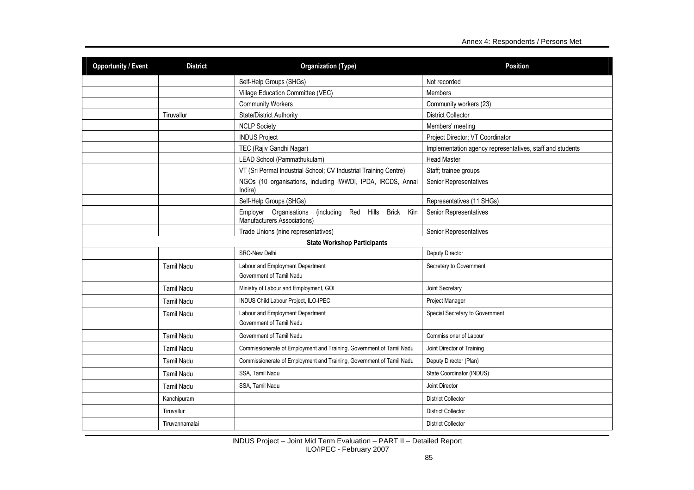| <b>Opportunity / Event</b> | <b>District</b>                     | <b>Organization (Type)</b>                                                                      | <b>Position</b>                                           |  |
|----------------------------|-------------------------------------|-------------------------------------------------------------------------------------------------|-----------------------------------------------------------|--|
|                            |                                     | Self-Help Groups (SHGs)                                                                         | Not recorded                                              |  |
|                            |                                     | Village Education Committee (VEC)                                                               | Members                                                   |  |
|                            |                                     | <b>Community Workers</b>                                                                        | Community workers (23)                                    |  |
|                            | Tiruvallur                          | State/District Authority                                                                        | <b>District Collector</b>                                 |  |
|                            |                                     | <b>NCLP Society</b>                                                                             | Members' meeting                                          |  |
|                            |                                     | <b>INDUS Project</b>                                                                            | Project Director; VT Coordinator                          |  |
|                            |                                     | TEC (Rajiv Gandhi Nagar)                                                                        | Implementation agency representatives, staff and students |  |
|                            |                                     | LEAD School (Pammathukulam)                                                                     | <b>Head Master</b>                                        |  |
|                            |                                     | VT (Sri Permal Industrial School; CV Industrial Training Centre)                                | Staff; trainee groups                                     |  |
|                            |                                     | NGOs (10 organisations, including IWWDI, IPDA, IRCDS, Annai<br>Indira)                          | Senior Representatives                                    |  |
|                            |                                     | Self-Help Groups (SHGs)                                                                         | Representatives (11 SHGs)                                 |  |
|                            |                                     | Employer Organisations<br>(including Red Hills Brick Kiln<br><b>Manufacturers Associations)</b> | Senior Representatives                                    |  |
|                            | Trade Unions (nine representatives) |                                                                                                 | Senior Representatives                                    |  |
|                            |                                     | <b>State Workshop Participants</b>                                                              |                                                           |  |
|                            |                                     | <b>SRO-New Delhi</b>                                                                            | <b>Deputy Director</b>                                    |  |
|                            | <b>Tamil Nadu</b>                   | Labour and Employment Department<br>Secretary to Government<br>Government of Tamil Nadu         |                                                           |  |
|                            | <b>Tamil Nadu</b>                   | Ministry of Labour and Employment, GOI                                                          | Joint Secretary                                           |  |
|                            | Tamil Nadu                          | INDUS Child Labour Project, ILO-IPEC                                                            | Project Manager                                           |  |
|                            | <b>Tamil Nadu</b>                   | Labour and Employment Department<br>Government of Tamil Nadu                                    | Special Secretary to Government                           |  |
|                            | <b>Tamil Nadu</b>                   | Government of Tamil Nadu                                                                        | Commissioner of Labour                                    |  |
|                            | <b>Tamil Nadu</b>                   | Commissionerate of Employment and Training, Government of Tamil Nadu                            | Joint Director of Training                                |  |
|                            | Tamil Nadu                          | Commissionerate of Employment and Training, Government of Tamil Nadu                            | Deputy Director (Plan)                                    |  |
|                            | Tamil Nadu                          | SSA. Tamil Nadu                                                                                 | State Coordinator (INDUS)                                 |  |
|                            | <b>Tamil Nadu</b>                   | SSA, Tamil Nadu                                                                                 | Joint Director                                            |  |
|                            | Kanchipuram                         |                                                                                                 | <b>District Collector</b>                                 |  |
|                            | Tiruvallur                          |                                                                                                 | <b>District Collector</b>                                 |  |
|                            | Tiruvannamalai                      |                                                                                                 | <b>District Collector</b>                                 |  |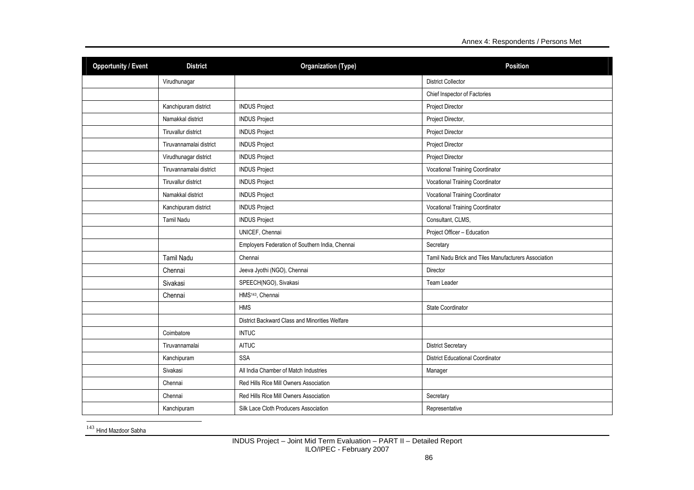| <b>Opportunity / Event</b> | <b>District</b>         | <b>Organization (Type)</b>                      | <b>Position</b>                                      |  |
|----------------------------|-------------------------|-------------------------------------------------|------------------------------------------------------|--|
|                            | Virudhunagar            |                                                 | <b>District Collector</b>                            |  |
|                            |                         |                                                 | Chief Inspector of Factories                         |  |
|                            | Kanchipuram district    | <b>INDUS Project</b>                            | Project Director                                     |  |
|                            | Namakkal district       | <b>INDUS Project</b>                            | Project Director,                                    |  |
|                            | Tiruvallur district     | <b>INDUS Project</b>                            | Project Director                                     |  |
|                            | Tiruvannamalai district | <b>INDUS Project</b>                            | Project Director                                     |  |
|                            | Virudhunagar district   | <b>INDUS Project</b>                            | Project Director                                     |  |
|                            | Tiruvannamalai district | <b>INDUS Project</b>                            | <b>Vocational Training Coordinator</b>               |  |
|                            | Tiruvallur district     | <b>INDUS Project</b>                            | <b>Vocational Training Coordinator</b>               |  |
|                            | Namakkal district       | <b>INDUS Project</b>                            | <b>Vocational Training Coordinator</b>               |  |
|                            | Kanchipuram district    | <b>INDUS Project</b>                            | <b>Vocational Training Coordinator</b>               |  |
|                            | <b>Tamil Nadu</b>       | <b>INDUS Project</b>                            | Consultant, CLMS,                                    |  |
|                            |                         | UNICEF, Chennai                                 | Project Officer - Education                          |  |
|                            |                         | Employers Federation of Southern India, Chennai | Secretary                                            |  |
|                            | <b>Tamil Nadu</b>       | Chennai                                         | Tamil Nadu Brick and Tiles Manufacturers Association |  |
|                            | Chennai                 | Jeeva Jyothi (NGO), Chennai                     | Director                                             |  |
|                            | Sivakasi                | SPEECH(NGO), Sivakasi                           | Team Leader                                          |  |
|                            | Chennai                 | HMS <sup>143</sup> , Chennai                    |                                                      |  |
|                            |                         | <b>HMS</b>                                      | State Coordinator                                    |  |
|                            |                         | District Backward Class and Minorities Welfare  |                                                      |  |
|                            | Coimbatore              | <b>INTUC</b>                                    |                                                      |  |
|                            | Tiruvannamalai          | <b>AITUC</b>                                    | <b>District Secretary</b>                            |  |
|                            | Kanchipuram             | <b>SSA</b>                                      | <b>District Educational Coordinator</b>              |  |
|                            | Sivakasi                | All India Chamber of Match Industries           | Manager                                              |  |
|                            | Chennai                 | Red Hills Rice Mill Owners Association          |                                                      |  |
|                            | Chennai                 | Red Hills Rice Mill Owners Association          | Secretary                                            |  |
|                            | Kanchipuram             | Silk Lace Cloth Producers Association           | Representative                                       |  |

<sup>143</sup> Hind Mazdoor Sabha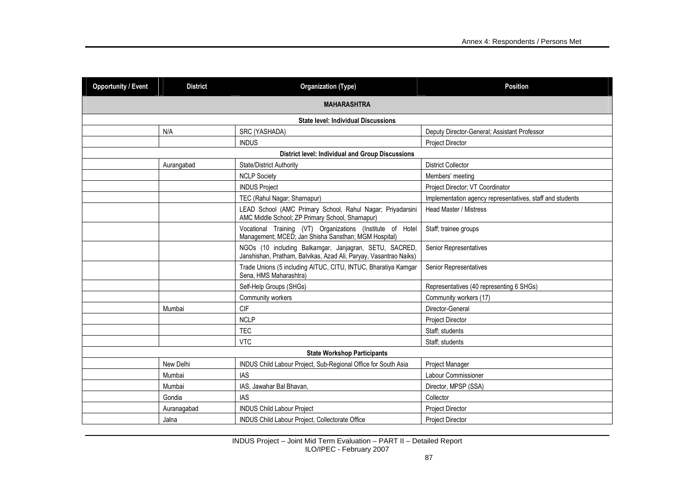| <b>Opportunity / Event</b> | <b>District</b><br><b>Organization (Type)</b> |                                                                                                                             | <b>Position</b>                                           |  |  |  |  |  |
|----------------------------|-----------------------------------------------|-----------------------------------------------------------------------------------------------------------------------------|-----------------------------------------------------------|--|--|--|--|--|
|                            | <b>MAHARASHTRA</b>                            |                                                                                                                             |                                                           |  |  |  |  |  |
|                            | <b>State level: Individual Discussions</b>    |                                                                                                                             |                                                           |  |  |  |  |  |
|                            | N/A                                           | SRC (YASHADA)                                                                                                               | Deputy Director-General; Assistant Professor              |  |  |  |  |  |
|                            |                                               | <b>INDUS</b>                                                                                                                | Project Director                                          |  |  |  |  |  |
|                            |                                               | <b>District level: Individual and Group Discussions</b>                                                                     |                                                           |  |  |  |  |  |
|                            | Aurangabad                                    | State/District Authority                                                                                                    | <b>District Collector</b>                                 |  |  |  |  |  |
|                            |                                               | <b>NCLP Society</b>                                                                                                         | Members' meeting                                          |  |  |  |  |  |
|                            |                                               | <b>INDUS Project</b>                                                                                                        | Project Director; VT Coordinator                          |  |  |  |  |  |
|                            |                                               | TEC (Rahul Nagar; Sharnapur)                                                                                                | Implementation agency representatives, staff and students |  |  |  |  |  |
|                            |                                               | LEAD School (AMC Primary School, Rahul Nagar; Priyadarsini<br>AMC Middle School; ZP Primary School, Sharnapur)              | Head Master / Mistress                                    |  |  |  |  |  |
|                            |                                               | Vocational Training (VT) Organizations (Institute of Hotel<br>Management; MCED; Jan Shisha Sansthan; MGM Hospital)          | Staff; trainee groups                                     |  |  |  |  |  |
|                            |                                               | NGOs (10 including Balkamgar, Janjagran, SETU, SACRED,<br>Janshishan, Pratham, Balvikas, Azad Ali, Paryay, Vasantrao Naiks) | Senior Representatives                                    |  |  |  |  |  |
|                            |                                               | Trade Unions (5 including AITUC, CITU, INTUC, Bharatiya Kamgar<br>Sena, HMS Maharashtra)                                    | Senior Representatives                                    |  |  |  |  |  |
|                            |                                               | Self-Help Groups (SHGs)                                                                                                     | Representatives (40 representing 6 SHGs)                  |  |  |  |  |  |
|                            |                                               | Community workers                                                                                                           | Community workers (17)                                    |  |  |  |  |  |
|                            | Mumbai                                        | <b>CIF</b>                                                                                                                  | Director-General                                          |  |  |  |  |  |
|                            |                                               | <b>NCLP</b>                                                                                                                 | <b>Project Director</b>                                   |  |  |  |  |  |
|                            |                                               | <b>TEC</b>                                                                                                                  | Staff; students                                           |  |  |  |  |  |
|                            |                                               | <b>VTC</b>                                                                                                                  | Staff; students                                           |  |  |  |  |  |
|                            | <b>State Workshop Participants</b>            |                                                                                                                             |                                                           |  |  |  |  |  |
|                            | New Delhi                                     | INDUS Child Labour Project, Sub-Regional Office for South Asia                                                              | Project Manager                                           |  |  |  |  |  |
|                            | Mumbai                                        | <b>IAS</b>                                                                                                                  | Labour Commissioner                                       |  |  |  |  |  |
|                            | Mumbai                                        | IAS, Jawahar Bal Bhavan,                                                                                                    | Director, MPSP (SSA)                                      |  |  |  |  |  |
|                            | Gondia                                        | <b>IAS</b>                                                                                                                  | Collector                                                 |  |  |  |  |  |
|                            | Auranagabad                                   | <b>INDUS Child Labour Project</b>                                                                                           | Project Director                                          |  |  |  |  |  |
|                            | Jalna                                         | INDUS Child Labour Project, Collectorate Office                                                                             | <b>Project Director</b>                                   |  |  |  |  |  |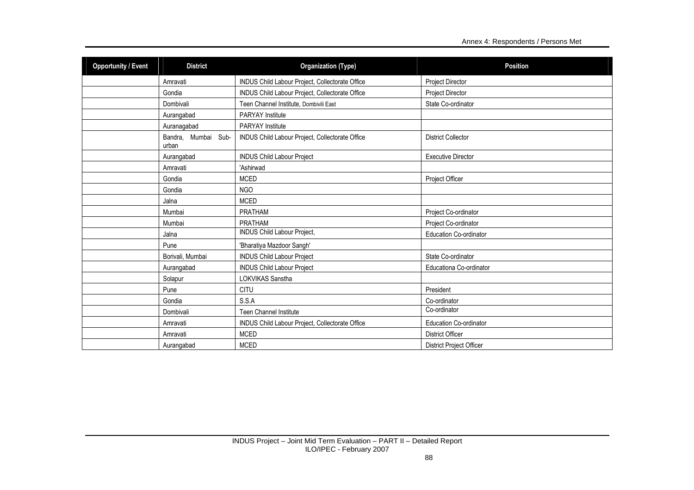| <b>Opportunity / Event</b> | <b>District</b>              | <b>Organization (Type)</b><br><b>Position</b>   |                               |
|----------------------------|------------------------------|-------------------------------------------------|-------------------------------|
|                            | Amravati                     | INDUS Child Labour Project, Collectorate Office | <b>Project Director</b>       |
|                            | Gondia                       | INDUS Child Labour Project, Collectorate Office | Project Director              |
|                            | Dombivali                    | Teen Channel Institute, Dombivili East          | State Co-ordinator            |
|                            | Aurangabad                   | <b>PARYAY</b> Institute                         |                               |
|                            | Auranagabad                  | PARYAY Institute                                |                               |
|                            | Bandra, Mumbai Sub-<br>urban | INDUS Child Labour Project, Collectorate Office | <b>District Collector</b>     |
|                            | Aurangabad                   | <b>INDUS Child Labour Project</b>               | <b>Executive Director</b>     |
|                            | Amravati                     | 'Ashirwad                                       |                               |
|                            | Gondia                       | <b>MCED</b>                                     | Project Officer               |
|                            | Gondia                       | NGO                                             |                               |
|                            | Jalna                        | <b>MCED</b>                                     |                               |
|                            | Mumbai                       | <b>PRATHAM</b>                                  | Project Co-ordinator          |
|                            | Mumbai                       | PRATHAM                                         | Project Co-ordinator          |
|                            | Jalna                        | INDUS Child Labour Project,                     | Education Co-ordinator        |
|                            | Pune                         | 'Bharatiya Mazdoor Sangh'                       |                               |
|                            | Borivali, Mumbai             | <b>INDUS Child Labour Project</b>               | State Co-ordinator            |
|                            | Aurangabad                   | <b>INDUS Child Labour Project</b>               | Educationa Co-ordinator       |
|                            | Solapur                      | LOKVIKAS Sanstha                                |                               |
|                            | Pune                         | <b>CITU</b>                                     | President                     |
|                            | Gondia                       | S.S.A                                           | Co-ordinator                  |
|                            | Dombivali                    | <b>Teen Channel Institute</b>                   | Co-ordinator                  |
|                            | Amravati                     | INDUS Child Labour Project, Collectorate Office | <b>Education Co-ordinator</b> |
|                            | Amravati                     | <b>MCED</b>                                     | <b>District Officer</b>       |
|                            | Aurangabad                   | <b>MCED</b>                                     | District Project Officer      |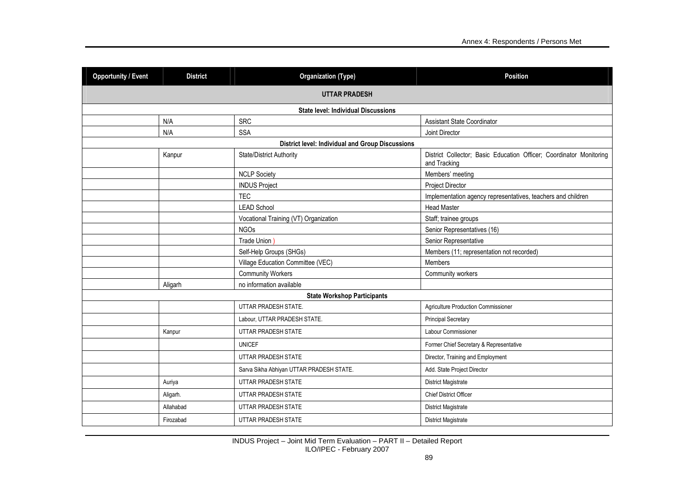| <b>Opportunity / Event</b>                              | <b>District</b><br><b>Organization (Type)</b> |                                          | <b>Position</b>                                                                     |  |  |  |  |  |
|---------------------------------------------------------|-----------------------------------------------|------------------------------------------|-------------------------------------------------------------------------------------|--|--|--|--|--|
| <b>UTTAR PRADESH</b>                                    |                                               |                                          |                                                                                     |  |  |  |  |  |
|                                                         | <b>State level: Individual Discussions</b>    |                                          |                                                                                     |  |  |  |  |  |
|                                                         | N/A                                           | <b>SRC</b>                               | <b>Assistant State Coordinator</b>                                                  |  |  |  |  |  |
|                                                         | N/A                                           | <b>SSA</b>                               | Joint Director                                                                      |  |  |  |  |  |
| <b>District level: Individual and Group Discussions</b> |                                               |                                          |                                                                                     |  |  |  |  |  |
|                                                         | Kanpur                                        | State/District Authority                 | District Collector; Basic Education Officer; Coordinator Monitoring<br>and Tracking |  |  |  |  |  |
|                                                         |                                               | <b>NCLP Society</b>                      | Members' meeting                                                                    |  |  |  |  |  |
|                                                         |                                               | <b>INDUS Project</b>                     | <b>Project Director</b>                                                             |  |  |  |  |  |
|                                                         |                                               | <b>TEC</b>                               | Implementation agency representatives, teachers and children                        |  |  |  |  |  |
|                                                         |                                               | <b>LEAD School</b>                       | <b>Head Master</b>                                                                  |  |  |  |  |  |
|                                                         |                                               | Vocational Training (VT) Organization    | Staff; trainee groups                                                               |  |  |  |  |  |
|                                                         |                                               | <b>NGOs</b>                              | Senior Representatives (16)                                                         |  |  |  |  |  |
|                                                         |                                               | Trade Union                              | Senior Representative                                                               |  |  |  |  |  |
|                                                         |                                               | Self-Help Groups (SHGs)                  | Members (11; representation not recorded)                                           |  |  |  |  |  |
|                                                         |                                               | Village Education Committee (VEC)        | Members                                                                             |  |  |  |  |  |
|                                                         |                                               | <b>Community Workers</b>                 | Community workers                                                                   |  |  |  |  |  |
| Aligarh                                                 |                                               | no information available                 |                                                                                     |  |  |  |  |  |
|                                                         |                                               | <b>State Workshop Participants</b>       |                                                                                     |  |  |  |  |  |
|                                                         |                                               | UTTAR PRADESH STATE.                     | Agriculture Production Commissioner                                                 |  |  |  |  |  |
|                                                         |                                               | Labour, UTTAR PRADESH STATE.             | <b>Principal Secretary</b>                                                          |  |  |  |  |  |
|                                                         | Kanpur                                        | UTTAR PRADESH STATE                      | Labour Commissioner                                                                 |  |  |  |  |  |
|                                                         |                                               | <b>UNICEF</b>                            | Former Chief Secretary & Representative                                             |  |  |  |  |  |
|                                                         |                                               | UTTAR PRADESH STATE                      | Director, Training and Employment                                                   |  |  |  |  |  |
|                                                         |                                               | Sarva Sikha Abhiyan UTTAR PRADESH STATE. | Add. State Project Director                                                         |  |  |  |  |  |
|                                                         | Auriya                                        | UTTAR PRADESH STATE                      | District Magistrate                                                                 |  |  |  |  |  |
|                                                         | Aligarh.                                      | UTTAR PRADESH STATE                      | <b>Chief District Officer</b>                                                       |  |  |  |  |  |
|                                                         | Allahabad                                     | UTTAR PRADESH STATE                      | District Magistrate                                                                 |  |  |  |  |  |
|                                                         | Firozabad                                     | UTTAR PRADESH STATE                      | District Magistrate                                                                 |  |  |  |  |  |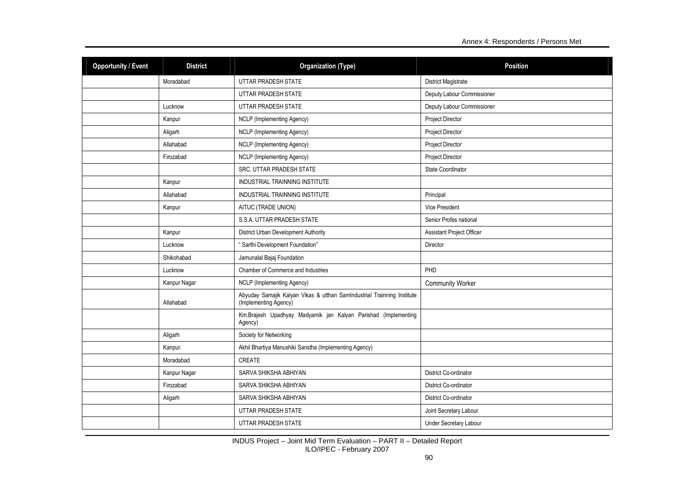| <b>Opportunity / Event</b> | <b>District</b> | <b>Position</b><br><b>Organization (Type)</b>                                                    |                               |  |
|----------------------------|-----------------|--------------------------------------------------------------------------------------------------|-------------------------------|--|
|                            | Moradabad       | UTTAR PRADESH STATE                                                                              | <b>District Magistrate</b>    |  |
|                            |                 | UTTAR PRADESH STATE                                                                              | Deputy Labour Commissioner    |  |
|                            | Lucknow         | UTTAR PRADESH STATE                                                                              | Deputy Labour Commissioner    |  |
|                            | Kanpur          | NCLP (Implementing Agency)                                                                       | <b>Project Director</b>       |  |
|                            | Aligarh         | NCLP (Implementing Agency)                                                                       | <b>Project Director</b>       |  |
|                            | Allahabad       | NCLP (Implementing Agency)                                                                       | <b>Project Director</b>       |  |
|                            | Firozabad       | NCLP (Implementing Agency)                                                                       | Project Director              |  |
|                            |                 | SRC. UTTAR PRADESH STATE                                                                         | State Coordinator             |  |
|                            | Kanpur          | <b>INDUSTRIAL TRAINNING INSTITUTE</b>                                                            |                               |  |
|                            | Allahabad       | INDUSTRIAL TRAINNING INSTITUTE                                                                   | Principal                     |  |
|                            | Kanpur          | AITUC (TRADE UNION)                                                                              | Vice President                |  |
|                            |                 | S.S.A. UTTAR PRADESH STATE                                                                       | Senior Profes national        |  |
|                            | Kanpur          | District Urban Development Authority                                                             | Assistant Project Officer     |  |
|                            | Lucknow         | "Sarthi Development Foundation"                                                                  | Director                      |  |
|                            | Shikohabad      | Jamunalal Bajaj Foundation                                                                       |                               |  |
|                            | Lucknow         | Chamber of Commerce and Industries                                                               | PHD                           |  |
|                            | Kanpur Nagar    | <b>NCLP</b> (Implementing Agency)                                                                | <b>Community Worker</b>       |  |
|                            | Allahabad       | Abyuday Samajik Kalyan Vikas & utthan SamIndustrial Trainning Institute<br>(Implementing Agency) |                               |  |
|                            |                 | Km.Brajesh Upadhyay Madyamik jan Kalyan Parishad (Implementing<br>Agency)                        |                               |  |
|                            | Aligarh         | Society for Networking                                                                           |                               |  |
|                            | Kanpur.         | Akhil Bhartiya Manushiki Sanstha (Implementing Agency)                                           |                               |  |
|                            | Moradabad       | <b>CREATE</b>                                                                                    |                               |  |
|                            | Kanpur Nagar    | SARVA SHIKSHA ABHIYAN                                                                            | District Co-ordinator         |  |
|                            | Firozabad       | SARVA SHIKSHA ABHIYAN                                                                            | District Co-ordinator         |  |
|                            | Aligarh         | SARVA SHIKSHA ABHIYAN                                                                            | District Co-ordinator         |  |
|                            |                 | UTTAR PRADESH STATE                                                                              | Joint Secretary Labour        |  |
|                            |                 | UTTAR PRADESH STATE                                                                              | <b>Under Secretary Labour</b> |  |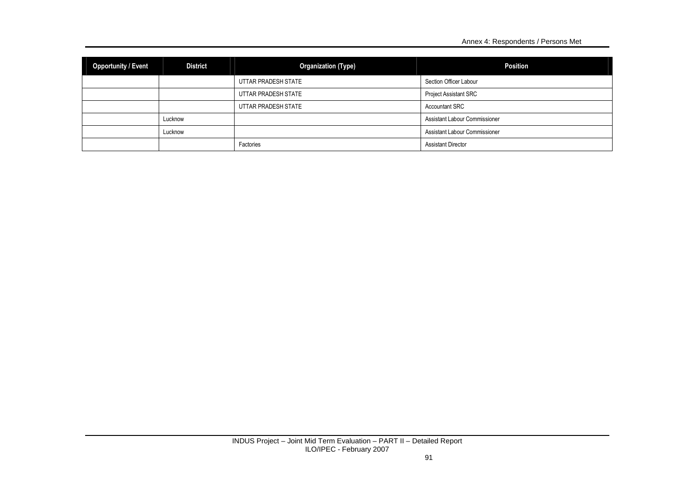| <b>Opportunity / Event</b> | <b>District</b> | <b>Organization (Type)</b> | <b>Position</b>               |  |
|----------------------------|-----------------|----------------------------|-------------------------------|--|
|                            |                 | UTTAR PRADESH STATE        | Section Officer Labour        |  |
|                            |                 | UTTAR PRADESH STATE        | <b>Project Assistant SRC</b>  |  |
|                            |                 | UTTAR PRADESH STATE        | <b>Accountant SRC</b>         |  |
|                            | Lucknow         |                            | Assistant Labour Commissioner |  |
|                            | Lucknow         |                            | Assistant Labour Commissioner |  |
|                            |                 | Factories                  | <b>Assistant Director</b>     |  |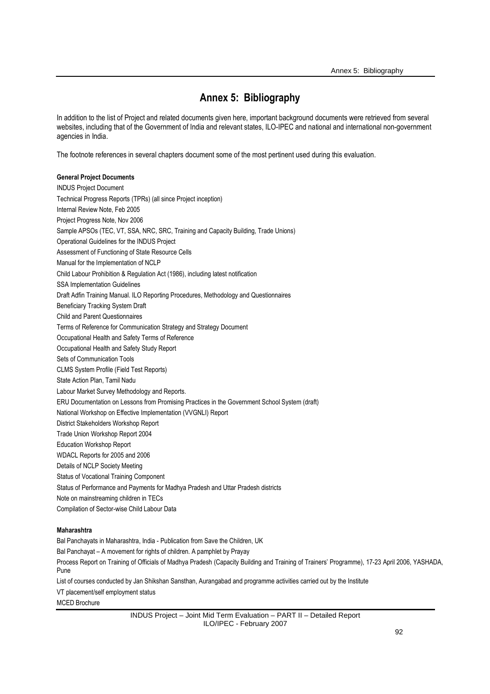# **Annex 5: Bibliography**

In addition to the list of Project and related documents given here, important background documents were retrieved from several websites, including that of the Government of India and relevant states, ILO-IPEC and national and international non-government agencies in India.

The footnote references in several chapters document some of the most pertinent used during this evaluation.

### **General Project Documents**

INDUS Project Document Technical Progress Reports (TPRs) (all since Project inception) Internal Review Note, Feb 2005 Project Progress Note, Nov 2006 Sample APSOs (TEC, VT, SSA, NRC, SRC, Training and Capacity Building, Trade Unions) Operational Guidelines for the INDUS Project Assessment of Functioning of State Resource Cells Manual for the Implementation of NCLP Child Labour Prohibition & Regulation Act (1986), including latest notification SSA Implementation Guidelines Draft Adfin Training Manual. ILO Reporting Procedures, Methodology and Questionnaires Beneficiary Tracking System Draft Child and Parent Questionnaires Terms of Reference for Communication Strategy and Strategy Document Occupational Health and Safety Terms of Reference Occupational Health and Safety Study Report Sets of Communication Tools CLMS System Profile (Field Test Reports) State Action Plan, Tamil Nadu Labour Market Survey Methodology and Reports. ERU Documentation on Lessons from Promising Practices in the Government School System (draft) National Workshop on Effective Implementation (VVGNLI) Report District Stakeholders Workshop Report Trade Union Workshop Report 2004 Education Workshop Report WDACL Reports for 2005 and 2006 Details of NCLP Society Meeting Status of Vocational Training Component Status of Performance and Payments for Madhya Pradesh and Uttar Pradesh districts Note on mainstreaming children in TECs Compilation of Sector-wise Child Labour Data

### **Maharashtra**

Bal Panchayats in Maharashtra, India - Publication from Save the Children, UK

Bal Panchayat – A movement for rights of children. A pamphlet by Prayay

Process Report on Training of Officials of Madhya Pradesh (Capacity Building and Training of Trainers' Programme), 17-23 April 2006, YASHADA, Pune

List of courses conducted by Jan Shikshan Sansthan, Aurangabad and programme activities carried out by the Institute

VT placement/self employment status

MCED Brochure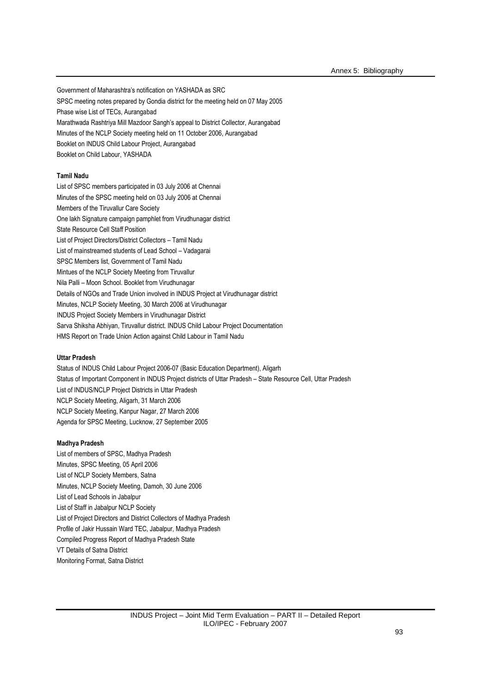Government of Maharashtra's notification on YASHADA as SRC SPSC meeting notes prepared by Gondia district for the meeting held on 07 May 2005 Phase wise List of TECs, Aurangabad Marathwada Rashtriya Mill Mazdoor Sangh's appeal to District Collector, Aurangabad Minutes of the NCLP Society meeting held on 11 October 2006, Aurangabad Booklet on INDUS Child Labour Project, Aurangabad Booklet on Child Labour, YASHADA

# **Tamil Nadu**

List of SPSC members participated in 03 July 2006 at Chennai Minutes of the SPSC meeting held on 03 July 2006 at Chennai Members of the Tiruvallur Care Society One lakh Signature campaign pamphlet from Virudhunagar district State Resource Cell Staff Position List of Project Directors/District Collectors – Tamil Nadu List of mainstreamed students of Lead School – Vadagarai SPSC Members list, Government of Tamil Nadu Mintues of the NCLP Society Meeting from Tiruvallur Nila Palli – Moon School. Booklet from Virudhunagar Details of NGOs and Trade Union involved in INDUS Project at Virudhunagar district Minutes, NCLP Society Meeting, 30 March 2006 at Virudhunagar INDUS Project Society Members in Virudhunagar District Sarva Shiksha Abhiyan, Tiruvallur district. INDUS Child Labour Project Documentation HMS Report on Trade Union Action against Child Labour in Tamil Nadu

### **Uttar Pradesh**

Status of INDUS Child Labour Project 2006-07 (Basic Education Department), Aligarh Status of Important Component in INDUS Project districts of Uttar Pradesh – State Resource Cell, Uttar Pradesh List of INDUS/NCLP Project Districts in Uttar Pradesh NCLP Society Meeting, Aligarh, 31 March 2006 NCLP Society Meeting, Kanpur Nagar, 27 March 2006 Agenda for SPSC Meeting, Lucknow, 27 September 2005

#### **Madhya Pradesh**

List of members of SPSC, Madhya Pradesh Minutes, SPSC Meeting, 05 April 2006 List of NCLP Society Members, Satna Minutes, NCLP Society Meeting, Damoh, 30 June 2006 List of Lead Schools in Jabalpur List of Staff in Jabalpur NCLP Society List of Project Directors and District Collectors of Madhya Pradesh Profile of Jakir Hussain Ward TEC, Jabalpur, Madhya Pradesh Compiled Progress Report of Madhya Pradesh State VT Details of Satna District Monitoring Format, Satna District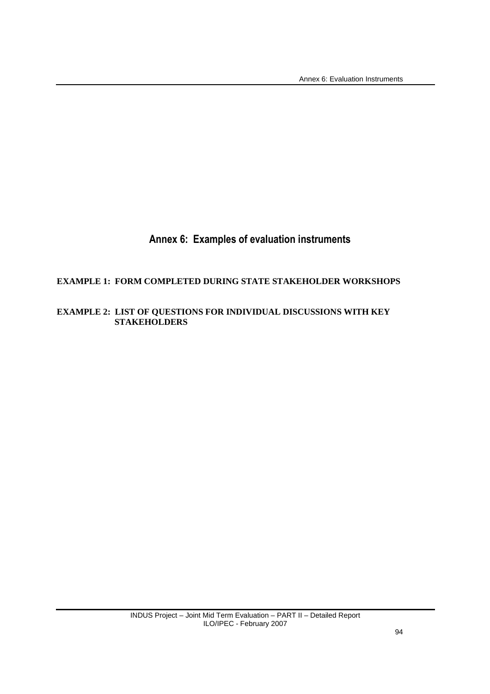Annex 6: Evaluation Instruments

# **Annex 6: Examples of evaluation instruments**

# **EXAMPLE 1: FORM COMPLETED DURING STATE STAKEHOLDER WORKSHOPS**

# **EXAMPLE 2: LIST OF QUESTIONS FOR INDIVIDUAL DISCUSSIONS WITH KEY STAKEHOLDERS**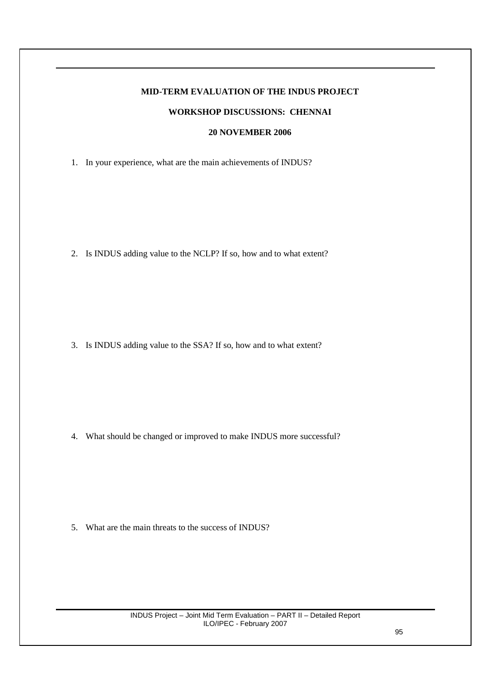# **MID-TERM EVALUATION OF THE INDUS PROJECT**

# **WORKSHOP DISCUSSIONS: CHENNAI**

# **20 NOVEMBER 2006**

1. In your experience, what are the main achievements of INDUS?

2. Is INDUS adding value to the NCLP? If so, how and to what extent?

3. Is INDUS adding value to the SSA? If so, how and to what extent?

4. What should be changed or improved to make INDUS more successful?

5. What are the main threats to the success of INDUS?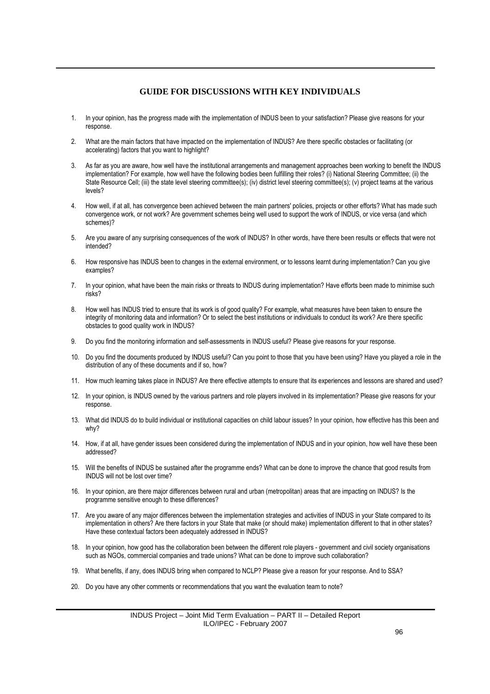# **GUIDE FOR DISCUSSIONS WITH KEY INDIVIDUALS**

- 1. In your opinion, has the progress made with the implementation of INDUS been to your satisfaction? Please give reasons for your response.
- 2. What are the main factors that have impacted on the implementation of INDUS? Are there specific obstacles or facilitating (or accelerating) factors that you want to highlight?
- 3. As far as you are aware, how well have the institutional arrangements and management approaches been working to benefit the INDUS implementation? For example, how well have the following bodies been fulfilling their roles? (i) National Steering Committee; (ii) the State Resource Cell; (iii) the state level steering committee(s); (iv) district level steering committee(s); (v) project teams at the various levels?
- 4. How well, if at all, has convergence been achieved between the main partners' policies, projects or other efforts? What has made such convergence work, or not work? Are government schemes being well used to support the work of INDUS, or vice versa (and which schemes)?
- 5. Are you aware of any surprising consequences of the work of INDUS? In other words, have there been results or effects that were not intended?
- 6. How responsive has INDUS been to changes in the external environment, or to lessons learnt during implementation? Can you give examples?
- 7. In your opinion, what have been the main risks or threats to INDUS during implementation? Have efforts been made to minimise such risks?
- 8. How well has INDUS tried to ensure that its work is of good quality? For example, what measures have been taken to ensure the integrity of monitoring data and information? Or to select the best institutions or individuals to conduct its work? Are there specific obstacles to good quality work in INDUS?
- 9. Do you find the monitoring information and self-assessments in INDUS useful? Please give reasons for your response.
- 10. Do you find the documents produced by INDUS useful? Can you point to those that you have been using? Have you played a role in the distribution of any of these documents and if so, how?
- 11. How much learning takes place in INDUS? Are there effective attempts to ensure that its experiences and lessons are shared and used?
- 12. In your opinion, is INDUS owned by the various partners and role players involved in its implementation? Please give reasons for your response.
- 13. What did INDUS do to build individual or institutional capacities on child labour issues? In your opinion, how effective has this been and why?
- 14. How, if at all, have gender issues been considered during the implementation of INDUS and in your opinion, how well have these been addressed?
- 15. Will the benefits of INDUS be sustained after the programme ends? What can be done to improve the chance that good results from INDUS will not be lost over time?
- 16. In your opinion, are there major differences between rural and urban (metropolitan) areas that are impacting on INDUS? Is the programme sensitive enough to these differences?
- 17. Are you aware of any major differences between the implementation strategies and activities of INDUS in your State compared to its implementation in others? Are there factors in your State that make (or should make) implementation different to that in other states? Have these contextual factors been adequately addressed in INDUS?
- 18. In your opinion, how good has the collaboration been between the different role players government and civil society organisations such as NGOs, commercial companies and trade unions? What can be done to improve such collaboration?
- 19. What benefits, if any, does INDUS bring when compared to NCLP? Please give a reason for your response. And to SSA?
- 20. Do you have any other comments or recommendations that you want the evaluation team to note?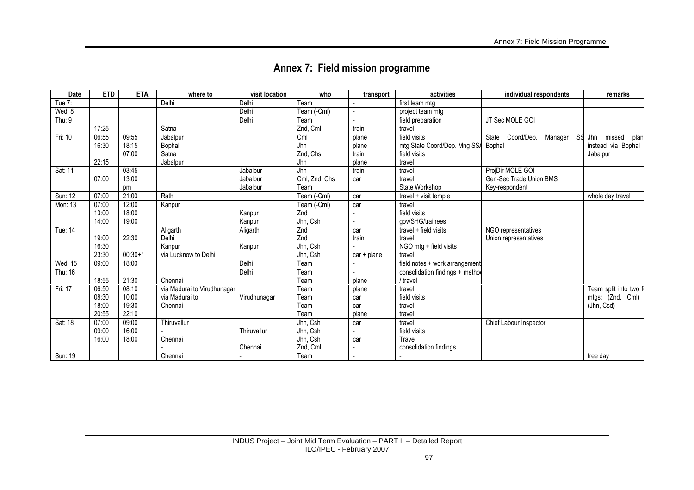| Date     | <b>ETD</b> | <b>ETA</b> | where to                    | visit location | who           | transport     | activities                      | individual respondents                      | remarks               |
|----------|------------|------------|-----------------------------|----------------|---------------|---------------|---------------------------------|---------------------------------------------|-----------------------|
| Tue 7:   |            |            | Delhi                       | Delhi          | Team          |               | first team mtg                  |                                             |                       |
| Wed: 8   |            |            |                             | Delhi          | Team (-Cml)   |               | project team mtg                |                                             |                       |
| Thu: $9$ |            |            |                             | Delhi          | Team          |               | field preparation               | JT Sec MOLE GOI                             |                       |
|          | 17:25      |            | Satna                       |                | Znd, Cml      | train         | travel                          |                                             |                       |
| Fri: 10  | 06:55      | 09:55      | Jabalpur                    |                | Cml           | plane         | field visits                    | Coord/Dep.<br>Manager<br><b>SS</b><br>State | missed<br>Jhn<br>plan |
|          | 16:30      | 18:15      | Bophal                      |                | Jhn           | plane         | mtg State Coord/Dep. Mng SSA    | Bophal                                      | instead via Bophal    |
|          |            | 07:00      | Satna                       |                | Znd, Chs      | train         | field visits                    |                                             | Jabalpur              |
|          | 22:15      |            | Jabalpur                    |                | Jhn           | plane         | travel                          |                                             |                       |
| Sat: 11  |            | 03:45      |                             | Jabalpur       | Jhn           | train         | travel                          | ProjDir MOLE GOI                            |                       |
|          | 07:00      | 13:00      |                             | Jabalpur       | Cml, Znd, Chs | car           | travel                          | Gen-Sec Trade Union BMS                     |                       |
|          |            | pm         |                             | Jabalpur       | Team          |               | State Workshop                  | Key-respondent                              |                       |
| Sun: 12  | 07:00      | 21:00      | Rath                        |                | Team (-Cml)   | car           | travel + visit temple           |                                             | whole day travel      |
| Mon: 13  | 07:00      | 12:00      | Kanpur                      |                | Team (-Cml)   | car           | travel                          |                                             |                       |
|          | 13:00      | 18:00      |                             | Kanpur         | Znd           |               | field visits                    |                                             |                       |
|          | 14:00      | 19:00      |                             | Kanpur         | Jhn, Csh      |               | gov/SHG/trainees                |                                             |                       |
| Tue: 14  |            |            | Aligarth                    | Aligarth       | Znd           | car           | $travel + field visits$         | NGO representatives                         |                       |
|          | 19:00      | 22:30      | Delhi                       |                | Znd           | train         | travel                          | Union representatives                       |                       |
|          | 16:30      |            | Kanpur                      | Kanpur         | Jhn, Csh      |               | NGO mtg + field visits          |                                             |                       |
|          | 23:30      | $00:30+1$  | via Lucknow to Delhi        |                | Jhn, Csh      | $car + plane$ | travel                          |                                             |                       |
| Wed: 15  | 09:00      | 18:00      |                             | Delhi          | Team          |               | field notes + work arrangement  |                                             |                       |
| Thu: 16  |            |            |                             | Delhi          | Team          |               | consolidation findings + methor |                                             |                       |
|          | 18:55      | 21:30      | Chennai                     |                | Team          | plane         | / travel                        |                                             |                       |
| Fri: 17  | 06:50      | 08:10      | via Madurai to Virudhunagar |                | Team          | plane         | travel                          |                                             | Team split into two t |
|          | 08:30      | 10:00      | via Madurai to              | Virudhunagar   | Team          | car           | field visits                    |                                             | mtgs: (Znd, Cml)      |
|          | 18:00      | 19:30      | Chennai                     |                | Team          | car           | travel                          |                                             | (Jhn, Csd)            |
|          | 20:55      | 22:10      |                             |                | Team          | plane         | travel                          |                                             |                       |
| Sat: 18  | 07:00      | 09:00      | Thiruvallur                 |                | Jhn, Csh      | car           | travel                          | Chief Labour Inspector                      |                       |
|          | 09:00      | 16:00      |                             | Thiruvallur    | Jhn, Csh      |               | field visits                    |                                             |                       |
|          | 16:00      | 18:00      | Chennai                     |                | Jhn, Csh      | car           | Travel                          |                                             |                       |
|          |            |            |                             | Chennai        | Znd, Cml      |               | consolidation findings          |                                             |                       |
| Sun: 19  |            |            | Chennai                     |                | Team          |               |                                 |                                             | free day              |

# **Annex 7: Field mission programme**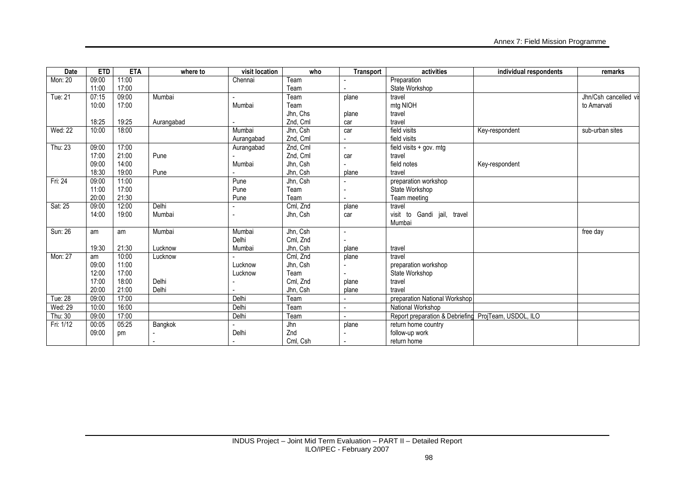| Date      | <b>ETD</b> | <b>ETA</b> | where to   | visit location | who      | Transport | activities                           | individual respondents | remarks               |
|-----------|------------|------------|------------|----------------|----------|-----------|--------------------------------------|------------------------|-----------------------|
| Mon: 20   | 09:00      | 11:00      |            | Chennai        | Team     |           | Preparation                          |                        |                       |
|           | 11:00      | 17:00      |            |                | Team     |           | State Workshop                       |                        |                       |
| Tue: 21   | 07:15      | 09:00      | Mumbai     |                | Team     | plane     | travel                               |                        | Jhn/Csh cancelled vis |
|           | 10:00      | 17:00      |            | Mumbai         | Team     |           | mtg NIOH                             |                        | to Amarvati           |
|           |            |            |            |                | Jhn, Chs | plane     | travel                               |                        |                       |
|           | 18:25      | 19:25      | Aurangabad |                | Znd, Cml | car       | travel                               |                        |                       |
| Wed: 22   | 10:00      | 18:00      |            | Mumbai         | Jhn, Csh | car       | field visits                         | Key-respondent         | sub-urban sites       |
|           |            |            |            | Aurangabad     | Znd, Cml |           | field visits                         |                        |                       |
| Thu: 23   | 09:00      | 17:00      |            | Aurangabad     | Znd, Cml |           | $\overline{field}$ visits + gov. mtg |                        |                       |
|           | 17:00      | 21:00      | Pune       |                | Znd, Cml | car       | travel                               |                        |                       |
|           | 09:00      | 14:00      |            | Mumbai         | Jhn, Csh |           | field notes                          | Key-respondent         |                       |
|           | 18:30      | 19:00      | Pune       |                | Jhn, Csh | plane     | travel                               |                        |                       |
| Fri: 24   | 09:00      | 11:00      |            | Pune           | Jhn, Csh |           | preparation workshop                 |                        |                       |
|           | 11:00      | 17:00      |            | Pune           | Team     |           | State Workshop                       |                        |                       |
|           | 20:00      | 21:30      |            | Pune           | Team     |           | Team meeting                         |                        |                       |
| Sat: 25   | 09:00      | 12:00      | Delhi      |                | Cml, Znd | plane     | travel                               |                        |                       |
|           | 14:00      | 19:00      | Mumbai     |                | Jhn, Csh | car       | visit to Gandi jail, travel          |                        |                       |
|           |            |            |            |                |          |           | Mumbai                               |                        |                       |
| Sun: 26   | am         | am         | Mumbai     | Mumbai         | Jhn, Csh |           |                                      |                        | free day              |
|           |            |            |            | Delhi          | Cml, Znd |           |                                      |                        |                       |
|           | 19:30      | 21:30      | Lucknow    | Mumbai         | Jhn, Csh | plane     | travel                               |                        |                       |
| Mon: 27   | am         | 10:00      | Lucknow    |                | Cml, Znd | plane     | travel                               |                        |                       |
|           | 09:00      | 11:00      |            | Lucknow        | Jhn, Csh |           | preparation workshop                 |                        |                       |
|           | 12:00      | 17:00      |            | Lucknow        | Team     |           | State Workshop                       |                        |                       |
|           | 17:00      | 18:00      | Delhi      |                | Cml, Znd | plane     | travel                               |                        |                       |
|           | 20:00      | 21:00      | Delhi      |                | Jhn, Csh | plane     | travel                               |                        |                       |
| Tue: 28   | 09:00      | 17:00      |            | Delhi          | Team     |           | preparation National Workshop        |                        |                       |
| Wed: 29   | 10:00      | 16:00      |            | Delhi          | Team     |           | National Workshop                    |                        |                       |
| Thu: 30   | 09:00      | 17:00      |            | Delhi          | Team     |           | Report preparation & Debriefing      | ProjTeam, USDOL, ILO   |                       |
| Fri: 1/12 | 00:05      | 05:25      | Bangkok    |                | Jhn      | plane     | return home country                  |                        |                       |
|           | 09:00      | pm         |            | Delhi          | Znd      |           | follow-up work                       |                        |                       |
|           |            |            |            |                | Cml, Csh |           | return home                          |                        |                       |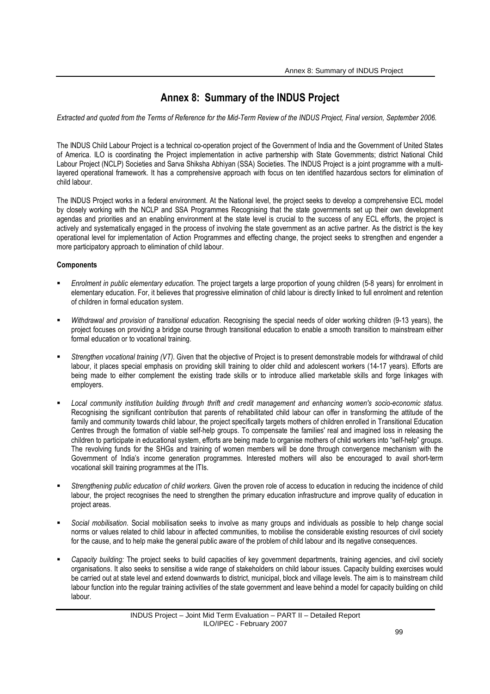# **Annex 8: Summary of the INDUS Project**

*Extracted and quoted from the Terms of Reference for the Mid-Term Review of the INDUS Project, Final version, September 2006.* 

The INDUS Child Labour Project is a technical co-operation project of the Government of India and the Government of United States of America. ILO is coordinating the Project implementation in active partnership with State Governments; district National Child Labour Project (NCLP) Societies and Sarva Shiksha Abhiyan (SSA) Societies. The INDUS Project is a joint programme with a multilayered operational framework. It has a comprehensive approach with focus on ten identified hazardous sectors for elimination of child labour.

The INDUS Project works in a federal environment. At the National level, the project seeks to develop a comprehensive ECL model by closely working with the NCLP and SSA Programmes Recognising that the state governments set up their own development agendas and priorities and an enabling environment at the state level is crucial to the success of any ECL efforts, the project is actively and systematically engaged in the process of involving the state government as an active partner. As the district is the key operational level for implementation of Action Programmes and effecting change, the project seeks to strengthen and engender a more participatory approach to elimination of child labour.

# **Components**

- *Enrolment in public elementary education.* The project targets a large proportion of young children (5-8 years) for enrolment in elementary education. For, it believes that progressive elimination of child labour is directly linked to full enrolment and retention of children in formal education system.
- *Withdrawal and provision of transitional education.* Recognising the special needs of older working children (9-13 years), the project focuses on providing a bridge course through transitional education to enable a smooth transition to mainstream either formal education or to vocational training.
- *Strengthen vocational training (VT).* Given that the objective of Project is to present demonstrable models for withdrawal of child labour, it places special emphasis on providing skill training to older child and adolescent workers (14-17 years). Efforts are being made to either complement the existing trade skills or to introduce allied marketable skills and forge linkages with employers.
- *Local community institution building through thrift and credit management and enhancing women's socio-economic status.* Recognising the significant contribution that parents of rehabilitated child labour can offer in transforming the attitude of the family and community towards child labour, the project specifically targets mothers of children enrolled in Transitional Education Centres through the formation of viable self-help groups. To compensate the families' real and imagined loss in releasing the children to participate in educational system, efforts are being made to organise mothers of child workers into "self-help" groups. The revolving funds for the SHGs and training of women members will be done through convergence mechanism with the Government of India's income generation programmes. Interested mothers will also be encouraged to avail short-term vocational skill training programmes at the ITIs.
- *Strengthening public education of child workers.* Given the proven role of access to education in reducing the incidence of child labour, the project recognises the need to strengthen the primary education infrastructure and improve quality of education in project areas.
- *Social mobilisation.* Social mobilisation seeks to involve as many groups and individuals as possible to help change social norms or values related to child labour in affected communities, to mobilise the considerable existing resources of civil society for the cause, and to help make the general public aware of the problem of child labour and its negative consequences.
- *Capacity building:* The project seeks to build capacities of key government departments, training agencies, and civil society organisations. It also seeks to sensitise a wide range of stakeholders on child labour issues. Capacity building exercises would be carried out at state level and extend downwards to district, municipal, block and village levels. The aim is to mainstream child labour function into the regular training activities of the state government and leave behind a model for capacity building on child labour.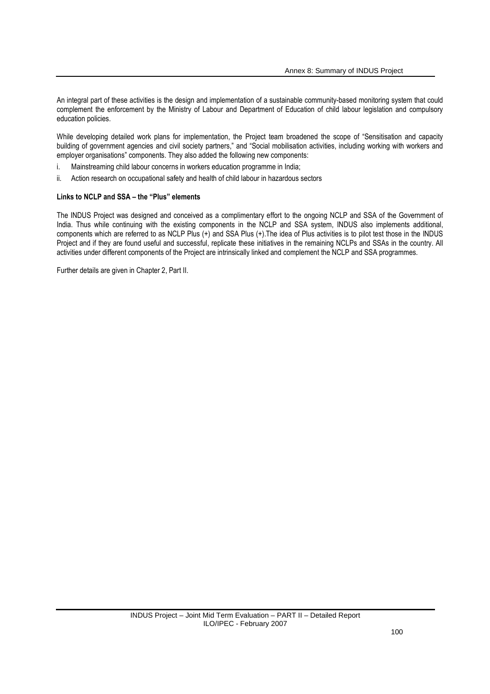An integral part of these activities is the design and implementation of a sustainable community-based monitoring system that could complement the enforcement by the Ministry of Labour and Department of Education of child labour legislation and compulsory education policies.

While developing detailed work plans for implementation, the Project team broadened the scope of "Sensitisation and capacity building of government agencies and civil society partners," and "Social mobilisation activities, including working with workers and employer organisations" components. They also added the following new components:

- i. Mainstreaming child labour concerns in workers education programme in India;
- ii. Action research on occupational safety and health of child labour in hazardous sectors

### **Links to NCLP and SSA – the "Plus" elements**

The INDUS Project was designed and conceived as a complimentary effort to the ongoing NCLP and SSA of the Government of India. Thus while continuing with the existing components in the NCLP and SSA system, INDUS also implements additional, components which are referred to as NCLP Plus (+) and SSA Plus (+).The idea of Plus activities is to pilot test those in the INDUS Project and if they are found useful and successful, replicate these initiatives in the remaining NCLPs and SSAs in the country. All activities under different components of the Project are intrinsically linked and complement the NCLP and SSA programmes.

Further details are given in Chapter 2, Part II.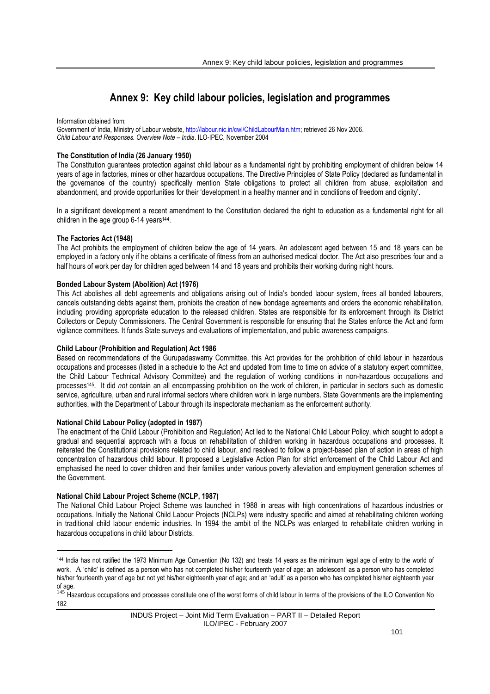# **Annex 9: Key child labour policies, legislation and programmes**

Information obtained from: Government of India, Ministry of Labour website, http://labour.nic.in/cwl/ChildLabourMain.htm; retrieved 26 Nov 2006. *Child Labour and Responses. Overview Note – India*. ILO-IPEC, November 2004

# **The Constitution of India (26 January 1950)**

The Constitution guarantees protection against child labour as a fundamental right by prohibiting employment of children below 14 years of age in factories, mines or other hazardous occupations. The Directive Principles of State Policy (declared as fundamental in the governance of the country) specifically mention State obligations to protect all children from abuse, exploitation and abandonment, and provide opportunities for their 'development in a healthy manner and in conditions of freedom and dignity'.

In a significant development a recent amendment to the Constitution declared the right to education as a fundamental right for all children in the age group 6-14 years<sup>144</sup>.

# **The Factories Act (1948)**

The Act prohibits the employment of children below the age of 14 years. An adolescent aged between 15 and 18 years can be employed in a factory only if he obtains a certificate of fitness from an authorised medical doctor. The Act also prescribes four and a half hours of work per day for children aged between 14 and 18 years and prohibits their working during night hours.

# **Bonded Labour System (Abolition) Act (1976)**

This Act abolishes all debt agreements and obligations arising out of India's bonded labour system, frees all bonded labourers, cancels outstanding debts against them, prohibits the creation of new bondage agreements and orders the economic rehabilitation, including providing appropriate education to the released children. States are responsible for its enforcement through its District Collectors or Deputy Commissioners. The Central Government is responsible for ensuring that the States enforce the Act and form vigilance committees. It funds State surveys and evaluations of implementation, and public awareness campaigns.

# **Child Labour (Prohibition and Regulation) Act 1986**

Based on recommendations of the Gurupadaswamy Committee, this Act provides for the prohibition of child labour in hazardous occupations and processes (listed in a schedule to the Act and updated from time to time on advice of a statutory expert committee, the Child Labour Technical Advisory Committee) and the regulation of working conditions in non-hazardous occupations and processes145. It did *not* contain an all encompassing prohibition on the work of children, in particular in sectors such as domestic service, agriculture, urban and rural informal sectors where children work in large numbers. State Governments are the implementing authorities, with the Department of Labour through its inspectorate mechanism as the enforcement authority.

# **National Child Labour Policy (adopted in 1987)**

The enactment of the Child Labour (Prohibition and Regulation) Act led to the National Child Labour Policy, which sought to adopt a gradual and sequential approach with a focus on rehabilitation of children working in hazardous occupations and processes. It reiterated the Constitutional provisions related to child labour, and resolved to follow a project-based plan of action in areas of high concentration of hazardous child labour. It proposed a Legislative Action Plan for strict enforcement of the Child Labour Act and emphasised the need to cover children and their families under various poverty alleviation and employment generation schemes of the Government.

# **National Child Labour Project Scheme (NCLP, 1987)**

 $\overline{a}$ 

The National Child Labour Project Scheme was launched in 1988 in areas with high concentrations of hazardous industries or occupations. Initially the National Child Labour Projects (NCLPs) were industry specific and aimed at rehabilitating children working in traditional child labour endemic industries. In 1994 the ambit of the NCLPs was enlarged to rehabilitate children working in hazardous occupations in child labour Districts.

<sup>144</sup> India has not ratified the 1973 Minimum Age Convention (No 132) and treats 14 years as the minimum legal age of entry to the world of work. A 'child' is defined as a person who has not completed his/her fourteenth year of age; an 'adolescent' as a person who has completed his/her fourteenth year of age but not yet his/her eighteenth year of age; and an 'adult' as a person who has completed his/her eighteenth year of age.

or age.<br><sup>145</sup> Hazardous occupations and processes constitute one of the worst forms of child labour in terms of the provisions of the ILO Convention No 182

INDUS Project – Joint Mid Term Evaluation – PART II – Detailed Report ILO/IPEC - February 2007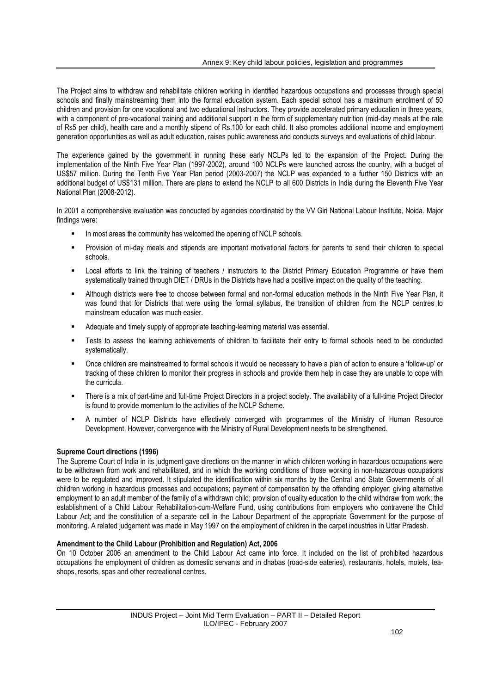The Project aims to withdraw and rehabilitate children working in identified hazardous occupations and processes through special schools and finally mainstreaming them into the formal education system. Each special school has a maximum enrolment of 50 children and provision for one vocational and two educational instructors. They provide accelerated primary education in three years, with a component of pre-vocational training and additional support in the form of supplementary nutrition (mid-day meals at the rate of Rs5 per child), health care and a monthly stipend of Rs.100 for each child. It also promotes additional income and employment generation opportunities as well as adult education, raises public awareness and conducts surveys and evaluations of child labour.

The experience gained by the government in running these early NCLPs led to the expansion of the Project. During the implementation of the Ninth Five Year Plan (1997-2002), around 100 NCLPs were launched across the country, with a budget of US\$57 million. During the Tenth Five Year Plan period (2003-2007) the NCLP was expanded to a further 150 Districts with an additional budget of US\$131 million. There are plans to extend the NCLP to all 600 Districts in India during the Eleventh Five Year National Plan (2008-2012).

In 2001 a comprehensive evaluation was conducted by agencies coordinated by the VV Giri National Labour Institute, Noida. Major findings were:

- In most areas the community has welcomed the opening of NCLP schools.
- Provision of mi-day meals and stipends are important motivational factors for parents to send their children to special schools.
- Local efforts to link the training of teachers / instructors to the District Primary Education Programme or have them systematically trained through DIET / DRUs in the Districts have had a positive impact on the quality of the teaching.
- Although districts were free to choose between formal and non-formal education methods in the Ninth Five Year Plan, it was found that for Districts that were using the formal syllabus, the transition of children from the NCLP centres to mainstream education was much easier.
- Adequate and timely supply of appropriate teaching-learning material was essential.
- Tests to assess the learning achievements of children to facilitate their entry to formal schools need to be conducted systematically.
- Once children are mainstreamed to formal schools it would be necessary to have a plan of action to ensure a 'follow-up' or tracking of these children to monitor their progress in schools and provide them help in case they are unable to cope with the curricula.
- There is a mix of part-time and full-time Project Directors in a project society. The availability of a full-time Project Director is found to provide momentum to the activities of the NCLP Scheme.
- A number of NCLP Districts have effectively converged with programmes of the Ministry of Human Resource Development. However, convergence with the Ministry of Rural Development needs to be strengthened.

# **Supreme Court directions (1996)**

The Supreme Court of India in its judgment gave directions on the manner in which children working in hazardous occupations were to be withdrawn from work and rehabilitated, and in which the working conditions of those working in non-hazardous occupations were to be regulated and improved. It stipulated the identification within six months by the Central and State Governments of all children working in hazardous processes and occupations; payment of compensation by the offending employer; giving alternative employment to an adult member of the family of a withdrawn child; provision of quality education to the child withdraw from work; the establishment of a Child Labour Rehabilitation-cum-Welfare Fund, using contributions from employers who contravene the Child Labour Act; and the constitution of a separate cell in the Labour Department of the appropriate Government for the purpose of monitoring. A related judgement was made in May 1997 on the employment of children in the carpet industries in Uttar Pradesh.

# **Amendment to the Child Labour (Prohibition and Regulation) Act, 2006**

On 10 October 2006 an amendment to the Child Labour Act came into force. It included on the list of prohibited hazardous occupations the employment of children as domestic servants and in dhabas (road-side eateries), restaurants, hotels, motels, teashops, resorts, spas and other recreational centres.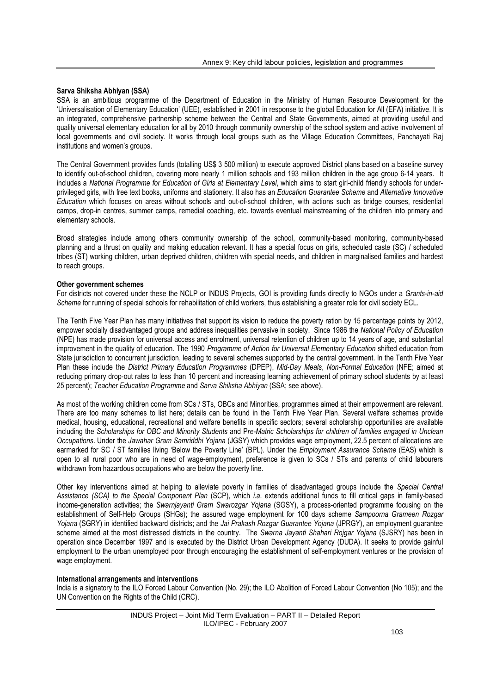#### **Sarva Shiksha Abhiyan (SSA)**

SSA is an ambitious programme of the Department of Education in the Ministry of Human Resource Development for the 'Universalisation of Elementary Education' (UEE), established in 2001 in response to the global Education for All (EFA) initiative. It is an integrated, comprehensive partnership scheme between the Central and State Governments, aimed at providing useful and quality universal elementary education for all by 2010 through community ownership of the school system and active involvement of local governments and civil society. It works through local groups such as the Village Education Committees, Panchayati Raj institutions and women's groups.

The Central Government provides funds (totalling US\$ 3 500 million) to execute approved District plans based on a baseline survey to identify out-of-school children, covering more nearly 1 million schools and 193 million children in the age group 6-14 years. It includes a *National Programme for Education of Girls at Elementary Level*, which aims to start girl-child friendly schools for underprivileged girls, with free text books, uniforms and stationery. It also has an *Education Guarantee Scheme* and *Alternative Innovative Education* which focuses on areas without schools and out-of-school children, with actions such as bridge courses, residential camps, drop-in centres, summer camps, remedial coaching, etc. towards eventual mainstreaming of the children into primary and elementary schools.

Broad strategies include among others community ownership of the school, community-based monitoring, community-based planning and a thrust on quality and making education relevant. It has a special focus on girls, scheduled caste (SC) / scheduled tribes (ST) working children, urban deprived children, children with special needs, and children in marginalised families and hardest to reach groups.

#### **Other government schemes**

For districts not covered under these the NCLP or INDUS Projects, GOI is providing funds directly to NGOs under a *Grants-in-aid Scheme* for running of special schools for rehabilitation of child workers, thus establishing a greater role for civil society ECL.

The Tenth Five Year Plan has many initiatives that support its vision to reduce the poverty ration by 15 percentage points by 2012, empower socially disadvantaged groups and address inequalities pervasive in society. Since 1986 the *National Policy of Education* (NPE) has made provision for universal access and enrolment, universal retention of children up to 14 years of age, and substantial improvement in the quality of education. The 1990 *Programme of Action for Universal Elementary Education* shifted education from State jurisdiction to concurrent jurisdiction, leading to several schemes supported by the central government. In the Tenth Five Year Plan these include the *District Primary Education Programmes* (DPEP), *Mid-Day Meals*, *Non-Formal Education* (NFE; aimed at reducing primary drop-out rates to less than 10 percent and increasing learning achievement of primary school students by at least 25 percent); *Teacher Education Programme* and *Sarva Shiksha Abhiyan* (SSA; see above).

As most of the working children come from SCs / STs, OBCs and Minorities, programmes aimed at their empowerment are relevant. There are too many schemes to list here; details can be found in the Tenth Five Year Plan. Several welfare schemes provide medical, housing, educational, recreational and welfare benefits in specific sectors; several scholarship opportunities are available including the *Scholarships for OBC and Minority Students* and P*re-Matric Scholarships for children of families engaged in Unclean Occupations*. Under the *Jawahar Gram Samriddhi Yojana* (JGSY) which provides wage employment, 22.5 percent of allocations are earmarked for SC / ST families living 'Below the Poverty Line' (BPL). Under the *Employment Assurance Scheme* (EAS) which is open to all rural poor who are in need of wage-employment, preference is given to SCs / STs and parents of child labourers withdrawn from hazardous occupations who are below the poverty line.

Other key interventions aimed at helping to alleviate poverty in families of disadvantaged groups include the *Special Central Assistance (SCA) to the Special Component Plan* (SCP), which *i.a.* extends additional funds to fill critical gaps in family-based income-generation activities; the *Swarnjayanti Gram Swarozgar Yojana* (SGSY), a process-oriented programme focusing on the establishment of Self-Help Groups (SHGs); the assured wage employment for 100 days scheme *Sampoorna Grameen Rozgar Yojana* (SGRY) in identified backward districts; and the *Jai Prakash Rozgar Guarantee Yojana* (JPRGY), an employment guarantee scheme aimed at the most distressed districts in the country. The *Swarna Jayanti Shahari Rojgar Yojana* (SJSRY) has been in operation since December 1997 and is executed by the District Urban Development Agency (DUDA). It seeks to provide gainful employment to the urban unemployed poor through encouraging the establishment of self-employment ventures or the provision of wage employment.

#### **International arrangements and interventions**

India is a signatory to the ILO Forced Labour Convention (No. 29); the ILO Abolition of Forced Labour Convention (No 105); and the UN Convention on the Rights of the Child (CRC).